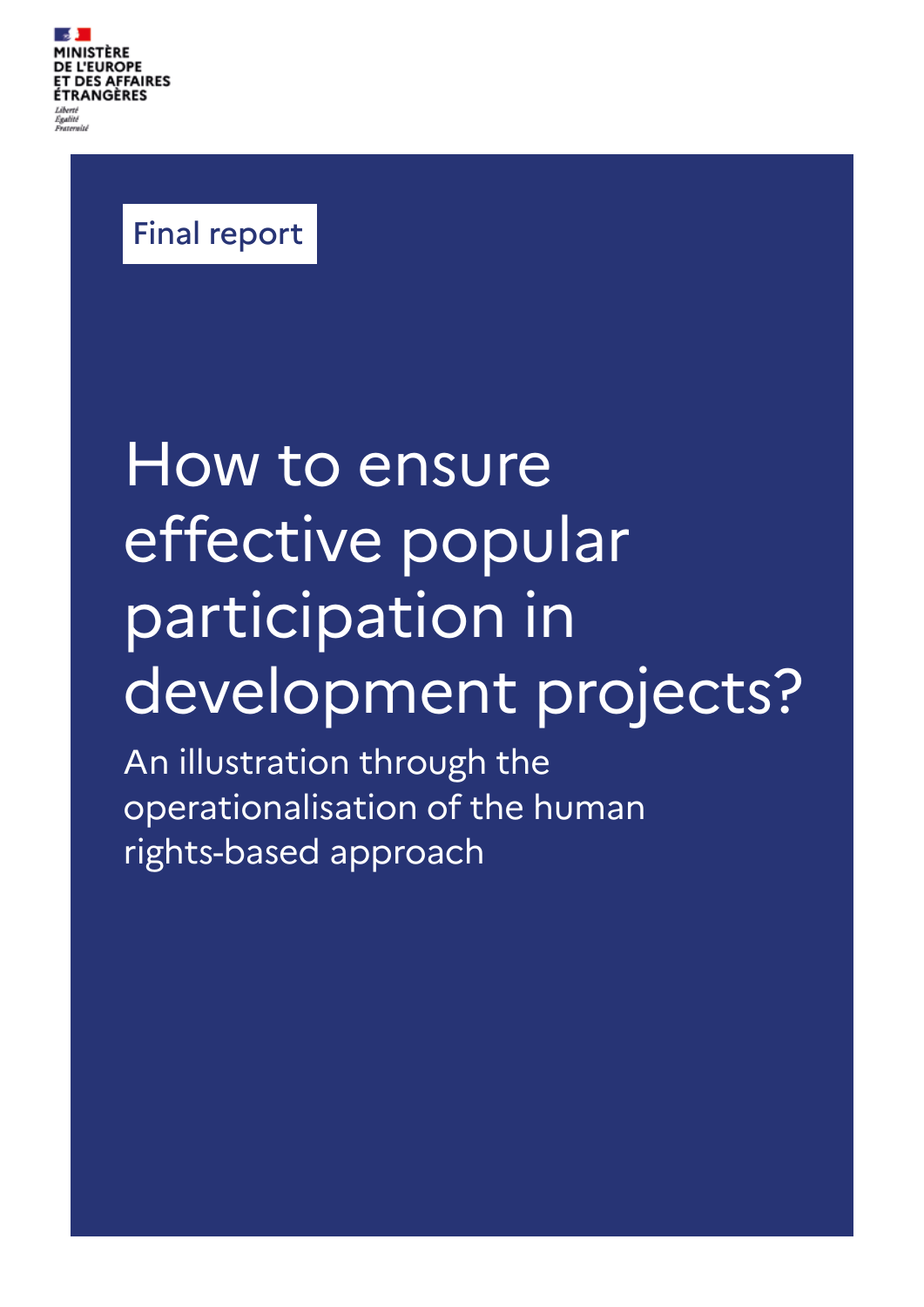

# Final report

# How to ensure effective popular participation in development projects?

An illustration through the operationalisation of the human rights-based approach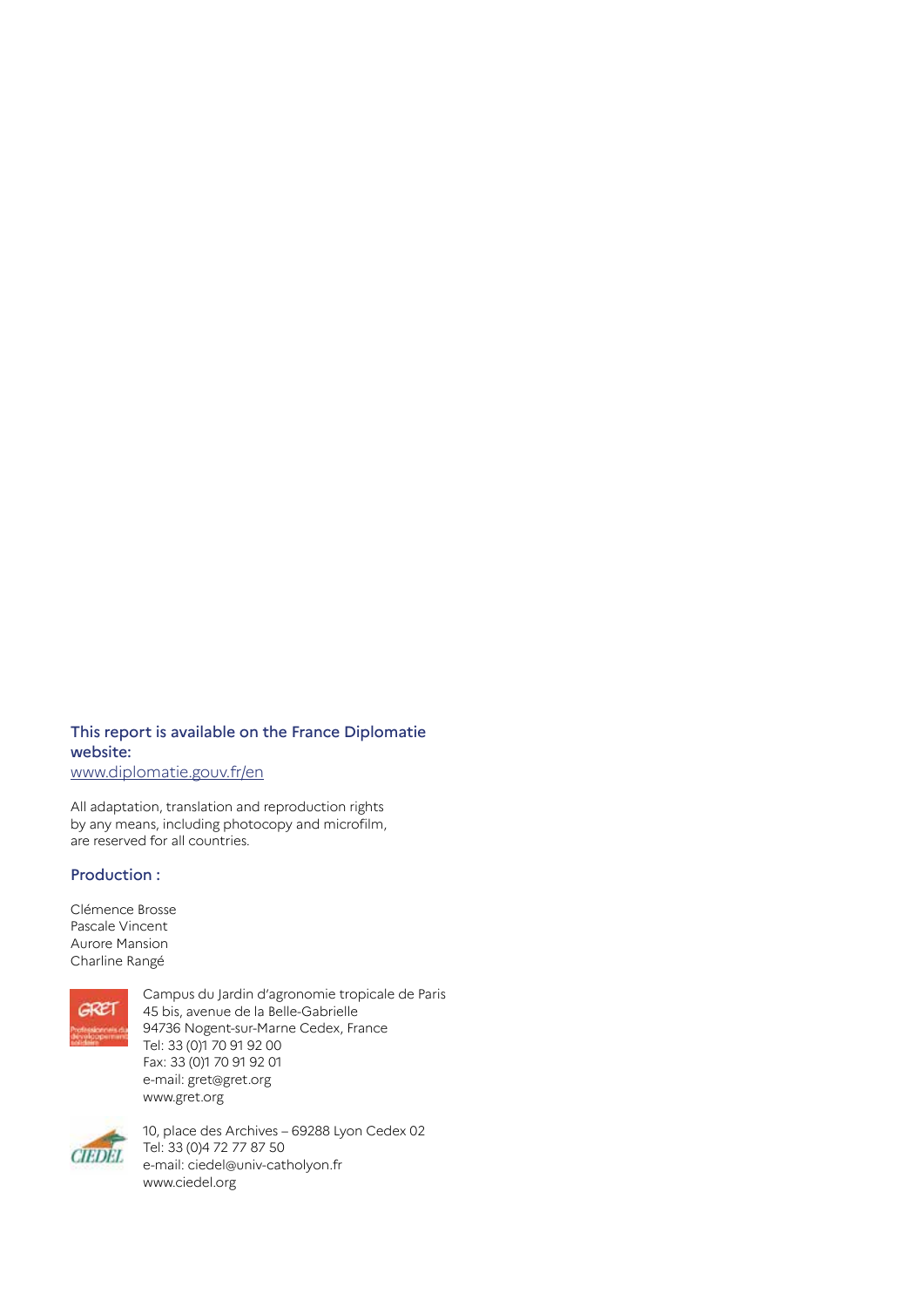## This report is available on the France Diplomatie website:

www.diplomatie.gouv.fr/en

All adaptation, translation and reproduction rights by any means, including photocopy and microfilm, are reserved for all countries.

#### Production :

Clémence Brosse Pascale Vincent Aurore Mansion Charline Rangé



Campus du Jardin d'agronomie tropicale de Paris 45 bis, avenue de la Belle-Gabrielle 94736 Nogent-sur-Marne Cedex, France Tel: 33 (0)1 70 91 92 00 Fax: 33 (0)1 70 91 92 01 e-mail: gret@gret.org www.gret.org



10, place des Archives – 69288 Lyon Cedex 02 Tel: 33 (0)4 72 77 87 50 e-mail: ciedel@univ-catholyon.fr www.ciedel.org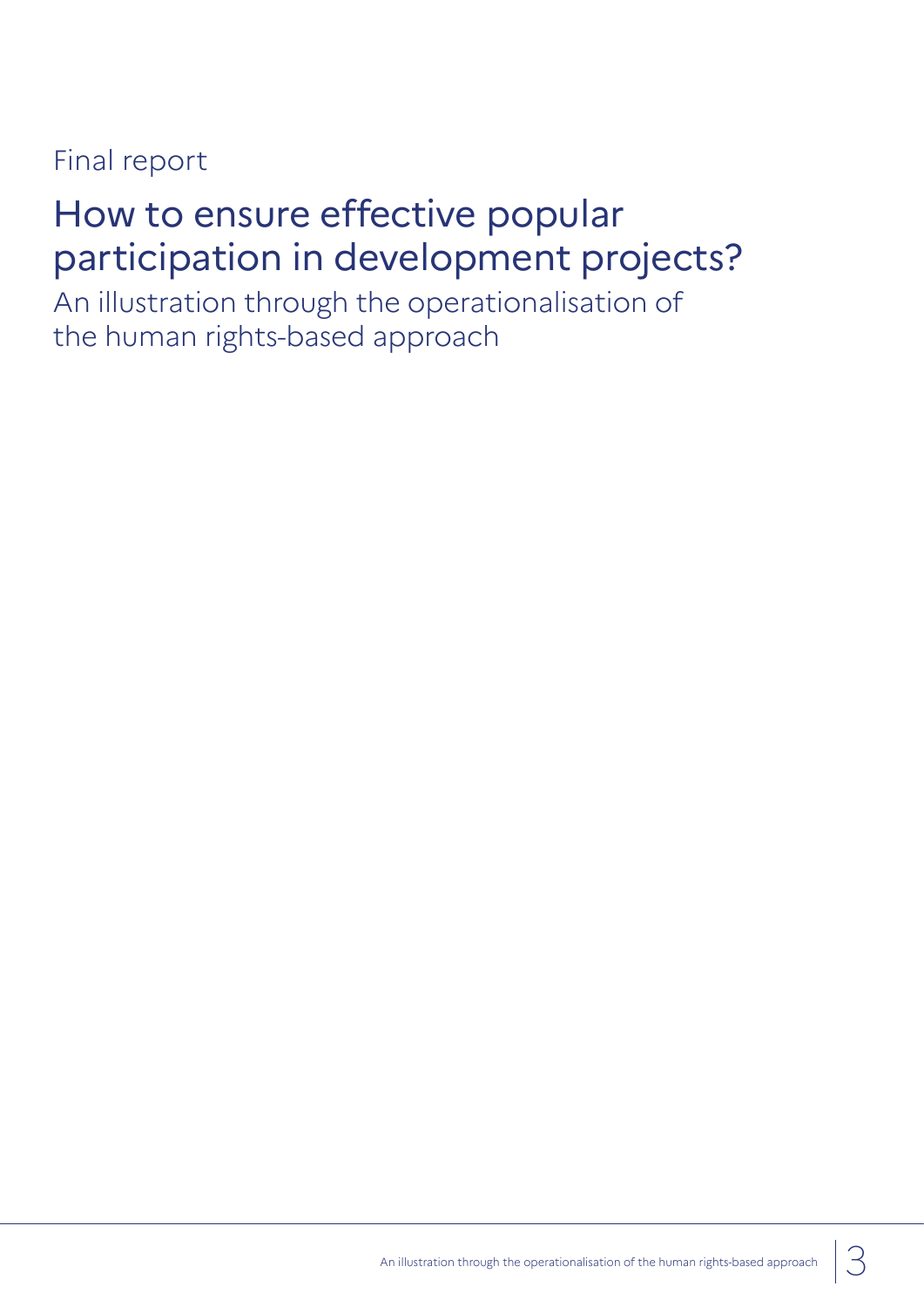# Final report

# How to ensure effective popular participation in development projects?

An illustration through the operationalisation of the human rights-based approach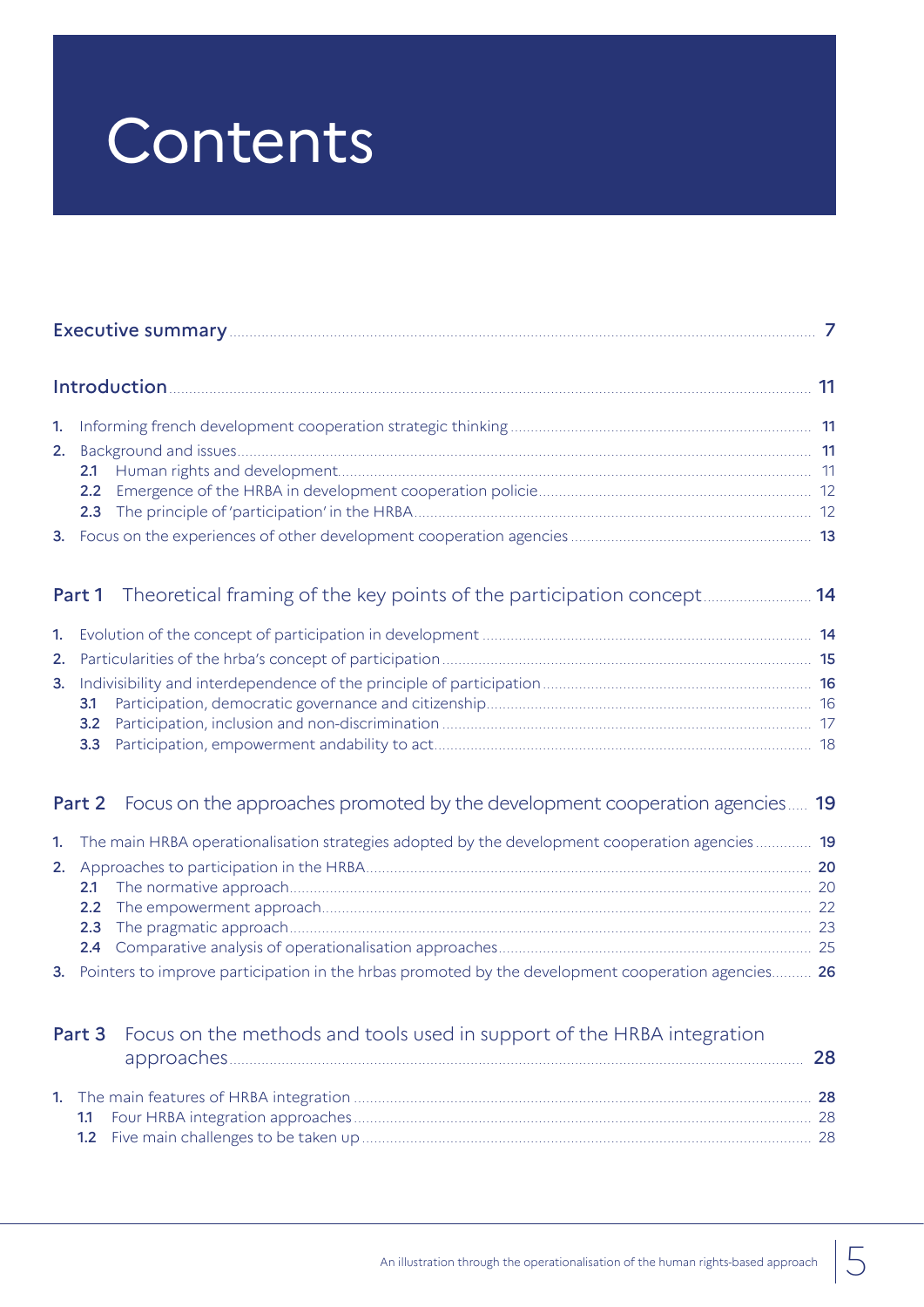# Contents

# Part 2 Focus on the approaches promoted by the development cooperation agencies..... 19

|  |  | 1. The main HRBA operationalisation strategies adopted by the development cooperation agencies 19     |      |
|--|--|-------------------------------------------------------------------------------------------------------|------|
|  |  |                                                                                                       |      |
|  |  |                                                                                                       | - 20 |
|  |  |                                                                                                       |      |
|  |  |                                                                                                       | - 23 |
|  |  |                                                                                                       |      |
|  |  | 3. Pointers to improve participation in the hrbas promoted by the development cooperation agencies 26 |      |

|  | <b>Part 3</b> Focus on the methods and tools used in support of the HRBA integration | 28 |
|--|--------------------------------------------------------------------------------------|----|
|  |                                                                                      |    |
|  |                                                                                      |    |
|  |                                                                                      |    |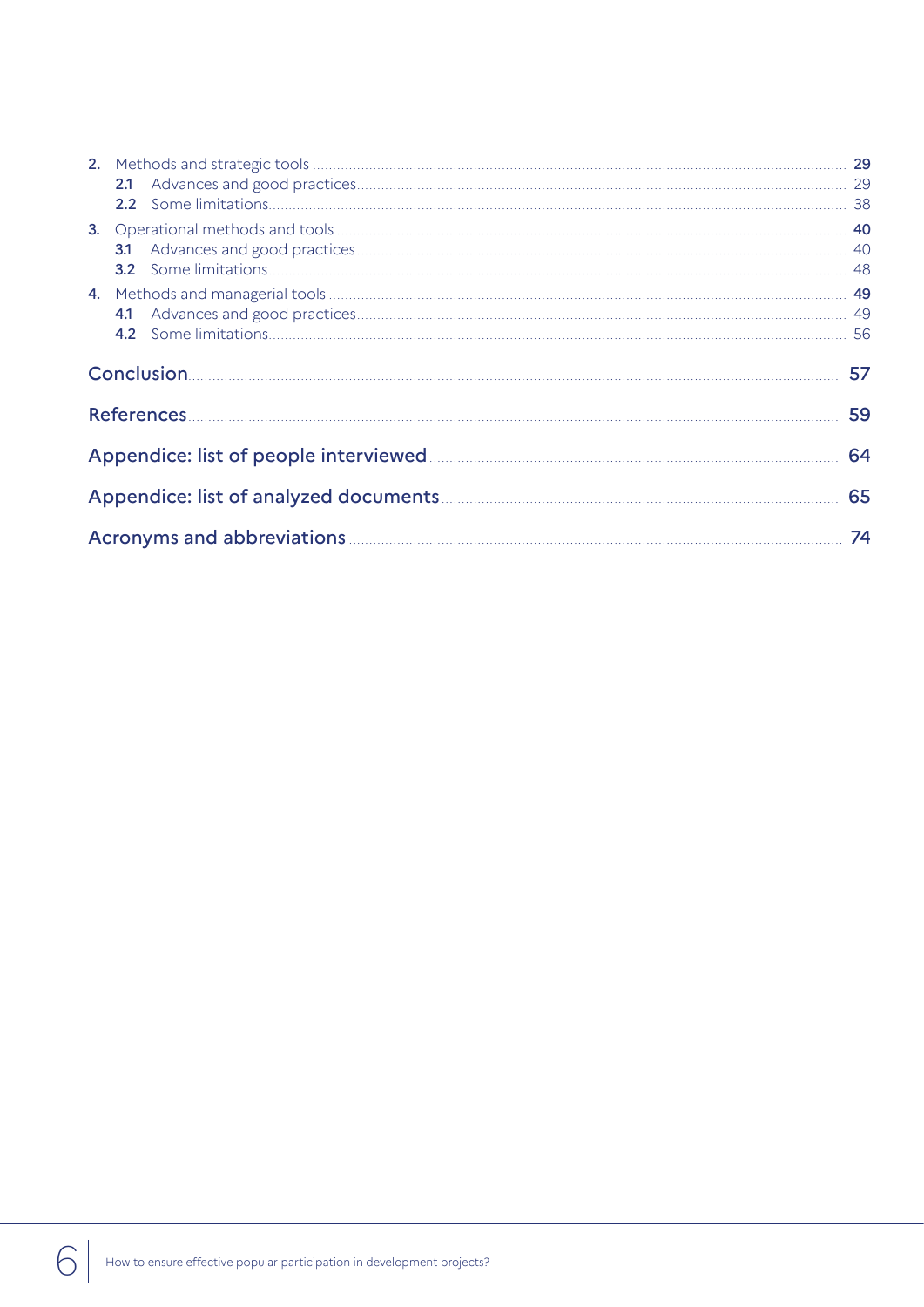| 3.1 |    |  |
|-----|----|--|
|     |    |  |
|     |    |  |
| 4.1 |    |  |
|     |    |  |
|     |    |  |
|     | 57 |  |
|     | 59 |  |
|     | 64 |  |
|     | 65 |  |

6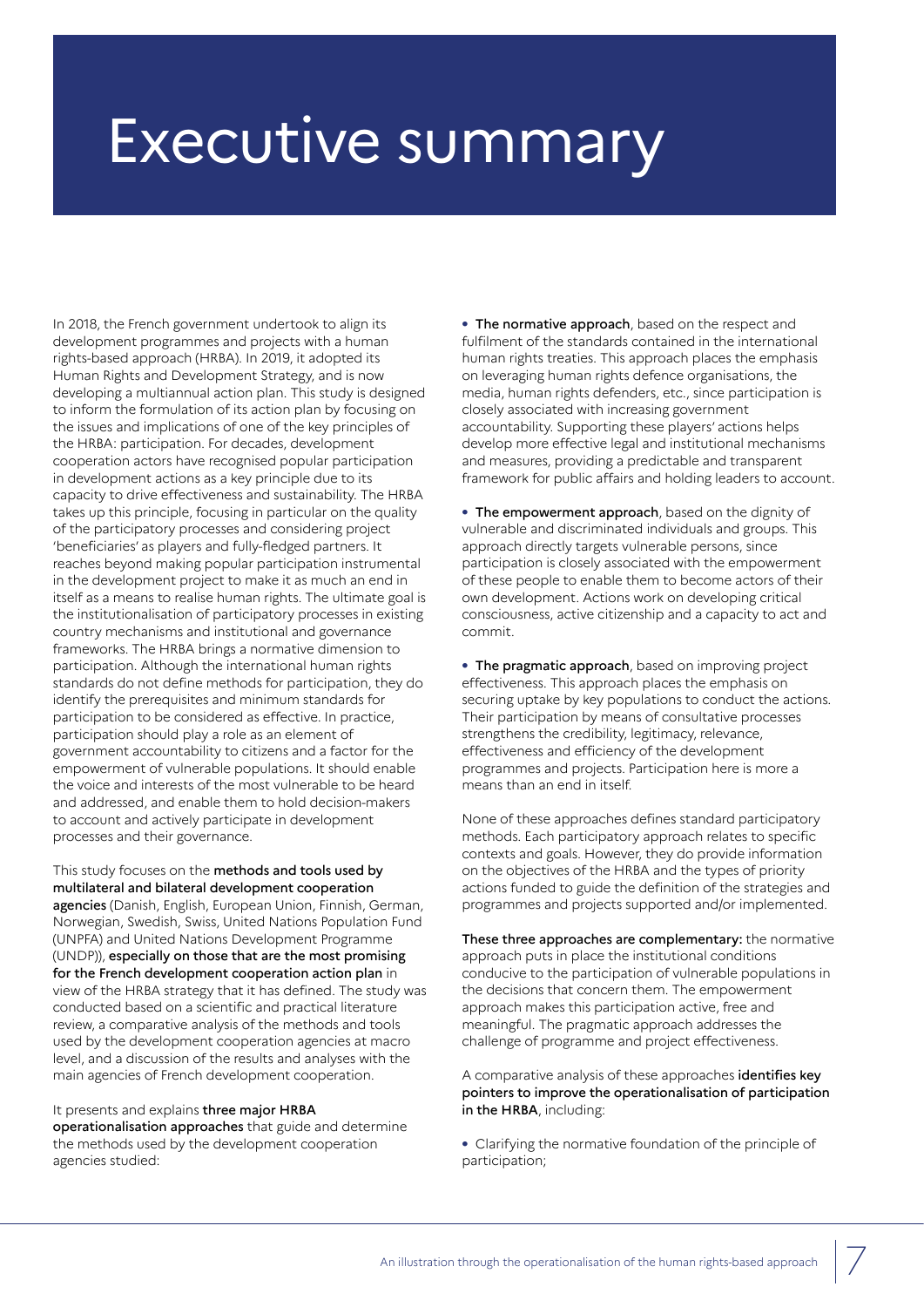# Executive summary

In 2018, the French government undertook to align its development programmes and projects with a human rights-based approach (HRBA). In 2019, it adopted its Human Rights and Development Strategy, and is now developing a multiannual action plan. This study is designed to inform the formulation of its action plan by focusing on the issues and implications of one of the key principles of the HRBA: participation. For decades, development cooperation actors have recognised popular participation in development actions as a key principle due to its capacity to drive effectiveness and sustainability. The HRBA takes up this principle, focusing in particular on the quality of the participatory processes and considering project 'beneficiaries' as players and fully-fledged partners. It reaches beyond making popular participation instrumental in the development project to make it as much an end in itself as a means to realise human rights. The ultimate goal is the institutionalisation of participatory processes in existing country mechanisms and institutional and governance frameworks. The HRBA brings a normative dimension to participation. Although the international human rights standards do not define methods for participation, they do identify the prerequisites and minimum standards for participation to be considered as effective. In practice, participation should play a role as an element of government accountability to citizens and a factor for the empowerment of vulnerable populations. It should enable the voice and interests of the most vulnerable to be heard and addressed, and enable them to hold decision-makers to account and actively participate in development processes and their governance.

This study focuses on the methods and tools used by multilateral and bilateral development cooperation agencies (Danish, English, European Union, Finnish, German, Norwegian, Swedish, Swiss, United Nations Population Fund (UNPFA) and United Nations Development Programme (UNDP)), especially on those that are the most promising for the French development cooperation action plan in view of the HRBA strategy that it has defined. The study was conducted based on a scientific and practical literature review, a comparative analysis of the methods and tools used by the development cooperation agencies at macro level, and a discussion of the results and analyses with the main agencies of French development cooperation.

#### It presents and explains three major HRBA

operationalisation approaches that guide and determine the methods used by the development cooperation agencies studied:

**•** The normative approach, based on the respect and fulfilment of the standards contained in the international human rights treaties. This approach places the emphasis on leveraging human rights defence organisations, the media, human rights defenders, etc., since participation is closely associated with increasing government accountability. Supporting these players' actions helps develop more effective legal and institutional mechanisms and measures, providing a predictable and transparent framework for public affairs and holding leaders to account.

**•** The empowerment approach, based on the dignity of vulnerable and discriminated individuals and groups. This approach directly targets vulnerable persons, since participation is closely associated with the empowerment of these people to enable them to become actors of their own development. Actions work on developing critical consciousness, active citizenship and a capacity to act and commit.

**•** The pragmatic approach, based on improving project effectiveness. This approach places the emphasis on securing uptake by key populations to conduct the actions. Their participation by means of consultative processes strengthens the credibility, legitimacy, relevance, effectiveness and efficiency of the development programmes and projects. Participation here is more a means than an end in itself.

None of these approaches defines standard participatory methods. Each participatory approach relates to specific contexts and goals. However, they do provide information on the objectives of the HRBA and the types of priority actions funded to guide the definition of the strategies and programmes and projects supported and/or implemented.

These three approaches are complementary: the normative approach puts in place the institutional conditions conducive to the participation of vulnerable populations in the decisions that concern them. The empowerment approach makes this participation active, free and meaningful. The pragmatic approach addresses the challenge of programme and project effectiveness.

A comparative analysis of these approaches identifies key pointers to improve the operationalisation of participation in the HRBA, including:

**•** Clarifying the normative foundation of the principle of participation;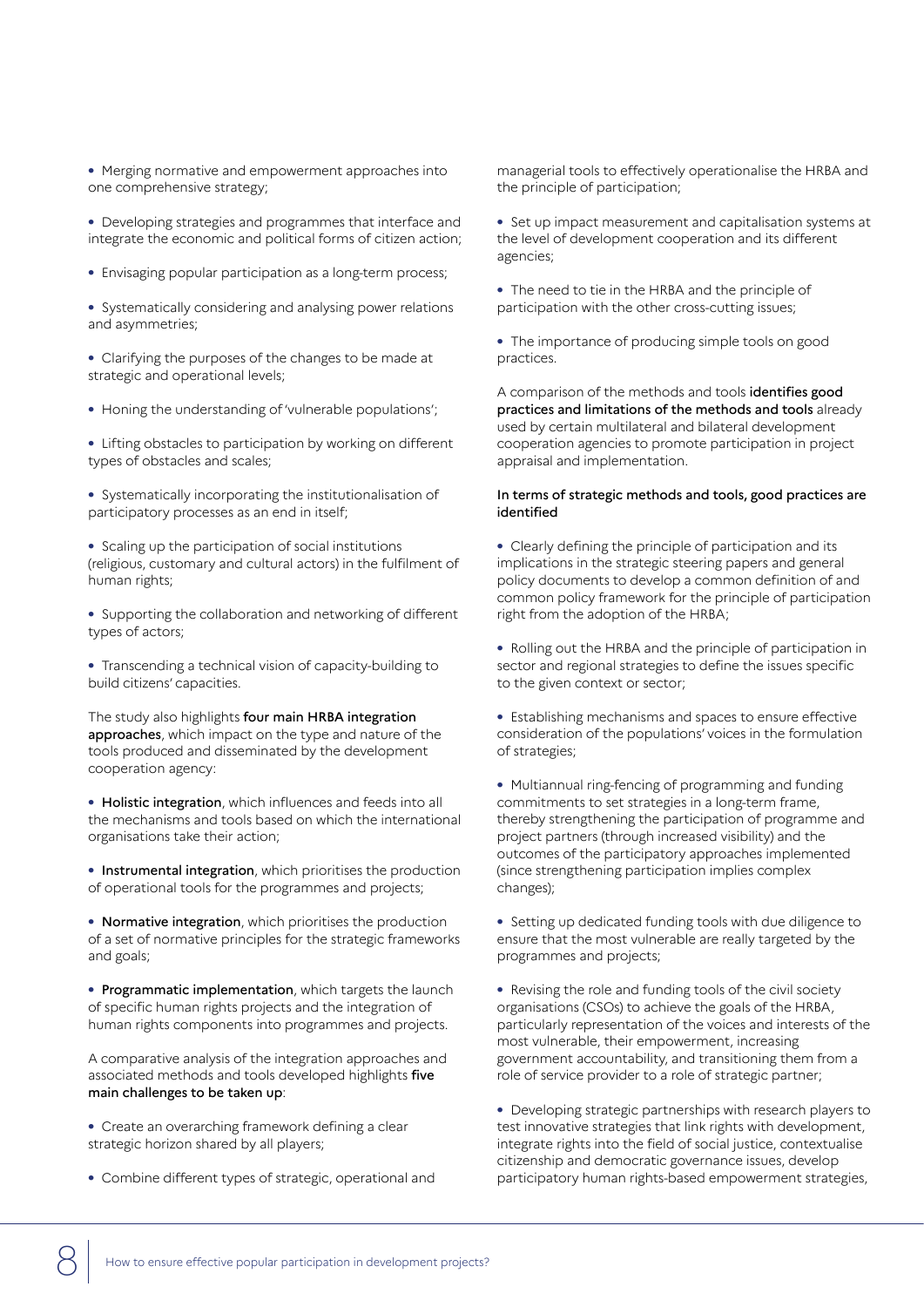**•** Merging normative and empowerment approaches into one comprehensive strategy;

**•** Developing strategies and programmes that interface and integrate the economic and political forms of citizen action;

**•** Envisaging popular participation as a long-term process;

**•** Systematically considering and analysing power relations and asymmetries;

**•** Clarifying the purposes of the changes to be made at strategic and operational levels;

**•** Honing the understanding of 'vulnerable populations';

**•** Lifting obstacles to participation by working on different types of obstacles and scales;

**•** Systematically incorporating the institutionalisation of participatory processes as an end in itself;

**•** Scaling up the participation of social institutions (religious, customary and cultural actors) in the fulfilment of human rights;

**•** Supporting the collaboration and networking of different types of actors;

**•** Transcending a technical vision of capacity-building to build citizens' capacities.

The study also highlights four main HRBA integration approaches, which impact on the type and nature of the tools produced and disseminated by the development cooperation agency:

**•** Holistic integration, which influences and feeds into all the mechanisms and tools based on which the international organisations take their action;

**•** Instrumental integration, which prioritises the production of operational tools for the programmes and projects;

**•** Normative integration, which prioritises the production of a set of normative principles for the strategic frameworks and goals;

**•** Programmatic implementation, which targets the launch of specific human rights projects and the integration of human rights components into programmes and projects.

A comparative analysis of the integration approaches and associated methods and tools developed highlights five main challenges to be taken up:

**•** Create an overarching framework defining a clear strategic horizon shared by all players;

**•** Combine different types of strategic, operational and

managerial tools to effectively operationalise the HRBA and the principle of participation;

**•** Set up impact measurement and capitalisation systems at the level of development cooperation and its different agencies;

**•** The need to tie in the HRBA and the principle of participation with the other cross-cutting issues;

**•** The importance of producing simple tools on good practices.

A comparison of the methods and tools identifies good practices and limitations of the methods and tools already used by certain multilateral and bilateral development cooperation agencies to promote participation in project appraisal and implementation.

#### In terms of strategic methods and tools, good practices are identified

**•** Clearly defining the principle of participation and its implications in the strategic steering papers and general policy documents to develop a common definition of and common policy framework for the principle of participation right from the adoption of the HRBA;

**•** Rolling out the HRBA and the principle of participation in sector and regional strategies to define the issues specific to the given context or sector;

**•** Establishing mechanisms and spaces to ensure effective consideration of the populations' voices in the formulation of strategies;

**•** Multiannual ring-fencing of programming and funding commitments to set strategies in a long-term frame, thereby strengthening the participation of programme and project partners (through increased visibility) and the outcomes of the participatory approaches implemented (since strengthening participation implies complex changes);

**•** Setting up dedicated funding tools with due diligence to ensure that the most vulnerable are really targeted by the programmes and projects;

**•** Revising the role and funding tools of the civil society organisations (CSOs) to achieve the goals of the HRBA, particularly representation of the voices and interests of the most vulnerable, their empowerment, increasing government accountability, and transitioning them from a role of service provider to a role of strategic partner;

**•** Developing strategic partnerships with research players to test innovative strategies that link rights with development, integrate rights into the field of social justice, contextualise citizenship and democratic governance issues, develop participatory human rights-based empowerment strategies,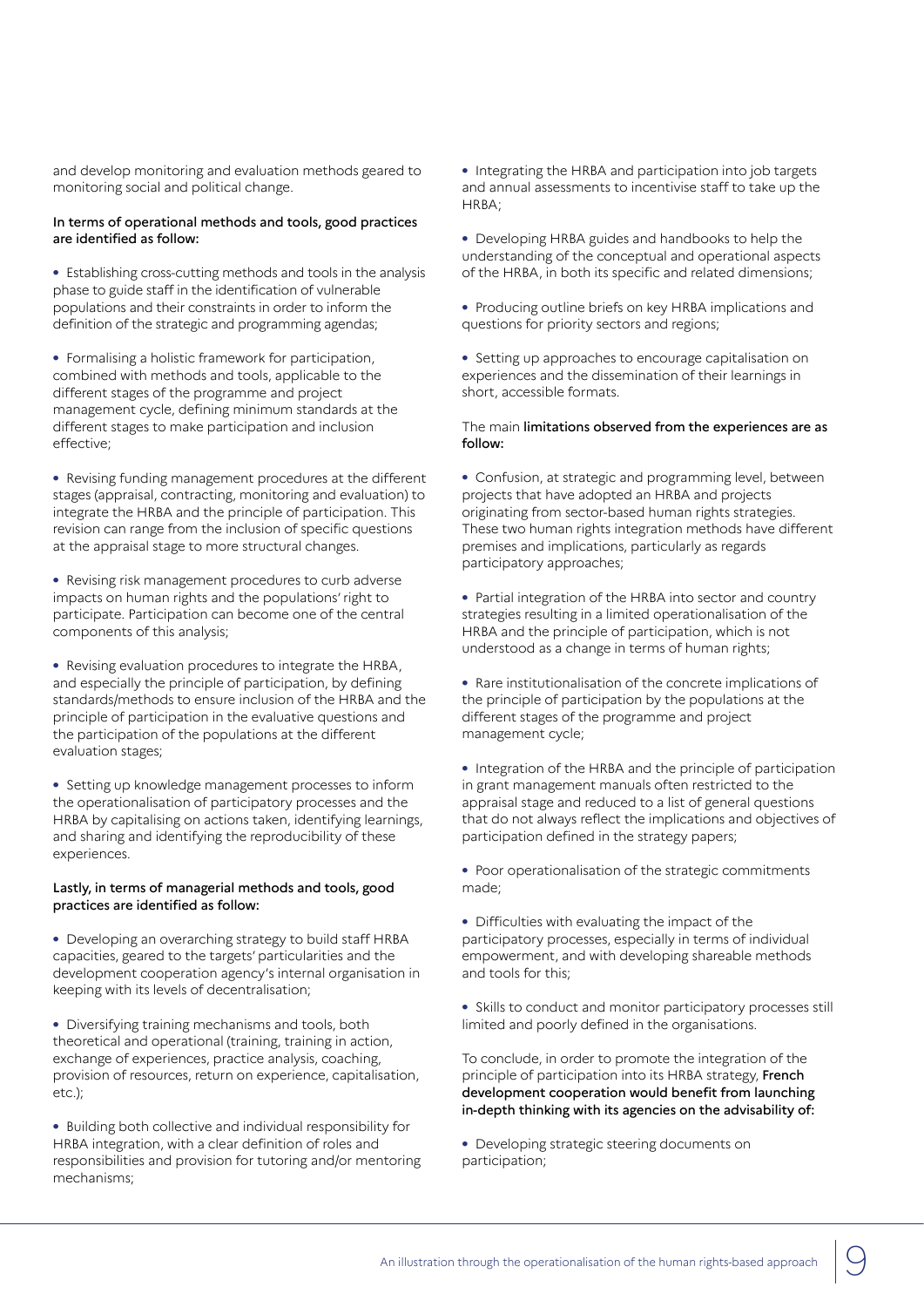and develop monitoring and evaluation methods geared to monitoring social and political change.

#### In terms of operational methods and tools, good practices are identified as follow:

**•** Establishing cross-cutting methods and tools in the analysis phase to guide staff in the identification of vulnerable populations and their constraints in order to inform the definition of the strategic and programming agendas;

**•** Formalising a holistic framework for participation, combined with methods and tools, applicable to the different stages of the programme and project management cycle, defining minimum standards at the different stages to make participation and inclusion effective;

**•** Revising funding management procedures at the different stages (appraisal, contracting, monitoring and evaluation) to integrate the HRBA and the principle of participation. This revision can range from the inclusion of specific questions at the appraisal stage to more structural changes.

**•** Revising risk management procedures to curb adverse impacts on human rights and the populations' right to participate. Participation can become one of the central components of this analysis;

**•** Revising evaluation procedures to integrate the HRBA, and especially the principle of participation, by defining standards/methods to ensure inclusion of the HRBA and the principle of participation in the evaluative questions and the participation of the populations at the different evaluation stages;

**•** Setting up knowledge management processes to inform the operationalisation of participatory processes and the HRBA by capitalising on actions taken, identifying learnings, and sharing and identifying the reproducibility of these experiences.

#### Lastly, in terms of managerial methods and tools, good practices are identified as follow:

**•** Developing an overarching strategy to build staff HRBA capacities, geared to the targets' particularities and the development cooperation agency's internal organisation in keeping with its levels of decentralisation;

**•** Diversifying training mechanisms and tools, both theoretical and operational (training, training in action, exchange of experiences, practice analysis, coaching, provision of resources, return on experience, capitalisation, etc.);

**•** Building both collective and individual responsibility for HRBA integration, with a clear definition of roles and responsibilities and provision for tutoring and/or mentoring mechanisms;

**•** Integrating the HRBA and participation into job targets and annual assessments to incentivise staff to take up the HRBA;

- **•** Developing HRBA guides and handbooks to help the understanding of the conceptual and operational aspects of the HRBA, in both its specific and related dimensions;
- **•** Producing outline briefs on key HRBA implications and questions for priority sectors and regions;

**•** Setting up approaches to encourage capitalisation on experiences and the dissemination of their learnings in short, accessible formats.

#### The main limitations observed from the experiences are as follow:

**•** Confusion, at strategic and programming level, between projects that have adopted an HRBA and projects originating from sector-based human rights strategies. These two human rights integration methods have different premises and implications, particularly as regards participatory approaches;

**•** Partial integration of the HRBA into sector and country strategies resulting in a limited operationalisation of the HRBA and the principle of participation, which is not understood as a change in terms of human rights;

**•** Rare institutionalisation of the concrete implications of the principle of participation by the populations at the different stages of the programme and project management cycle;

**•** Integration of the HRBA and the principle of participation in grant management manuals often restricted to the appraisal stage and reduced to a list of general questions that do not always reflect the implications and objectives of participation defined in the strategy papers;

**•** Poor operationalisation of the strategic commitments made;

**•** Difficulties with evaluating the impact of the participatory processes, especially in terms of individual empowerment, and with developing shareable methods and tools for this;

**•** Skills to conduct and monitor participatory processes still limited and poorly defined in the organisations.

To conclude, in order to promote the integration of the principle of participation into its HRBA strategy, French development cooperation would benefit from launching in-depth thinking with its agencies on the advisability of:

**•** Developing strategic steering documents on participation;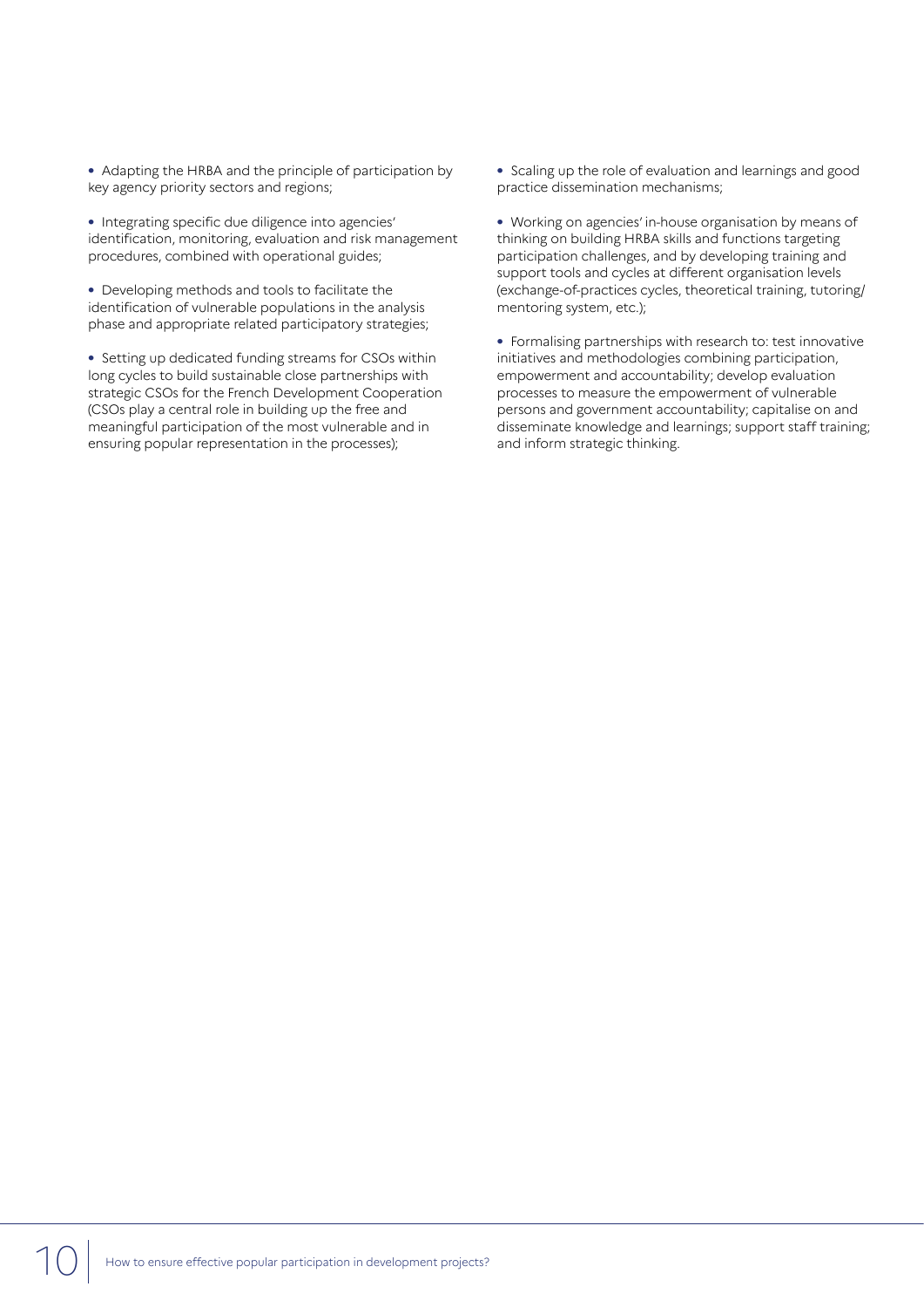**•** Adapting the HRBA and the principle of participation by key agency priority sectors and regions;

**•** Integrating specific due diligence into agencies' identification, monitoring, evaluation and risk management procedures, combined with operational guides;

**•** Developing methods and tools to facilitate the identification of vulnerable populations in the analysis phase and appropriate related participatory strategies;

**•** Setting up dedicated funding streams for CSOs within long cycles to build sustainable close partnerships with strategic CSOs for the French Development Cooperation (CSOs play a central role in building up the free and meaningful participation of the most vulnerable and in ensuring popular representation in the processes);

**•** Scaling up the role of evaluation and learnings and good practice dissemination mechanisms;

**•** Working on agencies' in-house organisation by means of thinking on building HRBA skills and functions targeting participation challenges, and by developing training and support tools and cycles at different organisation levels (exchange-of-practices cycles, theoretical training, tutoring/ mentoring system, etc.);

**•** Formalising partnerships with research to: test innovative initiatives and methodologies combining participation, empowerment and accountability; develop evaluation processes to measure the empowerment of vulnerable persons and government accountability; capitalise on and disseminate knowledge and learnings; support staff training; and inform strategic thinking.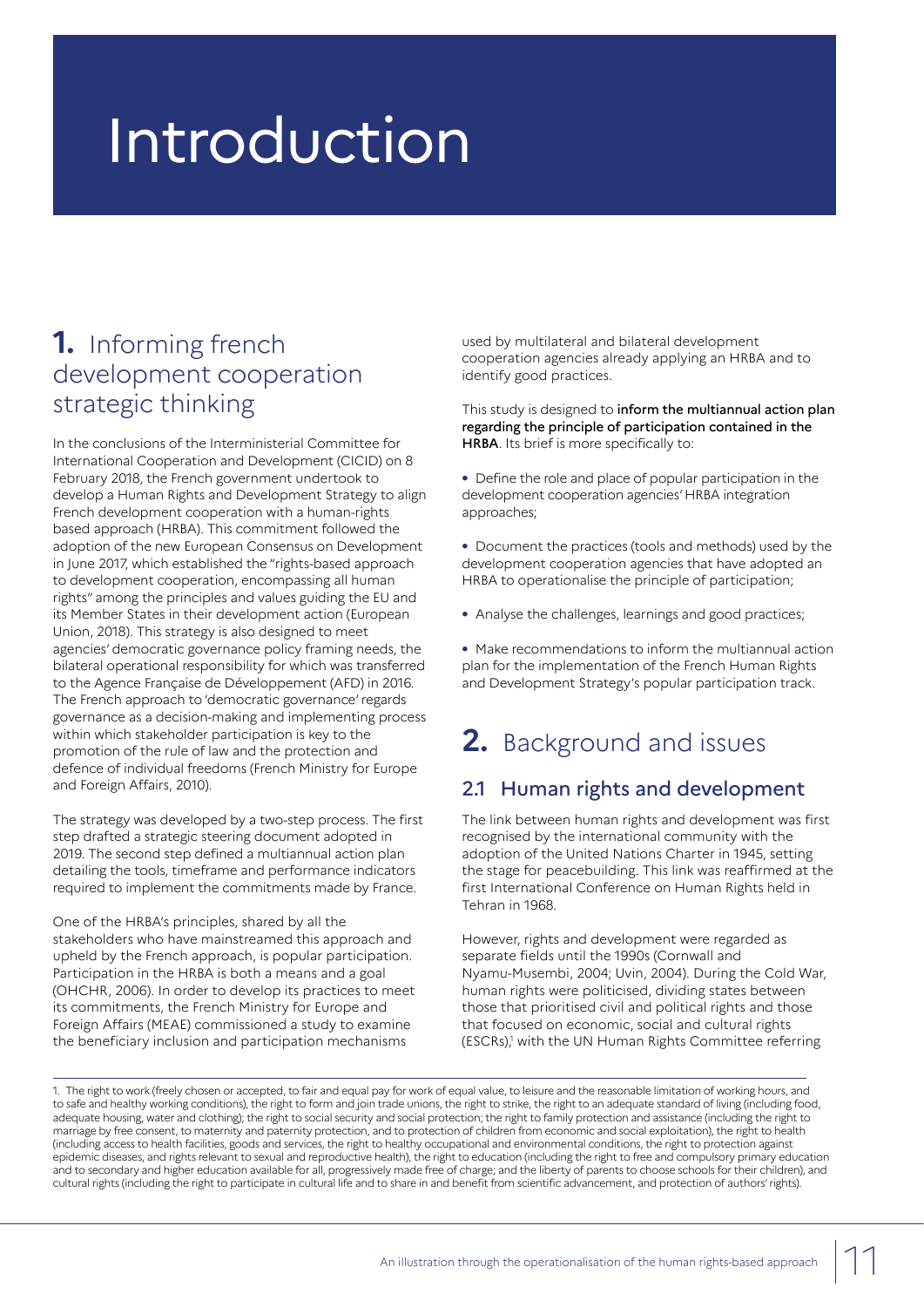# **Introduction**

# **1.** Informing french development cooperation strategic thinking

In the conclusions of the Interministerial Committee for International Cooperation and Development (CICID) on 8 February 2018, the French government undertook to develop a Human Rights and Development Strategy to align French development cooperation with a human-rights based approach (HRBA). This commitment followed the adoption of the new European Consensus on Development in June 2017, which established the "rights-based approach to development cooperation, encompassing all human rights" among the principles and values guiding the EU and its Member States in their development action (European Union, 2018). This strategy is also designed to meet agencies' democratic governance policy framing needs, the bilateral operational responsibility for which was transferred to the Agence Française de Développement (AFD) in 2016. The French approach to 'democratic governance' regards governance as a decision-making and implementing process within which stakeholder participation is key to the promotion of the rule of law and the protection and defence of individual freedoms (French Ministry for Europe and Foreign Affairs, 2010).

The strategy was developed by a two-step process. The first step drafted a strategic steering document adopted in 2019. The second step defined a multiannual action plan detailing the tools, timeframe and performance indicators required to implement the commitments made by France.

One of the HRBA's principles, shared by all the stakeholders who have mainstreamed this approach and upheld by the French approach, is popular participation. Participation in the HRBA is both a means and a goal (OHCHR, 2006). In order to develop its practices to meet its commitments, the French Ministry for Europe and Foreign Affairs (MEAE) commissioned a study to examine the beneficiary inclusion and participation mechanisms

used by multilateral and bilateral development cooperation agencies already applying an HRBA and to identify good practices.

This study is designed to inform the multiannual action plan regarding the principle of participation contained in the HRBA. Its brief is more specifically to:

**•** Define the role and place of popular participation in the development cooperation agencies' HRBA integration approaches;

**•** Document the practices (tools and methods) used by the development cooperation agencies that have adopted an HRBA to operationalise the principle of participation;

**•** Analyse the challenges, learnings and good practices;

**•** Make recommendations to inform the multiannual action plan for the implementation of the French Human Rights and Development Strategy's popular participation track.

# **2.** Background and issues

# 2.1 Human rights and development

The link between human rights and development was first recognised by the international community with the adoption of the United Nations Charter in 1945, setting the stage for peacebuilding. This link was reaffirmed at the first International Conference on Human Rights held in Tehran in 1968.

However, rights and development were regarded as separate fields until the 1990s (Cornwall and Nyamu-Musembi, 2004; Uvin, 2004). During the Cold War, human rights were politicised, dividing states between those that prioritised civil and political rights and those that focused on economic, social and cultural rights (ESCRs),<sup>1</sup> with the UN Human Rights Committee referring

1. The right to work (freely chosen or accepted, to fair and equal pay for work of equal value, to leisure and the reasonable limitation of working hours, and to safe and healthy working conditions), the right to form and join trade unions, the right to strike, the right to an adequate standard of living (including food, adequate housing, water and clothing); the right to social security and social protection; the right to family protection and assistance (including the right to marriage by free consent, to maternity and paternity protection, and to protection of children from economic and social exploitation), the right to health (including access to health facilities, goods and services, the right to healthy occupational and environmental conditions, the right to protection against epidemic diseases, and rights relevant to sexual and reproductive health), the right to education (including the right to free and compulsory primary education and to secondary and higher education available for all, progressively made free of charge; and the liberty of parents to choose schools for their children), and cultural rights (including the right to participate in cultural life and to share in and benefit from scientific advancement, and protection of authors' rights).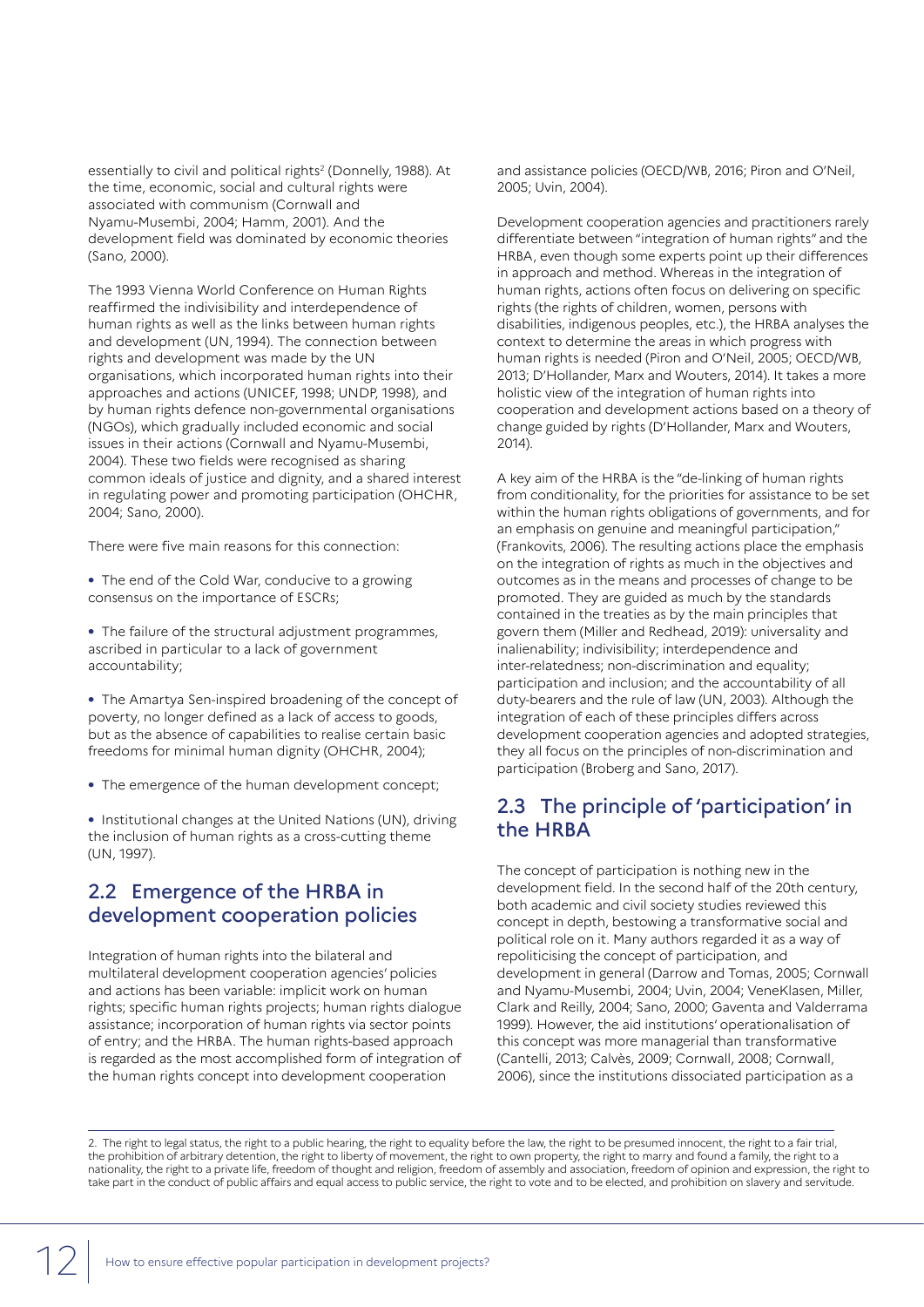essentially to civil and political rights<sup>2</sup> (Donnelly, 1988). At the time, economic, social and cultural rights were associated with communism (Cornwall and Nyamu-Musembi, 2004; Hamm, 2001). And the development field was dominated by economic theories (Sano, 2000).

The 1993 Vienna World Conference on Human Rights reaffirmed the indivisibility and interdependence of human rights as well as the links between human rights and development (UN, 1994). The connection between rights and development was made by the UN organisations, which incorporated human rights into their approaches and actions (UNICEF, 1998; UNDP, 1998), and by human rights defence non-governmental organisations (NGOs), which gradually included economic and social issues in their actions (Cornwall and Nyamu-Musembi, 2004). These two fields were recognised as sharing common ideals of justice and dignity, and a shared interest in regulating power and promoting participation (OHCHR, 2004; Sano, 2000).

There were five main reasons for this connection:

**•** The end of the Cold War, conducive to a growing consensus on the importance of ESCRs;

**•** The failure of the structural adjustment programmes, ascribed in particular to a lack of government accountability;

**•** The Amartya Sen-inspired broadening of the concept of poverty, no longer defined as a lack of access to goods, but as the absence of capabilities to realise certain basic freedoms for minimal human dignity (OHCHR, 2004);

**•** The emergence of the human development concept;

**•** Institutional changes at the United Nations (UN), driving the inclusion of human rights as a cross-cutting theme (UN, 1997).

## 2.2 Emergence of the HRBA in development cooperation policies

Integration of human rights into the bilateral and multilateral development cooperation agencies' policies and actions has been variable: implicit work on human rights; specific human rights projects; human rights dialogue assistance; incorporation of human rights via sector points of entry; and the HRBA. The human rights-based approach is regarded as the most accomplished form of integration of the human rights concept into development cooperation

and assistance policies (OECD/WB, 2016; Piron and O'Neil, 2005; Uvin, 2004).

Development cooperation agencies and practitioners rarely differentiate between "integration of human rights" and the HRBA, even though some experts point up their differences in approach and method. Whereas in the integration of human rights, actions often focus on delivering on specific rights (the rights of children, women, persons with disabilities, indigenous peoples, etc.), the HRBA analyses the context to determine the areas in which progress with human rights is needed (Piron and O'Neil, 2005; OECD/WB, 2013; D'Hollander, Marx and Wouters, 2014). It takes a more holistic view of the integration of human rights into cooperation and development actions based on a theory of change guided by rights (D'Hollander, Marx and Wouters, 2014).

A key aim of the HRBA is the "de-linking of human rights from conditionality, for the priorities for assistance to be set within the human rights obligations of governments, and for an emphasis on genuine and meaningful participation," (Frankovits, 2006). The resulting actions place the emphasis on the integration of rights as much in the objectives and outcomes as in the means and processes of change to be promoted. They are guided as much by the standards contained in the treaties as by the main principles that govern them (Miller and Redhead, 2019): universality and inalienability; indivisibility; interdependence and inter-relatedness; non-discrimination and equality; participation and inclusion; and the accountability of all duty-bearers and the rule of law (UN, 2003). Although the integration of each of these principles differs across development cooperation agencies and adopted strategies, they all focus on the principles of non-discrimination and participation (Broberg and Sano, 2017).

### 2.3 The principle of 'participation' in the HRBA

The concept of participation is nothing new in the development field. In the second half of the 20th century, both academic and civil society studies reviewed this concept in depth, bestowing a transformative social and political role on it. Many authors regarded it as a way of repoliticising the concept of participation, and development in general (Darrow and Tomas, 2005; Cornwall and Nyamu-Musembi, 2004; Uvin, 2004; VeneKlasen, Miller, Clark and Reilly, 2004; Sano, 2000; Gaventa and Valderrama 1999). However, the aid institutions' operationalisation of this concept was more managerial than transformative (Cantelli, 2013; Calvès, 2009; Cornwall, 2008; Cornwall, 2006), since the institutions dissociated participation as a

2. The right to legal status, the right to a public hearing, the right to equality before the law, the right to be presumed innocent, the right to a fair trial, the prohibition of arbitrary detention, the right to liberty of movement, the right to own property, the right to marry and found a family, the right to a nationality, the right to a private life, freedom of thought and religion, freedom of assembly and association, freedom of opinion and expression, the right to take part in the conduct of public affairs and equal access to public service, the right to vote and to be elected, and prohibition on slavery and servitude.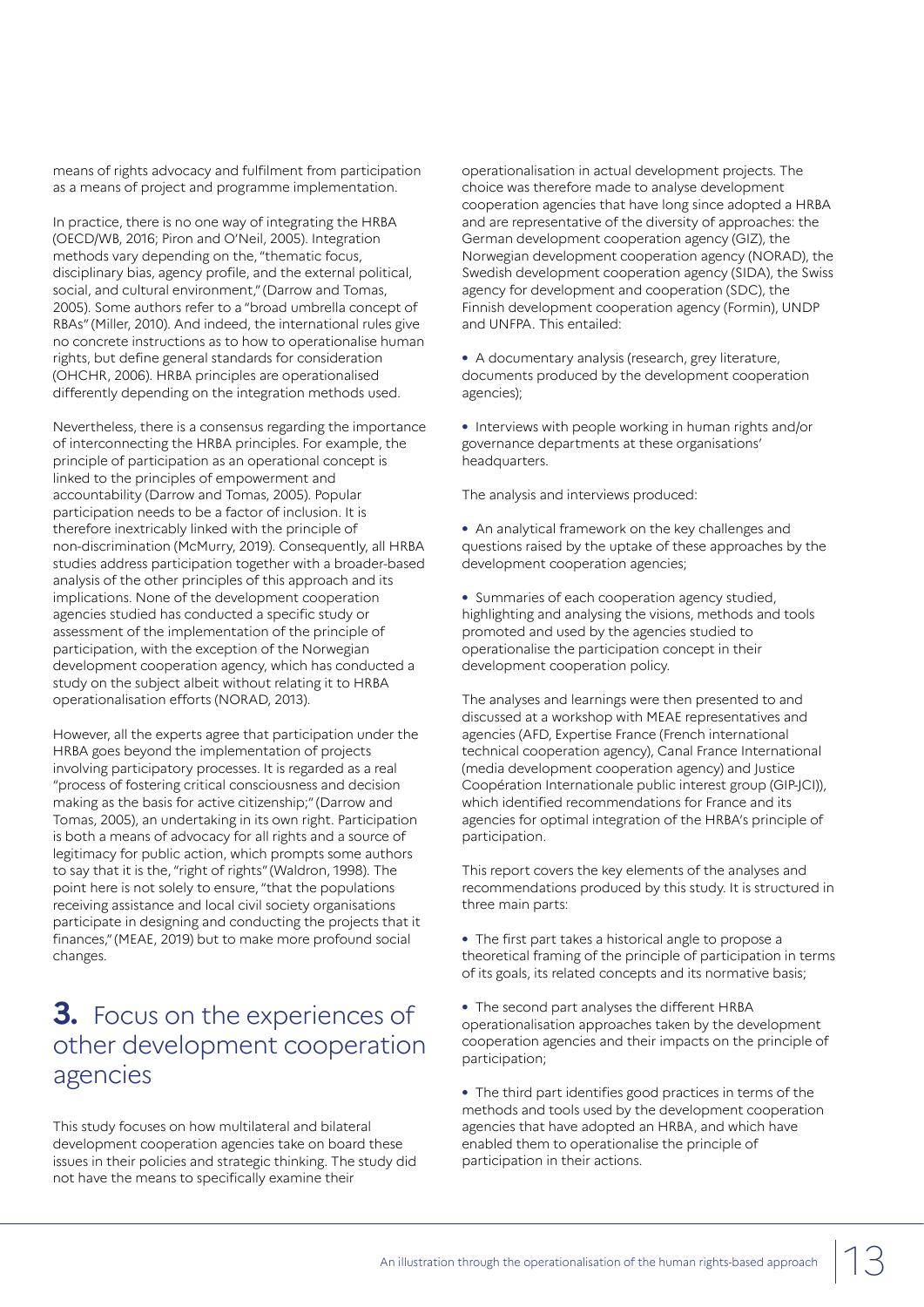means of rights advocacy and fulfilment from participation as a means of project and programme implementation.

In practice, there is no one way of integrating the HRBA (OECD/WB, 2016; Piron and O'Neil, 2005). Integration methods vary depending on the, "thematic focus, disciplinary bias, agency profile, and the external political, social, and cultural environment," (Darrow and Tomas, 2005). Some authors refer to a "broad umbrella concept of RBAs" (Miller, 2010). And indeed, the international rules give no concrete instructions as to how to operationalise human rights, but define general standards for consideration (OHCHR, 2006). HRBA principles are operationalised differently depending on the integration methods used.

Nevertheless, there is a consensus regarding the importance of interconnecting the HRBA principles. For example, the principle of participation as an operational concept is linked to the principles of empowerment and accountability (Darrow and Tomas, 2005). Popular participation needs to be a factor of inclusion. It is therefore inextricably linked with the principle of non-discrimination (McMurry, 2019). Consequently, all HRBA studies address participation together with a broader-based analysis of the other principles of this approach and its implications. None of the development cooperation agencies studied has conducted a specific study or assessment of the implementation of the principle of participation, with the exception of the Norwegian development cooperation agency, which has conducted a study on the subject albeit without relating it to HRBA operationalisation efforts (NORAD, 2013).

However, all the experts agree that participation under the HRBA goes beyond the implementation of projects involving participatory processes. It is regarded as a real "process of fostering critical consciousness and decision making as the basis for active citizenship;" (Darrow and Tomas, 2005), an undertaking in its own right. Participation is both a means of advocacy for all rights and a source of legitimacy for public action, which prompts some authors to say that it is the, "right of rights" (Waldron, 1998). The point here is not solely to ensure, "that the populations receiving assistance and local civil society organisations participate in designing and conducting the projects that it finances," (MEAE, 2019) but to make more profound social changes.

# **3.** Focus on the experiences of other development cooperation agencies

This study focuses on how multilateral and bilateral development cooperation agencies take on board these issues in their policies and strategic thinking. The study did not have the means to specifically examine their

operationalisation in actual development projects. The choice was therefore made to analyse development cooperation agencies that have long since adopted a HRBA and are representative of the diversity of approaches: the German development cooperation agency (GIZ), the Norwegian development cooperation agency (NORAD), the Swedish development cooperation agency (SIDA), the Swiss agency for development and cooperation (SDC), the Finnish development cooperation agency (Formin), UNDP and UNFPA. This entailed:

**•** A documentary analysis (research, grey literature, documents produced by the development cooperation agencies);

**•** Interviews with people working in human rights and/or governance departments at these organisations' headquarters.

The analysis and interviews produced:

**•** An analytical framework on the key challenges and questions raised by the uptake of these approaches by the development cooperation agencies;

**•** Summaries of each cooperation agency studied, highlighting and analysing the visions, methods and tools promoted and used by the agencies studied to operationalise the participation concept in their development cooperation policy.

The analyses and learnings were then presented to and discussed at a workshop with MEAE representatives and agencies (AFD, Expertise France (French international technical cooperation agency), Canal France International (media development cooperation agency) and Justice Coopération Internationale public interest group (GIP-JCI)), which identified recommendations for France and its agencies for optimal integration of the HRBA's principle of participation.

This report covers the key elements of the analyses and recommendations produced by this study. It is structured in three main parts:

- **•** The first part takes a historical angle to propose a theoretical framing of the principle of participation in terms of its goals, its related concepts and its normative basis;
- **•** The second part analyses the different HRBA operationalisation approaches taken by the development cooperation agencies and their impacts on the principle of participation;

**•** The third part identifies good practices in terms of the methods and tools used by the development cooperation agencies that have adopted an HRBA, and which have enabled them to operationalise the principle of participation in their actions.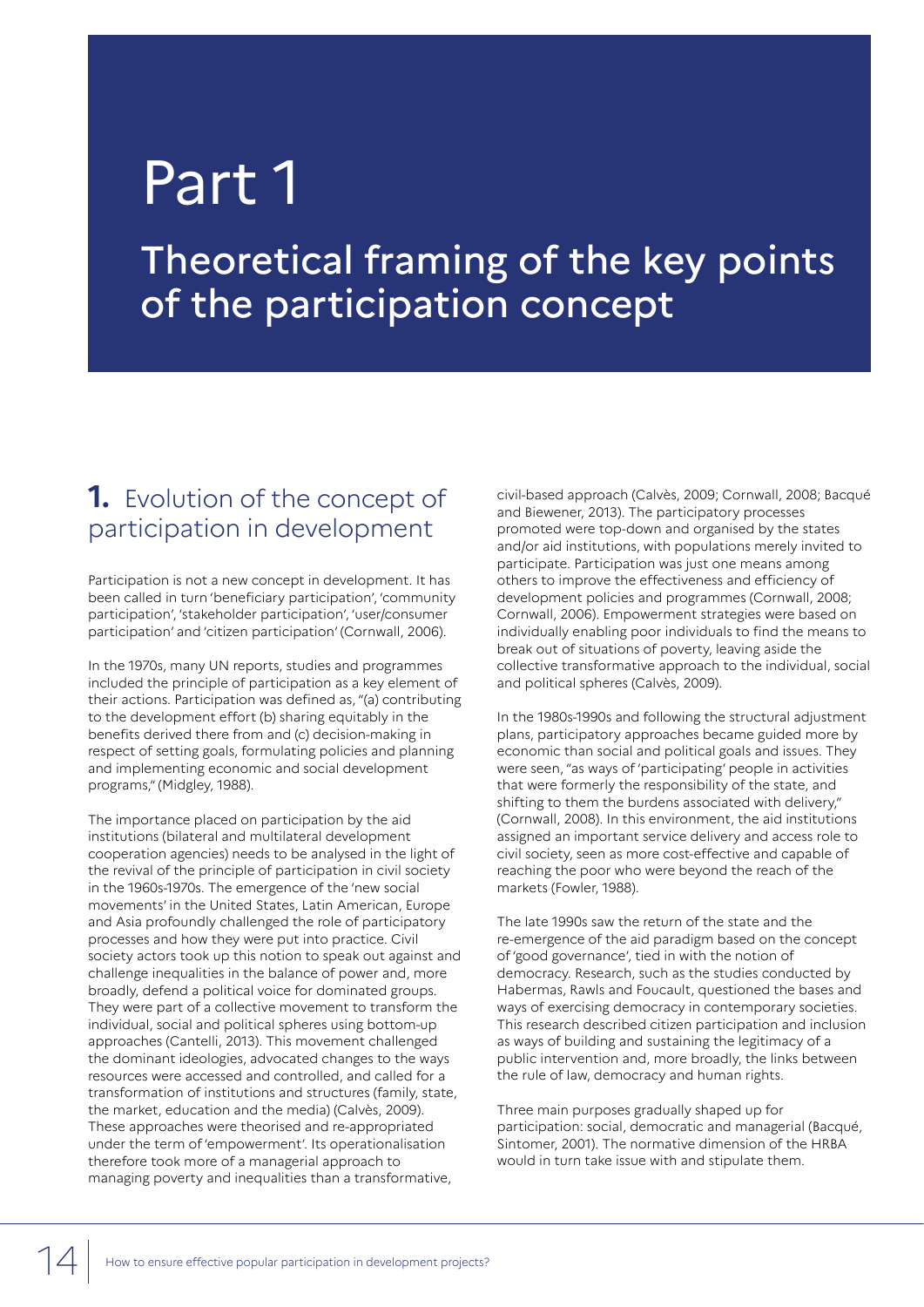# Part 1

Theoretical framing of the key points of the participation concept

# **1.** Evolution of the concept of participation in development

Participation is not a new concept in development. It has been called in turn 'beneficiary participation', 'community participation', 'stakeholder participation', 'user/consumer participation' and 'citizen participation' (Cornwall, 2006).

In the 1970s, many UN reports, studies and programmes included the principle of participation as a key element of their actions. Participation was defined as, "(a) contributing to the development effort (b) sharing equitably in the benefits derived there from and (c) decision-making in respect of setting goals, formulating policies and planning and implementing economic and social development programs," (Midgley, 1988).

The importance placed on participation by the aid institutions (bilateral and multilateral development cooperation agencies) needs to be analysed in the light of the revival of the principle of participation in civil society in the 1960s-1970s. The emergence of the 'new social movements' in the United States, Latin American, Europe and Asia profoundly challenged the role of participatory processes and how they were put into practice. Civil society actors took up this notion to speak out against and challenge inequalities in the balance of power and, more broadly, defend a political voice for dominated groups. They were part of a collective movement to transform the individual, social and political spheres using bottom-up approaches (Cantelli, 2013). This movement challenged the dominant ideologies, advocated changes to the ways resources were accessed and controlled, and called for a transformation of institutions and structures (family, state, the market, education and the media) (Calvès, 2009). These approaches were theorised and re-appropriated under the term of 'empowerment'. Its operationalisation therefore took more of a managerial approach to managing poverty and inequalities than a transformative,

civil-based approach (Calvès, 2009; Cornwall, 2008; Bacqué and Biewener, 2013). The participatory processes promoted were top-down and organised by the states and/or aid institutions, with populations merely invited to participate. Participation was just one means among others to improve the effectiveness and efficiency of development policies and programmes (Cornwall, 2008; Cornwall, 2006). Empowerment strategies were based on individually enabling poor individuals to find the means to break out of situations of poverty, leaving aside the collective transformative approach to the individual, social and political spheres (Calvès, 2009).

In the 1980s-1990s and following the structural adjustment plans, participatory approaches became guided more by economic than social and political goals and issues. They were seen, "as ways of 'participating' people in activities that were formerly the responsibility of the state, and shifting to them the burdens associated with delivery," (Cornwall, 2008). In this environment, the aid institutions assigned an important service delivery and access role to civil society, seen as more cost-effective and capable of reaching the poor who were beyond the reach of the markets (Fowler, 1988).

The late 1990s saw the return of the state and the re-emergence of the aid paradigm based on the concept of 'good governance', tied in with the notion of democracy. Research, such as the studies conducted by Habermas, Rawls and Foucault, questioned the bases and ways of exercising democracy in contemporary societies. This research described citizen participation and inclusion as ways of building and sustaining the legitimacy of a public intervention and, more broadly, the links between the rule of law, democracy and human rights.

Three main purposes gradually shaped up for participation: social, democratic and managerial (Bacqué, Sintomer, 2001). The normative dimension of the HRBA would in turn take issue with and stipulate them.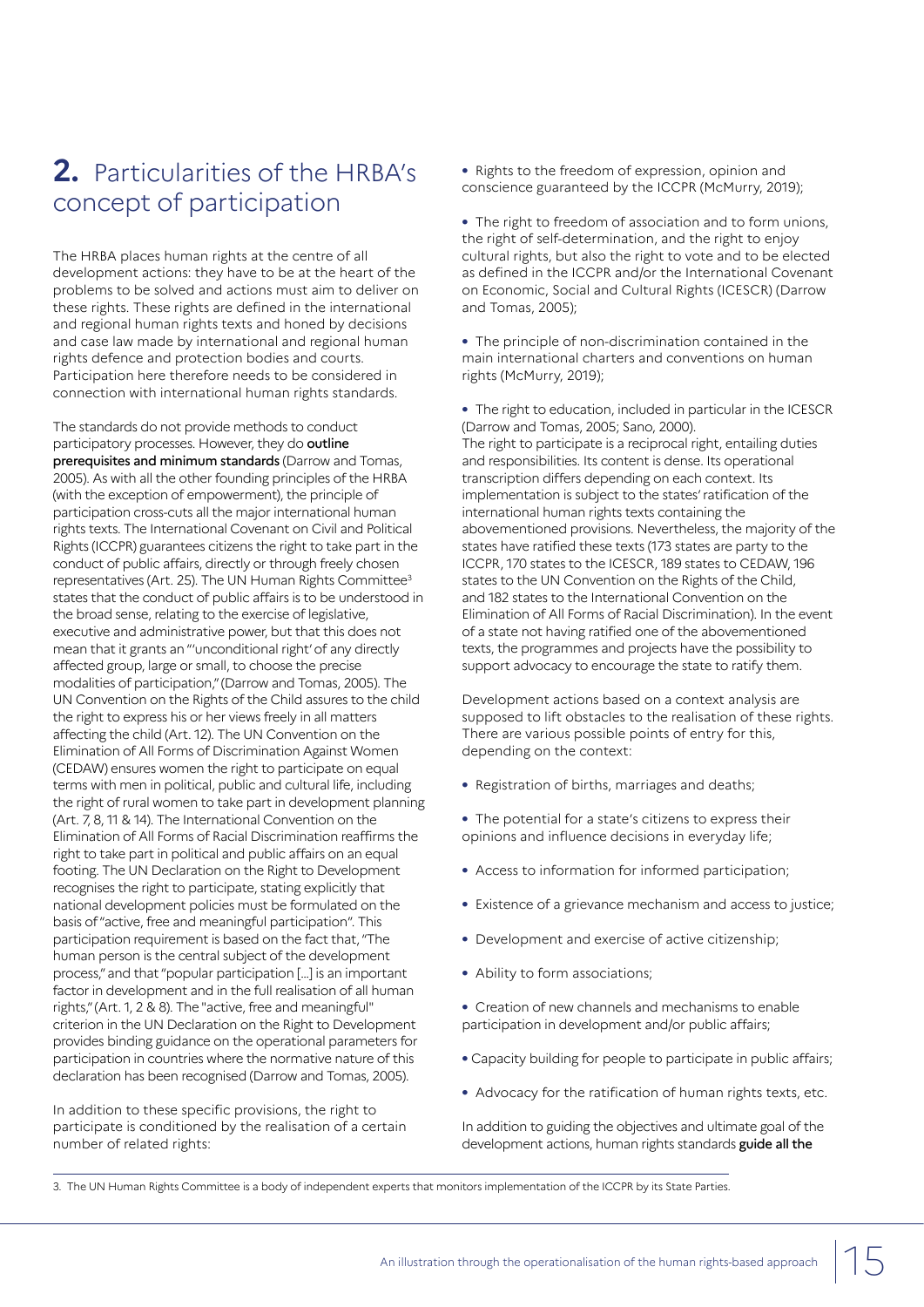# **2.** Particularities of the HRBA's concept of participation

The HRBA places human rights at the centre of all development actions: they have to be at the heart of the problems to be solved and actions must aim to deliver on these rights. These rights are defined in the international and regional human rights texts and honed by decisions and case law made by international and regional human rights defence and protection bodies and courts. Participation here therefore needs to be considered in connection with international human rights standards.

The standards do not provide methods to conduct participatory processes. However, they do outline prerequisites and minimum standards (Darrow and Tomas, 2005). As with all the other founding principles of the HRBA (with the exception of empowerment), the principle of participation cross-cuts all the major international human rights texts. The International Covenant on Civil and Political Rights (ICCPR) guarantees citizens the right to take part in the conduct of public affairs, directly or through freely chosen representatives (Art. 25). The UN Human Rights Committee3 states that the conduct of public affairs is to be understood in the broad sense, relating to the exercise of legislative, executive and administrative power, but that this does not mean that it grants an "'unconditional right' of any directly affected group, large or small, to choose the precise modalities of participation," (Darrow and Tomas, 2005). The UN Convention on the Rights of the Child assures to the child the right to express his or her views freely in all matters affecting the child (Art. 12). The UN Convention on the Elimination of All Forms of Discrimination Against Women (CEDAW) ensures women the right to participate on equal terms with men in political, public and cultural life, including the right of rural women to take part in development planning (Art. 7, 8, 11 & 14). The International Convention on the Elimination of All Forms of Racial Discrimination reaffirms the right to take part in political and public affairs on an equal footing. The UN Declaration on the Right to Development recognises the right to participate, stating explicitly that national development policies must be formulated on the basis of "active, free and meaningful participation". This participation requirement is based on the fact that, "The human person is the central subject of the development process," and that "popular participation […] is an important factor in development and in the full realisation of all human rights," (Art. 1, 2 & 8). The "active, free and meaningful" criterion in the UN Declaration on the Right to Development provides binding guidance on the operational parameters for participation in countries where the normative nature of this declaration has been recognised (Darrow and Tomas, 2005).

In addition to these specific provisions, the right to participate is conditioned by the realisation of a certain number of related rights:

- **•** Rights to the freedom of expression, opinion and conscience guaranteed by the ICCPR (McMurry, 2019);
- **•** The right to freedom of association and to form unions, the right of self-determination, and the right to enjoy cultural rights, but also the right to vote and to be elected as defined in the ICCPR and/or the International Covenant on Economic, Social and Cultural Rights (ICESCR) (Darrow and Tomas, 2005);
- **•** The principle of non-discrimination contained in the main international charters and conventions on human rights (McMurry, 2019);
- **•** The right to education, included in particular in the ICESCR (Darrow and Tomas, 2005; Sano, 2000). The right to participate is a reciprocal right, entailing duties and responsibilities. Its content is dense. Its operational transcription differs depending on each context. Its implementation is subject to the states' ratification of the international human rights texts containing the abovementioned provisions. Nevertheless, the majority of the states have ratified these texts (173 states are party to the ICCPR, 170 states to the ICESCR, 189 states to CEDAW, 196 states to the UN Convention on the Rights of the Child, and 182 states to the International Convention on the Elimination of All Forms of Racial Discrimination). In the event of a state not having ratified one of the abovementioned texts, the programmes and projects have the possibility to support advocacy to encourage the state to ratify them.

Development actions based on a context analysis are supposed to lift obstacles to the realisation of these rights. There are various possible points of entry for this, depending on the context:

- **•** Registration of births, marriages and deaths;
- **•** The potential for a state's citizens to express their opinions and influence decisions in everyday life;
- **•** Access to information for informed participation;
- **•** Existence of a grievance mechanism and access to justice;
- **•** Development and exercise of active citizenship;
- **•** Ability to form associations;
- **•** Creation of new channels and mechanisms to enable participation in development and/or public affairs;
- **•** Capacity building for people to participate in public affairs;
- **•** Advocacy for the ratification of human rights texts, etc.

In addition to guiding the objectives and ultimate goal of the development actions, human rights standards guide all the

<sup>3.</sup> The UN Human Rights Committee is a body of independent experts that monitors implementation of the ICCPR by its State Parties.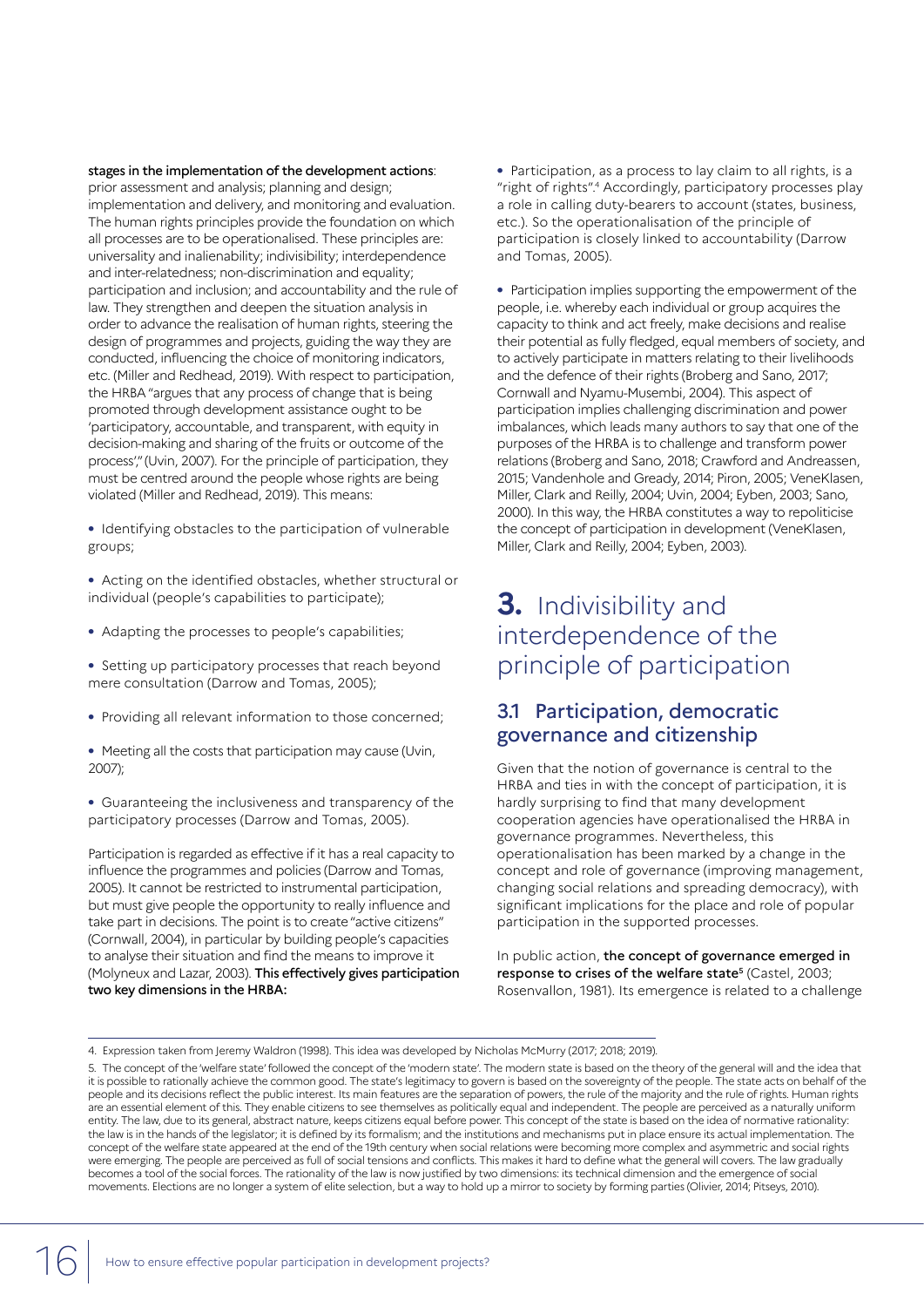stages in the implementation of the development actions: prior assessment and analysis; planning and design; implementation and delivery, and monitoring and evaluation. The human rights principles provide the foundation on which all processes are to be operationalised. These principles are: universality and inalienability; indivisibility; interdependence and inter-relatedness; non-discrimination and equality; participation and inclusion; and accountability and the rule of law. They strengthen and deepen the situation analysis in order to advance the realisation of human rights, steering the design of programmes and projects, guiding the way they are conducted, influencing the choice of monitoring indicators, etc. (Miller and Redhead, 2019). With respect to participation, the HRBA "argues that any process of change that is being promoted through development assistance ought to be 'participatory, accountable, and transparent, with equity in decision-making and sharing of the fruits or outcome of the process'," (Uvin, 2007). For the principle of participation, they must be centred around the people whose rights are being violated (Miller and Redhead, 2019). This means:

**•** Identifying obstacles to the participation of vulnerable groups;

**•** Acting on the identified obstacles, whether structural or individual (people's capabilities to participate);

**•** Adapting the processes to people's capabilities;

**•** Setting up participatory processes that reach beyond mere consultation (Darrow and Tomas, 2005);

- **•** Providing all relevant information to those concerned;
- **•** Meeting all the costs that participation may cause (Uvin, 2007);

**•** Guaranteeing the inclusiveness and transparency of the participatory processes (Darrow and Tomas, 2005).

Participation is regarded as effective if it has a real capacity to influence the programmes and policies (Darrow and Tomas, 2005). It cannot be restricted to instrumental participation, but must give people the opportunity to really influence and take part in decisions. The point is to create "active citizens" (Cornwall, 2004), in particular by building people's capacities to analyse their situation and find the means to improve it (Molyneux and Lazar, 2003). This effectively gives participation two key dimensions in the HRBA:

**•** Participation, as a process to lay claim to all rights, is a "right of rights".4 Accordingly, participatory processes play a role in calling duty-bearers to account (states, business, etc.). So the operationalisation of the principle of participation is closely linked to accountability (Darrow and Tomas, 2005).

**•** Participation implies supporting the empowerment of the people, i.e. whereby each individual or group acquires the capacity to think and act freely, make decisions and realise their potential as fully fledged, equal members of society, and to actively participate in matters relating to their livelihoods and the defence of their rights (Broberg and Sano, 2017; Cornwall and Nyamu-Musembi, 2004). This aspect of participation implies challenging discrimination and power imbalances, which leads many authors to say that one of the purposes of the HRBA is to challenge and transform power relations (Broberg and Sano, 2018; Crawford and Andreassen, 2015; Vandenhole and Gready, 2014; Piron, 2005; VeneKlasen, Miller, Clark and Reilly, 2004; Uvin, 2004; Eyben, 2003; Sano, 2000). In this way, the HRBA constitutes a way to repoliticise the concept of participation in development (VeneKlasen, Miller, Clark and Reilly, 2004; Eyben, 2003).

# **3.** Indivisibility and interdependence of the principle of participation

### 3.1 Participation, democratic governance and citizenship

Given that the notion of governance is central to the HRBA and ties in with the concept of participation, it is hardly surprising to find that many development cooperation agencies have operationalised the HRBA in governance programmes. Nevertheless, this operationalisation has been marked by a change in the concept and role of governance (improving management, changing social relations and spreading democracy), with significant implications for the place and role of popular participation in the supported processes.

In public action, the concept of governance emerged in response to crises of the welfare state<sup>5</sup> (Castel, 2003; Rosenvallon, 1981). Its emergence is related to a challenge

<sup>4.</sup> Expression taken from Jeremy Waldron (1998). This idea was developed by Nicholas McMurry (2017; 2018; 2019).

<sup>5.</sup> The concept of the 'welfare state' followed the concept of the 'modern state'. The modern state is based on the theory of the general will and the idea that it is possible to rationally achieve the common good. The state's legitimacy to govern is based on the sovereignty of the people. The state acts on behalf of the people and its decisions reflect the public interest. Its main features are the separation of powers, the rule of the majority and the rule of rights. Human rights are an essential element of this. They enable citizens to see themselves as politically equal and independent. The people are perceived as a naturally uniform entity. The law, due to its general, abstract nature, keeps citizens equal before power. This concept of the state is based on the idea of normative rationality: the law is in the hands of the legislator; it is defined by its formalism; and the institutions and mechanisms put in place ensure its actual implementation. The concept of the welfare state appeared at the end of the 19th century when social relations were becoming more complex and asymmetric and social rights were emerging. The people are perceived as full of social tensions and conflicts. This makes it hard to define what the general will covers. The law gradually becomes a tool of the social forces. The rationality of the law is now justified by two dimensions: its technical dimension and the emergence of social movements. Elections are no longer a system of elite selection, but a way to hold up a mirror to society by forming parties (Olivier, 2014; Pitseys, 2010).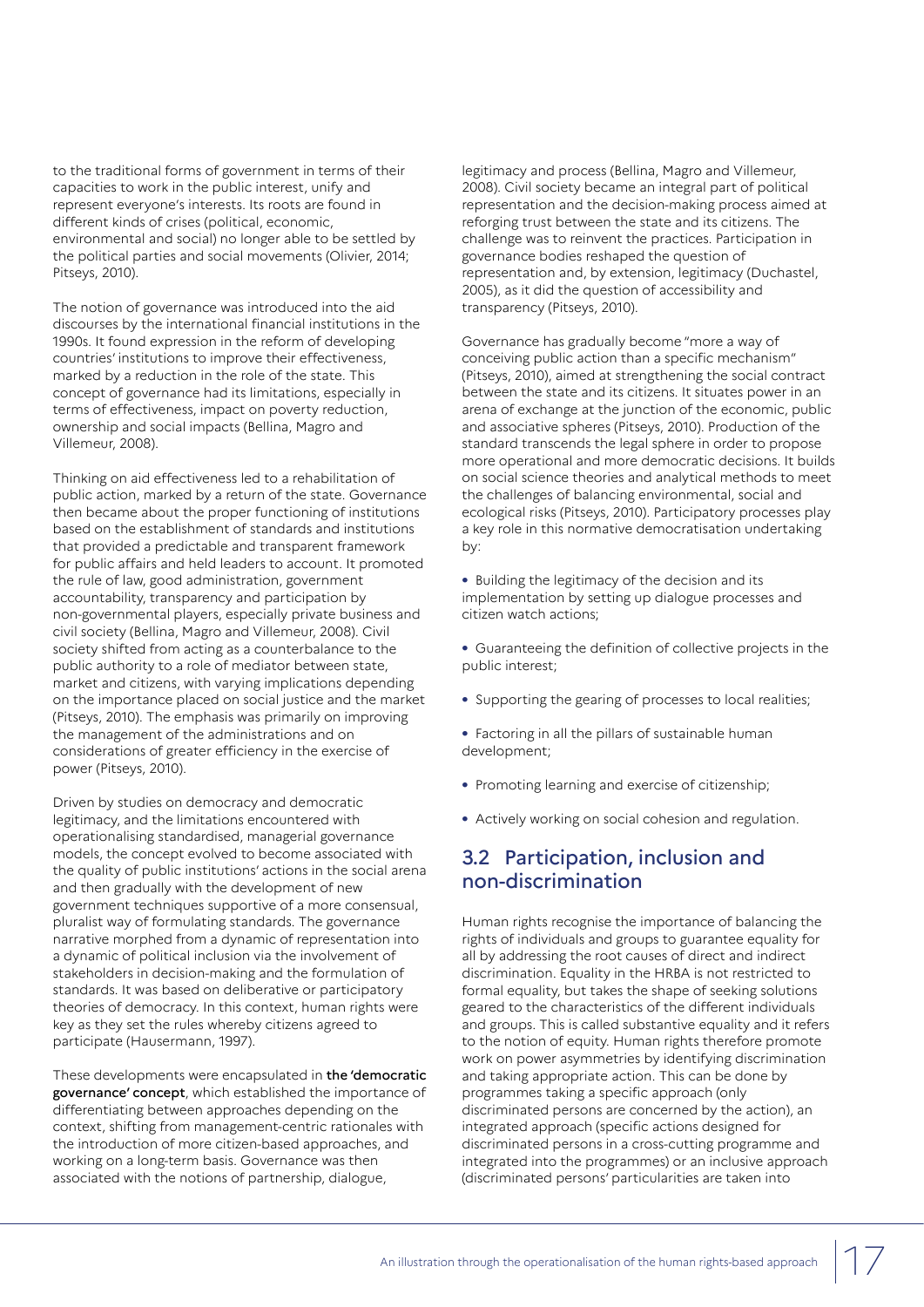to the traditional forms of government in terms of their capacities to work in the public interest, unify and represent everyone's interests. Its roots are found in different kinds of crises (political, economic, environmental and social) no longer able to be settled by the political parties and social movements (Olivier, 2014; Pitseys, 2010).

The notion of governance was introduced into the aid discourses by the international financial institutions in the 1990s. It found expression in the reform of developing countries' institutions to improve their effectiveness, marked by a reduction in the role of the state. This concept of governance had its limitations, especially in terms of effectiveness, impact on poverty reduction, ownership and social impacts (Bellina, Magro and Villemeur, 2008).

Thinking on aid effectiveness led to a rehabilitation of public action, marked by a return of the state. Governance then became about the proper functioning of institutions based on the establishment of standards and institutions that provided a predictable and transparent framework for public affairs and held leaders to account. It promoted the rule of law, good administration, government accountability, transparency and participation by non-governmental players, especially private business and civil society (Bellina, Magro and Villemeur, 2008). Civil society shifted from acting as a counterbalance to the public authority to a role of mediator between state, market and citizens, with varying implications depending on the importance placed on social justice and the market (Pitseys, 2010). The emphasis was primarily on improving the management of the administrations and on considerations of greater efficiency in the exercise of power (Pitseys, 2010).

Driven by studies on democracy and democratic legitimacy, and the limitations encountered with operationalising standardised, managerial governance models, the concept evolved to become associated with the quality of public institutions' actions in the social arena and then gradually with the development of new government techniques supportive of a more consensual, pluralist way of formulating standards. The governance narrative morphed from a dynamic of representation into a dynamic of political inclusion via the involvement of stakeholders in decision-making and the formulation of standards. It was based on deliberative or participatory theories of democracy. In this context, human rights were key as they set the rules whereby citizens agreed to participate (Hausermann, 1997).

These developments were encapsulated in the 'democratic governance' concept, which established the importance of differentiating between approaches depending on the context, shifting from management-centric rationales with the introduction of more citizen-based approaches, and working on a long-term basis. Governance was then associated with the notions of partnership, dialogue,

legitimacy and process (Bellina, Magro and Villemeur, 2008). Civil society became an integral part of political representation and the decision-making process aimed at reforging trust between the state and its citizens. The challenge was to reinvent the practices. Participation in governance bodies reshaped the question of representation and, by extension, legitimacy (Duchastel, 2005), as it did the question of accessibility and transparency (Pitseys, 2010).

Governance has gradually become "more a way of conceiving public action than a specific mechanism" (Pitseys, 2010), aimed at strengthening the social contract between the state and its citizens. It situates power in an arena of exchange at the junction of the economic, public and associative spheres (Pitseys, 2010). Production of the standard transcends the legal sphere in order to propose more operational and more democratic decisions. It builds on social science theories and analytical methods to meet the challenges of balancing environmental, social and ecological risks (Pitseys, 2010). Participatory processes play a key role in this normative democratisation undertaking by:

**•** Building the legitimacy of the decision and its implementation by setting up dialogue processes and citizen watch actions;

**•** Guaranteeing the definition of collective projects in the public interest;

- **•** Supporting the gearing of processes to local realities;
- **•** Factoring in all the pillars of sustainable human development;
- **•** Promoting learning and exercise of citizenship;
- **•** Actively working on social cohesion and regulation.

## 3.2 Participation, inclusion and non-discrimination

Human rights recognise the importance of balancing the rights of individuals and groups to guarantee equality for all by addressing the root causes of direct and indirect discrimination. Equality in the HRBA is not restricted to formal equality, but takes the shape of seeking solutions geared to the characteristics of the different individuals and groups. This is called substantive equality and it refers to the notion of equity. Human rights therefore promote work on power asymmetries by identifying discrimination and taking appropriate action. This can be done by programmes taking a specific approach (only discriminated persons are concerned by the action), an integrated approach (specific actions designed for discriminated persons in a cross-cutting programme and integrated into the programmes) or an inclusive approach (discriminated persons' particularities are taken into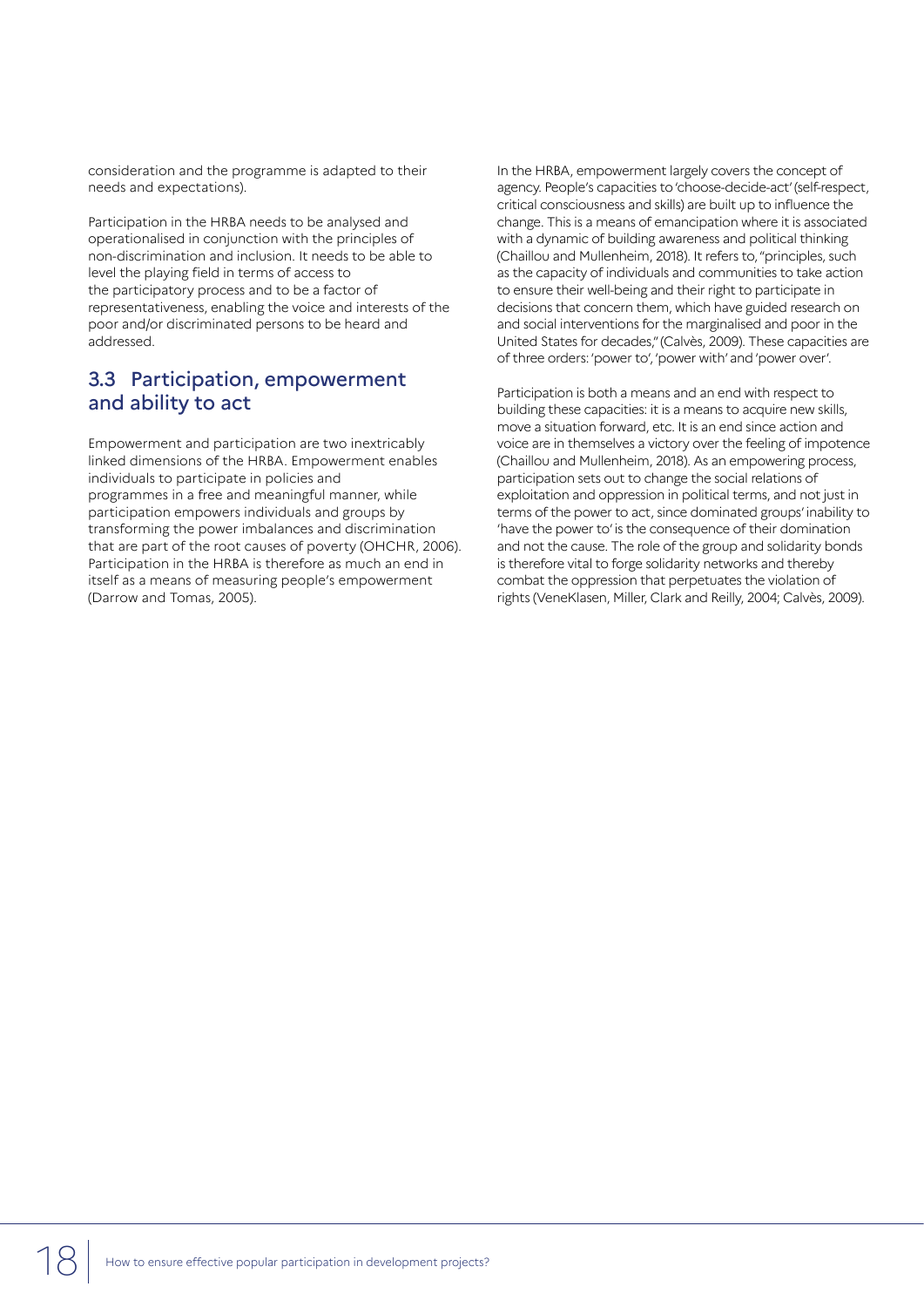consideration and the programme is adapted to their needs and expectations).

Participation in the HRBA needs to be analysed and operationalised in conjunction with the principles of non-discrimination and inclusion. It needs to be able to level the playing field in terms of access to the participatory process and to be a factor of representativeness, enabling the voice and interests of the poor and/or discriminated persons to be heard and addressed.

### 3.3 Participation, empowerment and ability to act

Empowerment and participation are two inextricably linked dimensions of the HRBA. Empowerment enables individuals to participate in policies and programmes in a free and meaningful manner, while participation empowers individuals and groups by transforming the power imbalances and discrimination that are part of the root causes of poverty (OHCHR, 2006). Participation in the HRBA is therefore as much an end in itself as a means of measuring people's empowerment (Darrow and Tomas, 2005).

In the HRBA, empowerment largely covers the concept of agency. People's capacities to 'choose-decide-act' (self-respect, critical consciousness and skills) are built up to influence the change. This is a means of emancipation where it is associated with a dynamic of building awareness and political thinking (Chaillou and Mullenheim, 2018). It refers to, "principles, such as the capacity of individuals and communities to take action to ensure their well-being and their right to participate in decisions that concern them, which have guided research on and social interventions for the marginalised and poor in the United States for decades," (Calvès, 2009). These capacities are of three orders: 'power to', 'power with' and 'power over'.

Participation is both a means and an end with respect to building these capacities: it is a means to acquire new skills, move a situation forward, etc. It is an end since action and voice are in themselves a victory over the feeling of impotence (Chaillou and Mullenheim, 2018). As an empowering process, participation sets out to change the social relations of exploitation and oppression in political terms, and not just in terms of the power to act, since dominated groups' inability to 'have the power to' is the consequence of their domination and not the cause. The role of the group and solidarity bonds is therefore vital to forge solidarity networks and thereby combat the oppression that perpetuates the violation of rights (VeneKlasen, Miller, Clark and Reilly, 2004; Calvès, 2009).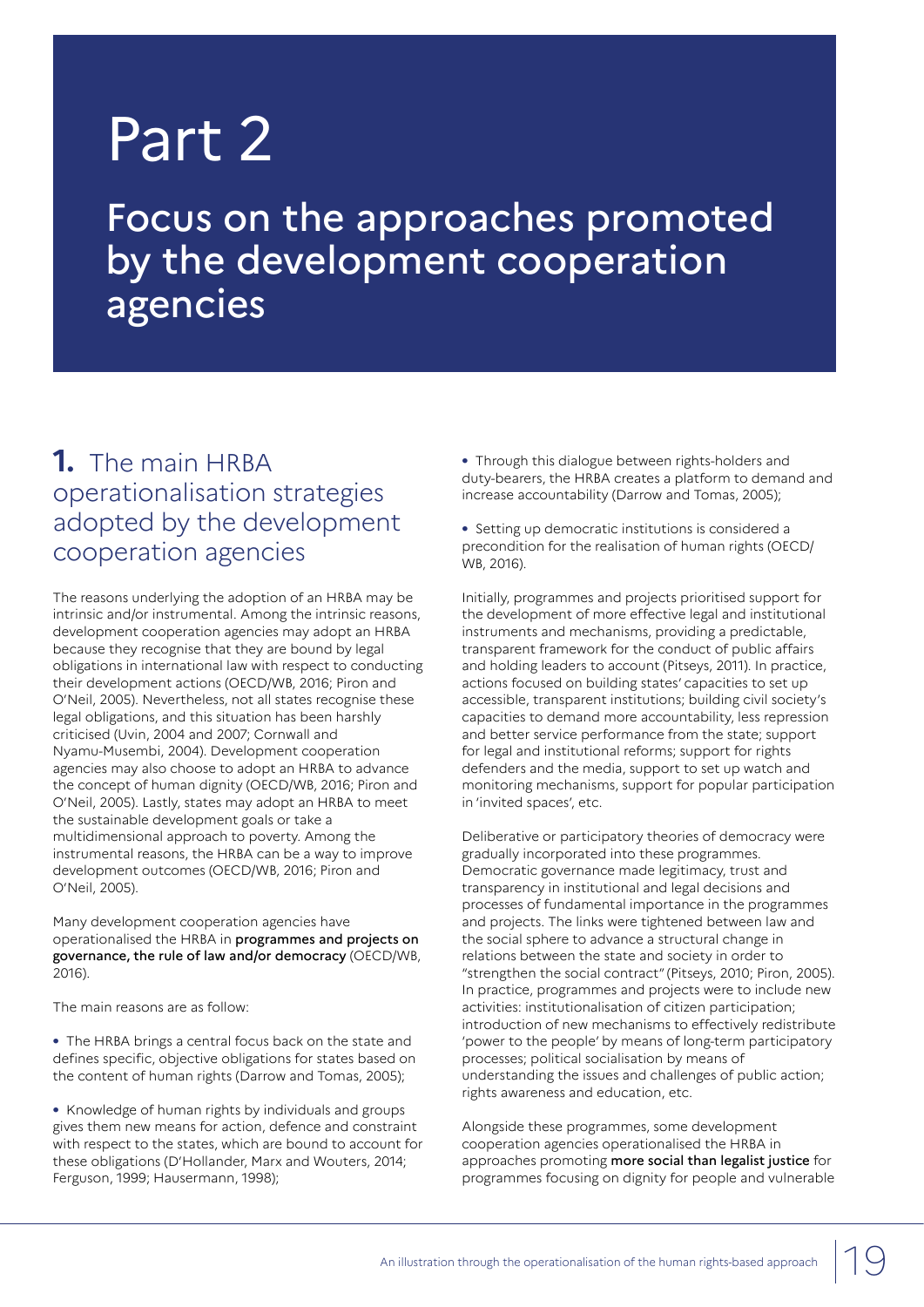# Part 2

Focus on the approaches promoted by the development cooperation agencies

# **1.** The main HRBA operationalisation strategies adopted by the development cooperation agencies

The reasons underlying the adoption of an HRBA may be intrinsic and/or instrumental. Among the intrinsic reasons, development cooperation agencies may adopt an HRBA because they recognise that they are bound by legal obligations in international law with respect to conducting their development actions (OECD/WB, 2016; Piron and O'Neil, 2005). Nevertheless, not all states recognise these legal obligations, and this situation has been harshly criticised (Uvin, 2004 and 2007; Cornwall and Nyamu-Musembi, 2004). Development cooperation agencies may also choose to adopt an HRBA to advance the concept of human dignity (OECD/WB, 2016; Piron and O'Neil, 2005). Lastly, states may adopt an HRBA to meet the sustainable development goals or take a multidimensional approach to poverty. Among the instrumental reasons, the HRBA can be a way to improve development outcomes (OECD/WB, 2016; Piron and O'Neil, 2005).

Many development cooperation agencies have operationalised the HRBA in programmes and projects on governance, the rule of law and/or democracy (OECD/WB, 2016).

The main reasons are as follow:

**•** The HRBA brings a central focus back on the state and defines specific, objective obligations for states based on the content of human rights (Darrow and Tomas, 2005);

**•** Knowledge of human rights by individuals and groups gives them new means for action, defence and constraint with respect to the states, which are bound to account for these obligations (D'Hollander, Marx and Wouters, 2014; Ferguson, 1999; Hausermann, 1998);

**•** Through this dialogue between rights-holders and duty-bearers, the HRBA creates a platform to demand and increase accountability (Darrow and Tomas, 2005);

**•** Setting up democratic institutions is considered a precondition for the realisation of human rights (OECD/ WB, 2016).

Initially, programmes and projects prioritised support for the development of more effective legal and institutional instruments and mechanisms, providing a predictable, transparent framework for the conduct of public affairs and holding leaders to account (Pitseys, 2011). In practice, actions focused on building states' capacities to set up accessible, transparent institutions; building civil society's capacities to demand more accountability, less repression and better service performance from the state; support for legal and institutional reforms; support for rights defenders and the media, support to set up watch and monitoring mechanisms, support for popular participation in 'invited spaces', etc.

Deliberative or participatory theories of democracy were gradually incorporated into these programmes. Democratic governance made legitimacy, trust and transparency in institutional and legal decisions and processes of fundamental importance in the programmes and projects. The links were tightened between law and the social sphere to advance a structural change in relations between the state and society in order to "strengthen the social contract" (Pitseys, 2010; Piron, 2005). In practice, programmes and projects were to include new activities: institutionalisation of citizen participation; introduction of new mechanisms to effectively redistribute 'power to the people' by means of long-term participatory processes; political socialisation by means of understanding the issues and challenges of public action; rights awareness and education, etc.

Alongside these programmes, some development cooperation agencies operationalised the HRBA in approaches promoting more social than legalist justice for programmes focusing on dignity for people and vulnerable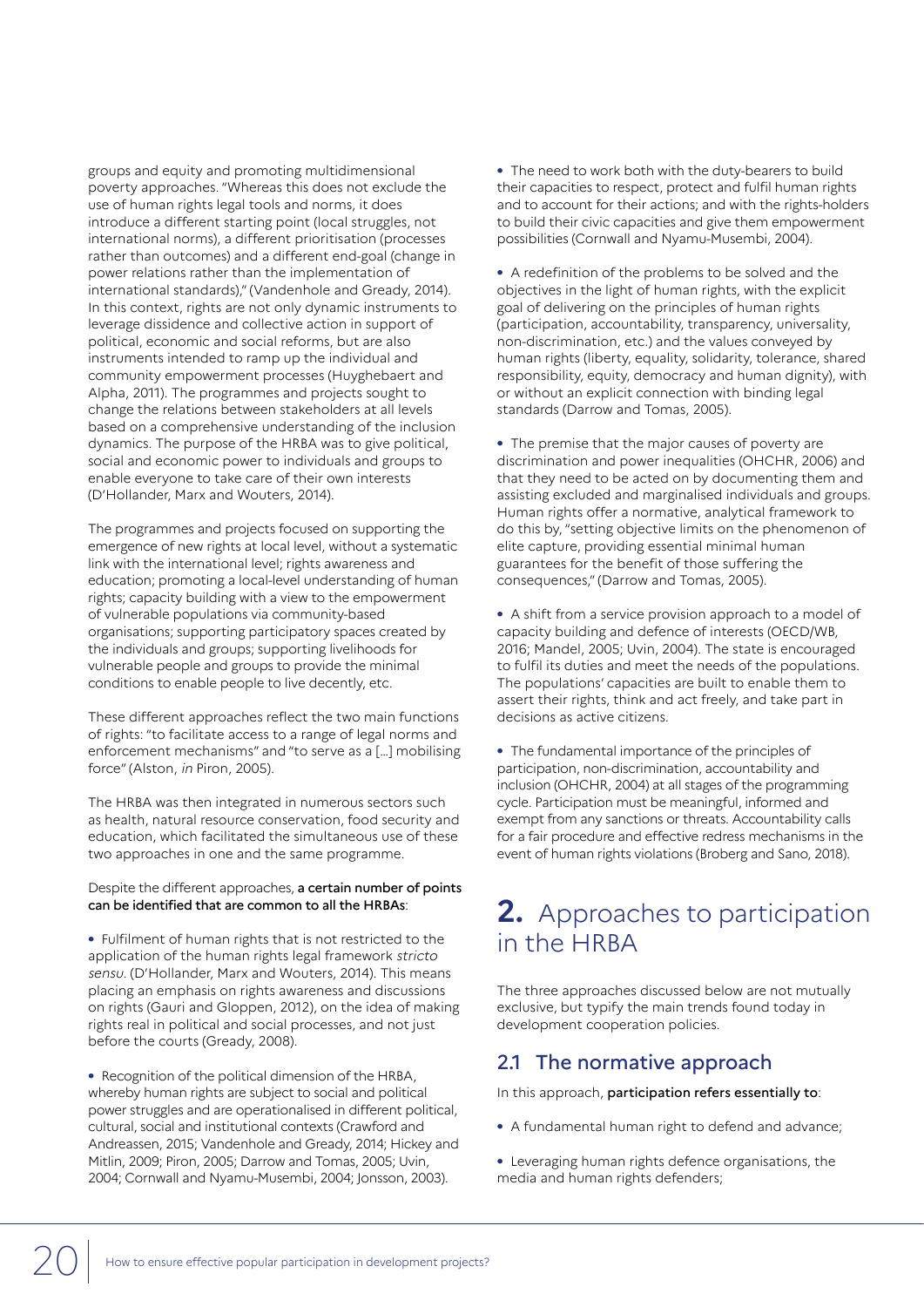groups and equity and promoting multidimensional poverty approaches. "Whereas this does not exclude the use of human rights legal tools and norms, it does introduce a different starting point (local struggles, not international norms), a different prioritisation (processes rather than outcomes) and a different end-goal (change in power relations rather than the implementation of international standards)," (Vandenhole and Gready, 2014). In this context, rights are not only dynamic instruments to leverage dissidence and collective action in support of political, economic and social reforms, but are also instruments intended to ramp up the individual and community empowerment processes (Huyghebaert and Alpha, 2011). The programmes and projects sought to change the relations between stakeholders at all levels based on a comprehensive understanding of the inclusion dynamics. The purpose of the HRBA was to give political, social and economic power to individuals and groups to enable everyone to take care of their own interests (D'Hollander, Marx and Wouters, 2014).

The programmes and projects focused on supporting the emergence of new rights at local level, without a systematic link with the international level; rights awareness and education; promoting a local-level understanding of human rights; capacity building with a view to the empowerment of vulnerable populations via community-based organisations; supporting participatory spaces created by the individuals and groups; supporting livelihoods for vulnerable people and groups to provide the minimal conditions to enable people to live decently, etc.

These different approaches reflect the two main functions of rights: "to facilitate access to a range of legal norms and enforcement mechanisms" and "to serve as a […] mobilising force" (Alston, in Piron, 2005).

The HRBA was then integrated in numerous sectors such as health, natural resource conservation, food security and education, which facilitated the simultaneous use of these two approaches in one and the same programme.

#### Despite the different approaches, a certain number of points can be identified that are common to all the HRBAs:

**•** Fulfilment of human rights that is not restricted to the application of the human rights legal framework stricto sensu. (D'Hollander, Marx and Wouters, 2014). This means placing an emphasis on rights awareness and discussions on rights (Gauri and Gloppen, 2012), on the idea of making rights real in political and social processes, and not just before the courts (Gready, 2008).

**•** Recognition of the political dimension of the HRBA, whereby human rights are subject to social and political power struggles and are operationalised in different political, cultural, social and institutional contexts (Crawford and Andreassen, 2015; Vandenhole and Gready, 2014; Hickey and Mitlin, 2009; Piron, 2005; Darrow and Tomas, 2005; Uvin, 2004; Cornwall and Nyamu-Musembi, 2004; Jonsson, 2003).

**•** The need to work both with the duty-bearers to build their capacities to respect, protect and fulfil human rights and to account for their actions; and with the rights-holders to build their civic capacities and give them empowerment possibilities (Cornwall and Nyamu-Musembi, 2004).

**•** A redefinition of the problems to be solved and the objectives in the light of human rights, with the explicit goal of delivering on the principles of human rights (participation, accountability, transparency, universality, non-discrimination, etc.) and the values conveyed by human rights (liberty, equality, solidarity, tolerance, shared responsibility, equity, democracy and human dignity), with or without an explicit connection with binding legal standards (Darrow and Tomas, 2005).

**•** The premise that the major causes of poverty are discrimination and power inequalities (OHCHR, 2006) and that they need to be acted on by documenting them and assisting excluded and marginalised individuals and groups. Human rights offer a normative, analytical framework to do this by, "setting objective limits on the phenomenon of elite capture, providing essential minimal human guarantees for the benefit of those suffering the consequences," (Darrow and Tomas, 2005).

**•** A shift from a service provision approach to a model of capacity building and defence of interests (OECD/WB, 2016; Mandel, 2005; Uvin, 2004). The state is encouraged to fulfil its duties and meet the needs of the populations. The populations' capacities are built to enable them to assert their rights, think and act freely, and take part in decisions as active citizens.

**•** The fundamental importance of the principles of participation, non-discrimination, accountability and inclusion (OHCHR, 2004) at all stages of the programming cycle. Participation must be meaningful, informed and exempt from any sanctions or threats. Accountability calls for a fair procedure and effective redress mechanisms in the event of human rights violations (Broberg and Sano, 2018).

# **2.** Approaches to participation in the HRBA

The three approaches discussed below are not mutually exclusive, but typify the main trends found today in development cooperation policies.

# 2.1 The normative approach

In this approach, participation refers essentially to:

- **•** A fundamental human right to defend and advance;
- **•** Leveraging human rights defence organisations, the media and human rights defenders;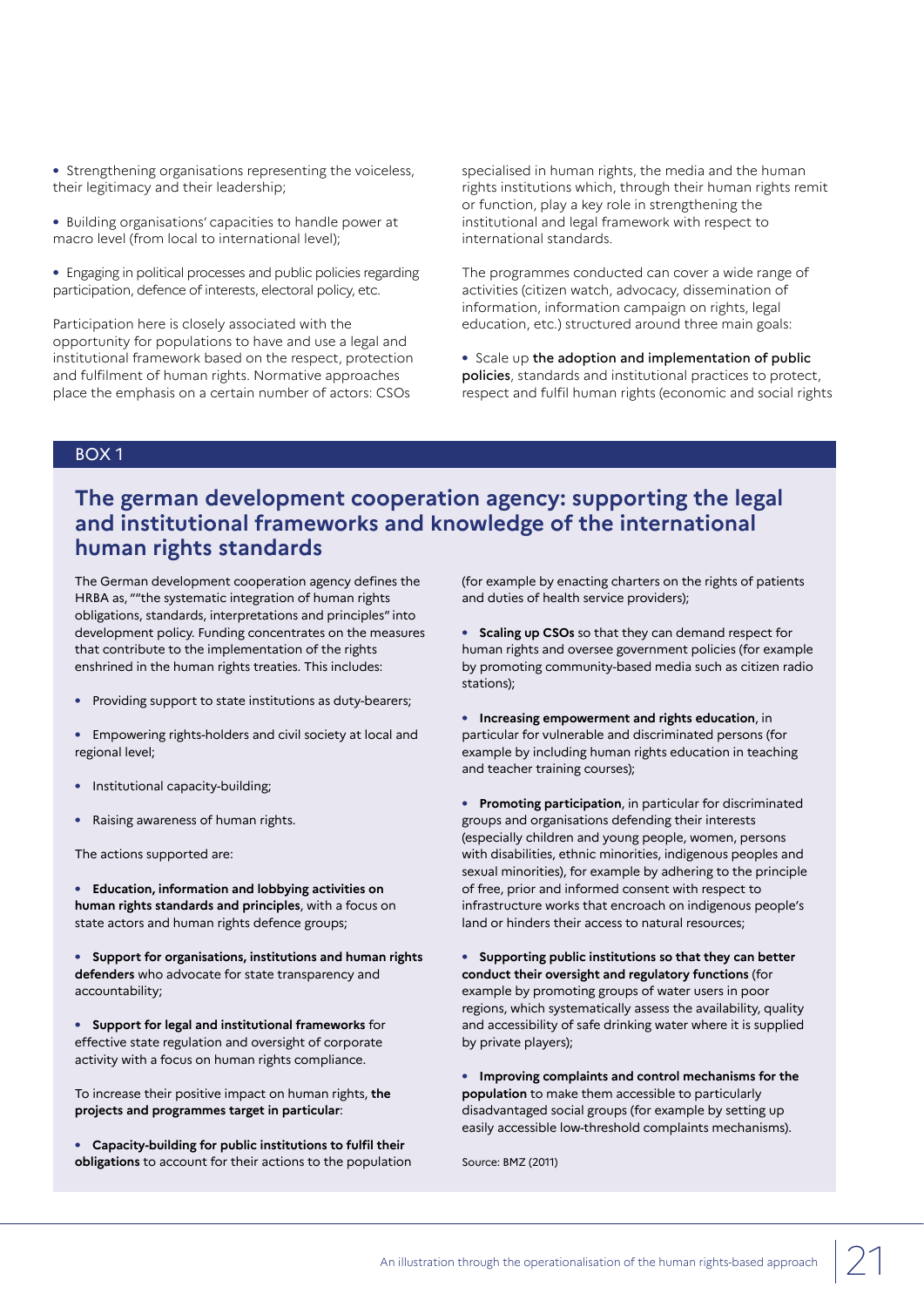**•** Strengthening organisations representing the voiceless, their legitimacy and their leadership;

- **•** Building organisations' capacities to handle power at macro level (from local to international level);
- **•** Engaging in political processes and public policies regarding participation, defence of interests, electoral policy, etc.

Participation here is closely associated with the opportunity for populations to have and use a legal and institutional framework based on the respect, protection and fulfilment of human rights. Normative approaches place the emphasis on a certain number of actors: CSOs

specialised in human rights, the media and the human rights institutions which, through their human rights remit or function, play a key role in strengthening the institutional and legal framework with respect to international standards.

The programmes conducted can cover a wide range of activities (citizen watch, advocacy, dissemination of information, information campaign on rights, legal education, etc.) structured around three main goals:

**•** Scale up the adoption and implementation of public policies, standards and institutional practices to protect, respect and fulfil human rights (economic and social rights

#### BOX 1

# **The german development cooperation agency: supporting the legal and institutional frameworks and knowledge of the international human rights standards**

The German development cooperation agency defines the HRBA as, ""the systematic integration of human rights obligations, standards, interpretations and principles" into development policy. Funding concentrates on the measures that contribute to the implementation of the rights enshrined in the human rights treaties. This includes:

- **•** Providing support to state institutions as duty-bearers;
- **•** Empowering rights-holders and civil society at local and regional level;
- **•** Institutional capacity-building;
- **•** Raising awareness of human rights.

The actions supported are:

**• Education, information and lobbying activities on human rights standards and principles**, with a focus on state actors and human rights defence groups;

**• Support for organisations, institutions and human rights defenders** who advocate for state transparency and accountability;

**• Support for legal and institutional frameworks** for effective state regulation and oversight of corporate activity with a focus on human rights compliance.

To increase their positive impact on human rights, **the projects and programmes target in particular**:

**• Capacity-building for public institutions to fulfil their obligations** to account for their actions to the population (for example by enacting charters on the rights of patients and duties of health service providers);

**• Scaling up CSOs** so that they can demand respect for human rights and oversee government policies (for example by promoting community-based media such as citizen radio stations);

- **• Increasing empowerment and rights education**, in particular for vulnerable and discriminated persons (for example by including human rights education in teaching and teacher training courses);
- **• Promoting participation**, in particular for discriminated groups and organisations defending their interests (especially children and young people, women, persons with disabilities, ethnic minorities, indigenous peoples and sexual minorities), for example by adhering to the principle of free, prior and informed consent with respect to infrastructure works that encroach on indigenous people's land or hinders their access to natural resources;

**• Supporting public institutions so that they can better conduct their oversight and regulatory functions** (for example by promoting groups of water users in poor regions, which systematically assess the availability, quality and accessibility of safe drinking water where it is supplied by private players);

**• Improving complaints and control mechanisms for the population** to make them accessible to particularly disadvantaged social groups (for example by setting up easily accessible low-threshold complaints mechanisms).

Source: BMZ (2011)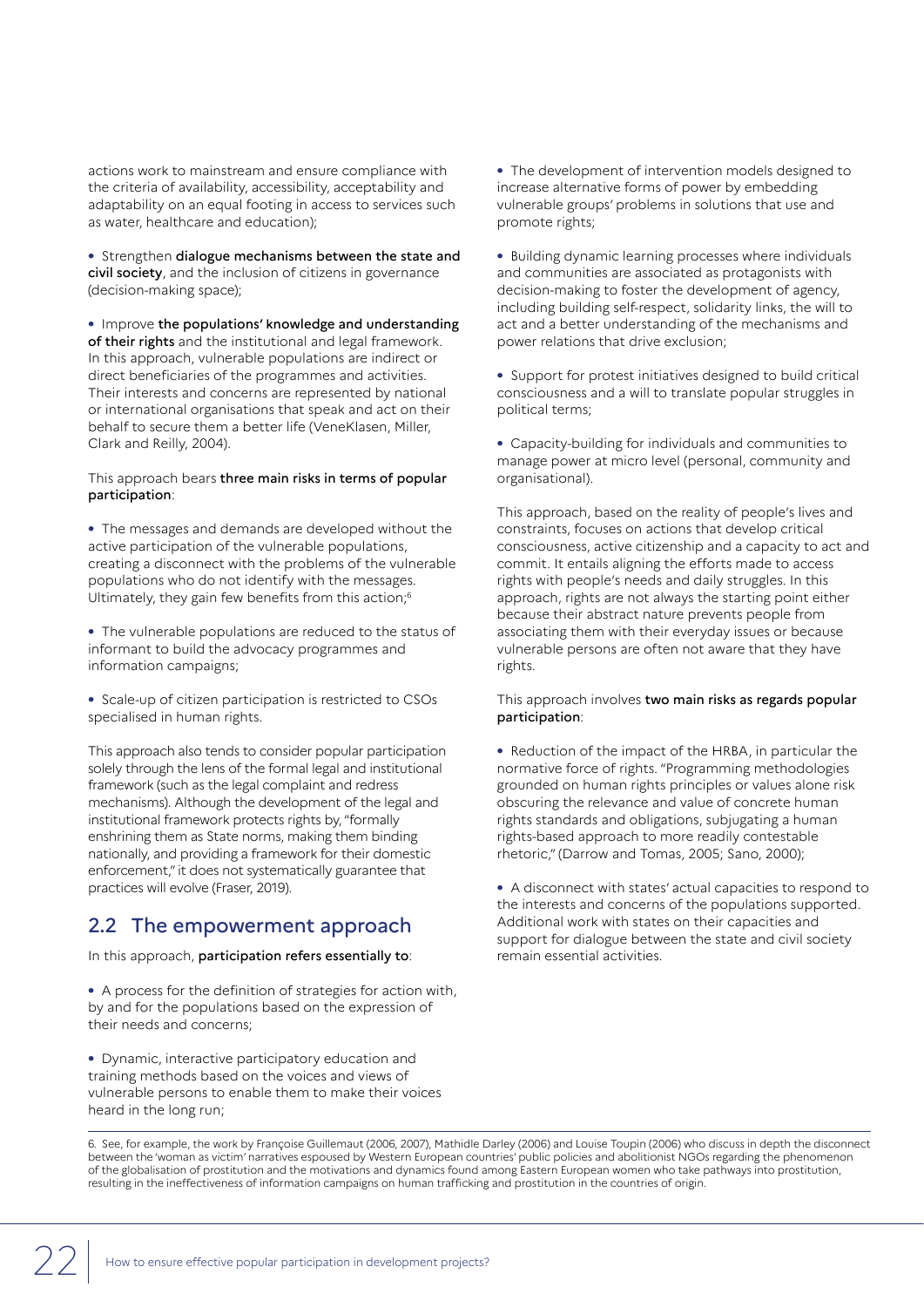actions work to mainstream and ensure compliance with the criteria of availability, accessibility, acceptability and adaptability on an equal footing in access to services such as water, healthcare and education);

**•** Strengthen dialogue mechanisms between the state and civil society, and the inclusion of citizens in governance (decision-making space);

**•** Improve the populations' knowledge and understanding of their rights and the institutional and legal framework. In this approach, vulnerable populations are indirect or direct beneficiaries of the programmes and activities. Their interests and concerns are represented by national or international organisations that speak and act on their behalf to secure them a better life (VeneKlasen, Miller, Clark and Reilly, 2004).

#### This approach bears three main risks in terms of popular participation:

**•** The messages and demands are developed without the active participation of the vulnerable populations, creating a disconnect with the problems of the vulnerable populations who do not identify with the messages. Ultimately, they gain few benefits from this action;6

**•** The vulnerable populations are reduced to the status of informant to build the advocacy programmes and information campaigns;

**•** Scale-up of citizen participation is restricted to CSOs specialised in human rights.

This approach also tends to consider popular participation solely through the lens of the formal legal and institutional framework (such as the legal complaint and redress mechanisms). Although the development of the legal and institutional framework protects rights by, "formally enshrining them as State norms, making them binding nationally, and providing a framework for their domestic enforcement," it does not systematically guarantee that practices will evolve (Fraser, 2019).

### 2.2 The empowerment approach

In this approach, participation refers essentially to:

**•** A process for the definition of strategies for action with, by and for the populations based on the expression of their needs and concerns;

**•** Dynamic, interactive participatory education and training methods based on the voices and views of vulnerable persons to enable them to make their voices heard in the long run;

**•** The development of intervention models designed to increase alternative forms of power by embedding vulnerable groups' problems in solutions that use and promote rights;

**•** Building dynamic learning processes where individuals and communities are associated as protagonists with decision-making to foster the development of agency, including building self-respect, solidarity links, the will to act and a better understanding of the mechanisms and power relations that drive exclusion;

**•** Support for protest initiatives designed to build critical consciousness and a will to translate popular struggles in political terms;

**•** Capacity-building for individuals and communities to manage power at micro level (personal, community and organisational).

This approach, based on the reality of people's lives and constraints, focuses on actions that develop critical consciousness, active citizenship and a capacity to act and commit. It entails aligning the efforts made to access rights with people's needs and daily struggles. In this approach, rights are not always the starting point either because their abstract nature prevents people from associating them with their everyday issues or because vulnerable persons are often not aware that they have rights.

#### This approach involves two main risks as regards popular participation:

**•** Reduction of the impact of the HRBA, in particular the normative force of rights. "Programming methodologies grounded on human rights principles or values alone risk obscuring the relevance and value of concrete human rights standards and obligations, subjugating a human rights-based approach to more readily contestable rhetoric," (Darrow and Tomas, 2005; Sano, 2000);

**•** A disconnect with states' actual capacities to respond to the interests and concerns of the populations supported. Additional work with states on their capacities and support for dialogue between the state and civil society remain essential activities.

6. See, for example, the work by Françoise Guillemaut (2006, 2007), Mathidle Darley (2006) and Louise Toupin (2006) who discuss in depth the disconnect between the 'woman as victim' narratives espoused by Western European countries' public policies and abolitionist NGOs regarding the phenomenon of the globalisation of prostitution and the motivations and dynamics found among Eastern European women who take pathways into prostitution, resulting in the ineffectiveness of information campaigns on human trafficking and prostitution in the countries of origin.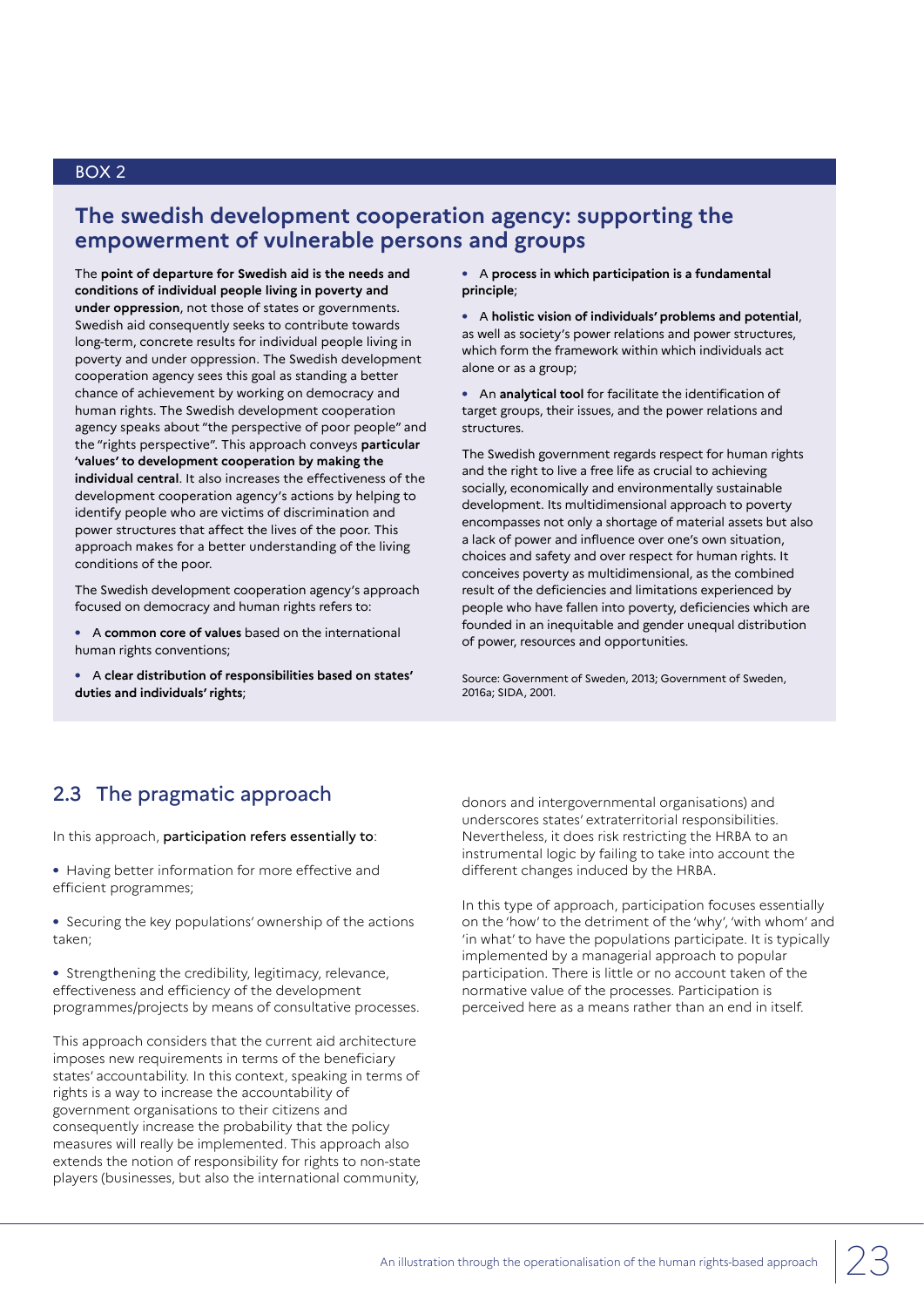# **The swedish development cooperation agency: supporting the empowerment of vulnerable persons and groups**

The **point of departure for Swedish aid is the needs and conditions of individual people living in poverty and under oppression**, not those of states or governments. Swedish aid consequently seeks to contribute towards long-term, concrete results for individual people living in poverty and under oppression. The Swedish development cooperation agency sees this goal as standing a better chance of achievement by working on democracy and human rights. The Swedish development cooperation agency speaks about "the perspective of poor people" and the "rights perspective". This approach conveys **particular 'values' to development cooperation by making the individual central**. It also increases the effectiveness of the development cooperation agency's actions by helping to identify people who are victims of discrimination and power structures that affect the lives of the poor. This approach makes for a better understanding of the living conditions of the poor.

The Swedish development cooperation agency's approach focused on democracy and human rights refers to:

**•** A **common core of values** based on the international human rights conventions;

**•** A **clear distribution of responsibilities based on states' duties and individuals' rights**;

**•** A **process in which participation is a fundamental principle**;

**•** A **holistic vision of individuals' problems and potential**, as well as society's power relations and power structures, which form the framework within which individuals act alone or as a group;

**•** An **analytical tool** for facilitate the identification of target groups, their issues, and the power relations and structures.

The Swedish government regards respect for human rights and the right to live a free life as crucial to achieving socially, economically and environmentally sustainable development. Its multidimensional approach to poverty encompasses not only a shortage of material assets but also a lack of power and influence over one's own situation, choices and safety and over respect for human rights. It conceives poverty as multidimensional, as the combined result of the deficiencies and limitations experienced by people who have fallen into poverty, deficiencies which are founded in an inequitable and gender unequal distribution of power, resources and opportunities.

Source: Government of Sweden, 2013; Government of Sweden, 2016a; SIDA, 2001.

# 2.3 The pragmatic approach

In this approach, participation refers essentially to:

**•** Having better information for more effective and efficient programmes;

**•** Securing the key populations' ownership of the actions taken;

**•** Strengthening the credibility, legitimacy, relevance, effectiveness and efficiency of the development programmes/projects by means of consultative processes.

This approach considers that the current aid architecture imposes new requirements in terms of the beneficiary states' accountability. In this context, speaking in terms of rights is a way to increase the accountability of government organisations to their citizens and consequently increase the probability that the policy measures will really be implemented. This approach also extends the notion of responsibility for rights to non-state players (businesses, but also the international community,

donors and intergovernmental organisations) and underscores states' extraterritorial responsibilities. Nevertheless, it does risk restricting the HRBA to an instrumental logic by failing to take into account the different changes induced by the HRBA.

In this type of approach, participation focuses essentially on the 'how' to the detriment of the 'why', 'with whom' and 'in what' to have the populations participate. It is typically implemented by a managerial approach to popular participation. There is little or no account taken of the normative value of the processes. Participation is perceived here as a means rather than an end in itself.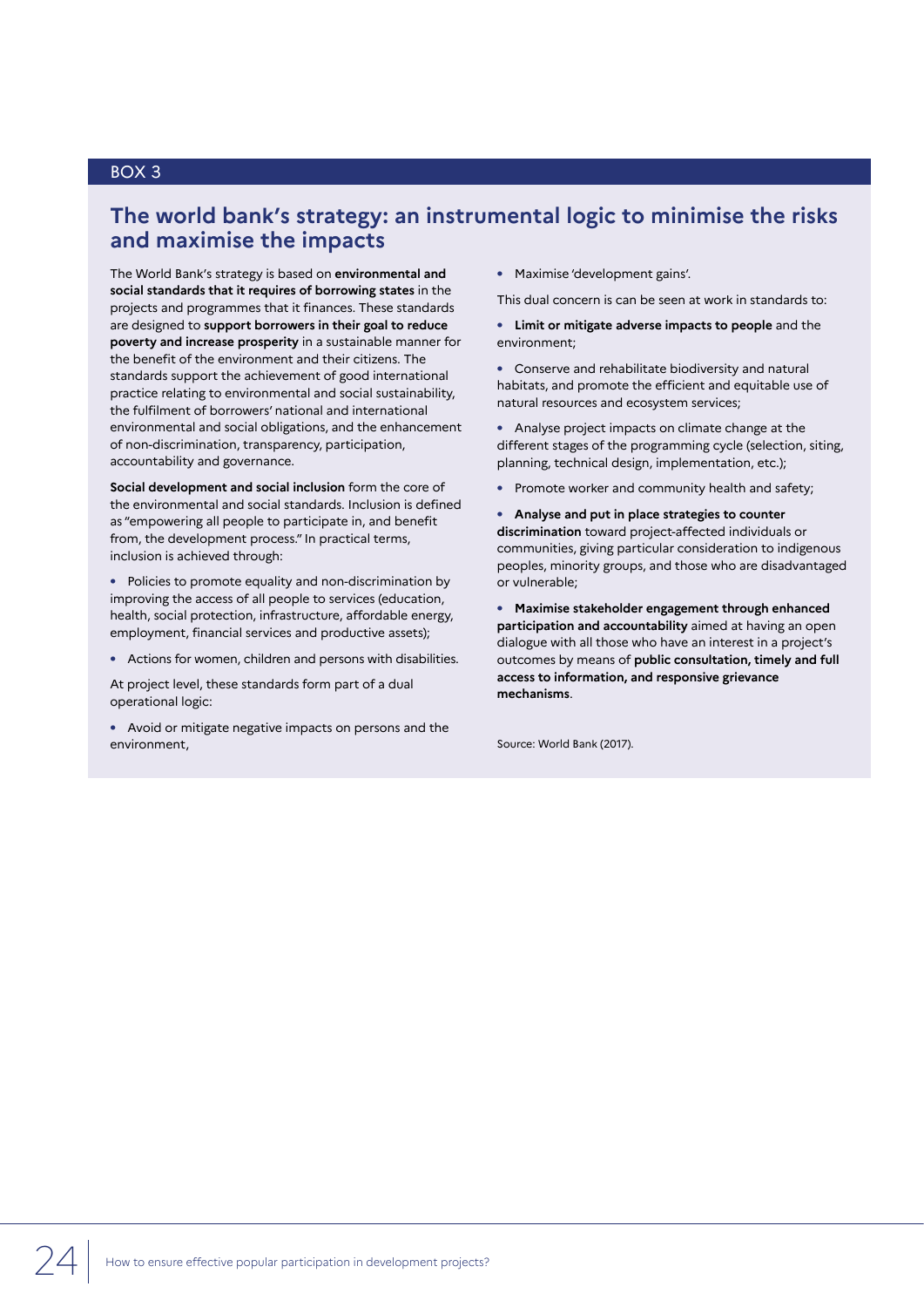### **The world bank's strategy: an instrumental logic to minimise the risks and maximise the impacts**

The World Bank's strategy is based on **environmental and social standards that it requires of borrowing states** in the projects and programmes that it finances. These standards are designed to **support borrowers in their goal to reduce poverty and increase prosperity** in a sustainable manner for the benefit of the environment and their citizens. The standards support the achievement of good international practice relating to environmental and social sustainability, the fulfilment of borrowers' national and international environmental and social obligations, and the enhancement of non-discrimination, transparency, participation, accountability and governance.

**Social development and social inclusion** form the core of the environmental and social standards. Inclusion is defined as "empowering all people to participate in, and benefit from, the development process." In practical terms, inclusion is achieved through:

**•** Policies to promote equality and non-discrimination by improving the access of all people to services (education, health, social protection, infrastructure, affordable energy, employment, financial services and productive assets);

**•** Actions for women, children and persons with disabilities.

At project level, these standards form part of a dual operational logic:

**•** Avoid or mitigate negative impacts on persons and the environment,

**•** Maximise 'development gains'.

This dual concern is can be seen at work in standards to:

**• Limit or mitigate adverse impacts to people** and the environment;

**•** Conserve and rehabilitate biodiversity and natural habitats, and promote the efficient and equitable use of natural resources and ecosystem services;

**•** Analyse project impacts on climate change at the different stages of the programming cycle (selection, siting, planning, technical design, implementation, etc.);

**•** Promote worker and community health and safety;

**• Analyse and put in place strategies to counter discrimination** toward project-affected individuals or communities, giving particular consideration to indigenous peoples, minority groups, and those who are disadvantaged or vulnerable;

**• Maximise stakeholder engagement through enhanced participation and accountability** aimed at having an open dialogue with all those who have an interest in a project's outcomes by means of **public consultation, timely and full access to information, and responsive grievance mechanisms**.

Source: World Bank (2017).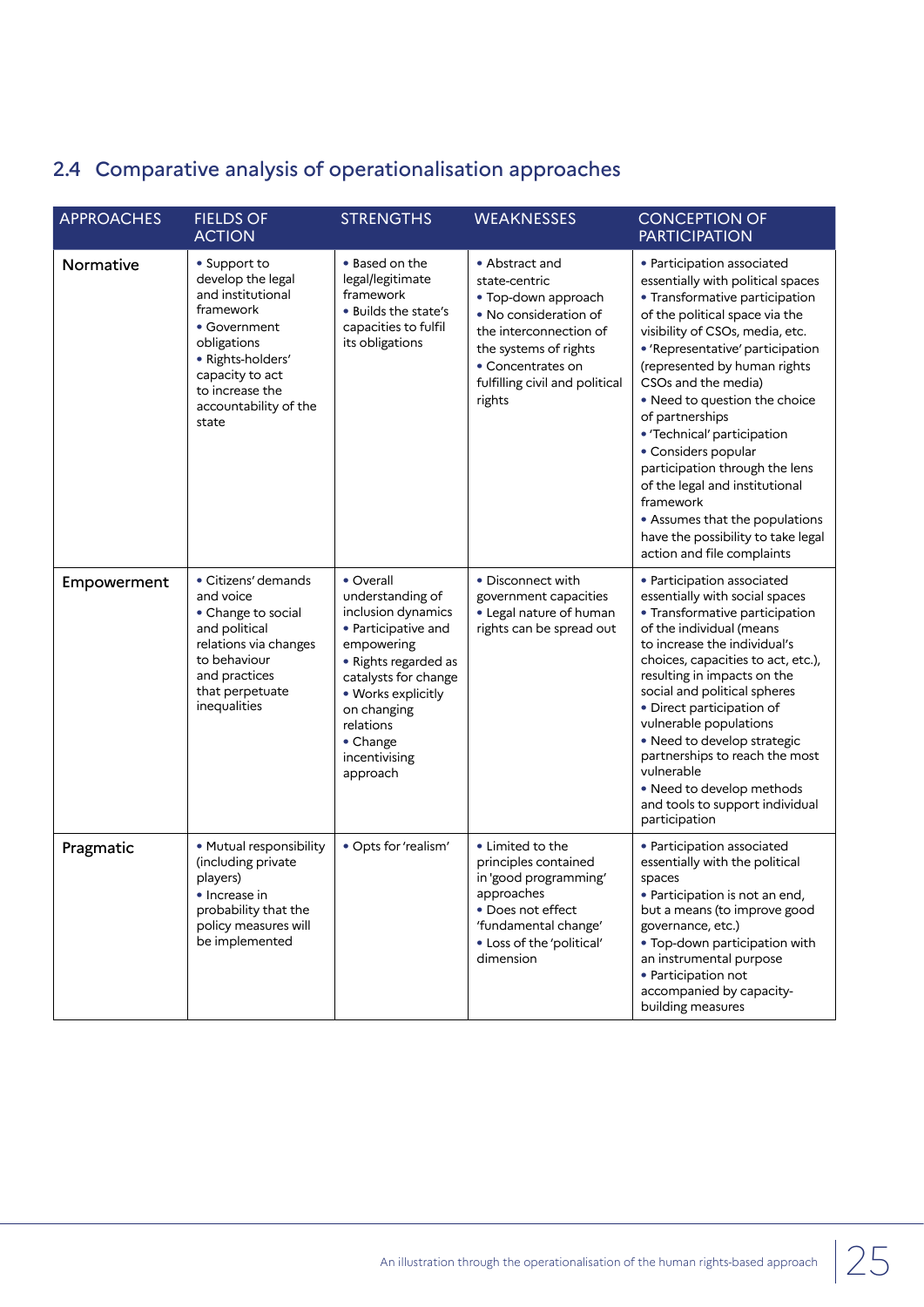# 2.4 Comparative analysis of operationalisation approaches

| <b>APPROACHES</b> | <b>FIELDS OF</b><br><b>ACTION</b>                                                                                                                                                               | <b>STRENGTHS</b>                                                                                                                                                                                                                    | <b>WEAKNESSES</b>                                                                                                                                                                                   | <b>CONCEPTION OF</b><br><b>PARTICIPATION</b>                                                                                                                                                                                                                                                                                                                                                                                                                                                                                                                       |
|-------------------|-------------------------------------------------------------------------------------------------------------------------------------------------------------------------------------------------|-------------------------------------------------------------------------------------------------------------------------------------------------------------------------------------------------------------------------------------|-----------------------------------------------------------------------------------------------------------------------------------------------------------------------------------------------------|--------------------------------------------------------------------------------------------------------------------------------------------------------------------------------------------------------------------------------------------------------------------------------------------------------------------------------------------------------------------------------------------------------------------------------------------------------------------------------------------------------------------------------------------------------------------|
| Normative         | • Support to<br>develop the legal<br>and institutional<br>framework<br>• Government<br>obligations<br>· Rights-holders'<br>capacity to act<br>to increase the<br>accountability of the<br>state | • Based on the<br>legal/legitimate<br>framework<br>. Builds the state's<br>capacities to fulfil<br>its obligations                                                                                                                  | • Abstract and<br>state-centric<br>• Top-down approach<br>• No consideration of<br>the interconnection of<br>the systems of rights<br>• Concentrates on<br>fulfilling civil and political<br>rights | • Participation associated<br>essentially with political spaces<br>• Transformative participation<br>of the political space via the<br>visibility of CSOs, media, etc.<br>• 'Representative' participation<br>(represented by human rights<br>CSOs and the media)<br>• Need to question the choice<br>of partnerships<br>• 'Technical' participation<br>• Considers popular<br>participation through the lens<br>of the legal and institutional<br>framework<br>• Assumes that the populations<br>have the possibility to take legal<br>action and file complaints |
| Empowerment       | • Citizens' demands<br>and voice<br>• Change to social<br>and political<br>relations via changes<br>to behaviour<br>and practices<br>that perpetuate<br>inequalities                            | • Overall<br>understanding of<br>inclusion dynamics<br>• Participative and<br>empowering<br>• Rights regarded as<br>catalysts for change<br>• Works explicitly<br>on changing<br>relations<br>• Change<br>incentivising<br>approach | • Disconnect with<br>government capacities<br>• Legal nature of human<br>rights can be spread out                                                                                                   | • Participation associated<br>essentially with social spaces<br>• Transformative participation<br>of the individual (means<br>to increase the individual's<br>choices, capacities to act, etc.),<br>resulting in impacts on the<br>social and political spheres<br>• Direct participation of<br>vulnerable populations<br>• Need to develop strategic<br>partnerships to reach the most<br>vulnerable<br>• Need to develop methods<br>and tools to support individual<br>participation                                                                             |
| Pragmatic         | · Mutual responsibility<br>(including private<br>players)<br>• Increase in<br>probability that the<br>policy measures will<br>be implemented                                                    | · Opts for 'realism'                                                                                                                                                                                                                | • Limited to the<br>principles contained<br>in 'good programming'<br>approaches<br>• Does not effect<br>'fundamental change'<br>• Loss of the 'political'<br>dimension                              | · Participation associated<br>essentially with the political<br>spaces<br>$\bullet$ Participation is not an end,<br>but a means (to improve good<br>governance, etc.)<br>. Top-down participation with<br>an instrumental purpose<br>• Participation not<br>accompanied by capacity-<br>building measures                                                                                                                                                                                                                                                          |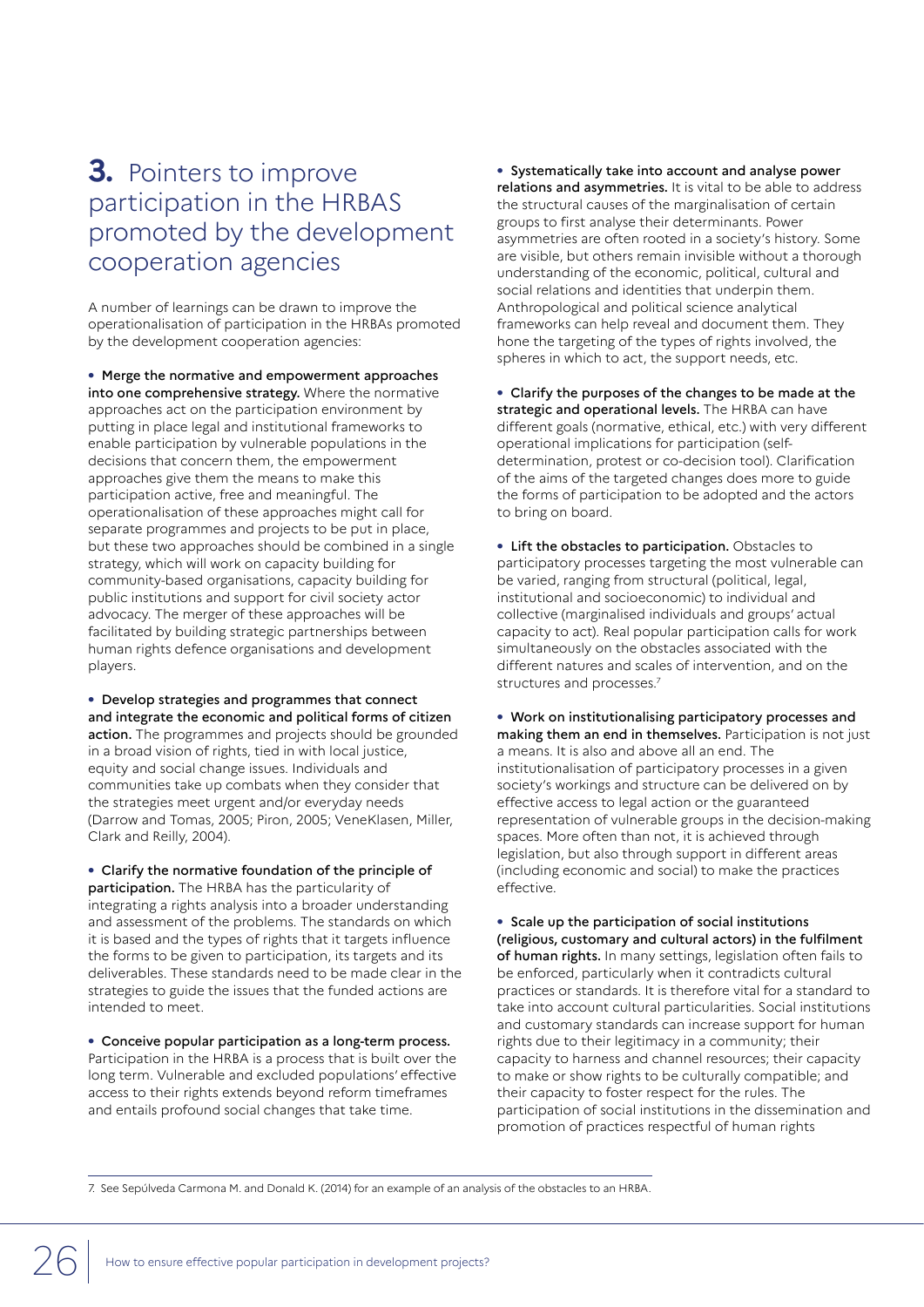# **3.** Pointers to improve participation in the HRBAS promoted by the development cooperation agencies

A number of learnings can be drawn to improve the operationalisation of participation in the HRBAs promoted by the development cooperation agencies:

**•** Merge the normative and empowerment approaches into one comprehensive strategy. Where the normative approaches act on the participation environment by putting in place legal and institutional frameworks to enable participation by vulnerable populations in the decisions that concern them, the empowerment approaches give them the means to make this participation active, free and meaningful. The operationalisation of these approaches might call for separate programmes and projects to be put in place, but these two approaches should be combined in a single strategy, which will work on capacity building for community-based organisations, capacity building for public institutions and support for civil society actor advocacy. The merger of these approaches will be facilitated by building strategic partnerships between human rights defence organisations and development players.

**•** Develop strategies and programmes that connect and integrate the economic and political forms of citizen action. The programmes and projects should be grounded in a broad vision of rights, tied in with local justice, equity and social change issues. Individuals and communities take up combats when they consider that the strategies meet urgent and/or everyday needs (Darrow and Tomas, 2005; Piron, 2005; VeneKlasen, Miller, Clark and Reilly, 2004).

**•** Clarify the normative foundation of the principle of participation. The HRBA has the particularity of integrating a rights analysis into a broader understanding and assessment of the problems. The standards on which it is based and the types of rights that it targets influence the forms to be given to participation, its targets and its deliverables. These standards need to be made clear in the strategies to guide the issues that the funded actions are intended to meet.

**•** Conceive popular participation as a long-term process. Participation in the HRBA is a process that is built over the long term. Vulnerable and excluded populations' effective access to their rights extends beyond reform timeframes and entails profound social changes that take time.

**•** Systematically take into account and analyse power relations and asymmetries. It is vital to be able to address the structural causes of the marginalisation of certain groups to first analyse their determinants. Power asymmetries are often rooted in a society's history. Some are visible, but others remain invisible without a thorough understanding of the economic, political, cultural and social relations and identities that underpin them. Anthropological and political science analytical frameworks can help reveal and document them. They hone the targeting of the types of rights involved, the spheres in which to act, the support needs, etc.

**•** Clarify the purposes of the changes to be made at the strategic and operational levels. The HRBA can have different goals (normative, ethical, etc.) with very different operational implications for participation (selfdetermination, protest or co-decision tool). Clarification of the aims of the targeted changes does more to guide the forms of participation to be adopted and the actors to bring on board.

**•** Lift the obstacles to participation. Obstacles to participatory processes targeting the most vulnerable can be varied, ranging from structural (political, legal, institutional and socioeconomic) to individual and collective (marginalised individuals and groups' actual capacity to act). Real popular participation calls for work simultaneously on the obstacles associated with the different natures and scales of intervention, and on the structures and processes.<sup>7</sup>

**•** Work on institutionalising participatory processes and making them an end in themselves. Participation is not just a means. It is also and above all an end. The institutionalisation of participatory processes in a given society's workings and structure can be delivered on by effective access to legal action or the guaranteed representation of vulnerable groups in the decision-making spaces. More often than not, it is achieved through legislation, but also through support in different areas (including economic and social) to make the practices effective.

**•** Scale up the participation of social institutions (religious, customary and cultural actors) in the fulfilment of human rights. In many settings, legislation often fails to be enforced, particularly when it contradicts cultural practices or standards. It is therefore vital for a standard to take into account cultural particularities. Social institutions and customary standards can increase support for human rights due to their legitimacy in a community; their capacity to harness and channel resources; their capacity to make or show rights to be culturally compatible; and their capacity to foster respect for the rules. The participation of social institutions in the dissemination and promotion of practices respectful of human rights

7. See Sepúlveda Carmona M. and Donald K. (2014) for an example of an analysis of the obstacles to an HRBA.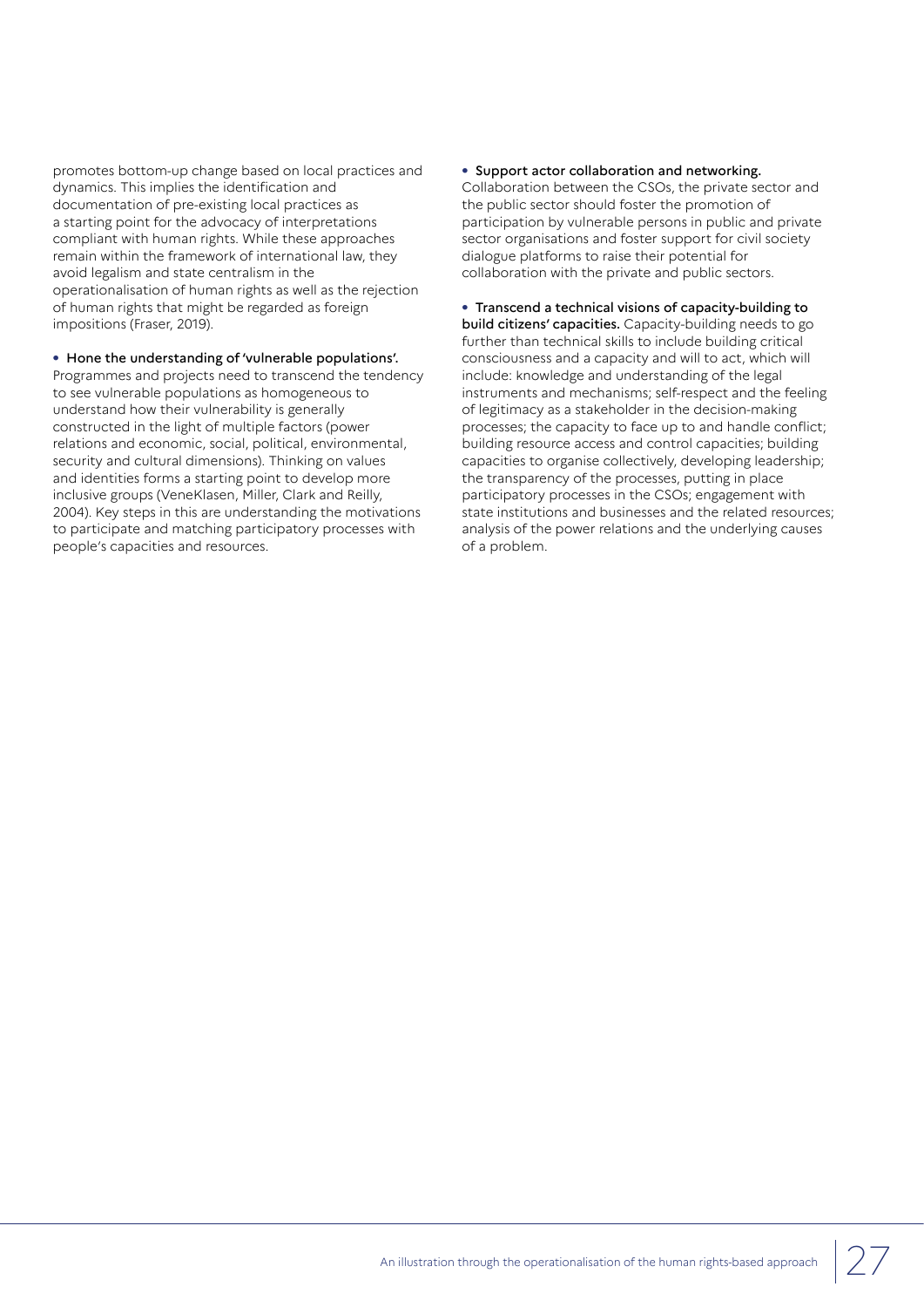promotes bottom-up change based on local practices and dynamics. This implies the identification and documentation of pre-existing local practices as a starting point for the advocacy of interpretations compliant with human rights. While these approaches remain within the framework of international law, they avoid legalism and state centralism in the operationalisation of human rights as well as the rejection of human rights that might be regarded as foreign impositions (Fraser, 2019).

#### **•** Hone the understanding of 'vulnerable populations'.

Programmes and projects need to transcend the tendency to see vulnerable populations as homogeneous to understand how their vulnerability is generally constructed in the light of multiple factors (power relations and economic, social, political, environmental, security and cultural dimensions). Thinking on values and identities forms a starting point to develop more inclusive groups (VeneKlasen, Miller, Clark and Reilly, 2004). Key steps in this are understanding the motivations to participate and matching participatory processes with people's capacities and resources.

#### **•** Support actor collaboration and networking.

Collaboration between the CSOs, the private sector and the public sector should foster the promotion of participation by vulnerable persons in public and private sector organisations and foster support for civil society dialogue platforms to raise their potential for collaboration with the private and public sectors.

#### **•** Transcend a technical visions of capacity-building to

build citizens' capacities. Capacity-building needs to go further than technical skills to include building critical consciousness and a capacity and will to act, which will include: knowledge and understanding of the legal instruments and mechanisms; self-respect and the feeling of legitimacy as a stakeholder in the decision-making processes; the capacity to face up to and handle conflict; building resource access and control capacities; building capacities to organise collectively, developing leadership; the transparency of the processes, putting in place participatory processes in the CSOs; engagement with state institutions and businesses and the related resources; analysis of the power relations and the underlying causes of a problem.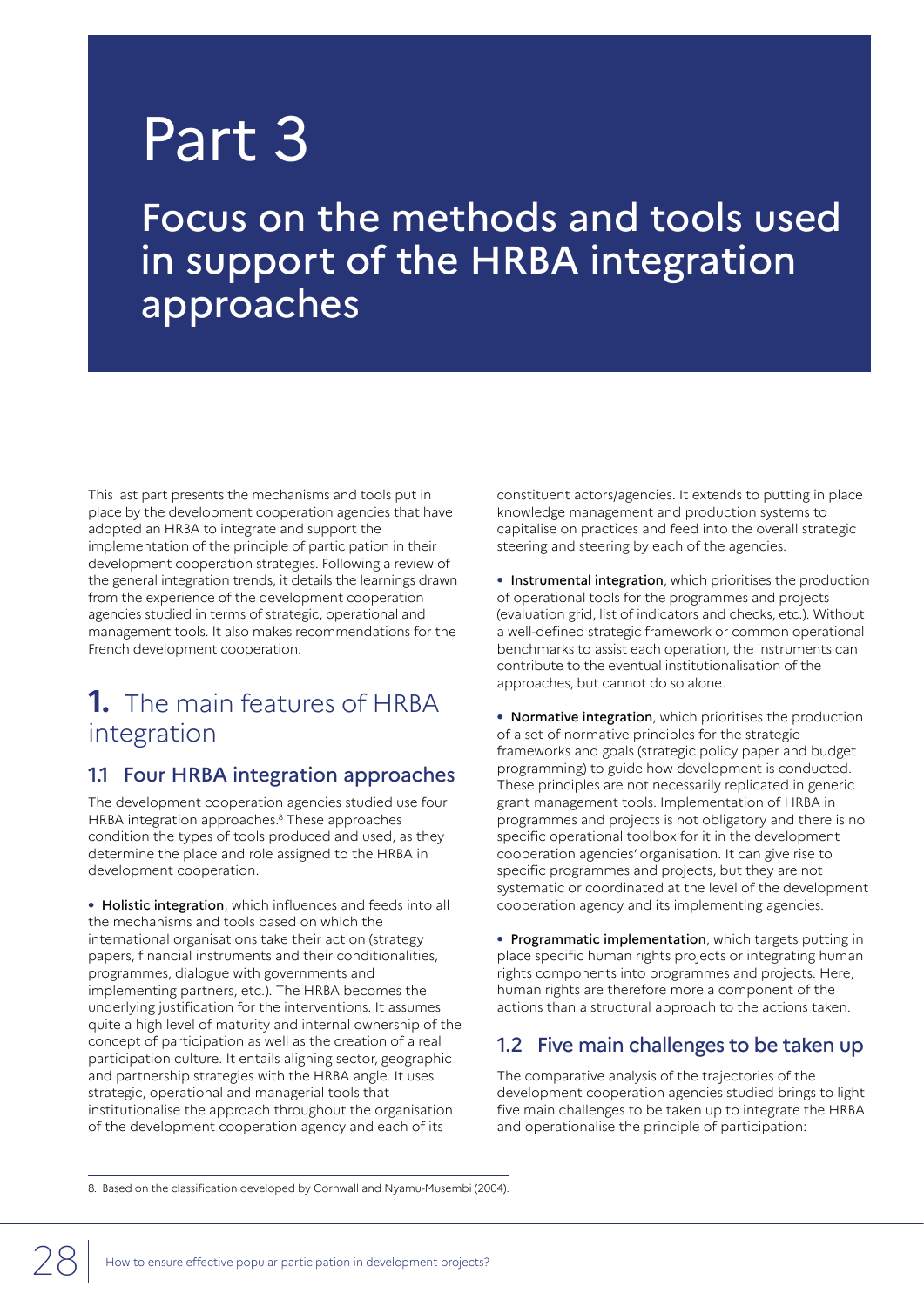# Part 3

Focus on the methods and tools used in support of the HRBA integration approaches

This last part presents the mechanisms and tools put in place by the development cooperation agencies that have adopted an HRBA to integrate and support the implementation of the principle of participation in their development cooperation strategies. Following a review of the general integration trends, it details the learnings drawn from the experience of the development cooperation agencies studied in terms of strategic, operational and management tools. It also makes recommendations for the French development cooperation.

# **1.** The main features of HRBA integration

# 1.1 Four HRBA integration approaches

The development cooperation agencies studied use four HRBA integration approaches.<sup>8</sup> These approaches condition the types of tools produced and used, as they determine the place and role assigned to the HRBA in development cooperation.

**•** Holistic integration, which influences and feeds into all the mechanisms and tools based on which the international organisations take their action (strategy papers, financial instruments and their conditionalities, programmes, dialogue with governments and implementing partners, etc.). The HRBA becomes the underlying justification for the interventions. It assumes quite a high level of maturity and internal ownership of the concept of participation as well as the creation of a real participation culture. It entails aligning sector, geographic and partnership strategies with the HRBA angle. It uses strategic, operational and managerial tools that institutionalise the approach throughout the organisation of the development cooperation agency and each of its

constituent actors/agencies. It extends to putting in place knowledge management and production systems to capitalise on practices and feed into the overall strategic steering and steering by each of the agencies.

**•** Instrumental integration, which prioritises the production of operational tools for the programmes and projects (evaluation grid, list of indicators and checks, etc.). Without a well-defined strategic framework or common operational benchmarks to assist each operation, the instruments can contribute to the eventual institutionalisation of the approaches, but cannot do so alone.

**•** Normative integration, which prioritises the production of a set of normative principles for the strategic frameworks and goals (strategic policy paper and budget programming) to guide how development is conducted. These principles are not necessarily replicated in generic grant management tools. Implementation of HRBA in programmes and projects is not obligatory and there is no specific operational toolbox for it in the development cooperation agencies' organisation. It can give rise to specific programmes and projects, but they are not systematic or coordinated at the level of the development cooperation agency and its implementing agencies.

**•** Programmatic implementation, which targets putting in place specific human rights projects or integrating human rights components into programmes and projects. Here, human rights are therefore more a component of the actions than a structural approach to the actions taken.

## 1.2 Five main challenges to be taken up

The comparative analysis of the trajectories of the development cooperation agencies studied brings to light five main challenges to be taken up to integrate the HRBA and operationalise the principle of participation:

8. Based on the classification developed by Cornwall and Nyamu-Musembi (2004).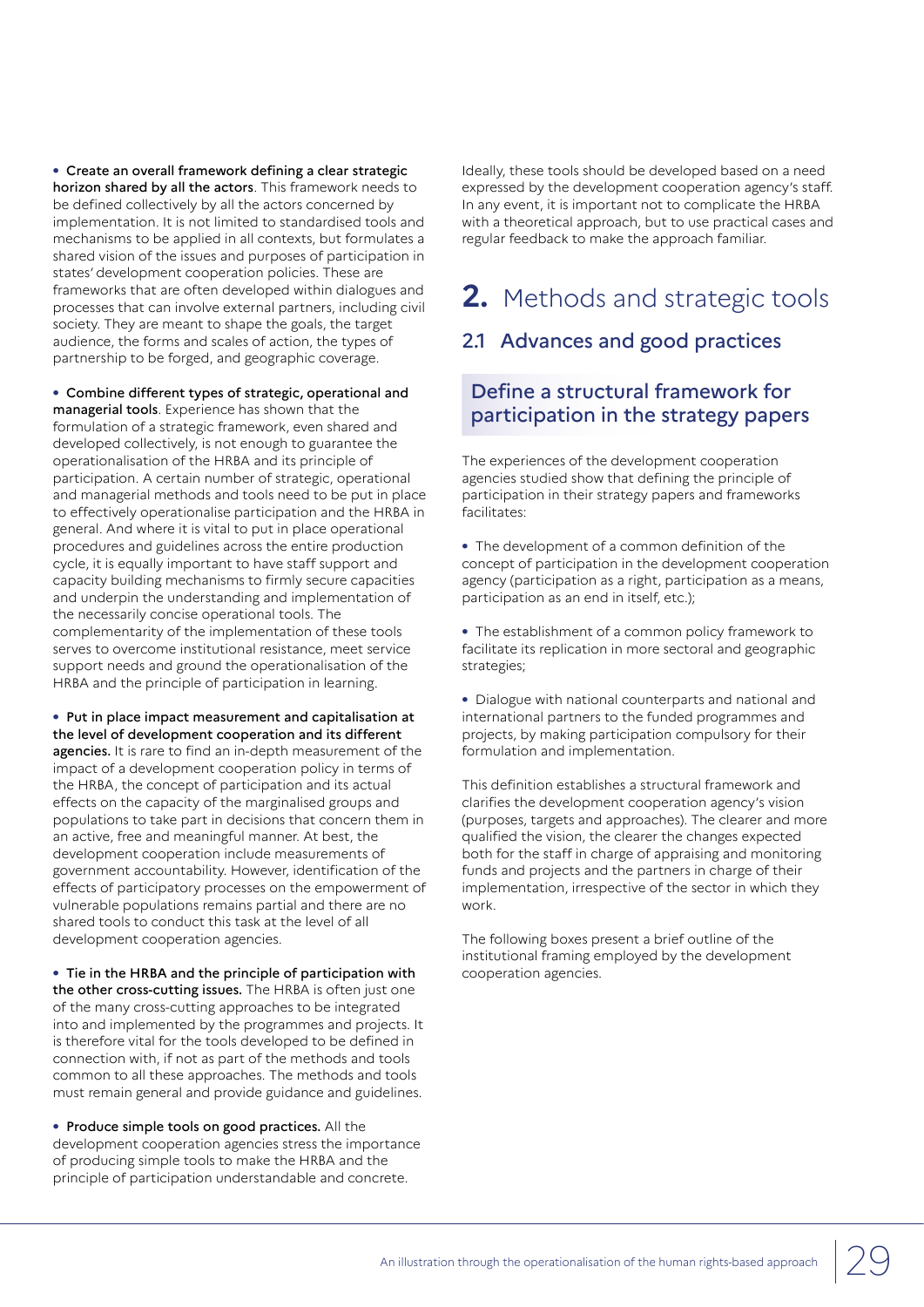**•** Create an overall framework defining a clear strategic horizon shared by all the actors. This framework needs to be defined collectively by all the actors concerned by implementation. It is not limited to standardised tools and mechanisms to be applied in all contexts, but formulates a shared vision of the issues and purposes of participation in states' development cooperation policies. These are frameworks that are often developed within dialogues and processes that can involve external partners, including civil society. They are meant to shape the goals, the target audience, the forms and scales of action, the types of partnership to be forged, and geographic coverage.

**•** Combine different types of strategic, operational and managerial tools. Experience has shown that the formulation of a strategic framework, even shared and developed collectively, is not enough to guarantee the operationalisation of the HRBA and its principle of participation. A certain number of strategic, operational and managerial methods and tools need to be put in place to effectively operationalise participation and the HRBA in general. And where it is vital to put in place operational procedures and guidelines across the entire production cycle, it is equally important to have staff support and capacity building mechanisms to firmly secure capacities and underpin the understanding and implementation of the necessarily concise operational tools. The complementarity of the implementation of these tools serves to overcome institutional resistance, meet service support needs and ground the operationalisation of the HRBA and the principle of participation in learning.

**•** Put in place impact measurement and capitalisation at the level of development cooperation and its different agencies. It is rare to find an in-depth measurement of the impact of a development cooperation policy in terms of the HRBA, the concept of participation and its actual effects on the capacity of the marginalised groups and populations to take part in decisions that concern them in an active, free and meaningful manner. At best, the development cooperation include measurements of government accountability. However, identification of the effects of participatory processes on the empowerment of vulnerable populations remains partial and there are no shared tools to conduct this task at the level of all development cooperation agencies.

**•** Tie in the HRBA and the principle of participation with the other cross-cutting issues. The HRBA is often just one of the many cross-cutting approaches to be integrated into and implemented by the programmes and projects. It is therefore vital for the tools developed to be defined in connection with, if not as part of the methods and tools common to all these approaches. The methods and tools must remain general and provide guidance and guidelines.

**•** Produce simple tools on good practices. All the development cooperation agencies stress the importance of producing simple tools to make the HRBA and the principle of participation understandable and concrete.

Ideally, these tools should be developed based on a need expressed by the development cooperation agency's staff. In any event, it is important not to complicate the HRBA with a theoretical approach, but to use practical cases and regular feedback to make the approach familiar.

# **2.** Methods and strategic tools

# 2.1 Advances and good practices

# Define a structural framework for participation in the strategy papers

The experiences of the development cooperation agencies studied show that defining the principle of participation in their strategy papers and frameworks facilitates:

**•** The development of a common definition of the concept of participation in the development cooperation agency (participation as a right, participation as a means, participation as an end in itself, etc.);

**•** The establishment of a common policy framework to facilitate its replication in more sectoral and geographic strategies;

**•** Dialogue with national counterparts and national and international partners to the funded programmes and projects, by making participation compulsory for their formulation and implementation.

This definition establishes a structural framework and clarifies the development cooperation agency's vision (purposes, targets and approaches). The clearer and more qualified the vision, the clearer the changes expected both for the staff in charge of appraising and monitoring funds and projects and the partners in charge of their implementation, irrespective of the sector in which they work.

The following boxes present a brief outline of the institutional framing employed by the development cooperation agencies.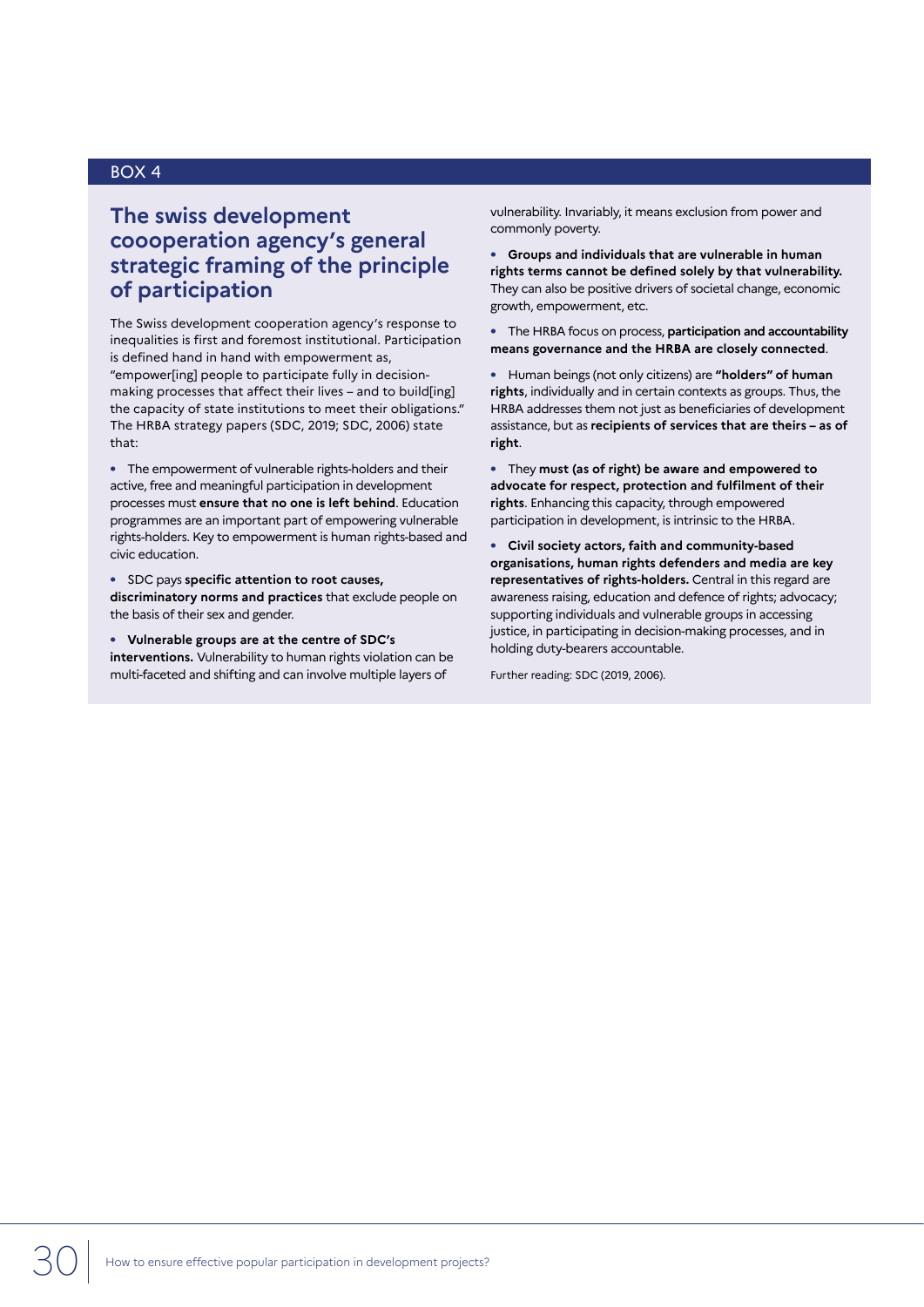## **The swiss development coooperation agency's general strategic framing of the principle of participation**

The Swiss development cooperation agency's response to inequalities is first and foremost institutional. Participation is defined hand in hand with empowerment as, "empower[ing] people to participate fully in decisionmaking processes that affect their lives – and to build[ing] the capacity of state institutions to meet their obligations." The HRBA strategy papers (SDC, 2019; SDC, 2006) state that:

**•** The empowerment of vulnerable rights-holders and their active, free and meaningful participation in development processes must **ensure that no one is left behind**. Education programmes are an important part of empowering vulnerable rights-holders. Key to empowerment is human rights-based and civic education.

**•** SDC pays **specific attention to root causes, discriminatory norms and practices** that exclude people on the basis of their sex and gender.

**• Vulnerable groups are at the centre of SDC's interventions.** Vulnerability to human rights violation can be multi-faceted and shifting and can involve multiple layers of

vulnerability. Invariably, it means exclusion from power and commonly poverty.

**• Groups and individuals that are vulnerable in human rights terms cannot be defined solely by that vulnerability.**  They can also be positive drivers of societal change, economic growth, empowerment, etc.

**•** The HRBA focus on process, **participation and accountability means governance and the HRBA are closely connected**.

**•** Human beings (not only citizens) are **"holders" of human rights**, individually and in certain contexts as groups. Thus, the HRBA addresses them not just as beneficiaries of development assistance, but as **recipients of services that are theirs – as of right**.

**•** They **must (as of right) be aware and empowered to advocate for respect, protection and fulfilment of their rights**. Enhancing this capacity, through empowered participation in development, is intrinsic to the HRBA.

**• Civil society actors, faith and community-based organisations, human rights defenders and media are key representatives of rights-holders.** Central in this regard are awareness raising, education and defence of rights; advocacy; supporting individuals and vulnerable groups in accessing justice, in participating in decision-making processes, and in holding duty-bearers accountable.

Further reading: SDC (2019, 2006).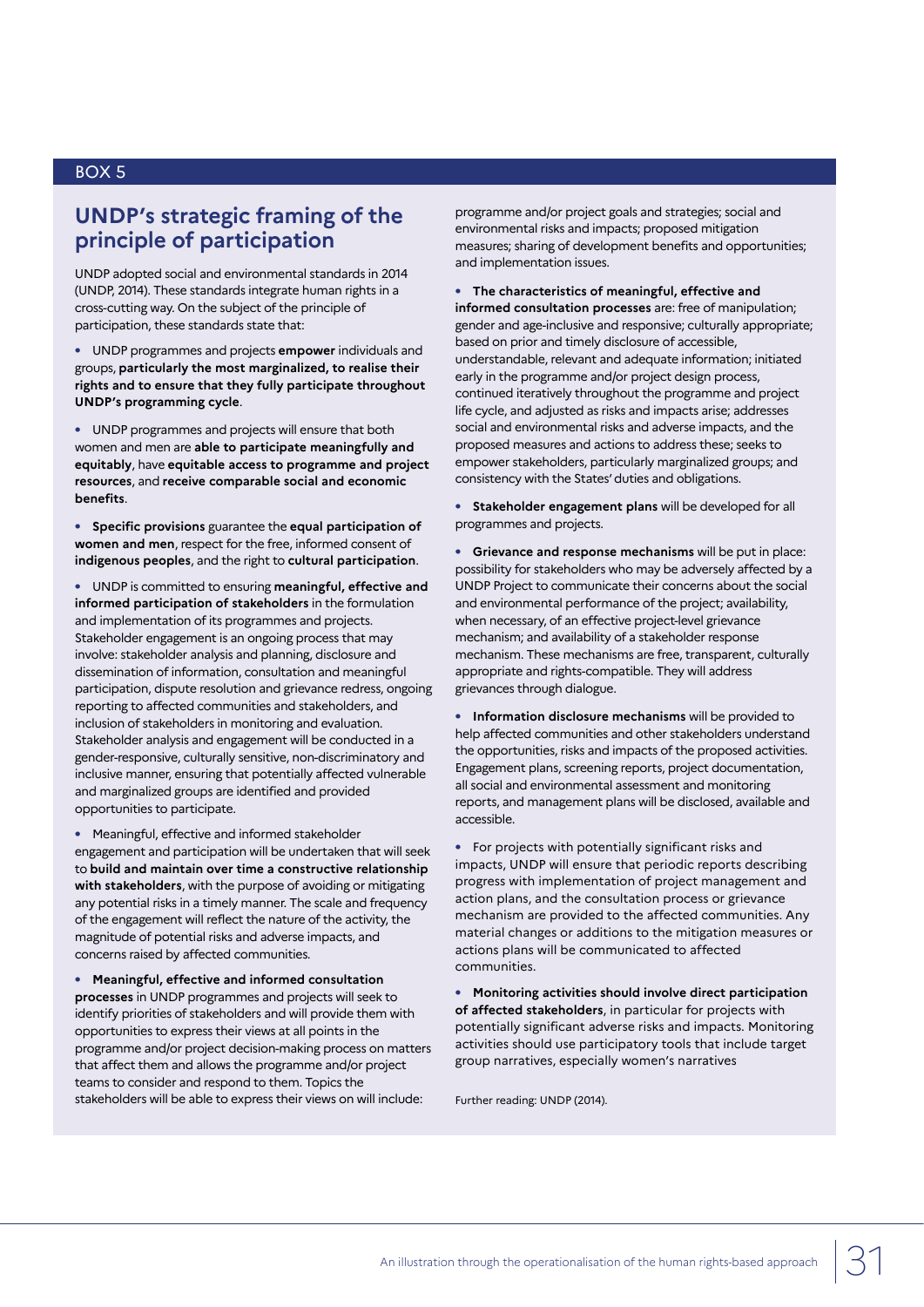# **UNDP's strategic framing of the principle of participation**

UNDP adopted social and environmental standards in 2014 (UNDP, 2014). These standards integrate human rights in a cross-cutting way. On the subject of the principle of participation, these standards state that:

**•** UNDP programmes and projects **empower** individuals and groups, **particularly the most marginalized, to realise their rights and to ensure that they fully participate throughout UNDP's programming cycle**.

**•** UNDP programmes and projects will ensure that both women and men are **able to participate meaningfully and equitably**, have **equitable access to programme and project resources**, and **receive comparable social and economic benefits**.

**• Specific provisions** guarantee the **equal participation of women and men**, respect for the free, informed consent of **indigenous peoples**, and the right to **cultural participation**.

**•** UNDP is committed to ensuring **meaningful, effective and informed participation of stakeholders** in the formulation and implementation of its programmes and projects. Stakeholder engagement is an ongoing process that may involve: stakeholder analysis and planning, disclosure and dissemination of information, consultation and meaningful participation, dispute resolution and grievance redress, ongoing reporting to affected communities and stakeholders, and inclusion of stakeholders in monitoring and evaluation. Stakeholder analysis and engagement will be conducted in a gender-responsive, culturally sensitive, non-discriminatory and inclusive manner, ensuring that potentially affected vulnerable and marginalized groups are identified and provided opportunities to participate.

**•** Meaningful, effective and informed stakeholder engagement and participation will be undertaken that will seek to **build and maintain over time a constructive relationship with stakeholders**, with the purpose of avoiding or mitigating any potential risks in a timely manner. The scale and frequency of the engagement will reflect the nature of the activity, the magnitude of potential risks and adverse impacts, and concerns raised by affected communities.

**• Meaningful, effective and informed consultation processes** in UNDP programmes and projects will seek to identify priorities of stakeholders and will provide them with opportunities to express their views at all points in the programme and/or project decision-making process on matters that affect them and allows the programme and/or project teams to consider and respond to them. Topics the stakeholders will be able to express their views on will include:

programme and/or project goals and strategies; social and environmental risks and impacts; proposed mitigation measures; sharing of development benefits and opportunities; and implementation issues.

**• The characteristics of meaningful, effective and informed consultation processes** are: free of manipulation; gender and age-inclusive and responsive; culturally appropriate; based on prior and timely disclosure of accessible, understandable, relevant and adequate information; initiated early in the programme and/or project design process, continued iteratively throughout the programme and project life cycle, and adjusted as risks and impacts arise; addresses social and environmental risks and adverse impacts, and the proposed measures and actions to address these; seeks to empower stakeholders, particularly marginalized groups; and consistency with the States' duties and obligations.

**• Stakeholder engagement plans** will be developed for all programmes and projects.

**• Grievance and response mechanisms** will be put in place: possibility for stakeholders who may be adversely affected by a UNDP Project to communicate their concerns about the social and environmental performance of the project; availability, when necessary, of an effective project-level grievance mechanism; and availability of a stakeholder response mechanism. These mechanisms are free, transparent, culturally appropriate and rights-compatible. They will address grievances through dialogue.

**• Information disclosure mechanisms** will be provided to help affected communities and other stakeholders understand the opportunities, risks and impacts of the proposed activities. Engagement plans, screening reports, project documentation, all social and environmental assessment and monitoring reports, and management plans will be disclosed, available and accessible.

**•** For projects with potentially significant risks and impacts, UNDP will ensure that periodic reports describing progress with implementation of project management and action plans, and the consultation process or grievance mechanism are provided to the affected communities. Any material changes or additions to the mitigation measures or actions plans will be communicated to affected communities.

**• Monitoring activities should involve direct participation of affected stakeholders**, in particular for projects with potentially significant adverse risks and impacts. Monitoring activities should use participatory tools that include target group narratives, especially women's narratives

Further reading: UNDP (2014).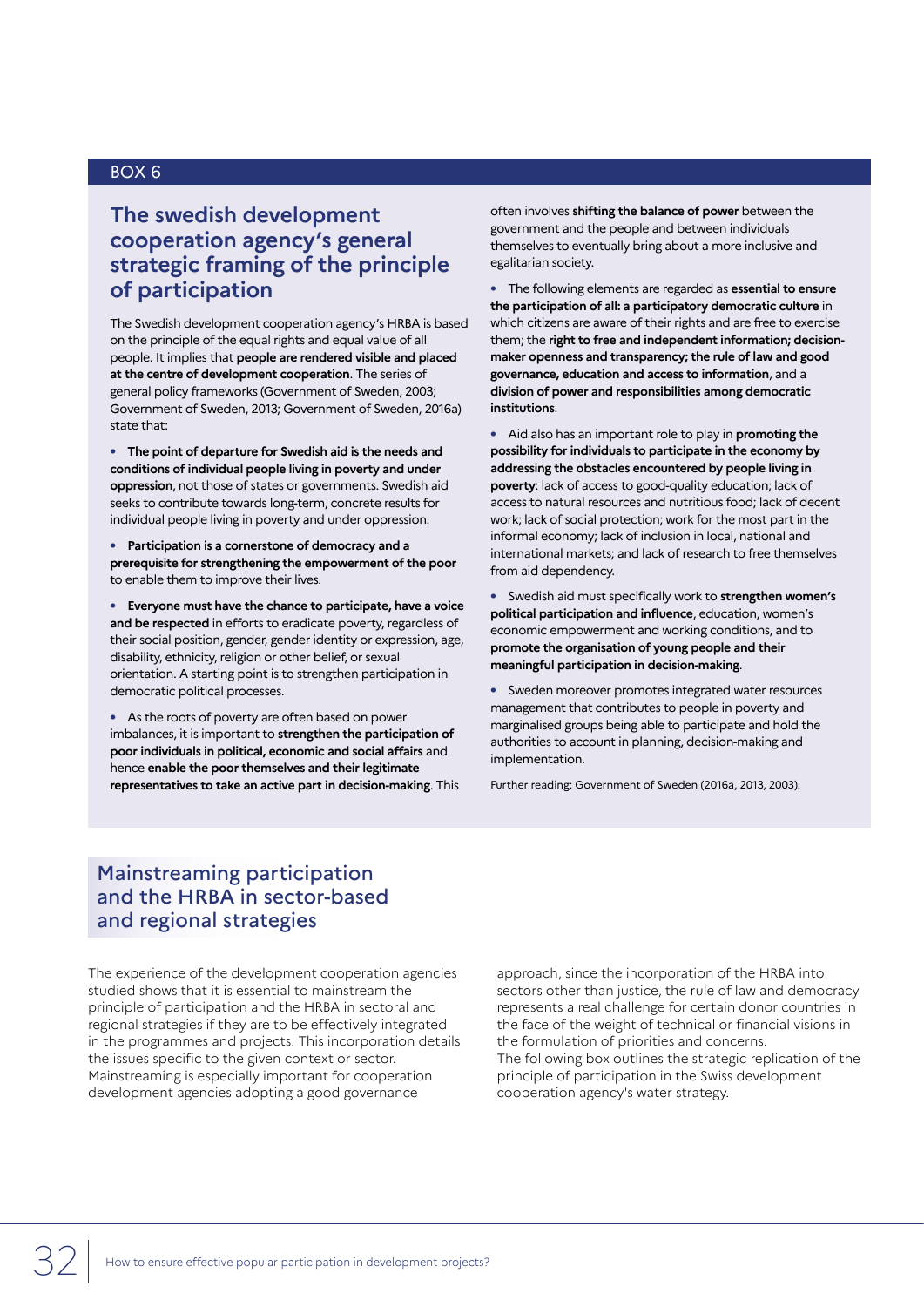## **The swedish development cooperation agency's general strategic framing of the principle of participation**

The Swedish development cooperation agency's HRBA is based on the principle of the equal rights and equal value of all people. It implies that **people are rendered visible and placed at the centre of development cooperation**. The series of general policy frameworks (Government of Sweden, 2003; Government of Sweden, 2013; Government of Sweden, 2016a) state that:

**• The point of departure for Swedish aid is the needs and conditions of individual people living in poverty and under oppression**, not those of states or governments. Swedish aid seeks to contribute towards long-term, concrete results for individual people living in poverty and under oppression.

**• Participation is a cornerstone of democracy and a prerequisite for strengthening the empowerment of the poor** to enable them to improve their lives.

**• Everyone must have the chance to participate, have a voice and be respected** in efforts to eradicate poverty, regardless of their social position, gender, gender identity or expression, age, disability, ethnicity, religion or other belief, or sexual orientation. A starting point is to strengthen participation in democratic political processes.

**•** As the roots of poverty are often based on power imbalances, it is important to **strengthen the participation of poor individuals in political, economic and social affairs** and hence **enable the poor themselves and their legitimate representatives to take an active part in decision-making**. This often involves **shifting the balance of power** between the government and the people and between individuals themselves to eventually bring about a more inclusive and egalitarian society.

**•** The following elements are regarded as **essential to ensure the participation of all: a participatory democratic culture** in which citizens are aware of their rights and are free to exercise them; the **right to free and independent information; decisionmaker openness and transparency; the rule of law and good governance, education and access to information**, and a **division of power and responsibilities among democratic institutions**.

**•** Aid also has an important role to play in **promoting the possibility for individuals to participate in the economy by addressing the obstacles encountered by people living in poverty**: lack of access to good-quality education; lack of access to natural resources and nutritious food; lack of decent work; lack of social protection; work for the most part in the informal economy; lack of inclusion in local, national and international markets; and lack of research to free themselves from aid dependency.

**•** Swedish aid must specifically work to **strengthen women's political participation and influence**, education, women's economic empowerment and working conditions, and to **promote the organisation of young people and their meaningful participation in decision-making**.

**•** Sweden moreover promotes integrated water resources management that contributes to people in poverty and marginalised groups being able to participate and hold the authorities to account in planning, decision-making and implementation.

Further reading: Government of Sweden (2016a, 2013, 2003).

### Mainstreaming participation and the HRBA in sector-based and regional strategies

The experience of the development cooperation agencies studied shows that it is essential to mainstream the principle of participation and the HRBA in sectoral and regional strategies if they are to be effectively integrated in the programmes and projects. This incorporation details the issues specific to the given context or sector. Mainstreaming is especially important for cooperation development agencies adopting a good governance

approach, since the incorporation of the HRBA into sectors other than justice, the rule of law and democracy represents a real challenge for certain donor countries in the face of the weight of technical or financial visions in the formulation of priorities and concerns. The following box outlines the strategic replication of the principle of participation in the Swiss development cooperation agency's water strategy.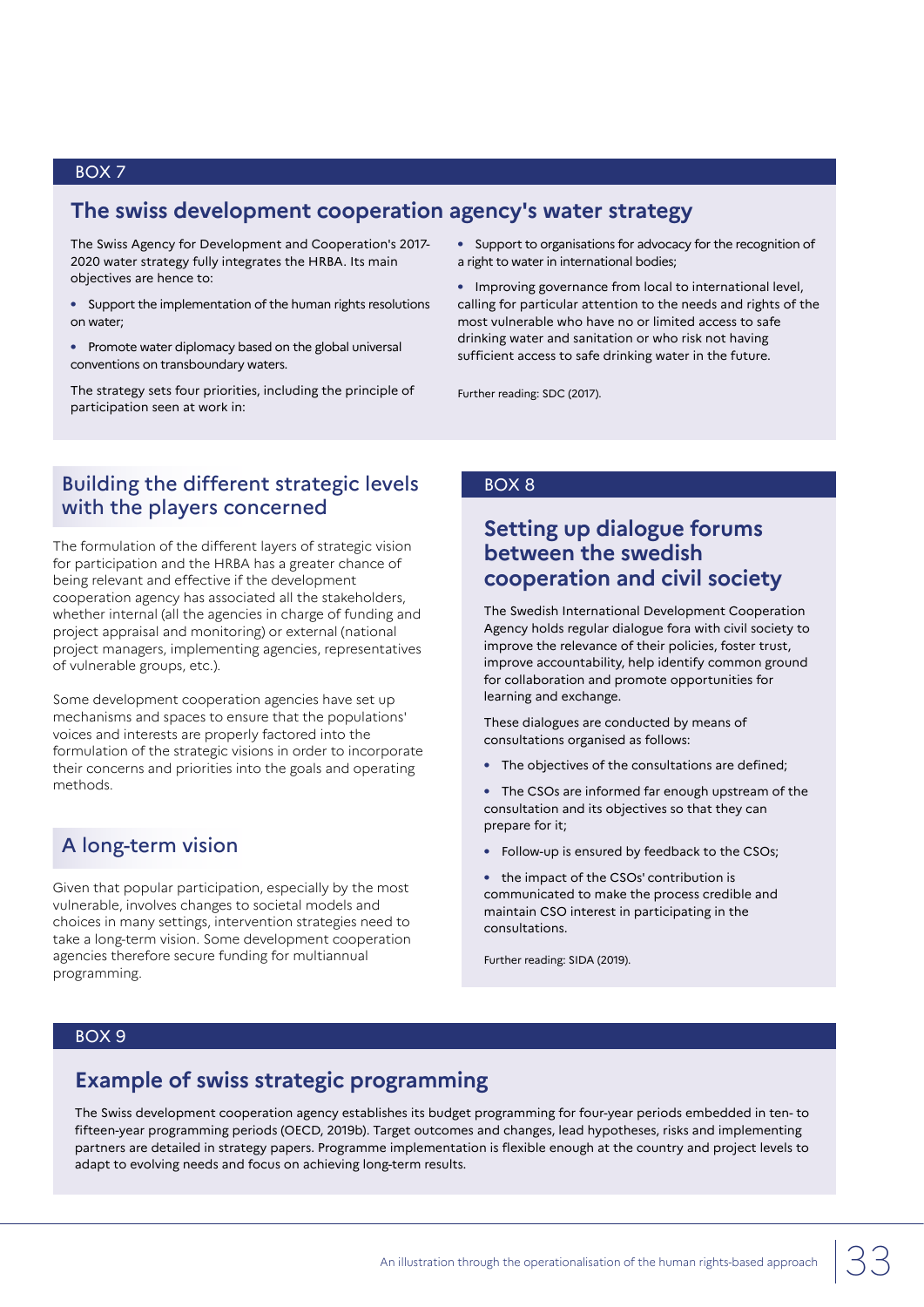## **The swiss development cooperation agency's water strategy**

The Swiss Agency for Development and Cooperation's 2017- 2020 water strategy fully integrates the HRBA. Its main objectives are hence to:

- **•** Support the implementation of the human rights resolutions on water;
- **•** Promote water diplomacy based on the global universal conventions on transboundary waters.

The strategy sets four priorities, including the principle of participation seen at work in:

**•** Support to organisations for advocacy for the recognition of a right to water in international bodies;

**•** Improving governance from local to international level, calling for particular attention to the needs and rights of the most vulnerable who have no or limited access to safe drinking water and sanitation or who risk not having sufficient access to safe drinking water in the future.

Further reading: SDC (2017).

## Building the different strategic levels with the players concerned

The formulation of the different layers of strategic vision for participation and the HRBA has a greater chance of being relevant and effective if the development cooperation agency has associated all the stakeholders, whether internal (all the agencies in charge of funding and project appraisal and monitoring) or external (national project managers, implementing agencies, representatives of vulnerable groups, etc.).

Some development cooperation agencies have set up mechanisms and spaces to ensure that the populations' voices and interests are properly factored into the formulation of the strategic visions in order to incorporate their concerns and priorities into the goals and operating methods.

## A long-term vision

Given that popular participation, especially by the most vulnerable, involves changes to societal models and choices in many settings, intervention strategies need to take a long-term vision. Some development cooperation agencies therefore secure funding for multiannual programming.

#### BOX 8

# **Setting up dialogue forums between the swedish cooperation and civil society**

The Swedish International Development Cooperation Agency holds regular dialogue fora with civil society to improve the relevance of their policies, foster trust, improve accountability, help identify common ground for collaboration and promote opportunities for learning and exchange.

These dialogues are conducted by means of consultations organised as follows:

**•** The objectives of the consultations are defined;

**•** The CSOs are informed far enough upstream of the consultation and its objectives so that they can prepare for it;

- **•** Follow-up is ensured by feedback to the CSOs;
- **•** the impact of the CSOs' contribution is communicated to make the process credible and maintain CSO interest in participating in the consultations.

Further reading: SIDA (2019).

#### BOX 9

# **Example of swiss strategic programming**

The Swiss development cooperation agency establishes its budget programming for four-year periods embedded in ten- to fifteen-year programming periods (OECD, 2019b). Target outcomes and changes, lead hypotheses, risks and implementing partners are detailed in strategy papers. Programme implementation is flexible enough at the country and project levels to adapt to evolving needs and focus on achieving long-term results.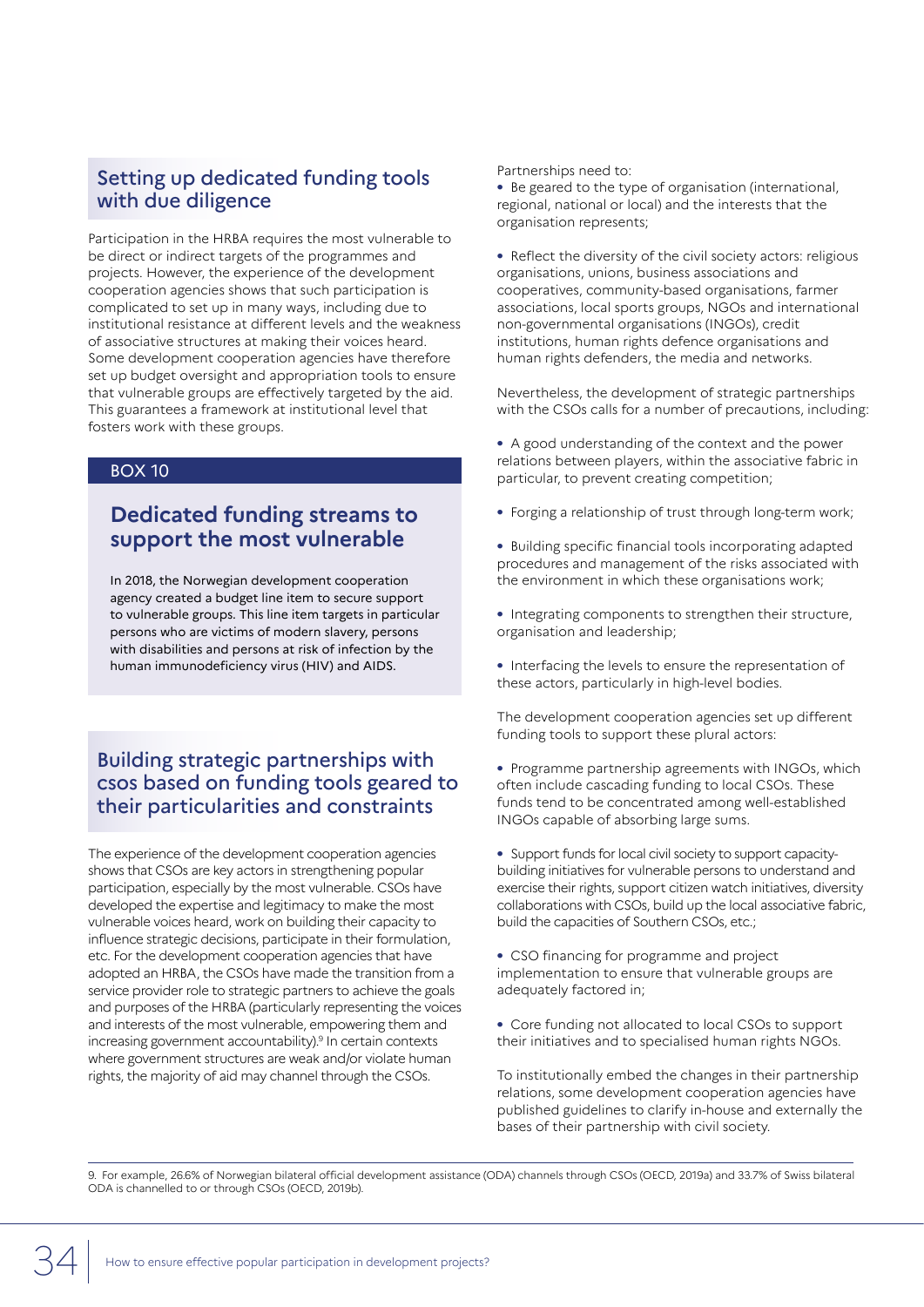## Setting up dedicated funding tools with due diligence

Participation in the HRBA requires the most vulnerable to be direct or indirect targets of the programmes and projects. However, the experience of the development cooperation agencies shows that such participation is complicated to set up in many ways, including due to institutional resistance at different levels and the weakness of associative structures at making their voices heard. Some development cooperation agencies have therefore set up budget oversight and appropriation tools to ensure that vulnerable groups are effectively targeted by the aid. This guarantees a framework at institutional level that fosters work with these groups.

#### BOX 10

# **Dedicated funding streams to support the most vulnerable**

In 2018, the Norwegian development cooperation agency created a budget line item to secure support to vulnerable groups. This line item targets in particular persons who are victims of modern slavery, persons with disabilities and persons at risk of infection by the human immunodeficiency virus (HIV) and AIDS.

## Building strategic partnerships with csos based on funding tools geared to their particularities and constraints

The experience of the development cooperation agencies shows that CSOs are key actors in strengthening popular participation, especially by the most vulnerable. CSOs have developed the expertise and legitimacy to make the most vulnerable voices heard, work on building their capacity to influence strategic decisions, participate in their formulation, etc. For the development cooperation agencies that have adopted an HRBA, the CSOs have made the transition from a service provider role to strategic partners to achieve the goals and purposes of the HRBA (particularly representing the voices and interests of the most vulnerable, empowering them and increasing government accountability).9 In certain contexts where government structures are weak and/or violate human rights, the majority of aid may channel through the CSOs.

#### Partnerships need to:

**•** Be geared to the type of organisation (international, regional, national or local) and the interests that the organisation represents;

**•** Reflect the diversity of the civil society actors: religious organisations, unions, business associations and cooperatives, community-based organisations, farmer associations, local sports groups, NGOs and international non-governmental organisations (INGOs), credit institutions, human rights defence organisations and human rights defenders, the media and networks.

Nevertheless, the development of strategic partnerships with the CSOs calls for a number of precautions, including:

**•** A good understanding of the context and the power relations between players, within the associative fabric in particular, to prevent creating competition;

- **•** Forging a relationship of trust through long-term work;
- **•** Building specific financial tools incorporating adapted procedures and management of the risks associated with the environment in which these organisations work;
- **•** Integrating components to strengthen their structure, organisation and leadership;
- **•** Interfacing the levels to ensure the representation of these actors, particularly in high-level bodies.

The development cooperation agencies set up different funding tools to support these plural actors:

- **•** Programme partnership agreements with INGOs, which often include cascading funding to local CSOs. These funds tend to be concentrated among well-established INGOs capable of absorbing large sums.
- **•** Support funds for local civil society to support capacitybuilding initiatives for vulnerable persons to understand and exercise their rights, support citizen watch initiatives, diversity collaborations with CSOs, build up the local associative fabric, build the capacities of Southern CSOs, etc.;
- **•** CSO financing for programme and project implementation to ensure that vulnerable groups are adequately factored in;
- **•** Core funding not allocated to local CSOs to support their initiatives and to specialised human rights NGOs.

To institutionally embed the changes in their partnership relations, some development cooperation agencies have published guidelines to clarify in-house and externally the bases of their partnership with civil society.

9. For example, 26.6% of Norwegian bilateral official development assistance (ODA) channels through CSOs (OECD, 2019a) and 33.7% of Swiss bilateral ODA is channelled to or through CSOs (OECD, 2019b).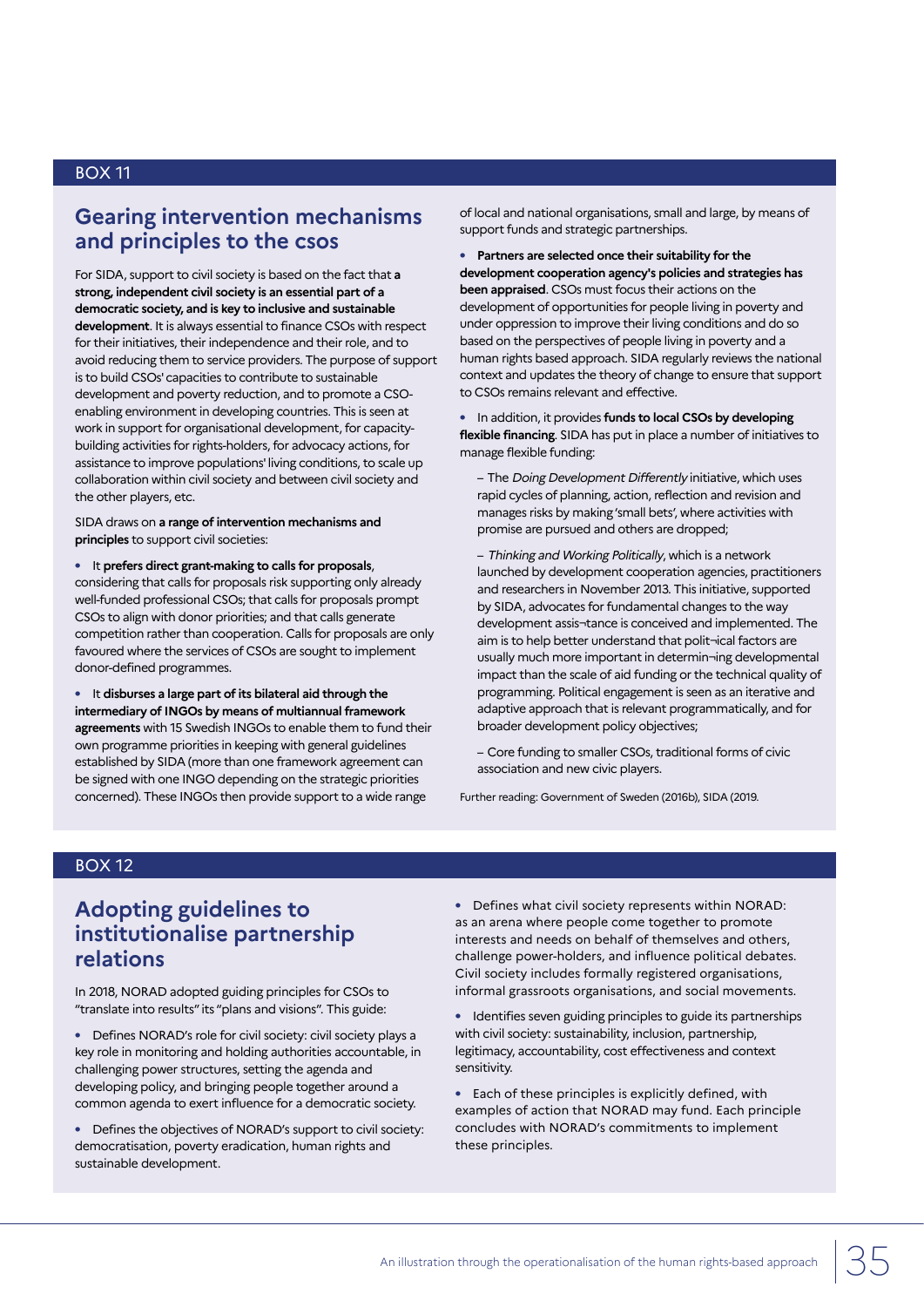## **Gearing intervention mechanisms and principles to the csos**

For SIDA, support to civil society is based on the fact that **a strong, independent civil society is an essential part of a democratic society, and is key to inclusive and sustainable development**. It is always essential to finance CSOs with respect for their initiatives, their independence and their role, and to avoid reducing them to service providers. The purpose of support is to build CSOs' capacities to contribute to sustainable development and poverty reduction, and to promote a CSOenabling environment in developing countries. This is seen at work in support for organisational development, for capacitybuilding activities for rights-holders, for advocacy actions, for assistance to improve populations' living conditions, to scale up collaboration within civil society and between civil society and the other players, etc.

SIDA draws on **a range of intervention mechanisms and principles** to support civil societies:

**•** It **prefers direct grant-making to calls for proposals**, considering that calls for proposals risk supporting only already well-funded professional CSOs; that calls for proposals prompt CSOs to align with donor priorities; and that calls generate competition rather than cooperation. Calls for proposals are only favoured where the services of CSOs are sought to implement donor-defined programmes.

**•** It **disburses a large part of its bilateral aid through the intermediary of INGOs by means of multiannual framework agreements** with 15 Swedish INGOs to enable them to fund their own programme priorities in keeping with general guidelines established by SIDA (more than one framework agreement can be signed with one INGO depending on the strategic priorities concerned). These INGOs then provide support to a wide range

of local and national organisations, small and large, by means of support funds and strategic partnerships.

**• Partners are selected once their suitability for the development cooperation agency's policies and strategies has been appraised**. CSOs must focus their actions on the development of opportunities for people living in poverty and under oppression to improve their living conditions and do so based on the perspectives of people living in poverty and a human rights based approach. SIDA regularly reviews the national context and updates the theory of change to ensure that support to CSOs remains relevant and effective.

**•** In addition, it provides **funds to local CSOs by developing flexible financing**. SIDA has put in place a number of initiatives to manage flexible funding:

- The Doing Development Differently initiative, which uses rapid cycles of planning, action, reflection and revision and manages risks by making 'small bets', where activities with promise are pursued and others are dropped;

– Thinking and Working Politically, which is a network launched by development cooperation agencies, practitioners and researchers in November 2013. This initiative, supported by SIDA, advocates for fundamental changes to the way development assis¬tance is conceived and implemented. The aim is to help better understand that polit¬ical factors are usually much more important in determin¬ing developmental impact than the scale of aid funding or the technical quality of programming. Political engagement is seen as an iterative and adaptive approach that is relevant programmatically, and for broader development policy objectives;

– Core funding to smaller CSOs, traditional forms of civic association and new civic players.

Further reading: Government of Sweden (2016b), SIDA (2019.

#### BOX 12

# **Adopting guidelines to institutionalise partnership relations**

In 2018, NORAD adopted guiding principles for CSOs to "translate into results" its "plans and visions". This guide:

**•** Defines NORAD's role for civil society: civil society plays a key role in monitoring and holding authorities accountable, in challenging power structures, setting the agenda and developing policy, and bringing people together around a common agenda to exert influence for a democratic society.

**•** Defines the objectives of NORAD's support to civil society: democratisation, poverty eradication, human rights and sustainable development.

**•** Defines what civil society represents within NORAD: as an arena where people come together to promote interests and needs on behalf of themselves and others, challenge power-holders, and influence political debates. Civil society includes formally registered organisations, informal grassroots organisations, and social movements.

**•** Identifies seven guiding principles to guide its partnerships with civil society: sustainability, inclusion, partnership, legitimacy, accountability, cost effectiveness and context sensitivity.

**•** Each of these principles is explicitly defined, with examples of action that NORAD may fund. Each principle concludes with NORAD's commitments to implement these principles.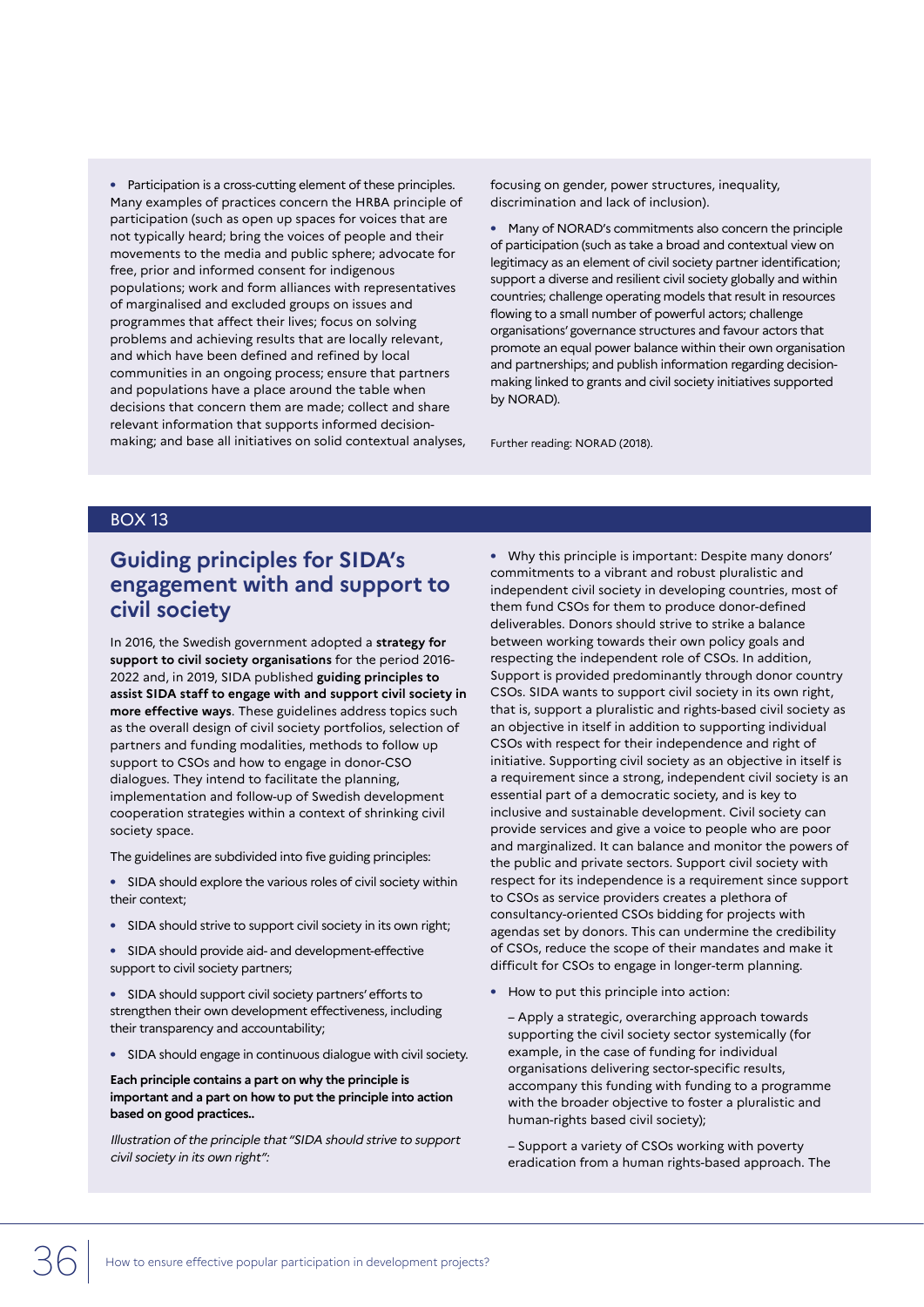**•** Participation is a cross-cutting element of these principles. Many examples of practices concern the HRBA principle of participation (such as open up spaces for voices that are not typically heard; bring the voices of people and their movements to the media and public sphere; advocate for free, prior and informed consent for indigenous populations; work and form alliances with representatives of marginalised and excluded groups on issues and programmes that affect their lives; focus on solving problems and achieving results that are locally relevant, and which have been defined and refined by local communities in an ongoing process; ensure that partners and populations have a place around the table when decisions that concern them are made; collect and share relevant information that supports informed decisionmaking; and base all initiatives on solid contextual analyses, focusing on gender, power structures, inequality, discrimination and lack of inclusion).

**•** Many of NORAD's commitments also concern the principle of participation (such as take a broad and contextual view on legitimacy as an element of civil society partner identification; support a diverse and resilient civil society globally and within countries; challenge operating models that result in resources flowing to a small number of powerful actors; challenge organisations' governance structures and favour actors that promote an equal power balance within their own organisation and partnerships; and publish information regarding decisionmaking linked to grants and civil society initiatives supported by NORAD).

Further reading: NORAD (2018).

#### BOX 13

# **Guiding principles for SIDA's engagement with and support to civil society**

In 2016, the Swedish government adopted a **strategy for support to civil society organisations** for the period 2016- 2022 and, in 2019, SIDA published **guiding principles to assist SIDA staff to engage with and support civil society in more effective ways**. These guidelines address topics such as the overall design of civil society portfolios, selection of partners and funding modalities, methods to follow up support to CSOs and how to engage in donor-CSO dialogues. They intend to facilitate the planning, implementation and follow-up of Swedish development cooperation strategies within a context of shrinking civil society space.

The guidelines are subdivided into five guiding principles:

- **•** SIDA should explore the various roles of civil society within their context;
- **•** SIDA should strive to support civil society in its own right;
- **•** SIDA should provide aid- and development-effective support to civil society partners;

**•** SIDA should support civil society partners' efforts to strengthen their own development effectiveness, including their transparency and accountability;

**•** SIDA should engage in continuous dialogue with civil society.

#### **Each principle contains a part on why the principle is important and a part on how to put the principle into action based on good practices..**

Illustration of the principle that "SIDA should strive to support civil society in its own right":

**•** Why this principle is important: Despite many donors' commitments to a vibrant and robust pluralistic and independent civil society in developing countries, most of them fund CSOs for them to produce donor-defined deliverables. Donors should strive to strike a balance between working towards their own policy goals and respecting the independent role of CSOs. In addition, Support is provided predominantly through donor country CSOs. SIDA wants to support civil society in its own right, that is, support a pluralistic and rights-based civil society as an objective in itself in addition to supporting individual CSOs with respect for their independence and right of initiative. Supporting civil society as an objective in itself is a requirement since a strong, independent civil society is an essential part of a democratic society, and is key to inclusive and sustainable development. Civil society can provide services and give a voice to people who are poor and marginalized. It can balance and monitor the powers of the public and private sectors. Support civil society with respect for its independence is a requirement since support to CSOs as service providers creates a plethora of consultancy-oriented CSOs bidding for projects with agendas set by donors. This can undermine the credibility of CSOs, reduce the scope of their mandates and make it difficult for CSOs to engage in longer-term planning.

**•** How to put this principle into action:

– Apply a strategic, overarching approach towards supporting the civil society sector systemically (for example, in the case of funding for individual organisations delivering sector-specific results, accompany this funding with funding to a programme with the broader objective to foster a pluralistic and human-rights based civil society);

– Support a variety of CSOs working with poverty eradication from a human rights-based approach. The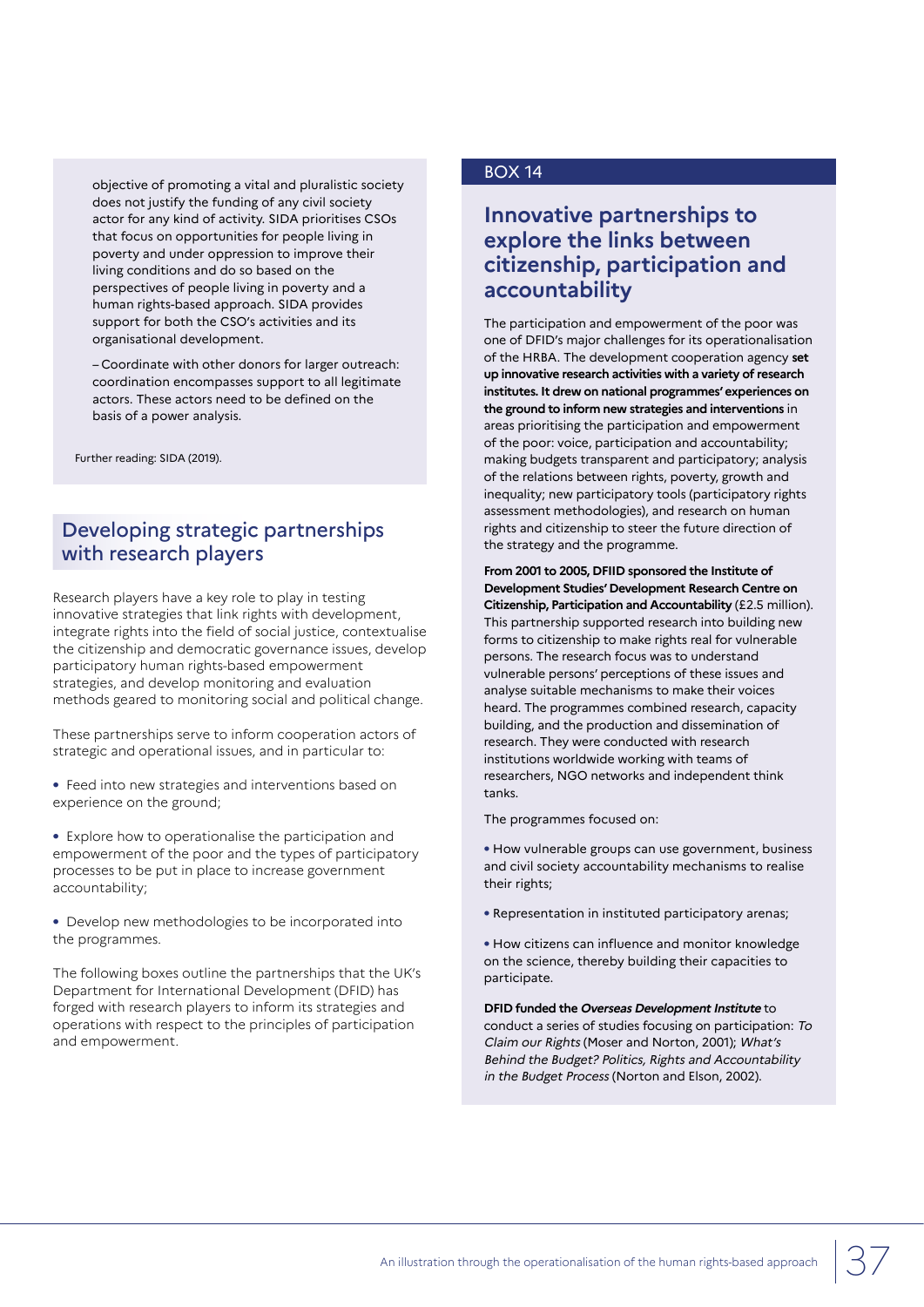objective of promoting a vital and pluralistic society does not justify the funding of any civil society actor for any kind of activity. SIDA prioritises CSOs that focus on opportunities for people living in poverty and under oppression to improve their living conditions and do so based on the perspectives of people living in poverty and a human rights-based approach. SIDA provides support for both the CSO's activities and its organisational development.

– Coordinate with other donors for larger outreach: coordination encompasses support to all legitimate actors. These actors need to be defined on the basis of a power analysis.

Further reading: SIDA (2019).

## Developing strategic partnerships with research players

Research players have a key role to play in testing innovative strategies that link rights with development, integrate rights into the field of social justice, contextualise the citizenship and democratic governance issues, develop participatory human rights-based empowerment strategies, and develop monitoring and evaluation methods geared to monitoring social and political change.

These partnerships serve to inform cooperation actors of strategic and operational issues, and in particular to:

**•** Feed into new strategies and interventions based on experience on the ground;

**•** Explore how to operationalise the participation and empowerment of the poor and the types of participatory processes to be put in place to increase government accountability;

**•** Develop new methodologies to be incorporated into the programmes.

The following boxes outline the partnerships that the UK's Department for International Development (DFID) has forged with research players to inform its strategies and operations with respect to the principles of participation and empowerment.

### BOX 14

## **Innovative partnerships to explore the links between citizenship, participation and accountability**

The participation and empowerment of the poor was one of DFID's major challenges for its operationalisation of the HRBA. The development cooperation agency **set up innovative research activities with a variety of research institutes. It drew on national programmes' experiences on the ground to inform new strategies and interventions** in areas prioritising the participation and empowerment of the poor: voice, participation and accountability; making budgets transparent and participatory; analysis of the relations between rights, poverty, growth and inequality; new participatory tools (participatory rights assessment methodologies), and research on human rights and citizenship to steer the future direction of the strategy and the programme.

**From 2001 to 2005, DFIID sponsored the Institute of Development Studies' Development Research Centre on Citizenship, Participation and Accountability** (£2.5 million). This partnership supported research into building new forms to citizenship to make rights real for vulnerable persons. The research focus was to understand vulnerable persons' perceptions of these issues and analyse suitable mechanisms to make their voices heard. The programmes combined research, capacity building, and the production and dissemination of research. They were conducted with research institutions worldwide working with teams of researchers, NGO networks and independent think tanks.

The programmes focused on:

**•** How vulnerable groups can use government, business and civil society accountability mechanisms to realise their rights;

- **•** Representation in instituted participatory arenas;
- **•** How citizens can influence and monitor knowledge on the science, thereby building their capacities to participate.

**DFID funded the Overseas Development Institute** to conduct a series of studies focusing on participation: To Claim our Rights (Moser and Norton, 2001); What's Behind the Budget? Politics, Rights and Accountability in the Budget Process (Norton and Elson, 2002).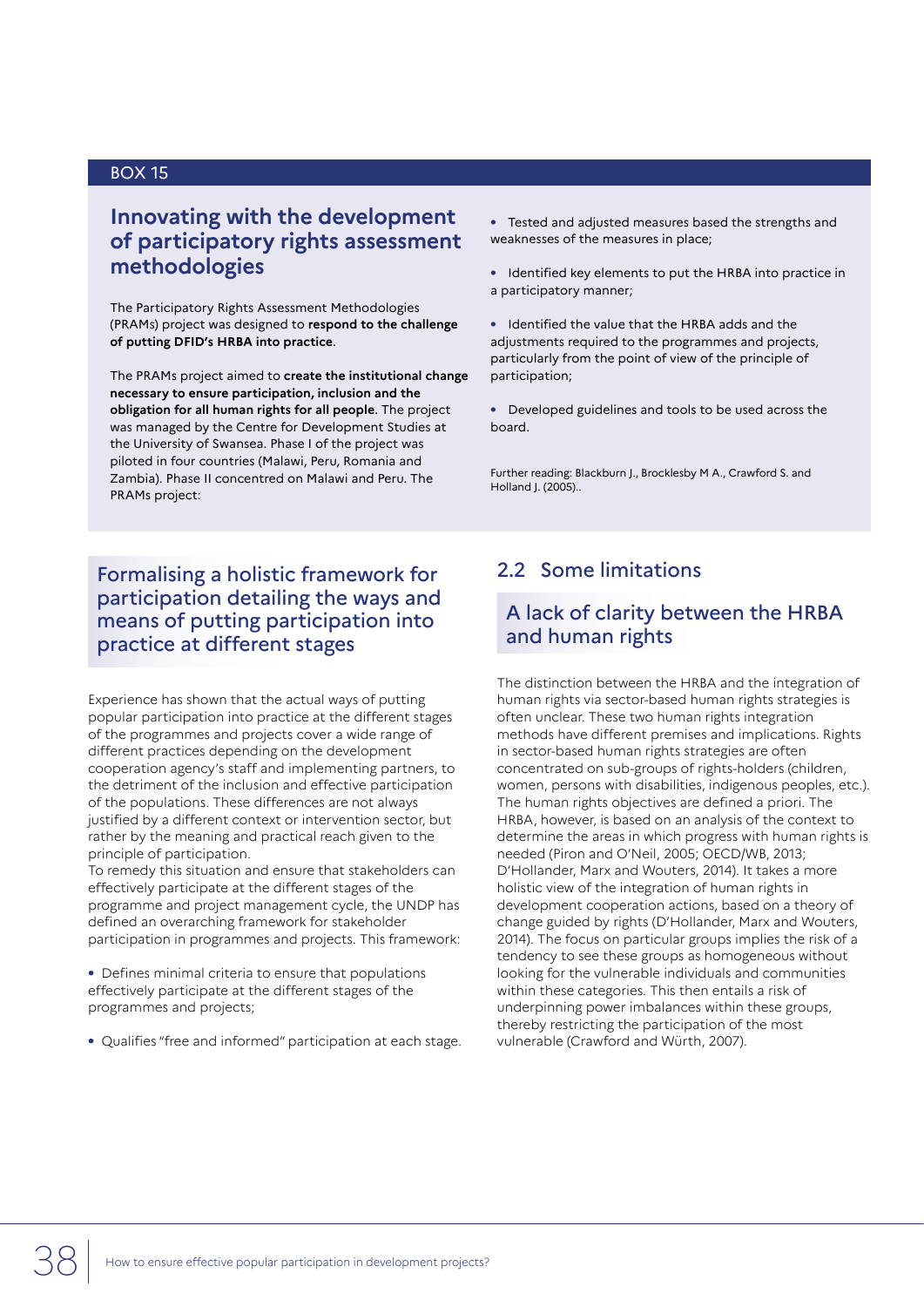## **Innovating with the development of participatory rights assessment methodologies**

The Participatory Rights Assessment Methodologies (PRAMs) project was designed to **respond to the challenge of putting DFID's HRBA into practice**.

The PRAMs project aimed to **create the institutional change necessary to ensure participation, inclusion and the obligation for all human rights for all people**. The project was managed by the Centre for Development Studies at the University of Swansea. Phase I of the project was piloted in four countries (Malawi, Peru, Romania and Zambia). Phase II concentred on Malawi and Peru. The PRAMs project:

## Formalising a holistic framework for participation detailing the ways and means of putting participation into practice at different stages

Experience has shown that the actual ways of putting popular participation into practice at the different stages of the programmes and projects cover a wide range of different practices depending on the development cooperation agency's staff and implementing partners, to the detriment of the inclusion and effective participation of the populations. These differences are not always justified by a different context or intervention sector, but rather by the meaning and practical reach given to the principle of participation.

To remedy this situation and ensure that stakeholders can effectively participate at the different stages of the programme and project management cycle, the UNDP has defined an overarching framework for stakeholder participation in programmes and projects. This framework:

**•** Defines minimal criteria to ensure that populations effectively participate at the different stages of the programmes and projects;

**•** Qualifies "free and informed" participation at each stage.

- **•** Tested and adjusted measures based the strengths and weaknesses of the measures in place;
- **•** Identified key elements to put the HRBA into practice in a participatory manner;

**•** Identified the value that the HRBA adds and the adjustments required to the programmes and projects, particularly from the point of view of the principle of participation;

**•** Developed guidelines and tools to be used across the board.

Further reading: Blackburn J., Brocklesby M A., Crawford S. and Holland J. (2005)..

## 2.2 Some limitations

## A lack of clarity between the HRBA and human rights

The distinction between the HRBA and the integration of human rights via sector-based human rights strategies is often unclear. These two human rights integration methods have different premises and implications. Rights in sector-based human rights strategies are often concentrated on sub-groups of rights-holders (children, women, persons with disabilities, indigenous peoples, etc.). The human rights objectives are defined a priori. The HRBA, however, is based on an analysis of the context to determine the areas in which progress with human rights is needed (Piron and O'Neil, 2005; OECD/WB, 2013; D'Hollander, Marx and Wouters, 2014). It takes a more holistic view of the integration of human rights in development cooperation actions, based on a theory of change guided by rights (D'Hollander, Marx and Wouters, 2014). The focus on particular groups implies the risk of a tendency to see these groups as homogeneous without looking for the vulnerable individuals and communities within these categories. This then entails a risk of underpinning power imbalances within these groups, thereby restricting the participation of the most vulnerable (Crawford and Würth, 2007).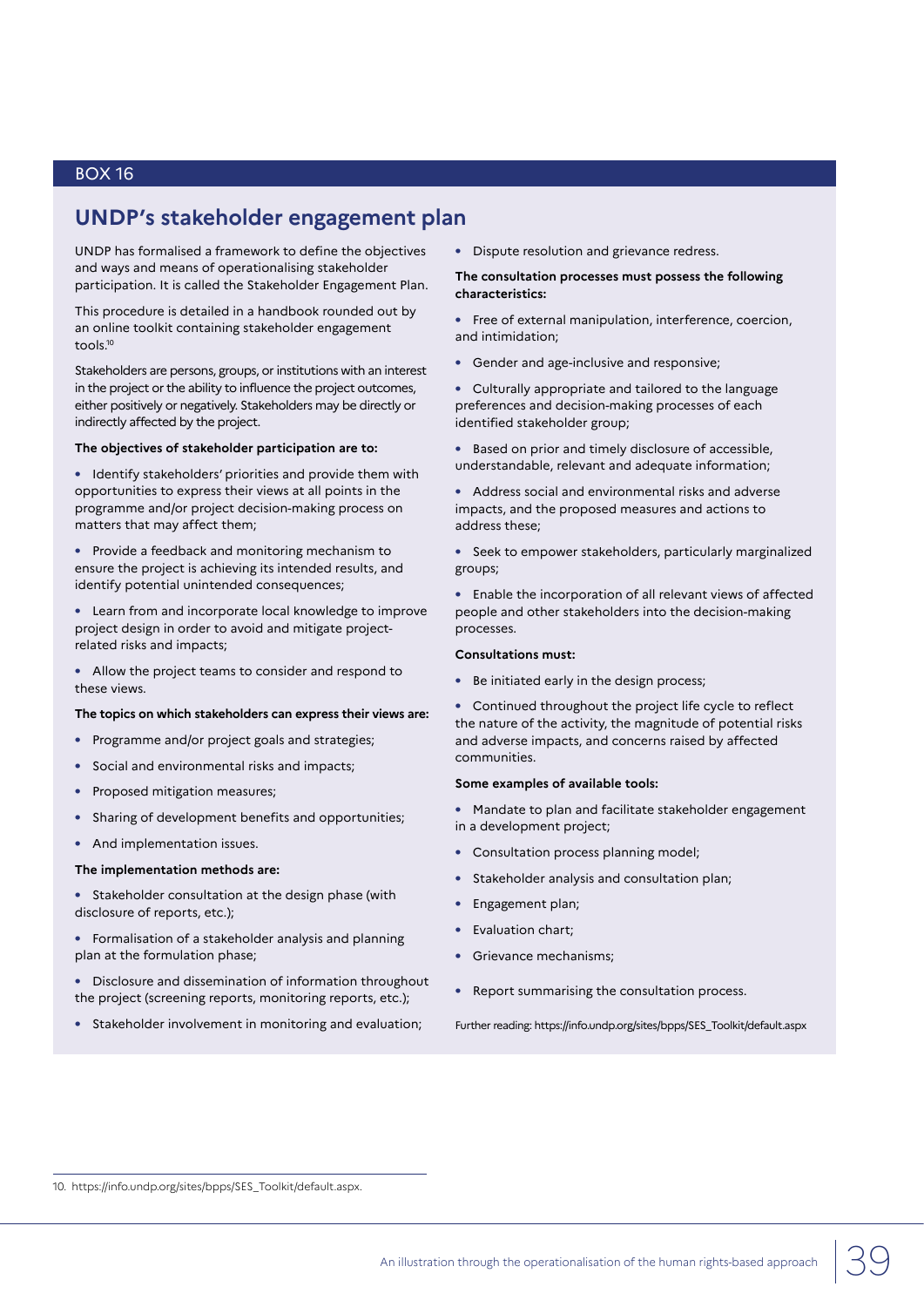## **UNDP's stakeholder engagement plan**

UNDP has formalised a framework to define the objectives and ways and means of operationalising stakeholder participation. It is called the Stakeholder Engagement Plan.

This procedure is detailed in a handbook rounded out by an online toolkit containing stakeholder engagement tools.10

Stakeholders are persons, groups, or institutions with an interest in the project or the ability to influence the project outcomes, either positively or negatively. Stakeholders may be directly or indirectly affected by the project.

#### **The objectives of stakeholder participation are to:**

**•** Identify stakeholders' priorities and provide them with opportunities to express their views at all points in the programme and/or project decision-making process on matters that may affect them;

**•** Provide a feedback and monitoring mechanism to ensure the project is achieving its intended results, and identify potential unintended consequences;

**•** Learn from and incorporate local knowledge to improve project design in order to avoid and mitigate projectrelated risks and impacts;

**•** Allow the project teams to consider and respond to these views.

#### **The topics on which stakeholders can express their views are:**

- **•** Programme and/or project goals and strategies;
- **•** Social and environmental risks and impacts;
- **•** Proposed mitigation measures;
- **•** Sharing of development benefits and opportunities;
- **•** And implementation issues.

#### **The implementation methods are:**

**•** Stakeholder consultation at the design phase (with disclosure of reports, etc.);

**•** Formalisation of a stakeholder analysis and planning plan at the formulation phase;

**•** Disclosure and dissemination of information throughout the project (screening reports, monitoring reports, etc.);

**•** Stakeholder involvement in monitoring and evaluation;

**•** Dispute resolution and grievance redress.

#### **The consultation processes must possess the following characteristics:**

- **•** Free of external manipulation, interference, coercion, and intimidation;
- **•** Gender and age-inclusive and responsive;

**•** Culturally appropriate and tailored to the language preferences and decision-making processes of each identified stakeholder group;

**•** Based on prior and timely disclosure of accessible, understandable, relevant and adequate information;

**•** Address social and environmental risks and adverse impacts, and the proposed measures and actions to address these;

**•** Seek to empower stakeholders, particularly marginalized groups;

**•** Enable the incorporation of all relevant views of affected people and other stakeholders into the decision-making processes.

#### **Consultations must:**

**•** Be initiated early in the design process;

**•** Continued throughout the project life cycle to reflect the nature of the activity, the magnitude of potential risks and adverse impacts, and concerns raised by affected communities.

#### **Some examples of available tools:**

- **•** Mandate to plan and facilitate stakeholder engagement in a development project;
- **•** Consultation process planning model;
- **•** Stakeholder analysis and consultation plan;
- **•** Engagement plan;
- **•** Evaluation chart;
- **•** Grievance mechanisms;
- **•** Report summarising the consultation process.

Further reading: https://info.undp.org/sites/bpps/SES\_Toolkit/default.aspx

10. https://info.undp.org/sites/bpps/SES\_Toolkit/default.aspx.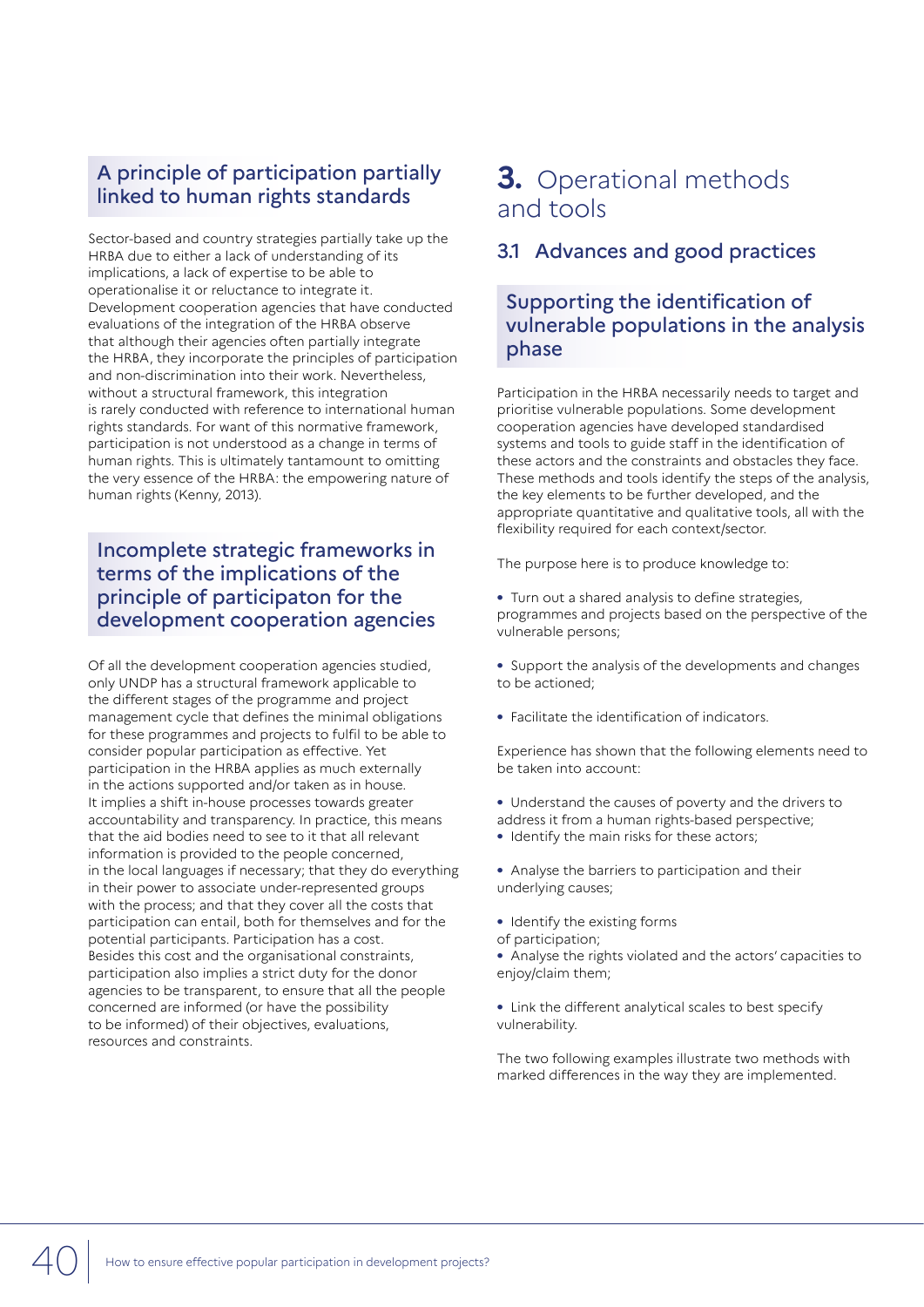## A principle of participation partially linked to human rights standards

Sector-based and country strategies partially take up the HRBA due to either a lack of understanding of its implications, a lack of expertise to be able to operationalise it or reluctance to integrate it. Development cooperation agencies that have conducted evaluations of the integration of the HRBA observe that although their agencies often partially integrate the HRBA, they incorporate the principles of participation and non-discrimination into their work. Nevertheless, without a structural framework, this integration is rarely conducted with reference to international human rights standards. For want of this normative framework, participation is not understood as a change in terms of human rights. This is ultimately tantamount to omitting the very essence of the HRBA: the empowering nature of human rights (Kenny, 2013).

## Incomplete strategic frameworks in terms of the implications of the principle of participaton for the development cooperation agencies

Of all the development cooperation agencies studied, only UNDP has a structural framework applicable to the different stages of the programme and project management cycle that defines the minimal obligations for these programmes and projects to fulfil to be able to consider popular participation as effective. Yet participation in the HRBA applies as much externally in the actions supported and/or taken as in house. It implies a shift in-house processes towards greater accountability and transparency. In practice, this means that the aid bodies need to see to it that all relevant information is provided to the people concerned, in the local languages if necessary; that they do everything in their power to associate under-represented groups with the process; and that they cover all the costs that participation can entail, both for themselves and for the potential participants. Participation has a cost. Besides this cost and the organisational constraints, participation also implies a strict duty for the donor agencies to be transparent, to ensure that all the people concerned are informed (or have the possibility to be informed) of their objectives, evaluations, resources and constraints.

## **3.** Operational methods and tools

## 3.1 Advances and good practices

## Supporting the identification of vulnerable populations in the analysis phase

Participation in the HRBA necessarily needs to target and prioritise vulnerable populations. Some development cooperation agencies have developed standardised systems and tools to guide staff in the identification of these actors and the constraints and obstacles they face. These methods and tools identify the steps of the analysis, the key elements to be further developed, and the appropriate quantitative and qualitative tools, all with the flexibility required for each context/sector.

The purpose here is to produce knowledge to:

- **•** Turn out a shared analysis to define strategies, programmes and projects based on the perspective of the vulnerable persons;
- **•** Support the analysis of the developments and changes to be actioned;
- **•** Facilitate the identification of indicators.

Experience has shown that the following elements need to be taken into account:

- **•** Understand the causes of poverty and the drivers to
- address it from a human rights-based perspective;
- **•** Identify the main risks for these actors;
- **•** Analyse the barriers to participation and their underlying causes;
- **•** Identify the existing forms
- of participation;
- **•** Analyse the rights violated and the actors' capacities to enjoy/claim them;
- **•** Link the different analytical scales to best specify vulnerability.

The two following examples illustrate two methods with marked differences in the way they are implemented.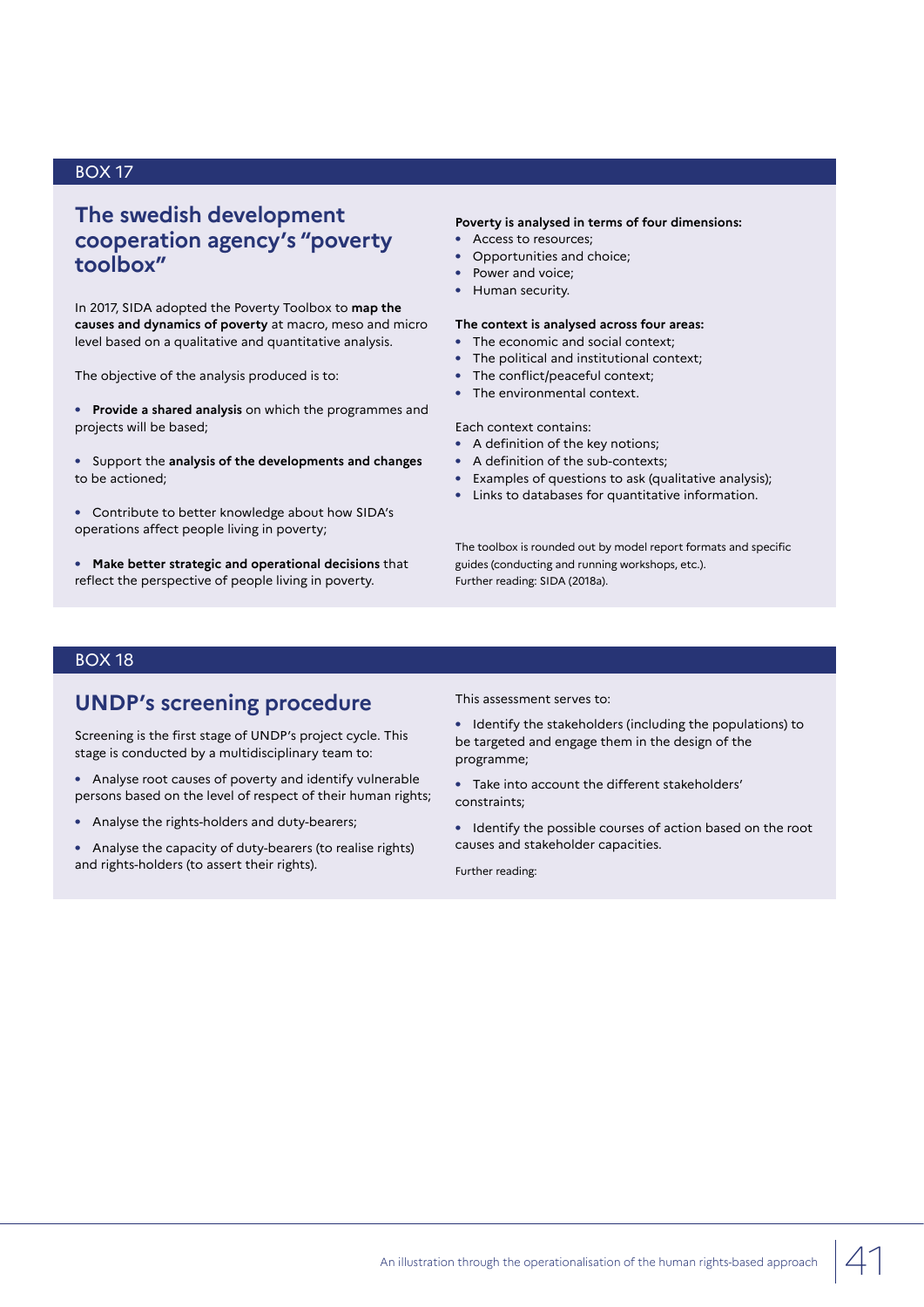## **The swedish development cooperation agency's "poverty toolbox"**

In 2017, SIDA adopted the Poverty Toolbox to **map the causes and dynamics of poverty** at macro, meso and micro level based on a qualitative and quantitative analysis.

The objective of the analysis produced is to:

**• Provide a shared analysis** on which the programmes and projects will be based;

**•** Support the **analysis of the developments and changes** to be actioned;

**•** Contribute to better knowledge about how SIDA's operations affect people living in poverty;

**• Make better strategic and operational decisions** that reflect the perspective of people living in poverty.

#### **Poverty is analysed in terms of four dimensions:**

- **•** Access to resources;
- **•** Opportunities and choice; **•** Power and voice;
- **•** Human security.
- 

#### **The context is analysed across four areas:**

- **•** The economic and social context;
- **•** The political and institutional context;
- **•** The conflict/peaceful context;
- **•** The environmental context.

#### Each context contains:

- **•** A definition of the key notions;
- **•** A definition of the sub-contexts;
- **•** Examples of questions to ask (qualitative analysis);
- **•** Links to databases for quantitative information.

The toolbox is rounded out by model report formats and specific guides (conducting and running workshops, etc.). Further reading: SIDA (2018a).

#### BOX 18

## **UNDP's screening procedure**

Screening is the first stage of UNDP's project cycle. This stage is conducted by a multidisciplinary team to:

- **•** Analyse root causes of poverty and identify vulnerable persons based on the level of respect of their human rights;
- **•** Analyse the rights-holders and duty-bearers;
- **•** Analyse the capacity of duty-bearers (to realise rights) and rights-holders (to assert their rights).

This assessment serves to:

**•** Identify the stakeholders (including the populations) to be targeted and engage them in the design of the programme;

**•** Take into account the different stakeholders' constraints;

**•** Identify the possible courses of action based on the root causes and stakeholder capacities.

Further reading: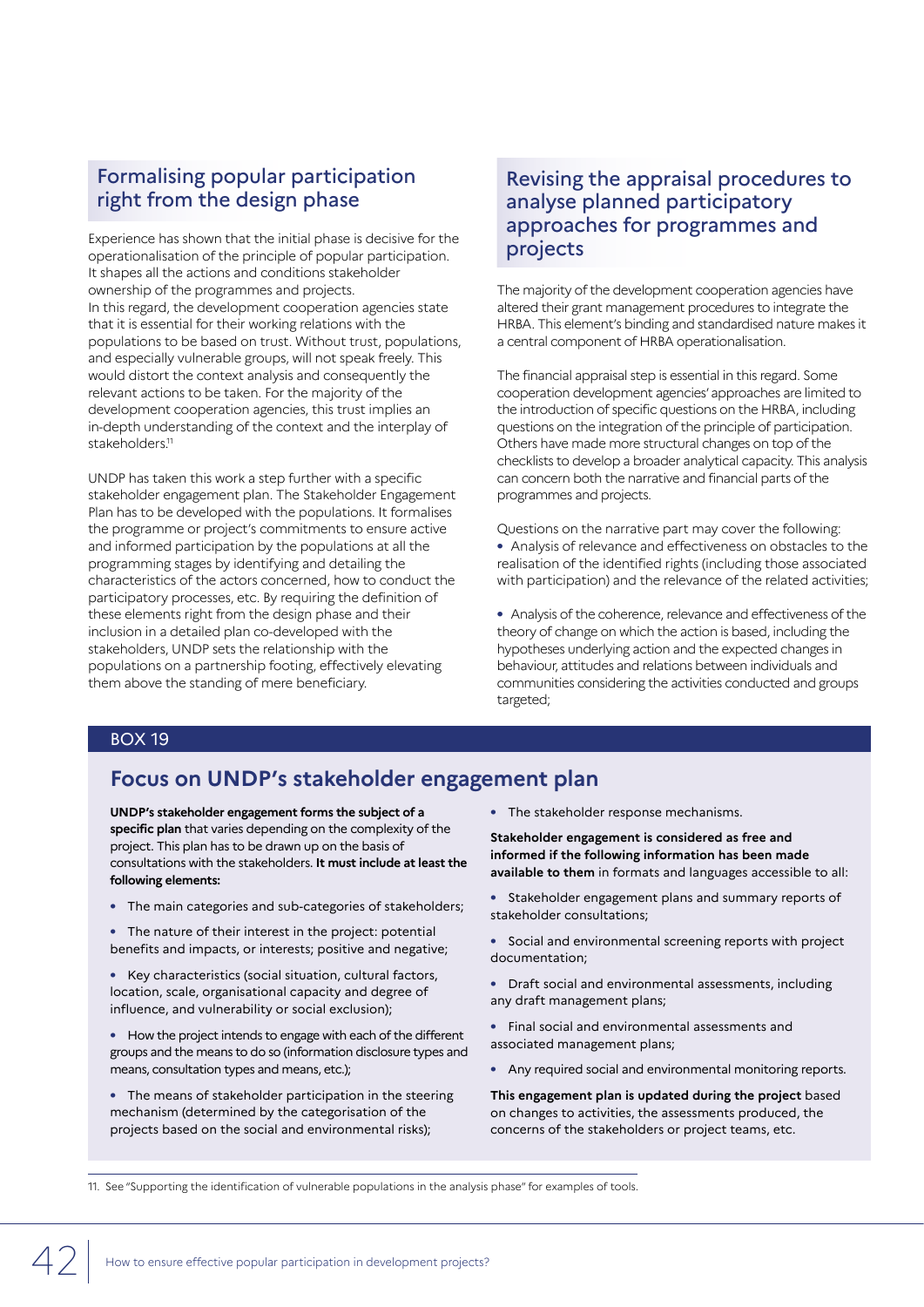## Formalising popular participation right from the design phase

Experience has shown that the initial phase is decisive for the operationalisation of the principle of popular participation. It shapes all the actions and conditions stakeholder ownership of the programmes and projects. In this regard, the development cooperation agencies state that it is essential for their working relations with the populations to be based on trust. Without trust, populations, and especially vulnerable groups, will not speak freely. This would distort the context analysis and consequently the relevant actions to be taken. For the majority of the development cooperation agencies, this trust implies an in-depth understanding of the context and the interplay of stakeholders.<sup>11</sup>

UNDP has taken this work a step further with a specific stakeholder engagement plan. The Stakeholder Engagement Plan has to be developed with the populations. It formalises the programme or project's commitments to ensure active and informed participation by the populations at all the programming stages by identifying and detailing the characteristics of the actors concerned, how to conduct the participatory processes, etc. By requiring the definition of these elements right from the design phase and their inclusion in a detailed plan co-developed with the stakeholders, UNDP sets the relationship with the populations on a partnership footing, effectively elevating them above the standing of mere beneficiary.

## Revising the appraisal procedures to analyse planned participatory approaches for programmes and projects

The majority of the development cooperation agencies have altered their grant management procedures to integrate the HRBA. This element's binding and standardised nature makes it a central component of HRBA operationalisation.

The financial appraisal step is essential in this regard. Some cooperation development agencies' approaches are limited to the introduction of specific questions on the HRBA, including questions on the integration of the principle of participation. Others have made more structural changes on top of the checklists to develop a broader analytical capacity. This analysis can concern both the narrative and financial parts of the programmes and projects.

Questions on the narrative part may cover the following: **•** Analysis of relevance and effectiveness on obstacles to the realisation of the identified rights (including those associated with participation) and the relevance of the related activities;

**•** Analysis of the coherence, relevance and effectiveness of the theory of change on which the action is based, including the hypotheses underlying action and the expected changes in behaviour, attitudes and relations between individuals and communities considering the activities conducted and groups targeted;

#### BOX 19

## **Focus on UNDP's stakeholder engagement plan**

**UNDP's stakeholder engagement forms the subject of a specific plan** that varies depending on the complexity of the project. This plan has to be drawn up on the basis of consultations with the stakeholders. **It must include at least the following elements:**

- **•** The main categories and sub-categories of stakeholders;
- **•** The nature of their interest in the project: potential benefits and impacts, or interests; positive and negative;
- **•** Key characteristics (social situation, cultural factors, location, scale, organisational capacity and degree of influence, and vulnerability or social exclusion);
- **•** How the project intends to engage with each of the different groups and the means to do so (information disclosure types and means, consultation types and means, etc.);
- **•** The means of stakeholder participation in the steering mechanism (determined by the categorisation of the projects based on the social and environmental risks);

**•** The stakeholder response mechanisms.

**Stakeholder engagement is considered as free and informed if the following information has been made available to them** in formats and languages accessible to all:

- **•** Stakeholder engagement plans and summary reports of stakeholder consultations;
- **•** Social and environmental screening reports with project documentation;
- **•** Draft social and environmental assessments, including any draft management plans;
- **•** Final social and environmental assessments and associated management plans;
- **•** Any required social and environmental monitoring reports.

**This engagement plan is updated during the project** based on changes to activities, the assessments produced, the concerns of the stakeholders or project teams, etc.

11. See "Supporting the identification of vulnerable populations in the analysis phase" for examples of tools.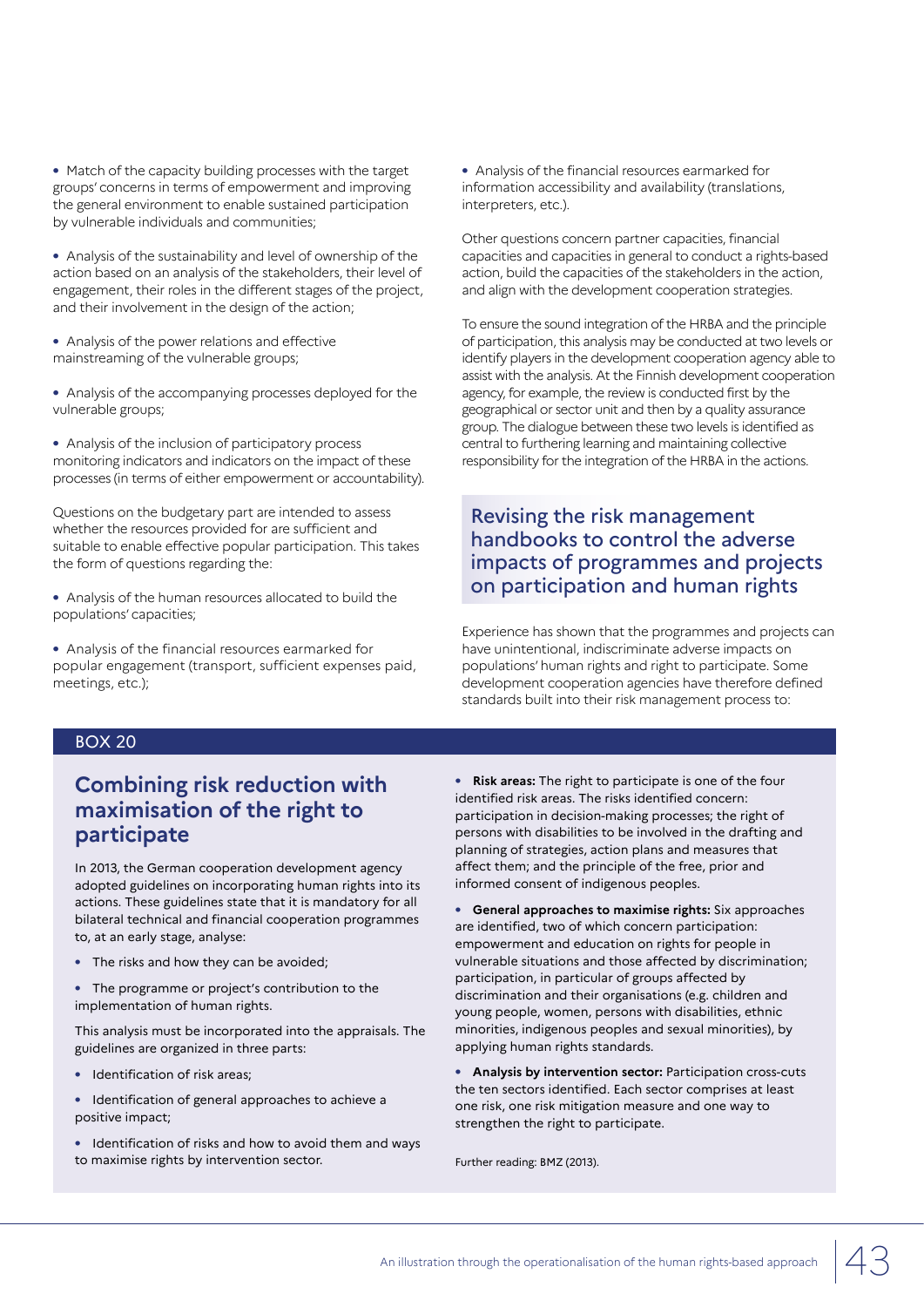- **•** Match of the capacity building processes with the target groups' concerns in terms of empowerment and improving the general environment to enable sustained participation by vulnerable individuals and communities;
- **•** Analysis of the sustainability and level of ownership of the action based on an analysis of the stakeholders, their level of engagement, their roles in the different stages of the project, and their involvement in the design of the action;
- **•** Analysis of the power relations and effective mainstreaming of the vulnerable groups;
- **•** Analysis of the accompanying processes deployed for the vulnerable groups;

**•** Analysis of the inclusion of participatory process monitoring indicators and indicators on the impact of these processes (in terms of either empowerment or accountability).

Questions on the budgetary part are intended to assess whether the resources provided for are sufficient and suitable to enable effective popular participation. This takes the form of questions regarding the:

**•** Analysis of the human resources allocated to build the populations' capacities;

**•** Analysis of the financial resources earmarked for popular engagement (transport, sufficient expenses paid, meetings, etc.);

**•** Analysis of the financial resources earmarked for information accessibility and availability (translations, interpreters, etc.).

Other questions concern partner capacities, financial capacities and capacities in general to conduct a rights-based action, build the capacities of the stakeholders in the action, and align with the development cooperation strategies.

To ensure the sound integration of the HRBA and the principle of participation, this analysis may be conducted at two levels or identify players in the development cooperation agency able to assist with the analysis. At the Finnish development cooperation agency, for example, the review is conducted first by the geographical or sector unit and then by a quality assurance group. The dialogue between these two levels is identified as central to furthering learning and maintaining collective responsibility for the integration of the HRBA in the actions.

## Revising the risk management handbooks to control the adverse impacts of programmes and projects on participation and human rights

Experience has shown that the programmes and projects can have unintentional, indiscriminate adverse impacts on populations' human rights and right to participate. Some development cooperation agencies have therefore defined standards built into their risk management process to:

### BOX 20

## **Combining risk reduction with maximisation of the right to participate**

In 2013, the German cooperation development agency adopted guidelines on incorporating human rights into its actions. These guidelines state that it is mandatory for all bilateral technical and financial cooperation programmes to, at an early stage, analyse:

- **•** The risks and how they can be avoided;
- **•** The programme or project's contribution to the implementation of human rights.

This analysis must be incorporated into the appraisals. The guidelines are organized in three parts:

- **•** Identification of risk areas;
- **•** Identification of general approaches to achieve a positive impact;
- **•** Identification of risks and how to avoid them and ways to maximise rights by intervention sector.

**• Risk areas:** The right to participate is one of the four identified risk areas. The risks identified concern: participation in decision-making processes; the right of persons with disabilities to be involved in the drafting and planning of strategies, action plans and measures that affect them; and the principle of the free, prior and informed consent of indigenous peoples.

**• General approaches to maximise rights:** Six approaches are identified, two of which concern participation: empowerment and education on rights for people in vulnerable situations and those affected by discrimination; participation, in particular of groups affected by discrimination and their organisations (e.g. children and young people, women, persons with disabilities, ethnic minorities, indigenous peoples and sexual minorities), by applying human rights standards.

**• Analysis by intervention sector:** Participation cross-cuts the ten sectors identified. Each sector comprises at least one risk, one risk mitigation measure and one way to strengthen the right to participate.

Further reading: BMZ (2013).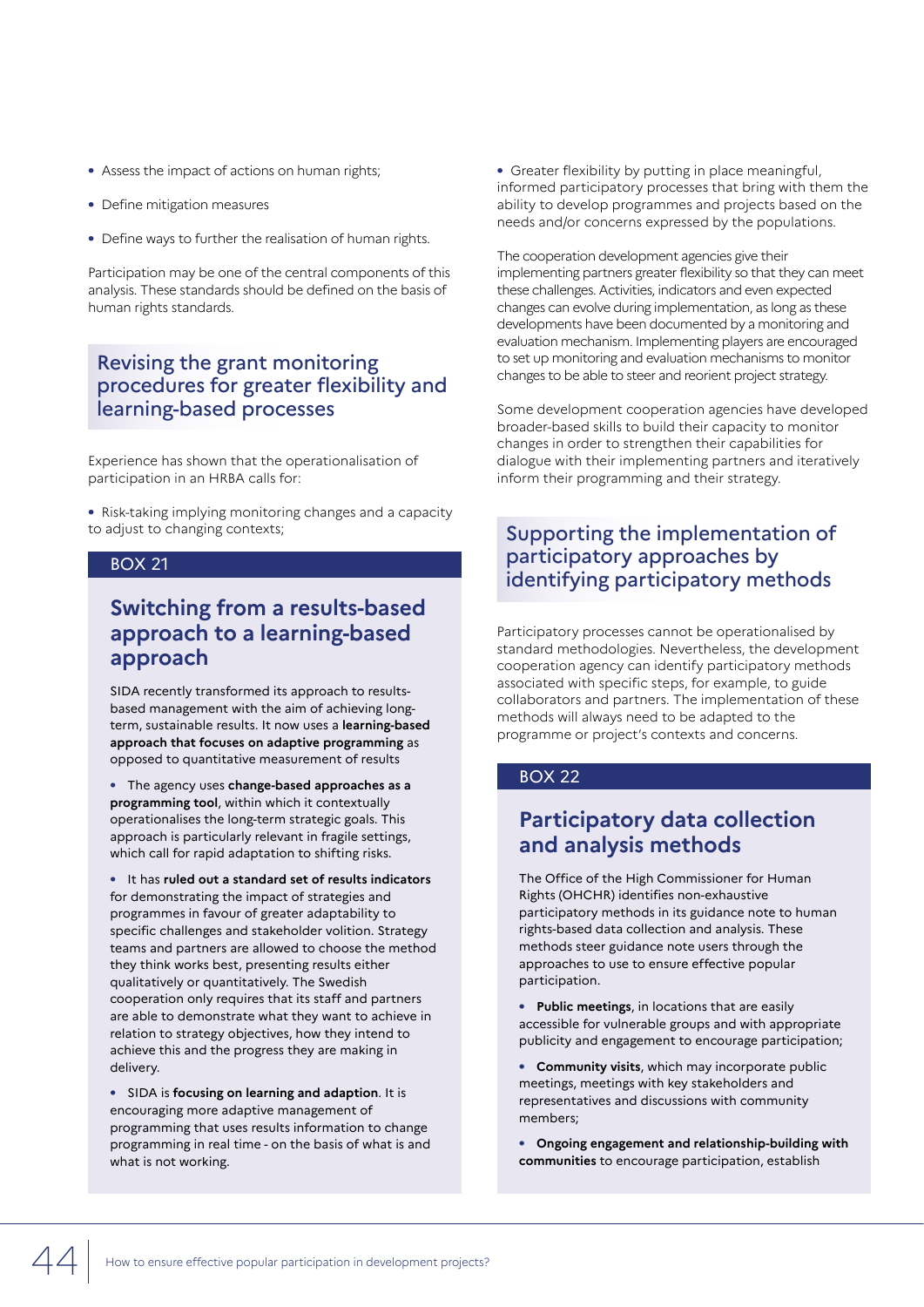- **•** Assess the impact of actions on human rights;
- **•** Define mitigation measures
- **•** Define ways to further the realisation of human rights.

Participation may be one of the central components of this analysis. These standards should be defined on the basis of human rights standards.

## Revising the grant monitoring procedures for greater flexibility and learning-based processes

Experience has shown that the operationalisation of participation in an HRBA calls for:

**•** Risk-taking implying monitoring changes and a capacity to adjust to changing contexts;

#### BOX 21

## **Switching from a results-based approach to a learning-based approach**

SIDA recently transformed its approach to resultsbased management with the aim of achieving longterm, sustainable results. It now uses a **learning-based approach that focuses on adaptive programming** as opposed to quantitative measurement of results

**•** The agency uses **change-based approaches as a programming tool**, within which it contextually operationalises the long-term strategic goals. This approach is particularly relevant in fragile settings, which call for rapid adaptation to shifting risks.

**•** It has **ruled out a standard set of results indicators** for demonstrating the impact of strategies and programmes in favour of greater adaptability to specific challenges and stakeholder volition. Strategy teams and partners are allowed to choose the method they think works best, presenting results either qualitatively or quantitatively. The Swedish cooperation only requires that its staff and partners are able to demonstrate what they want to achieve in relation to strategy objectives, how they intend to achieve this and the progress they are making in delivery.

**•** SIDA is **focusing on learning and adaption**. It is encouraging more adaptive management of programming that uses results information to change programming in real time - on the basis of what is and what is not working.

**•** Greater flexibility by putting in place meaningful, informed participatory processes that bring with them the ability to develop programmes and projects based on the needs and/or concerns expressed by the populations.

The cooperation development agencies give their implementing partners greater flexibility so that they can meet these challenges. Activities, indicators and even expected changes can evolve during implementation, as long as these developments have been documented by a monitoring and evaluation mechanism. Implementing players are encouraged to set up monitoring and evaluation mechanisms to monitor changes to be able to steer and reorient project strategy.

Some development cooperation agencies have developed broader-based skills to build their capacity to monitor changes in order to strengthen their capabilities for dialogue with their implementing partners and iteratively inform their programming and their strategy.

## Supporting the implementation of participatory approaches by identifying participatory methods

Participatory processes cannot be operationalised by standard methodologies. Nevertheless, the development cooperation agency can identify participatory methods associated with specific steps, for example, to guide collaborators and partners. The implementation of these methods will always need to be adapted to the programme or project's contexts and concerns.

#### BOX 22

## **Participatory data collection and analysis methods**

The Office of the High Commissioner for Human Rights (OHCHR) identifies non-exhaustive participatory methods in its guidance note to human rights-based data collection and analysis. These methods steer guidance note users through the approaches to use to ensure effective popular participation.

**• Public meetings**, in locations that are easily accessible for vulnerable groups and with appropriate publicity and engagement to encourage participation;

**• Community visits**, which may incorporate public meetings, meetings with key stakeholders and representatives and discussions with community members;

**• Ongoing engagement and relationship-building with communities** to encourage participation, establish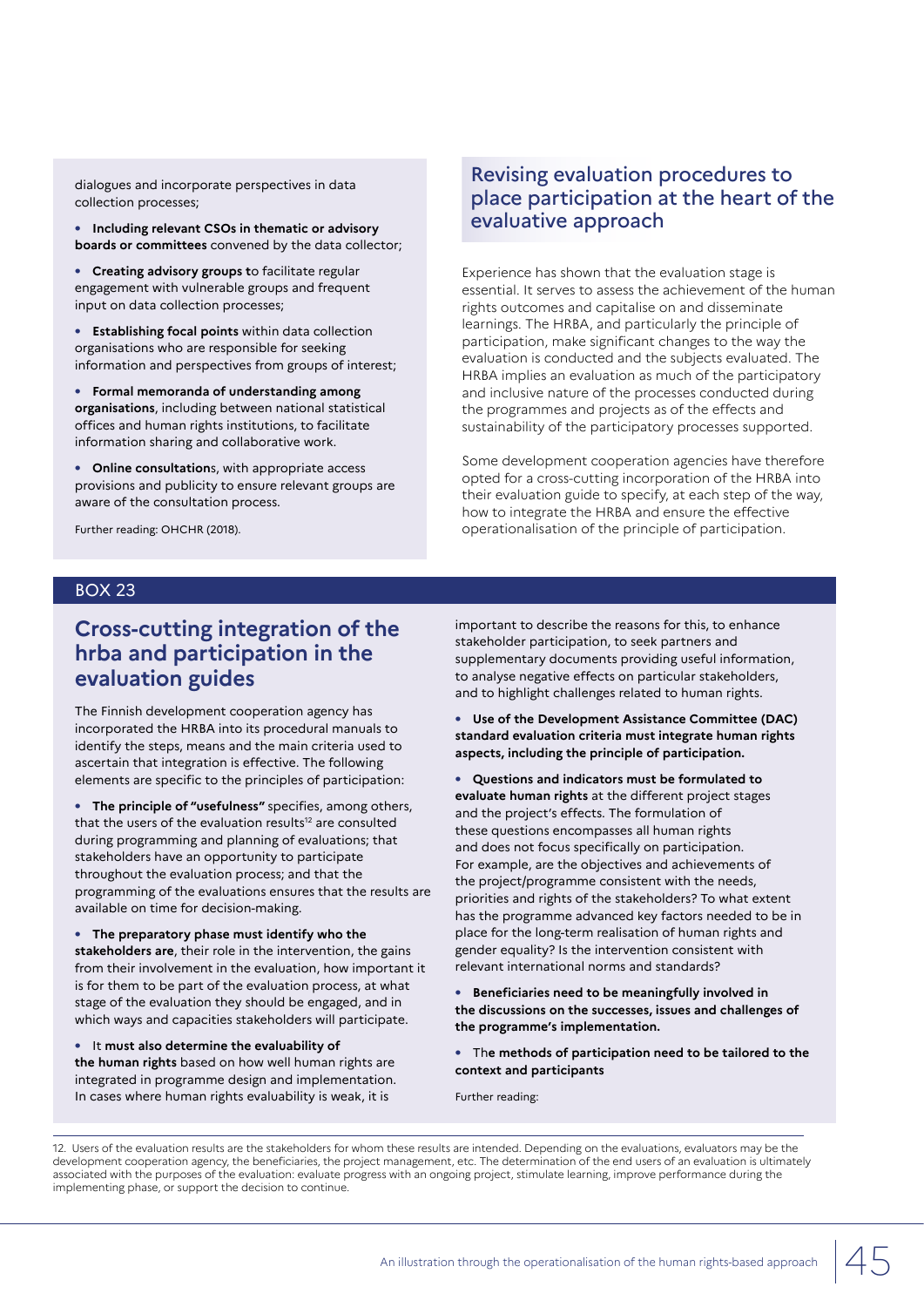dialogues and incorporate perspectives in data collection processes;

**• Including relevant CSOs in thematic or advisory boards or committees** convened by the data collector;

**• Creating advisory groups t**o facilitate regular engagement with vulnerable groups and frequent input on data collection processes;

**• Establishing focal points** within data collection organisations who are responsible for seeking information and perspectives from groups of interest;

**• Formal memoranda of understanding among organisations**, including between national statistical offices and human rights institutions, to facilitate information sharing and collaborative work.

**• Online consultation**s, with appropriate access provisions and publicity to ensure relevant groups are aware of the consultation process.

Further reading: OHCHR (2018).

## Revising evaluation procedures to place participation at the heart of the evaluative approach

Experience has shown that the evaluation stage is essential. It serves to assess the achievement of the human rights outcomes and capitalise on and disseminate learnings. The HRBA, and particularly the principle of participation, make significant changes to the way the evaluation is conducted and the subjects evaluated. The HRBA implies an evaluation as much of the participatory and inclusive nature of the processes conducted during the programmes and projects as of the effects and sustainability of the participatory processes supported.

Some development cooperation agencies have therefore opted for a cross-cutting incorporation of the HRBA into their evaluation guide to specify, at each step of the way, how to integrate the HRBA and ensure the effective operationalisation of the principle of participation.

#### BOX 23

## **Cross-cutting integration of the hrba and participation in the evaluation guides**

The Finnish development cooperation agency has incorporated the HRBA into its procedural manuals to identify the steps, means and the main criteria used to ascertain that integration is effective. The following elements are specific to the principles of participation:

**• The principle of "usefulness"** specifies, among others, that the users of the evaluation results<sup>12</sup> are consulted during programming and planning of evaluations; that stakeholders have an opportunity to participate throughout the evaluation process; and that the programming of the evaluations ensures that the results are available on time for decision-making.

**• The preparatory phase must identify who the stakeholders are**, their role in the intervention, the gains from their involvement in the evaluation, how important it is for them to be part of the evaluation process, at what stage of the evaluation they should be engaged, and in which ways and capacities stakeholders will participate.

**•** It **must also determine the evaluability of the human rights** based on how well human rights are integrated in programme design and implementation. In cases where human rights evaluability is weak, it is

important to describe the reasons for this, to enhance stakeholder participation, to seek partners and supplementary documents providing useful information, to analyse negative effects on particular stakeholders, and to highlight challenges related to human rights.

**• Use of the Development Assistance Committee (DAC) standard evaluation criteria must integrate human rights aspects, including the principle of participation.**

**• Questions and indicators must be formulated to evaluate human rights** at the different project stages and the project's effects. The formulation of these questions encompasses all human rights and does not focus specifically on participation. For example, are the objectives and achievements of the project/programme consistent with the needs, priorities and rights of the stakeholders? To what extent has the programme advanced key factors needed to be in place for the long-term realisation of human rights and gender equality? Is the intervention consistent with relevant international norms and standards?

**• Beneficiaries need to be meaningfully involved in the discussions on the successes, issues and challenges of the programme's implementation.**

**•** Th**e methods of participation need to be tailored to the context and participants**

Further reading:

12. Users of the evaluation results are the stakeholders for whom these results are intended. Depending on the evaluations, evaluators may be the development cooperation agency, the beneficiaries, the project management, etc. The determination of the end users of an evaluation is ultimately associated with the purposes of the evaluation: evaluate progress with an ongoing project, stimulate learning, improve performance during the implementing phase, or support the decision to continue.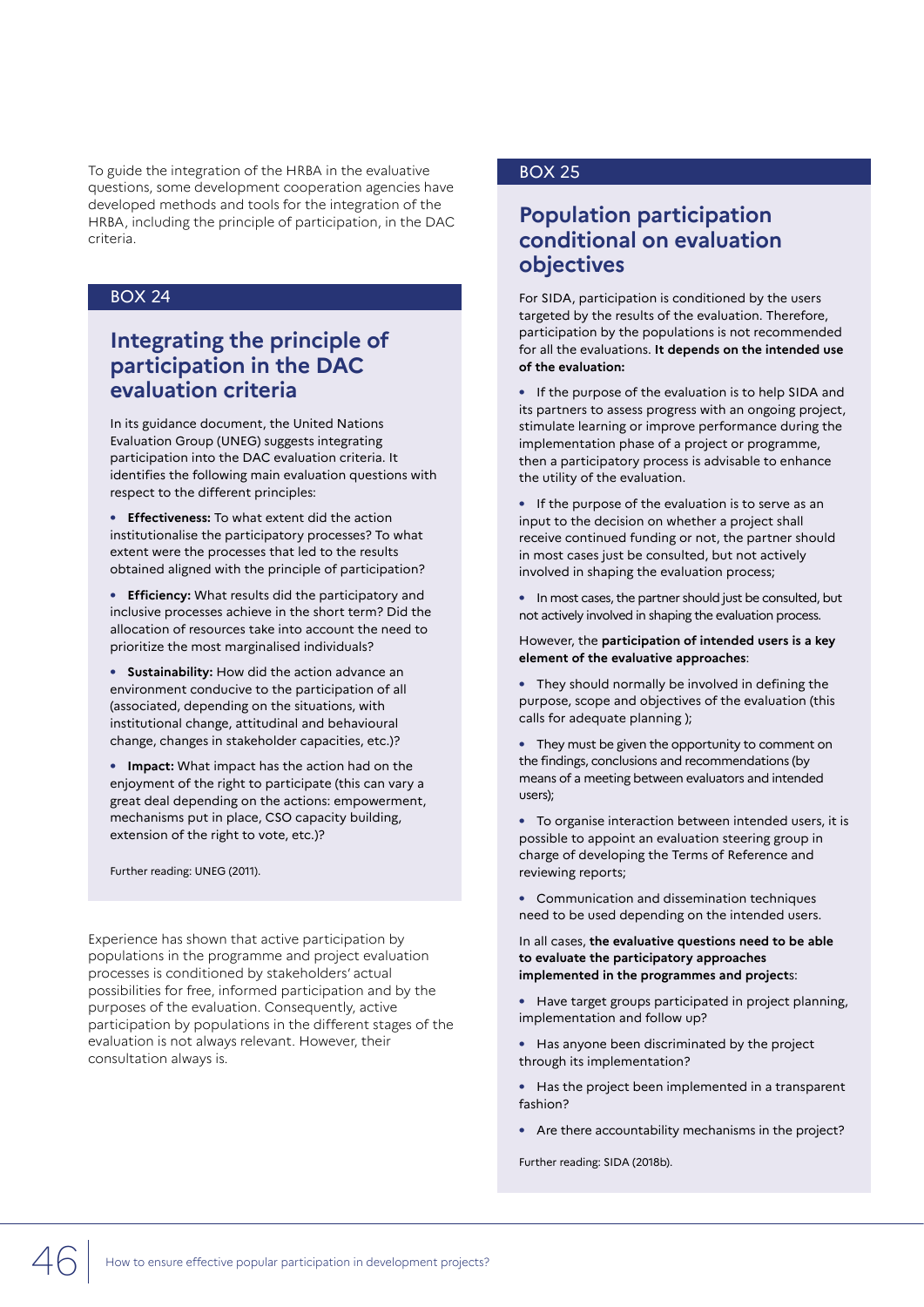To guide the integration of the HRBA in the evaluative **BOX 25** questions, some development cooperation agencies have developed methods and tools for the integration of the HRBA, including the principle of participation, in the DAC criteria.

## BOX 24

## **Integrating the principle of participation in the DAC evaluation criteria**

In its guidance document, the United Nations Evaluation Group (UNEG) suggests integrating participation into the DAC evaluation criteria. It identifies the following main evaluation questions with respect to the different principles:

**• Effectiveness:** To what extent did the action institutionalise the participatory processes? To what extent were the processes that led to the results obtained aligned with the principle of participation?

**• Efficiency:** What results did the participatory and inclusive processes achieve in the short term? Did the allocation of resources take into account the need to prioritize the most marginalised individuals?

**• Sustainability:** How did the action advance an environment conducive to the participation of all (associated, depending on the situations, with institutional change, attitudinal and behavioural change, changes in stakeholder capacities, etc.)?

**• Impact:** What impact has the action had on the enjoyment of the right to participate (this can vary a great deal depending on the actions: empowerment, mechanisms put in place, CSO capacity building, extension of the right to vote, etc.)?

Further reading: UNEG (2011).

Experience has shown that active participation by populations in the programme and project evaluation processes is conditioned by stakeholders' actual possibilities for free, informed participation and by the purposes of the evaluation. Consequently, active participation by populations in the different stages of the evaluation is not always relevant. However, their consultation always is.

## **Population participation conditional on evaluation objectives**

For SIDA, participation is conditioned by the users targeted by the results of the evaluation. Therefore, participation by the populations is not recommended for all the evaluations. **It depends on the intended use of the evaluation:**

**•** If the purpose of the evaluation is to help SIDA and its partners to assess progress with an ongoing project, stimulate learning or improve performance during the implementation phase of a project or programme, then a participatory process is advisable to enhance the utility of the evaluation.

**•** If the purpose of the evaluation is to serve as an input to the decision on whether a project shall receive continued funding or not, the partner should in most cases just be consulted, but not actively involved in shaping the evaluation process;

**•** In most cases, the partner should just be consulted, but not actively involved in shaping the evaluation process.

However, the **participation of intended users is a key element of the evaluative approaches**:

**•** They should normally be involved in defining the purpose, scope and objectives of the evaluation (this calls for adequate planning );

**•** They must be given the opportunity to comment on the findings, conclusions and recommendations (by means of a meeting between evaluators and intended users);

**•** To organise interaction between intended users, it is possible to appoint an evaluation steering group in charge of developing the Terms of Reference and reviewing reports;

**•** Communication and dissemination techniques need to be used depending on the intended users.

In all cases, **the evaluative questions need to be able to evaluate the participatory approaches implemented in the programmes and project**s:

**•** Have target groups participated in project planning, implementation and follow up?

**•** Has anyone been discriminated by the project through its implementation?

**•** Has the project been implemented in a transparent fashion?

**•** Are there accountability mechanisms in the project?

Further reading: SIDA (2018b).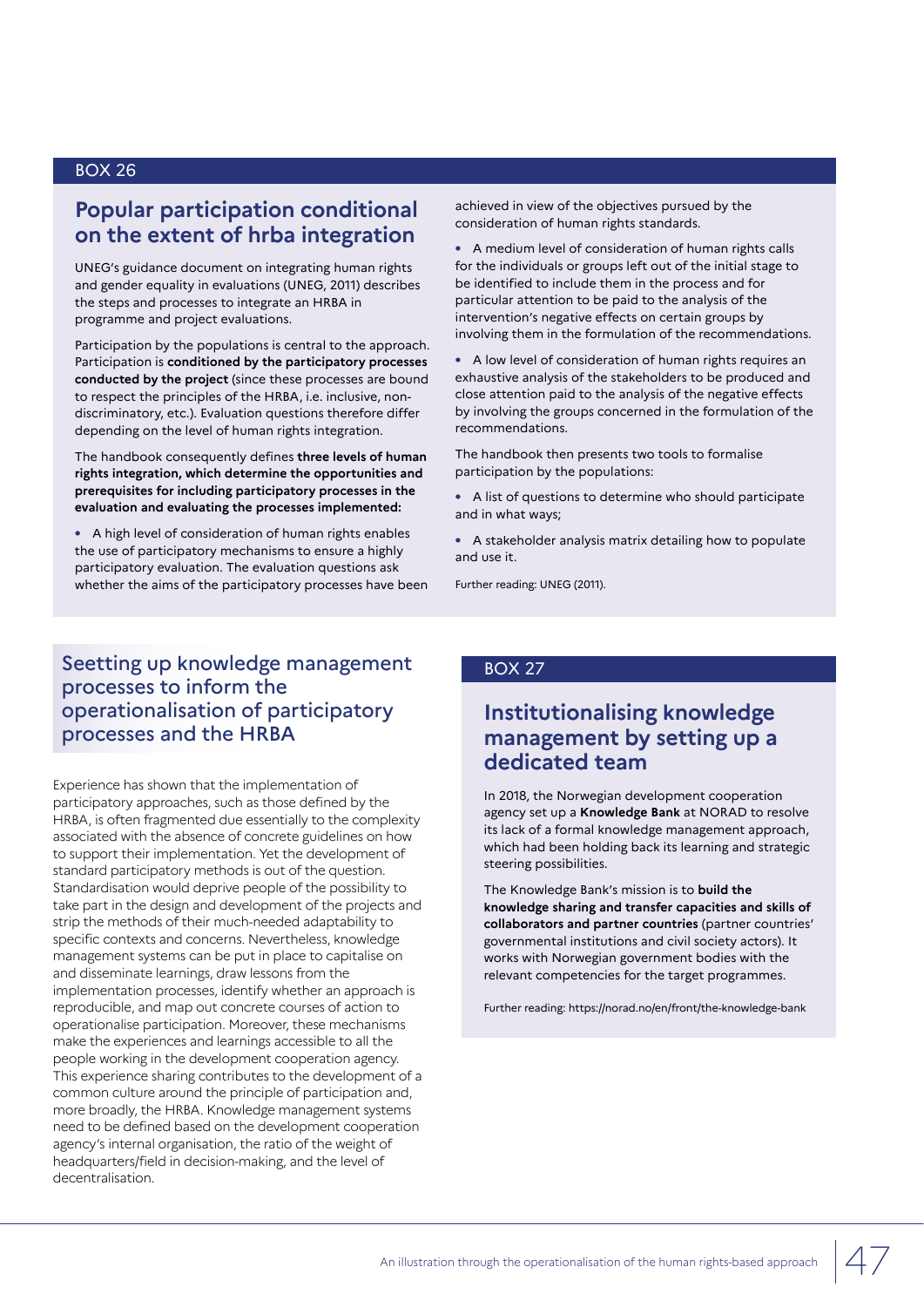## **Popular participation conditional on the extent of hrba integration**

UNEG's guidance document on integrating human rights and gender equality in evaluations (UNEG, 2011) describes the steps and processes to integrate an HRBA in programme and project evaluations.

Participation by the populations is central to the approach. Participation is **conditioned by the participatory processes conducted by the project** (since these processes are bound to respect the principles of the HRBA, i.e. inclusive, nondiscriminatory, etc.). Evaluation questions therefore differ depending on the level of human rights integration.

The handbook consequently defines **three levels of human rights integration, which determine the opportunities and prerequisites for including participatory processes in the evaluation and evaluating the processes implemented:**

**•** A high level of consideration of human rights enables the use of participatory mechanisms to ensure a highly participatory evaluation. The evaluation questions ask whether the aims of the participatory processes have been achieved in view of the objectives pursued by the consideration of human rights standards.

**•** A medium level of consideration of human rights calls for the individuals or groups left out of the initial stage to be identified to include them in the process and for particular attention to be paid to the analysis of the intervention's negative effects on certain groups by involving them in the formulation of the recommendations.

**•** A low level of consideration of human rights requires an exhaustive analysis of the stakeholders to be produced and close attention paid to the analysis of the negative effects by involving the groups concerned in the formulation of the recommendations.

The handbook then presents two tools to formalise participation by the populations:

**•** A list of questions to determine who should participate and in what ways;

**•** A stakeholder analysis matrix detailing how to populate and use it.

Further reading: UNEG (2011).

## Seetting up knowledge management processes to inform the operationalisation of participatory processes and the HRBA

Experience has shown that the implementation of participatory approaches, such as those defined by the HRBA, is often fragmented due essentially to the complexity associated with the absence of concrete guidelines on how to support their implementation. Yet the development of standard participatory methods is out of the question. Standardisation would deprive people of the possibility to take part in the design and development of the projects and strip the methods of their much-needed adaptability to specific contexts and concerns. Nevertheless, knowledge management systems can be put in place to capitalise on and disseminate learnings, draw lessons from the implementation processes, identify whether an approach is reproducible, and map out concrete courses of action to operationalise participation. Moreover, these mechanisms make the experiences and learnings accessible to all the people working in the development cooperation agency. This experience sharing contributes to the development of a common culture around the principle of participation and, more broadly, the HRBA. Knowledge management systems need to be defined based on the development cooperation agency's internal organisation, the ratio of the weight of headquarters/field in decision-making, and the level of decentralisation.

#### BOX 27

## **Institutionalising knowledge management by setting up a dedicated team**

In 2018, the Norwegian development cooperation agency set up a **Knowledge Bank** at NORAD to resolve its lack of a formal knowledge management approach, which had been holding back its learning and strategic steering possibilities.

The Knowledge Bank's mission is to **build the knowledge sharing and transfer capacities and skills of collaborators and partner countries** (partner countries' governmental institutions and civil society actors). It works with Norwegian government bodies with the relevant competencies for the target programmes.

Further reading: https://norad.no/en/front/the-knowledge-bank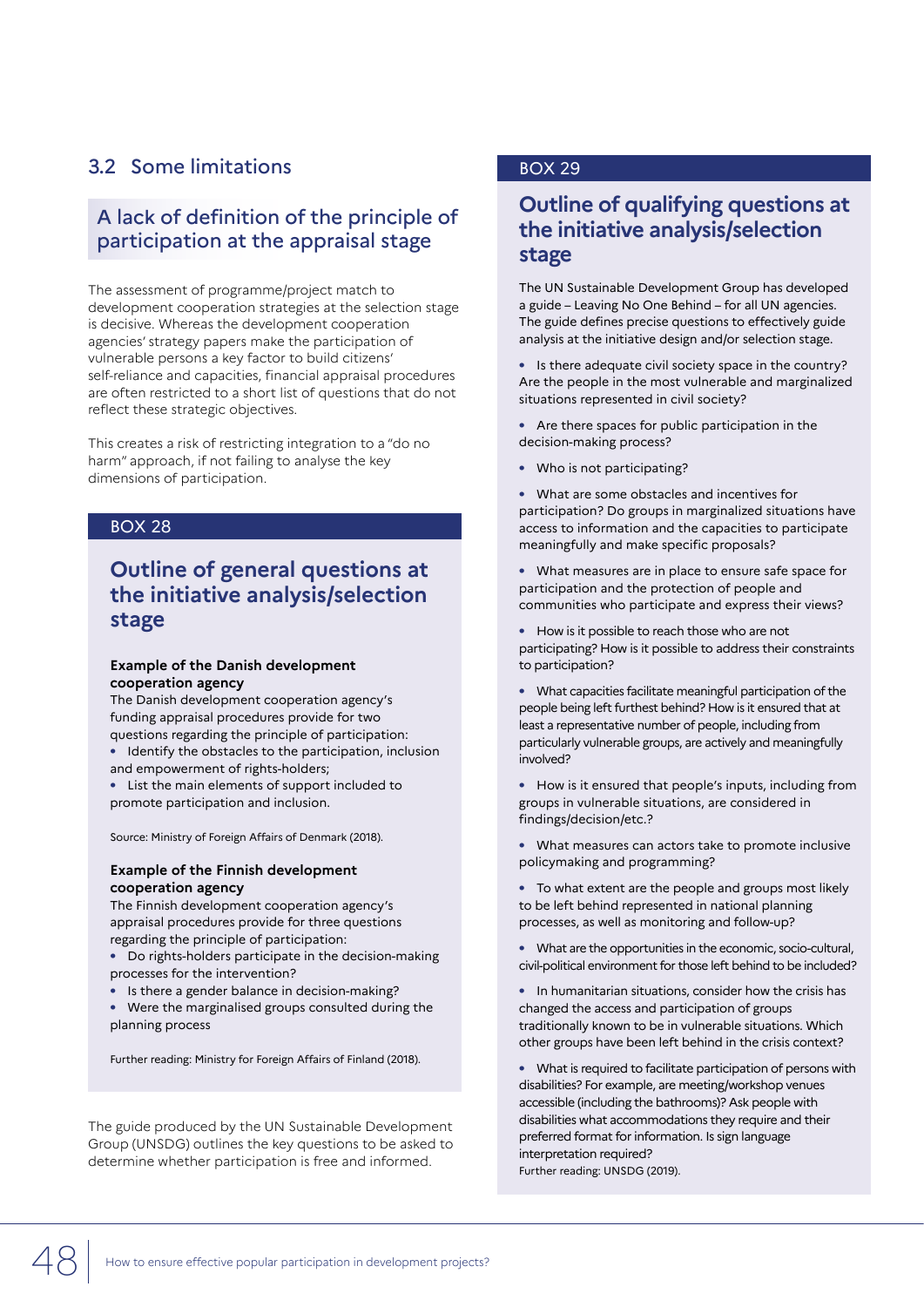## 3.2 Some limitations

## A lack of definition of the principle of participation at the appraisal stage

The assessment of programme/project match to development cooperation strategies at the selection stage is decisive. Whereas the development cooperation agencies' strategy papers make the participation of vulnerable persons a key factor to build citizens' self-reliance and capacities, financial appraisal procedures are often restricted to a short list of questions that do not reflect these strategic objectives.

This creates a risk of restricting integration to a "do no harm" approach, if not failing to analyse the key dimensions of participation.

#### BOX 28

## **Outline of general questions at the initiative analysis/selection stage**

#### **Example of the Danish development cooperation agency**

The Danish development cooperation agency's funding appraisal procedures provide for two questions regarding the principle of participation:

- **•** Identify the obstacles to the participation, inclusion and empowerment of rights-holders;
- **•** List the main elements of support included to promote participation and inclusion.

Source: Ministry of Foreign Affairs of Denmark (2018).

#### **Example of the Finnish development cooperation agency**

The Finnish development cooperation agency's appraisal procedures provide for three questions regarding the principle of participation:

- **•** Do rights-holders participate in the decision-making processes for the intervention?
- **•** Is there a gender balance in decision-making?

**•** Were the marginalised groups consulted during the planning process

Further reading: Ministry for Foreign Affairs of Finland (2018).

The guide produced by the UN Sustainable Development Group (UNSDG) outlines the key questions to be asked to determine whether participation is free and informed.

#### BOX 29

## **Outline of qualifying questions at the initiative analysis/selection stage**

The UN Sustainable Development Group has developed a guide – Leaving No One Behind – for all UN agencies. The guide defines precise questions to effectively guide analysis at the initiative design and/or selection stage.

**•** Is there adequate civil society space in the country? Are the people in the most vulnerable and marginalized situations represented in civil society?

- **•** Are there spaces for public participation in the decision-making process?
- **•** Who is not participating?
- **•** What are some obstacles and incentives for participation? Do groups in marginalized situations have access to information and the capacities to participate meaningfully and make specific proposals?

**•** What measures are in place to ensure safe space for participation and the protection of people and communities who participate and express their views?

- **•** How is it possible to reach those who are not participating? How is it possible to address their constraints to participation?
- **•** What capacities facilitate meaningful participation of the people being left furthest behind? How is it ensured that at least a representative number of people, including from particularly vulnerable groups, are actively and meaningfully involved?
- **•** How is it ensured that people's inputs, including from groups in vulnerable situations, are considered in findings/decision/etc.?
- **•** What measures can actors take to promote inclusive policymaking and programming?
- **•** To what extent are the people and groups most likely to be left behind represented in national planning processes, as well as monitoring and follow-up?
- **•** What are the opportunities in the economic, socio-cultural, civil-political environment for those left behind to be included?
- **•** In humanitarian situations, consider how the crisis has changed the access and participation of groups traditionally known to be in vulnerable situations. Which other groups have been left behind in the crisis context?
- **•** What is required to facilitate participation of persons with disabilities? For example, are meeting/workshop venues accessible (including the bathrooms)? Ask people with disabilities what accommodations they require and their preferred format for information. Is sign language interpretation required? Further reading: UNSDG (2019).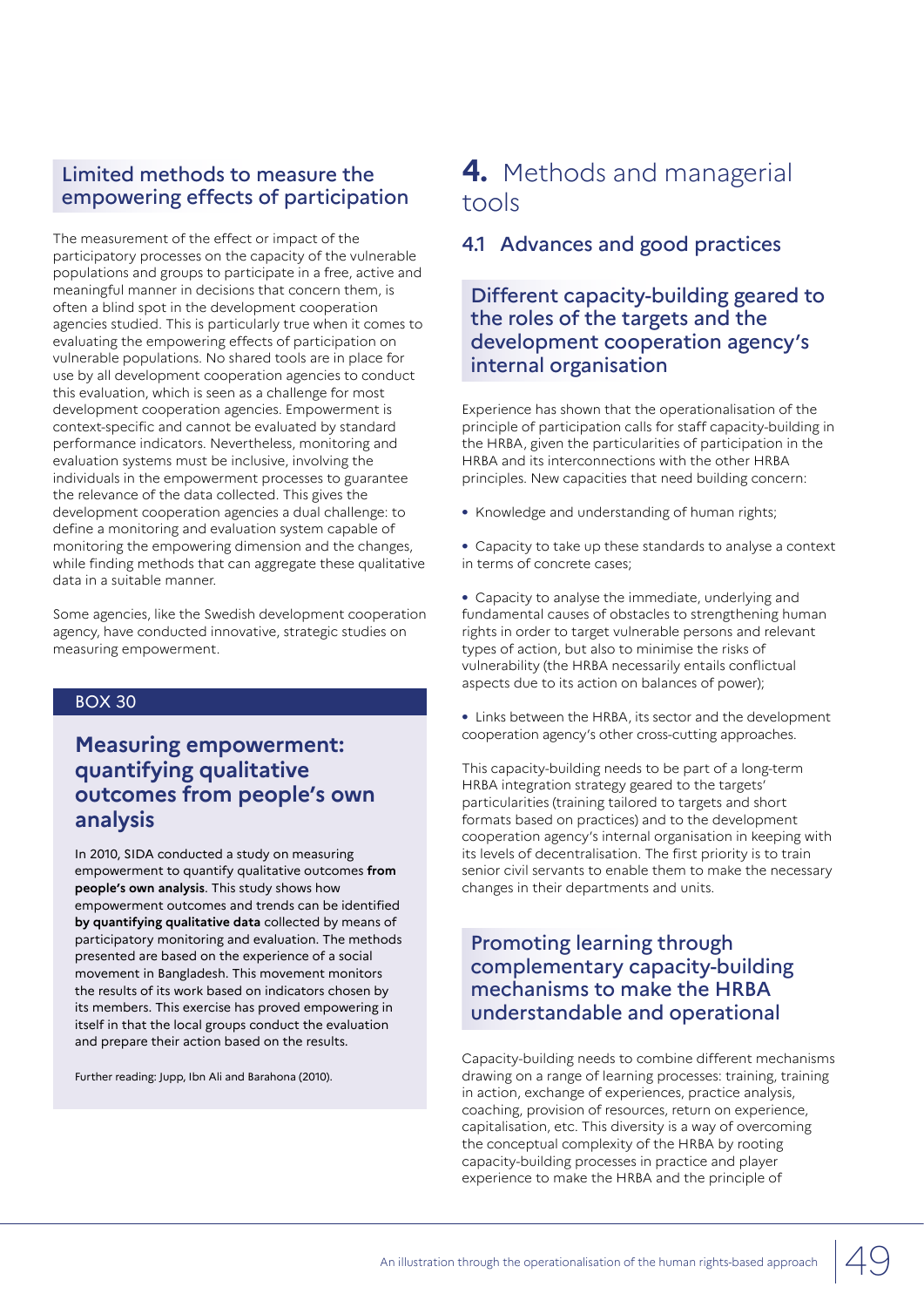## Limited methods to measure the empowering effects of participation

The measurement of the effect or impact of the participatory processes on the capacity of the vulnerable populations and groups to participate in a free, active and meaningful manner in decisions that concern them, is often a blind spot in the development cooperation agencies studied. This is particularly true when it comes to evaluating the empowering effects of participation on vulnerable populations. No shared tools are in place for use by all development cooperation agencies to conduct this evaluation, which is seen as a challenge for most development cooperation agencies. Empowerment is context-specific and cannot be evaluated by standard performance indicators. Nevertheless, monitoring and evaluation systems must be inclusive, involving the individuals in the empowerment processes to guarantee the relevance of the data collected. This gives the development cooperation agencies a dual challenge: to define a monitoring and evaluation system capable of monitoring the empowering dimension and the changes, while finding methods that can aggregate these qualitative data in a suitable manner.

Some agencies, like the Swedish development cooperation agency, have conducted innovative, strategic studies on measuring empowerment.

#### BOX 30

## **Measuring empowerment: quantifying qualitative outcomes from people's own analysis**

In 2010, SIDA conducted a study on measuring empowerment to quantify qualitative outcomes **from people's own analysis**. This study shows how empowerment outcomes and trends can be identified **by quantifying qualitative data** collected by means of participatory monitoring and evaluation. The methods presented are based on the experience of a social movement in Bangladesh. This movement monitors the results of its work based on indicators chosen by its members. This exercise has proved empowering in itself in that the local groups conduct the evaluation and prepare their action based on the results.

Further reading: Jupp, Ibn Ali and Barahona (2010).

## **4.** Methods and managerial tools

## 4.1 Advances and good practices

## Different capacity-building geared to the roles of the targets and the development cooperation agency's internal organisation

Experience has shown that the operationalisation of the principle of participation calls for staff capacity-building in the HRBA, given the particularities of participation in the HRBA and its interconnections with the other HRBA principles. New capacities that need building concern:

- **•** Knowledge and understanding of human rights;
- **•** Capacity to take up these standards to analyse a context in terms of concrete cases;

**•** Capacity to analyse the immediate, underlying and fundamental causes of obstacles to strengthening human rights in order to target vulnerable persons and relevant types of action, but also to minimise the risks of vulnerability (the HRBA necessarily entails conflictual aspects due to its action on balances of power);

**•** Links between the HRBA, its sector and the development cooperation agency's other cross-cutting approaches.

This capacity-building needs to be part of a long-term HRBA integration strategy geared to the targets' particularities (training tailored to targets and short formats based on practices) and to the development cooperation agency's internal organisation in keeping with its levels of decentralisation. The first priority is to train senior civil servants to enable them to make the necessary changes in their departments and units.

## Promoting learning through complementary capacity-building mechanisms to make the HRBA understandable and operational

Capacity-building needs to combine different mechanisms drawing on a range of learning processes: training, training in action, exchange of experiences, practice analysis, coaching, provision of resources, return on experience, capitalisation, etc. This diversity is a way of overcoming the conceptual complexity of the HRBA by rooting capacity-building processes in practice and player experience to make the HRBA and the principle of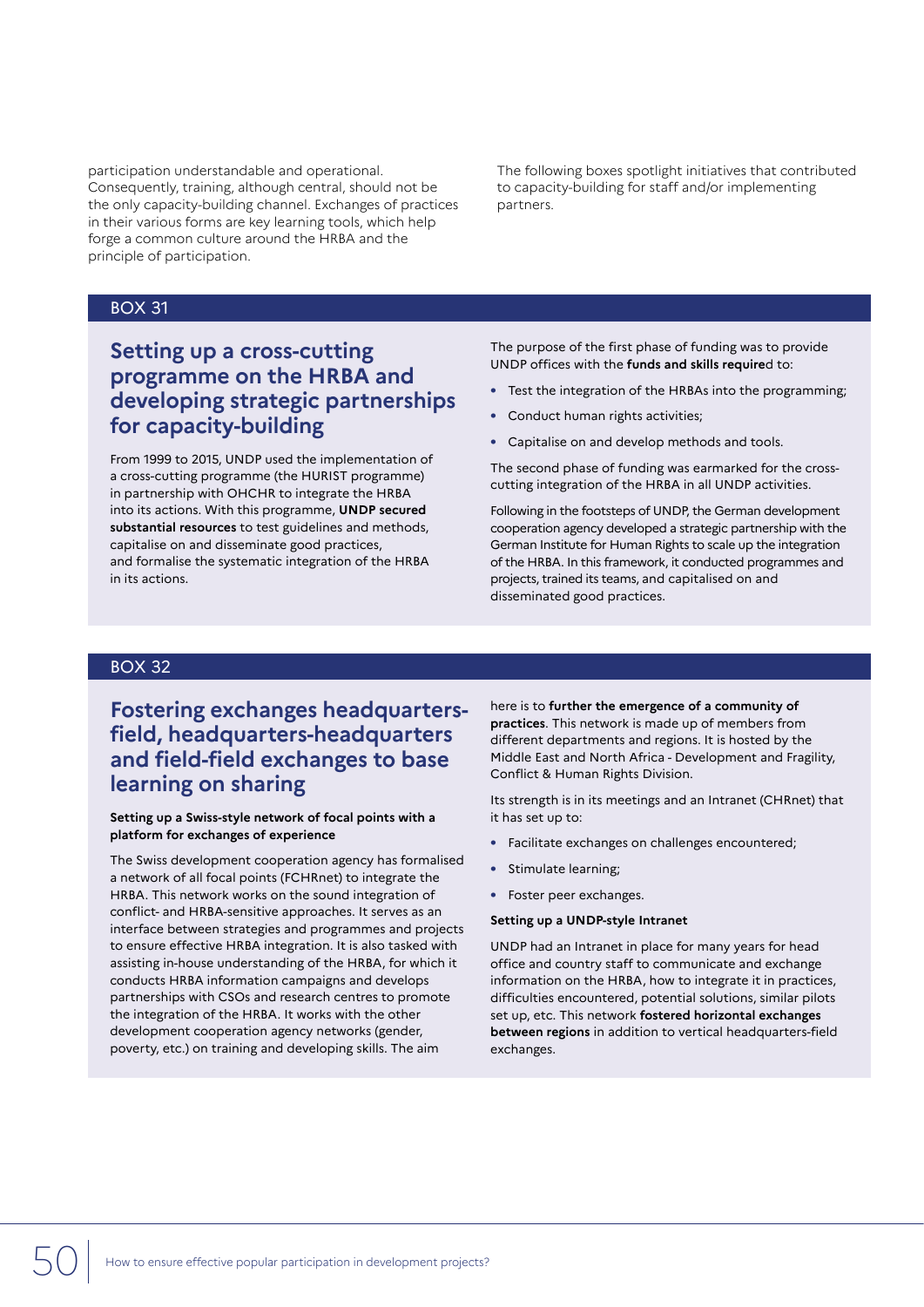participation understandable and operational. Consequently, training, although central, should not be the only capacity-building channel. Exchanges of practices in their various forms are key learning tools, which help forge a common culture around the HRBA and the principle of participation.

The following boxes spotlight initiatives that contributed to capacity-building for staff and/or implementing partners.

#### BOX 31

## **Setting up a cross-cutting programme on the HRBA and developing strategic partnerships for capacity-building**

From 1999 to 2015, UNDP used the implementation of a cross-cutting programme (the HURIST programme) in partnership with OHCHR to integrate the HRBA into its actions. With this programme, **UNDP secured substantial resources** to test guidelines and methods, capitalise on and disseminate good practices, and formalise the systematic integration of the HRBA in its actions.

The purpose of the first phase of funding was to provide UNDP offices with the **funds and skills require**d to:

- **•** Test the integration of the HRBAs into the programming;
- **•** Conduct human rights activities;
- **•** Capitalise on and develop methods and tools.

The second phase of funding was earmarked for the crosscutting integration of the HRBA in all UNDP activities.

Following in the footsteps of UNDP, the German development cooperation agency developed a strategic partnership with the German Institute for Human Rights to scale up the integration of the HRBA. In this framework, it conducted programmes and projects, trained its teams, and capitalised on and disseminated good practices.

#### BOX 32

**Fostering exchanges headquartersfield, headquarters-headquarters and field-field exchanges to base learning on sharing**

#### **Setting up a Swiss-style network of focal points with a platform for exchanges of experience**

The Swiss development cooperation agency has formalised a network of all focal points (FCHRnet) to integrate the HRBA. This network works on the sound integration of conflict- and HRBA-sensitive approaches. It serves as an interface between strategies and programmes and projects to ensure effective HRBA integration. It is also tasked with assisting in-house understanding of the HRBA, for which it conducts HRBA information campaigns and develops partnerships with CSOs and research centres to promote the integration of the HRBA. It works with the other development cooperation agency networks (gender, poverty, etc.) on training and developing skills. The aim

here is to **further the emergence of a community of practices**. This network is made up of members from different departments and regions. It is hosted by the Middle East and North Africa - Development and Fragility, Conflict & Human Rights Division.

Its strength is in its meetings and an Intranet (CHRnet) that it has set up to:

- **•** Facilitate exchanges on challenges encountered;
- **•** Stimulate learning;
- **•** Foster peer exchanges.

#### **Setting up a UNDP-style Intranet**

UNDP had an Intranet in place for many years for head office and country staff to communicate and exchange information on the HRBA, how to integrate it in practices, difficulties encountered, potential solutions, similar pilots set up, etc. This network **fostered horizontal exchanges between regions** in addition to vertical headquarters-field exchanges.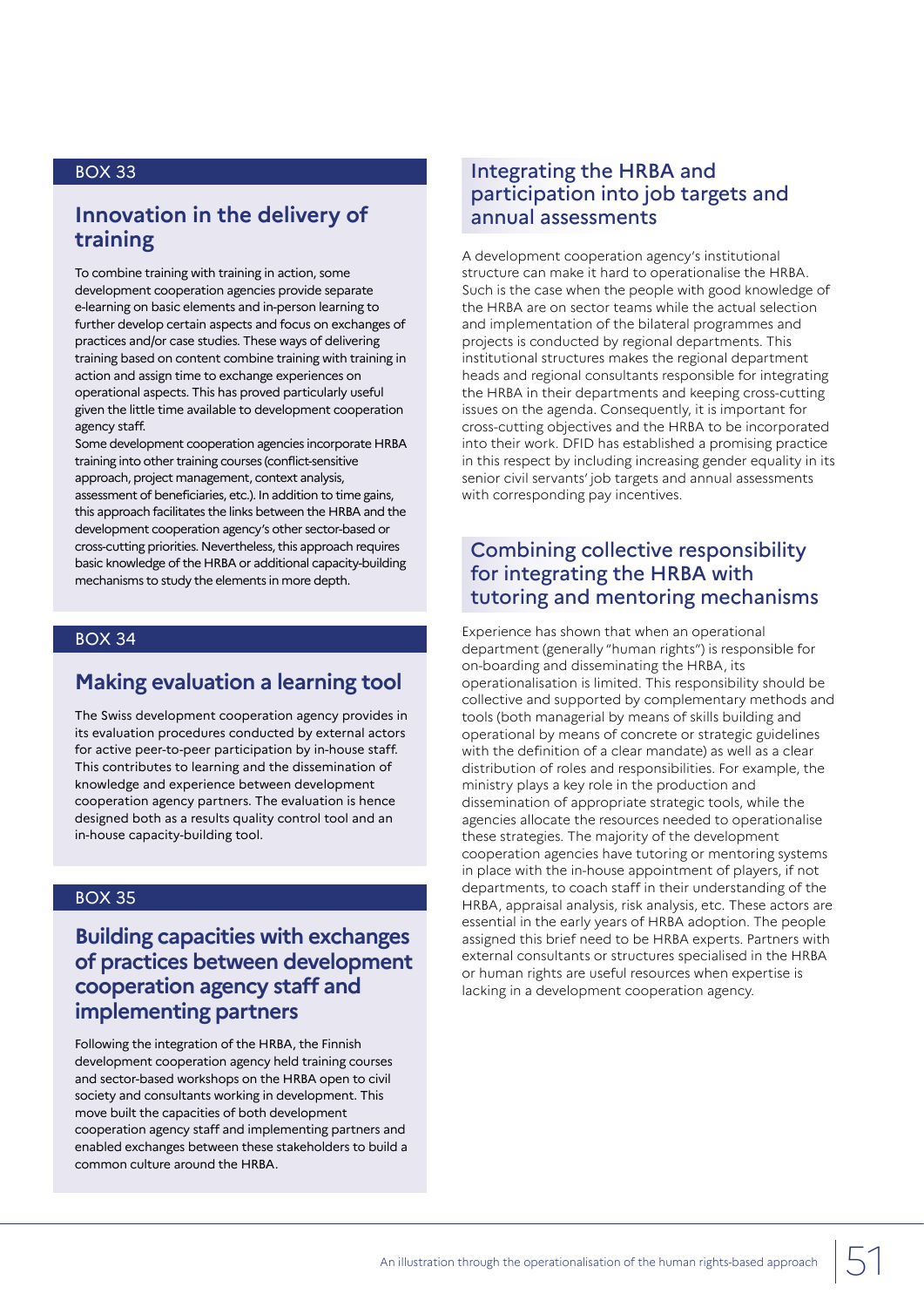## **Innovation in the delivery of training**

To combine training with training in action, some development cooperation agencies provide separate e-learning on basic elements and in-person learning to further develop certain aspects and focus on exchanges of practices and/or case studies. These ways of delivering training based on content combine training with training in action and assign time to exchange experiences on operational aspects. This has proved particularly useful given the little time available to development cooperation agency staff.

Some development cooperation agencies incorporate HRBA training into other training courses (conflict-sensitive approach, project management, context analysis, assessment of beneficiaries, etc.). In addition to time gains, this approach facilitates the links between the HRBA and the development cooperation agency's other sector-based or cross-cutting priorities. Nevertheless, this approach requires basic knowledge of the HRBA or additional capacity-building

mechanisms to study the elements in more depth.

BOX 34

## **Making evaluation a learning tool**

The Swiss development cooperation agency provides in its evaluation procedures conducted by external actors for active peer-to-peer participation by in-house staff. This contributes to learning and the dissemination of knowledge and experience between development cooperation agency partners. The evaluation is hence designed both as a results quality control tool and an in-house capacity-building tool.

### BOX 35

## **Building capacities with exchanges of practices between development cooperation agency staff and implementing partners**

Following the integration of the HRBA, the Finnish development cooperation agency held training courses and sector-based workshops on the HRBA open to civil society and consultants working in development. This move built the capacities of both development cooperation agency staff and implementing partners and enabled exchanges between these stakeholders to build a common culture around the HRBA.

## Integrating the HRBA and participation into job targets and annual assessments

A development cooperation agency's institutional structure can make it hard to operationalise the HRBA. Such is the case when the people with good knowledge of the HRBA are on sector teams while the actual selection and implementation of the bilateral programmes and projects is conducted by regional departments. This institutional structures makes the regional department heads and regional consultants responsible for integrating the HRBA in their departments and keeping cross-cutting issues on the agenda. Consequently, it is important for cross-cutting objectives and the HRBA to be incorporated into their work. DFID has established a promising practice in this respect by including increasing gender equality in its senior civil servants' job targets and annual assessments with corresponding pay incentives.

## Combining collective responsibility for integrating the HRBA with tutoring and mentoring mechanisms

Experience has shown that when an operational department (generally "human rights") is responsible for on-boarding and disseminating the HRBA, its operationalisation is limited. This responsibility should be collective and supported by complementary methods and tools (both managerial by means of skills building and operational by means of concrete or strategic guidelines with the definition of a clear mandate) as well as a clear distribution of roles and responsibilities. For example, the ministry plays a key role in the production and dissemination of appropriate strategic tools, while the agencies allocate the resources needed to operationalise these strategies. The majority of the development cooperation agencies have tutoring or mentoring systems in place with the in-house appointment of players, if not departments, to coach staff in their understanding of the HRBA, appraisal analysis, risk analysis, etc. These actors are essential in the early years of HRBA adoption. The people assigned this brief need to be HRBA experts. Partners with external consultants or structures specialised in the HRBA or human rights are useful resources when expertise is lacking in a development cooperation agency.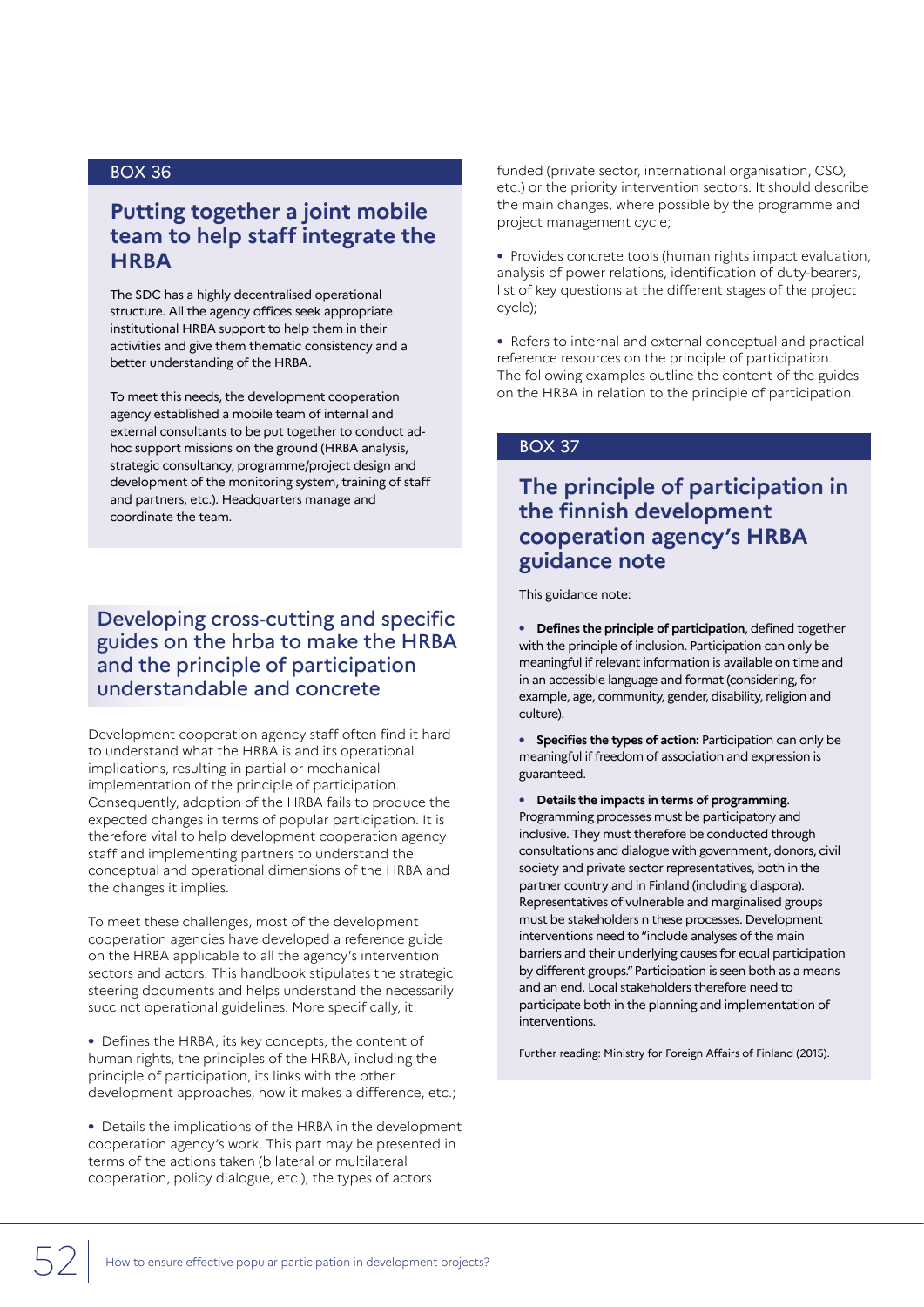## **Putting together a joint mobile team to help staff integrate the HRBA**

The SDC has a highly decentralised operational structure. All the agency offices seek appropriate institutional HRBA support to help them in their activities and give them thematic consistency and a better understanding of the HRBA.

To meet this needs, the development cooperation agency established a mobile team of internal and external consultants to be put together to conduct adhoc support missions on the ground (HRBA analysis, strategic consultancy, programme/project design and development of the monitoring system, training of staff and partners, etc.). Headquarters manage and coordinate the team.

## Developing cross-cutting and specific guides on the hrba to make the HRBA and the principle of participation understandable and concrete

Development cooperation agency staff often find it hard to understand what the HRBA is and its operational implications, resulting in partial or mechanical implementation of the principle of participation. Consequently, adoption of the HRBA fails to produce the expected changes in terms of popular participation. It is therefore vital to help development cooperation agency staff and implementing partners to understand the conceptual and operational dimensions of the HRBA and the changes it implies.

To meet these challenges, most of the development cooperation agencies have developed a reference guide on the HRBA applicable to all the agency's intervention sectors and actors. This handbook stipulates the strategic steering documents and helps understand the necessarily succinct operational guidelines. More specifically, it:

**•** Defines the HRBA, its key concepts, the content of human rights, the principles of the HRBA, including the principle of participation, its links with the other development approaches, how it makes a difference, etc.;

**•** Details the implications of the HRBA in the development cooperation agency's work. This part may be presented in terms of the actions taken (bilateral or multilateral cooperation, policy dialogue, etc.), the types of actors

funded (private sector, international organisation, CSO, etc.) or the priority intervention sectors. It should describe the main changes, where possible by the programme and project management cycle;

**•** Provides concrete tools (human rights impact evaluation, analysis of power relations, identification of duty-bearers, list of key questions at the different stages of the project cycle);

**•** Refers to internal and external conceptual and practical reference resources on the principle of participation. The following examples outline the content of the guides on the HRBA in relation to the principle of participation.

### BOX 37

## **The principle of participation in the finnish development cooperation agency's HRBA guidance note**

This guidance note:

**• Defines the principle of participation**, defined together with the principle of inclusion. Participation can only be meaningful if relevant information is available on time and in an accessible language and format (considering, for example, age, community, gender, disability, religion and culture).

**• Specifies the types of action:** Participation can only be meaningful if freedom of association and expression is guaranteed.

**• Details the impacts in terms of programming**. Programming processes must be participatory and inclusive. They must therefore be conducted through consultations and dialogue with government, donors, civil society and private sector representatives, both in the partner country and in Finland (including diaspora). Representatives of vulnerable and marginalised groups must be stakeholders n these processes. Development interventions need to "include analyses of the main barriers and their underlying causes for equal participation by different groups." Participation is seen both as a means and an end. Local stakeholders therefore need to participate both in the planning and implementation of interventions.

Further reading: Ministry for Foreign Affairs of Finland (2015).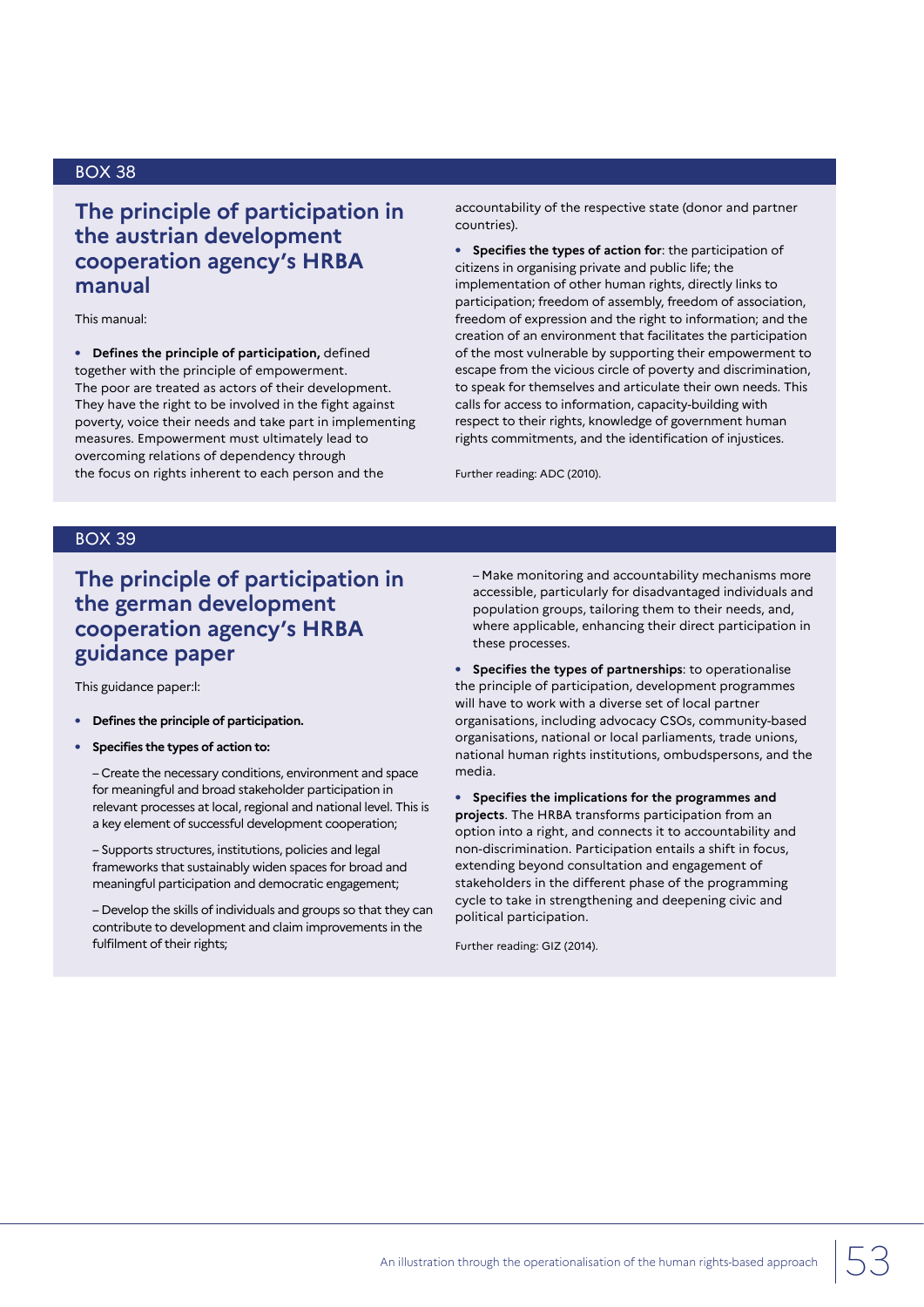## **The principle of participation in the austrian development cooperation agency's HRBA manual**

This manual:

**• Defines the principle of participation,** defined together with the principle of empowerment. The poor are treated as actors of their development. They have the right to be involved in the fight against poverty, voice their needs and take part in implementing measures. Empowerment must ultimately lead to overcoming relations of dependency through the focus on rights inherent to each person and the

accountability of the respective state (donor and partner countries).

**• Specifies the types of action for**: the participation of citizens in organising private and public life; the implementation of other human rights, directly links to participation; freedom of assembly, freedom of association, freedom of expression and the right to information; and the creation of an environment that facilitates the participation of the most vulnerable by supporting their empowerment to escape from the vicious circle of poverty and discrimination, to speak for themselves and articulate their own needs. This calls for access to information, capacity-building with respect to their rights, knowledge of government human rights commitments, and the identification of injustices.

Further reading: ADC (2010).

## BOX 39

## **The principle of participation in the german development cooperation agency's HRBA guidance paper**

This guidance paper:l:

- **• Defines the principle of participation.**
- **• Specifies the types of action to:**

– Create the necessary conditions, environment and space for meaningful and broad stakeholder participation in relevant processes at local, regional and national level. This is a key element of successful development cooperation;

– Supports structures, institutions, policies and legal frameworks that sustainably widen spaces for broad and meaningful participation and democratic engagement;

– Develop the skills of individuals and groups so that they can contribute to development and claim improvements in the fulfilment of their rights;

– Make monitoring and accountability mechanisms more accessible, particularly for disadvantaged individuals and population groups, tailoring them to their needs, and, where applicable, enhancing their direct participation in these processes.

**• Specifies the types of partnerships**: to operationalise the principle of participation, development programmes will have to work with a diverse set of local partner organisations, including advocacy CSOs, community-based organisations, national or local parliaments, trade unions, national human rights institutions, ombudspersons, and the media.

**• Specifies the implications for the programmes and projects**. The HRBA transforms participation from an option into a right, and connects it to accountability and non-discrimination. Participation entails a shift in focus, extending beyond consultation and engagement of stakeholders in the different phase of the programming cycle to take in strengthening and deepening civic and political participation.

Further reading: GIZ (2014).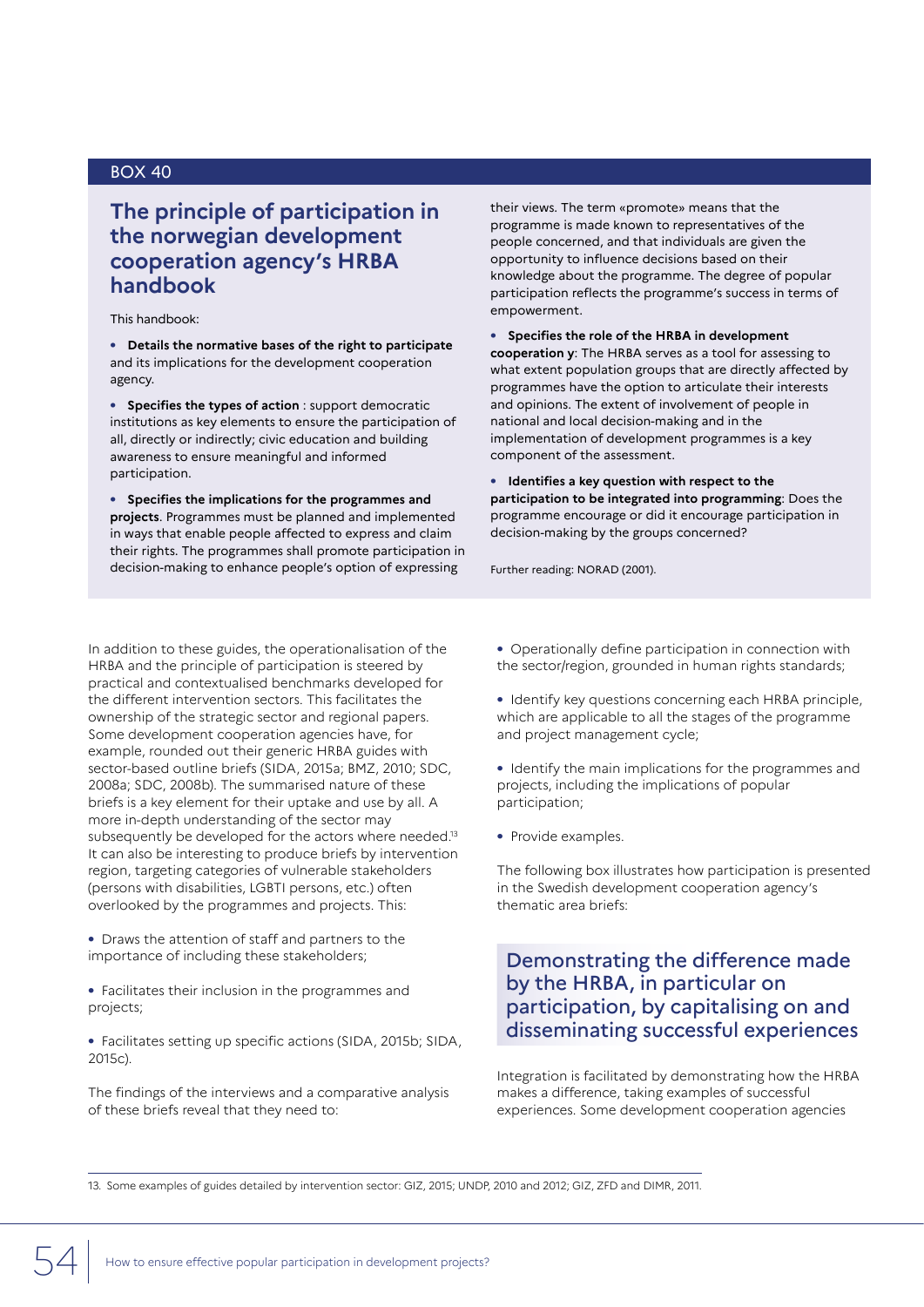## **The principle of participation in the norwegian development cooperation agency's HRBA handbook**

#### This handbook:

**• Details the normative bases of the right to participate**  and its implications for the development cooperation agency.

**• Specifies the types of action** : support democratic institutions as key elements to ensure the participation of all, directly or indirectly; civic education and building awareness to ensure meaningful and informed participation.

**• Specifies the implications for the programmes and projects**. Programmes must be planned and implemented in ways that enable people affected to express and claim their rights. The programmes shall promote participation in decision-making to enhance people's option of expressing

their views. The term «promote» means that the programme is made known to representatives of the people concerned, and that individuals are given the opportunity to influence decisions based on their knowledge about the programme. The degree of popular participation reflects the programme's success in terms of empowerment.

**• Specifies the role of the HRBA in development cooperation y**: The HRBA serves as a tool for assessing to what extent population groups that are directly affected by programmes have the option to articulate their interests and opinions. The extent of involvement of people in national and local decision-making and in the implementation of development programmes is a key component of the assessment.

**• Identifies a key question with respect to the participation to be integrated into programming**: Does the programme encourage or did it encourage participation in decision-making by the groups concerned?

Further reading: NORAD (2001).

In addition to these guides, the operationalisation of the HRBA and the principle of participation is steered by practical and contextualised benchmarks developed for the different intervention sectors. This facilitates the ownership of the strategic sector and regional papers. Some development cooperation agencies have, for example, rounded out their generic HRBA guides with sector-based outline briefs (SIDA, 2015a; BMZ, 2010; SDC, 2008a; SDC, 2008b). The summarised nature of these briefs is a key element for their uptake and use by all. A more in-depth understanding of the sector may subsequently be developed for the actors where needed.<sup>13</sup> It can also be interesting to produce briefs by intervention region, targeting categories of vulnerable stakeholders (persons with disabilities, LGBTI persons, etc.) often overlooked by the programmes and projects. This:

**•** Draws the attention of staff and partners to the importance of including these stakeholders;

**•** Facilitates their inclusion in the programmes and projects;

**•** Facilitates setting up specific actions (SIDA, 2015b; SIDA, 2015c).

The findings of the interviews and a comparative analysis of these briefs reveal that they need to:

**•** Operationally define participation in connection with the sector/region, grounded in human rights standards;

**•** Identify key questions concerning each HRBA principle, which are applicable to all the stages of the programme and project management cycle;

**•** Identify the main implications for the programmes and projects, including the implications of popular participation;

**•** Provide examples.

The following box illustrates how participation is presented in the Swedish development cooperation agency's thematic area briefs:

## Demonstrating the difference made by the HRBA, in particular on participation, by capitalising on and disseminating successful experiences

Integration is facilitated by demonstrating how the HRBA makes a difference, taking examples of successful experiences. Some development cooperation agencies

13. Some examples of guides detailed by intervention sector: GIZ, 2015; UNDP, 2010 and 2012; GIZ, ZFD and DIMR, 2011.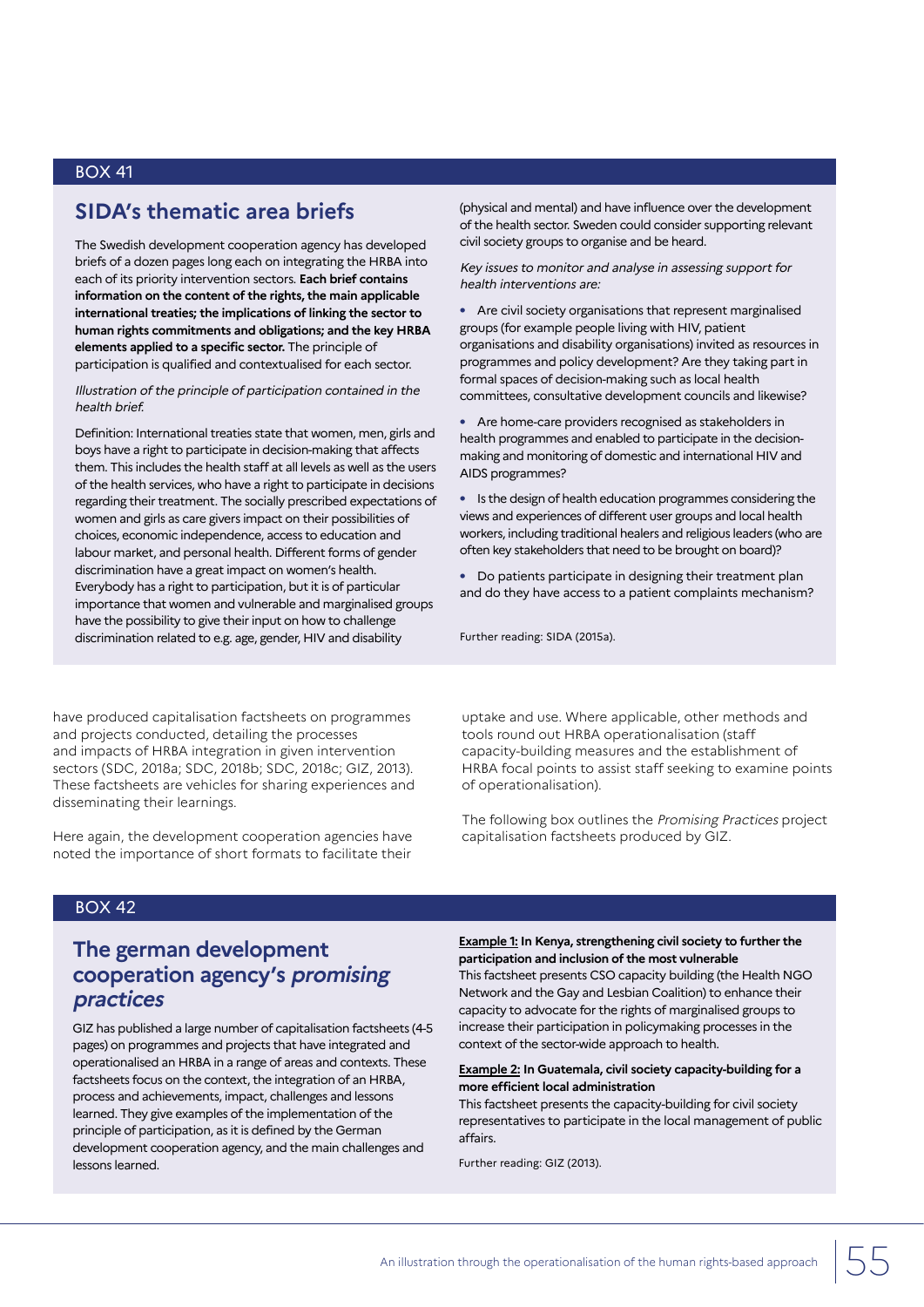## **SIDA's thematic area briefs**

The Swedish development cooperation agency has developed briefs of a dozen pages long each on integrating the HRBA into each of its priority intervention sectors. **Each brief contains information on the content of the rights, the main applicable international treaties; the implications of linking the sector to human rights commitments and obligations; and the key HRBA elements applied to a specific sector.** The principle of participation is qualified and contextualised for each sector.

Illustration of the principle of participation contained in the health brief.

Definition: International treaties state that women, men, girls and boys have a right to participate in decision-making that affects them. This includes the health staff at all levels as well as the users of the health services, who have a right to participate in decisions regarding their treatment. The socially prescribed expectations of women and girls as care givers impact on their possibilities of choices, economic independence, access to education and labour market, and personal health. Different forms of gender discrimination have a great impact on women's health. Everybody has a right to participation, but it is of particular importance that women and vulnerable and marginalised groups have the possibility to give their input on how to challenge discrimination related to e.g. age, gender, HIV and disability

(physical and mental) and have influence over the development of the health sector. Sweden could consider supporting relevant civil society groups to organise and be heard.

Key issues to monitor and analyse in assessing support for health interventions are:

**•** Are civil society organisations that represent marginalised groups (for example people living with HIV, patient organisations and disability organisations) invited as resources in programmes and policy development? Are they taking part in formal spaces of decision-making such as local health committees, consultative development councils and likewise?

**•** Are home-care providers recognised as stakeholders in health programmes and enabled to participate in the decisionmaking and monitoring of domestic and international HIV and AIDS programmes?

**•** Is the design of health education programmes considering the views and experiences of different user groups and local health workers, including traditional healers and religious leaders (who are often key stakeholders that need to be brought on board)?

**•** Do patients participate in designing their treatment plan and do they have access to a patient complaints mechanism?

Further reading: SIDA (2015a).

have produced capitalisation factsheets on programmes and projects conducted, detailing the processes and impacts of HRBA integration in given intervention sectors (SDC, 2018a; SDC, 2018b; SDC, 2018c; GIZ, 2013). These factsheets are vehicles for sharing experiences and disseminating their learnings.

Here again, the development cooperation agencies have noted the importance of short formats to facilitate their

uptake and use. Where applicable, other methods and tools round out HRBA operationalisation (staff capacity-building measures and the establishment of HRBA focal points to assist staff seeking to examine points of operationalisation).

The following box outlines the Promising Practices project capitalisation factsheets produced by GIZ.

### BOX 42

## **The german development cooperation agency's promising practices**

GIZ has published a large number of capitalisation factsheets (4-5 pages) on programmes and projects that have integrated and operationalised an HRBA in a range of areas and contexts. These factsheets focus on the context, the integration of an HRBA, process and achievements, impact, challenges and lessons learned. They give examples of the implementation of the principle of participation, as it is defined by the German development cooperation agency, and the main challenges and lessons learned.

**Example 1: In Kenya, strengthening civil society to further the participation and inclusion of the most vulnerable**

This factsheet presents CSO capacity building (the Health NGO Network and the Gay and Lesbian Coalition) to enhance their capacity to advocate for the rights of marginalised groups to increase their participation in policymaking processes in the context of the sector-wide approach to health.

#### **Example 2: In Guatemala, civil society capacity-building for a more efficient local administration**

This factsheet presents the capacity-building for civil society representatives to participate in the local management of public affairs.

Further reading: GIZ (2013).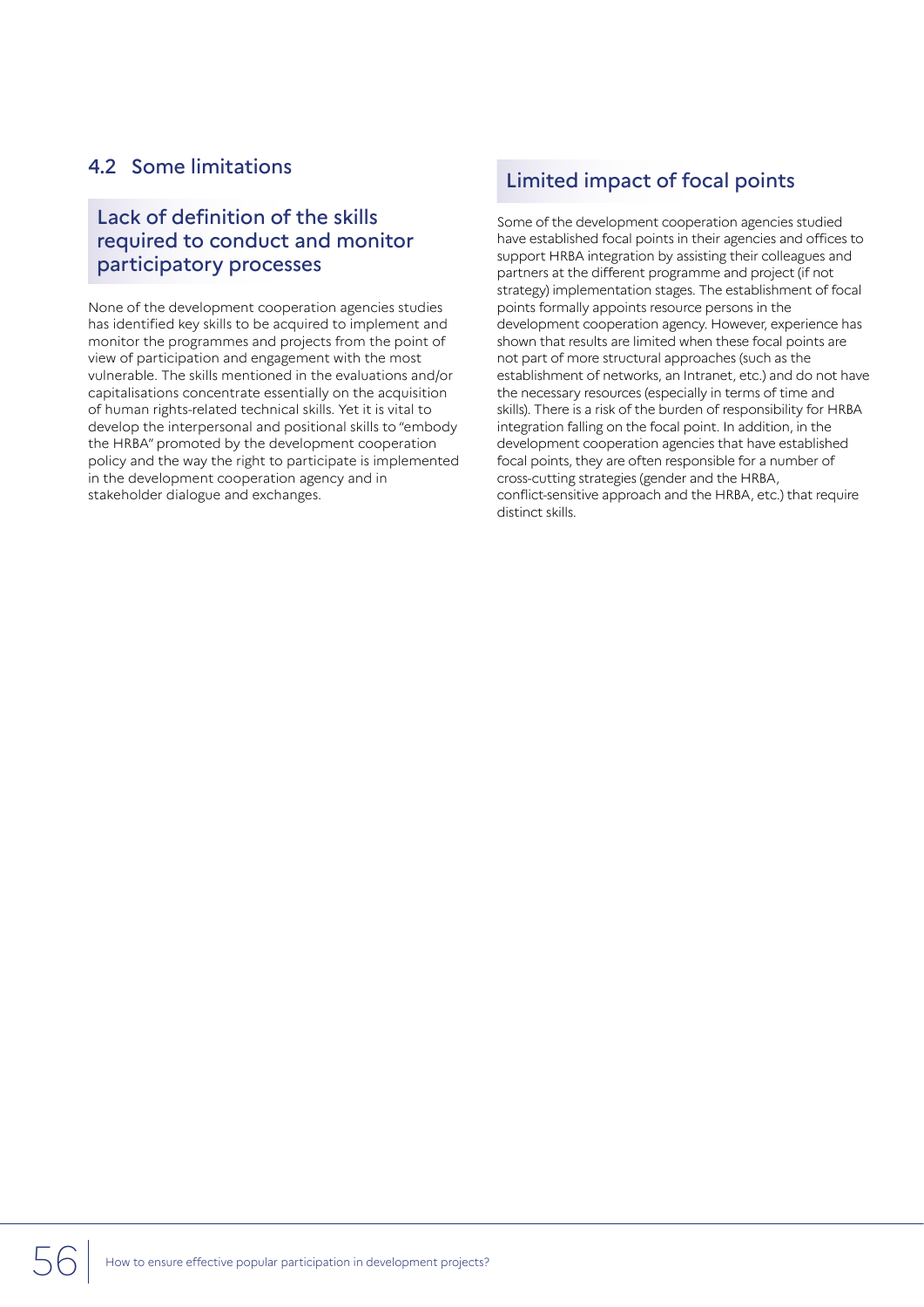## 4.2 Some limitations

## Lack of definition of the skills required to conduct and monitor participatory processes

None of the development cooperation agencies studies has identified key skills to be acquired to implement and monitor the programmes and projects from the point of view of participation and engagement with the most vulnerable. The skills mentioned in the evaluations and/or capitalisations concentrate essentially on the acquisition of human rights-related technical skills. Yet it is vital to develop the interpersonal and positional skills to "embody the HRBA" promoted by the development cooperation policy and the way the right to participate is implemented in the development cooperation agency and in stakeholder dialogue and exchanges.

## Limited impact of focal points

Some of the development cooperation agencies studied have established focal points in their agencies and offices to support HRBA integration by assisting their colleagues and partners at the different programme and project (if not strategy) implementation stages. The establishment of focal points formally appoints resource persons in the development cooperation agency. However, experience has shown that results are limited when these focal points are not part of more structural approaches (such as the establishment of networks, an Intranet, etc.) and do not have the necessary resources (especially in terms of time and skills). There is a risk of the burden of responsibility for HRBA integration falling on the focal point. In addition, in the development cooperation agencies that have established focal points, they are often responsible for a number of cross-cutting strategies (gender and the HRBA, conflict-sensitive approach and the HRBA, etc.) that require distinct skills.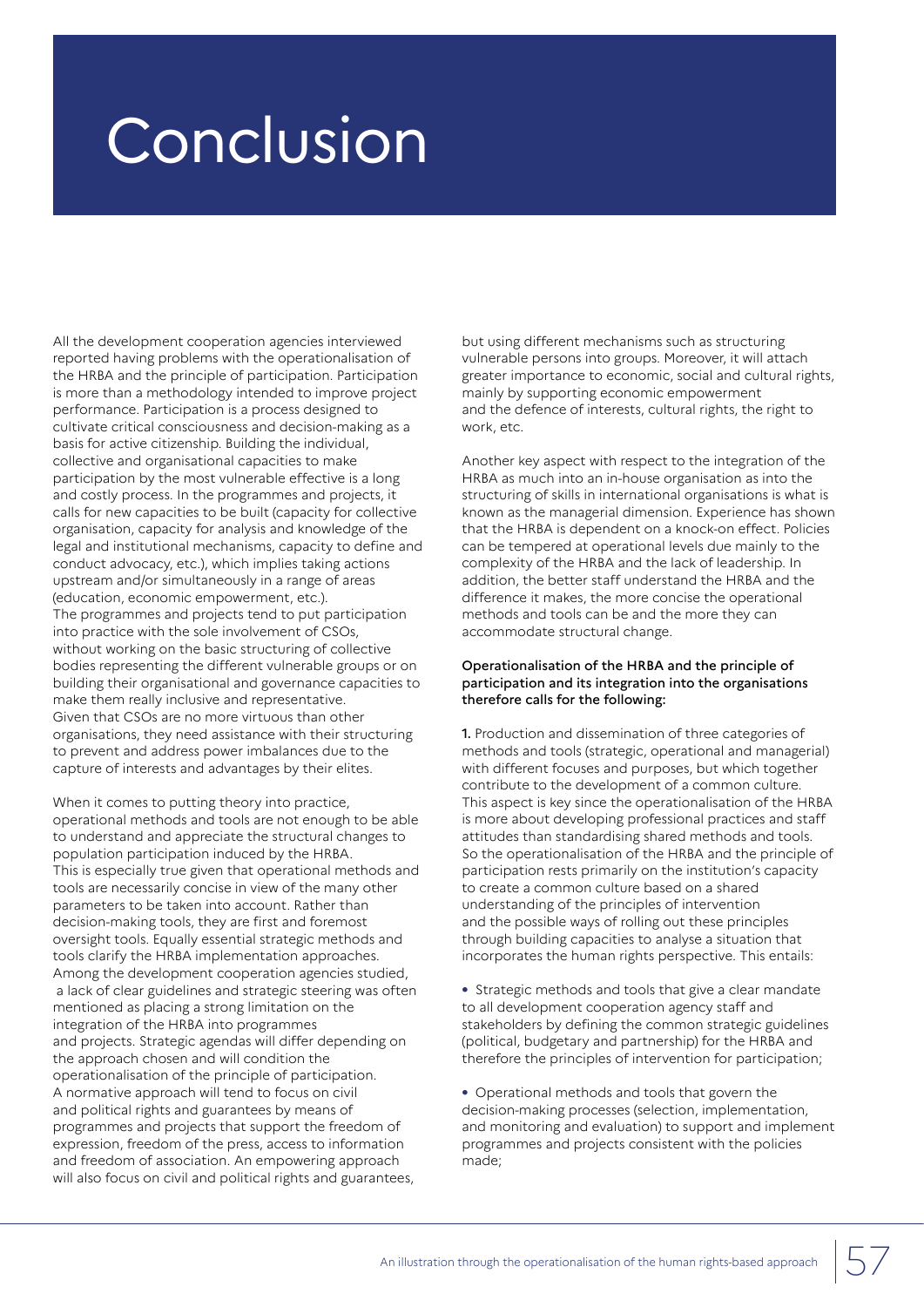## Conclusion

All the development cooperation agencies interviewed reported having problems with the operationalisation of the HRBA and the principle of participation. Participation is more than a methodology intended to improve project performance. Participation is a process designed to cultivate critical consciousness and decision-making as a basis for active citizenship. Building the individual, collective and organisational capacities to make participation by the most vulnerable effective is a long and costly process. In the programmes and projects, it calls for new capacities to be built (capacity for collective organisation, capacity for analysis and knowledge of the legal and institutional mechanisms, capacity to define and conduct advocacy, etc.), which implies taking actions upstream and/or simultaneously in a range of areas (education, economic empowerment, etc.). The programmes and projects tend to put participation into practice with the sole involvement of CSOs, without working on the basic structuring of collective bodies representing the different vulnerable groups or on building their organisational and governance capacities to make them really inclusive and representative. Given that CSOs are no more virtuous than other organisations, they need assistance with their structuring to prevent and address power imbalances due to the capture of interests and advantages by their elites.

When it comes to putting theory into practice, operational methods and tools are not enough to be able to understand and appreciate the structural changes to population participation induced by the HRBA. This is especially true given that operational methods and tools are necessarily concise in view of the many other parameters to be taken into account. Rather than decision-making tools, they are first and foremost oversight tools. Equally essential strategic methods and tools clarify the HRBA implementation approaches. Among the development cooperation agencies studied, a lack of clear guidelines and strategic steering was often mentioned as placing a strong limitation on the integration of the HRBA into programmes and projects. Strategic agendas will differ depending on the approach chosen and will condition the operationalisation of the principle of participation. A normative approach will tend to focus on civil and political rights and guarantees by means of programmes and projects that support the freedom of expression, freedom of the press, access to information and freedom of association. An empowering approach will also focus on civil and political rights and guarantees,

but using different mechanisms such as structuring vulnerable persons into groups. Moreover, it will attach greater importance to economic, social and cultural rights, mainly by supporting economic empowerment and the defence of interests, cultural rights, the right to work, etc.

Another key aspect with respect to the integration of the HRBA as much into an in-house organisation as into the structuring of skills in international organisations is what is known as the managerial dimension. Experience has shown that the HRBA is dependent on a knock-on effect. Policies can be tempered at operational levels due mainly to the complexity of the HRBA and the lack of leadership. In addition, the better staff understand the HRBA and the difference it makes, the more concise the operational methods and tools can be and the more they can accommodate structural change.

#### Operationalisation of the HRBA and the principle of participation and its integration into the organisations therefore calls for the following:

1. Production and dissemination of three categories of methods and tools (strategic, operational and managerial) with different focuses and purposes, but which together contribute to the development of a common culture. This aspect is key since the operationalisation of the HRBA is more about developing professional practices and staff attitudes than standardising shared methods and tools. So the operationalisation of the HRBA and the principle of participation rests primarily on the institution's capacity to create a common culture based on a shared understanding of the principles of intervention and the possible ways of rolling out these principles through building capacities to analyse a situation that incorporates the human rights perspective. This entails:

**•** Strategic methods and tools that give a clear mandate to all development cooperation agency staff and stakeholders by defining the common strategic guidelines (political, budgetary and partnership) for the HRBA and therefore the principles of intervention for participation;

**•** Operational methods and tools that govern the decision-making processes (selection, implementation, and monitoring and evaluation) to support and implement programmes and projects consistent with the policies made;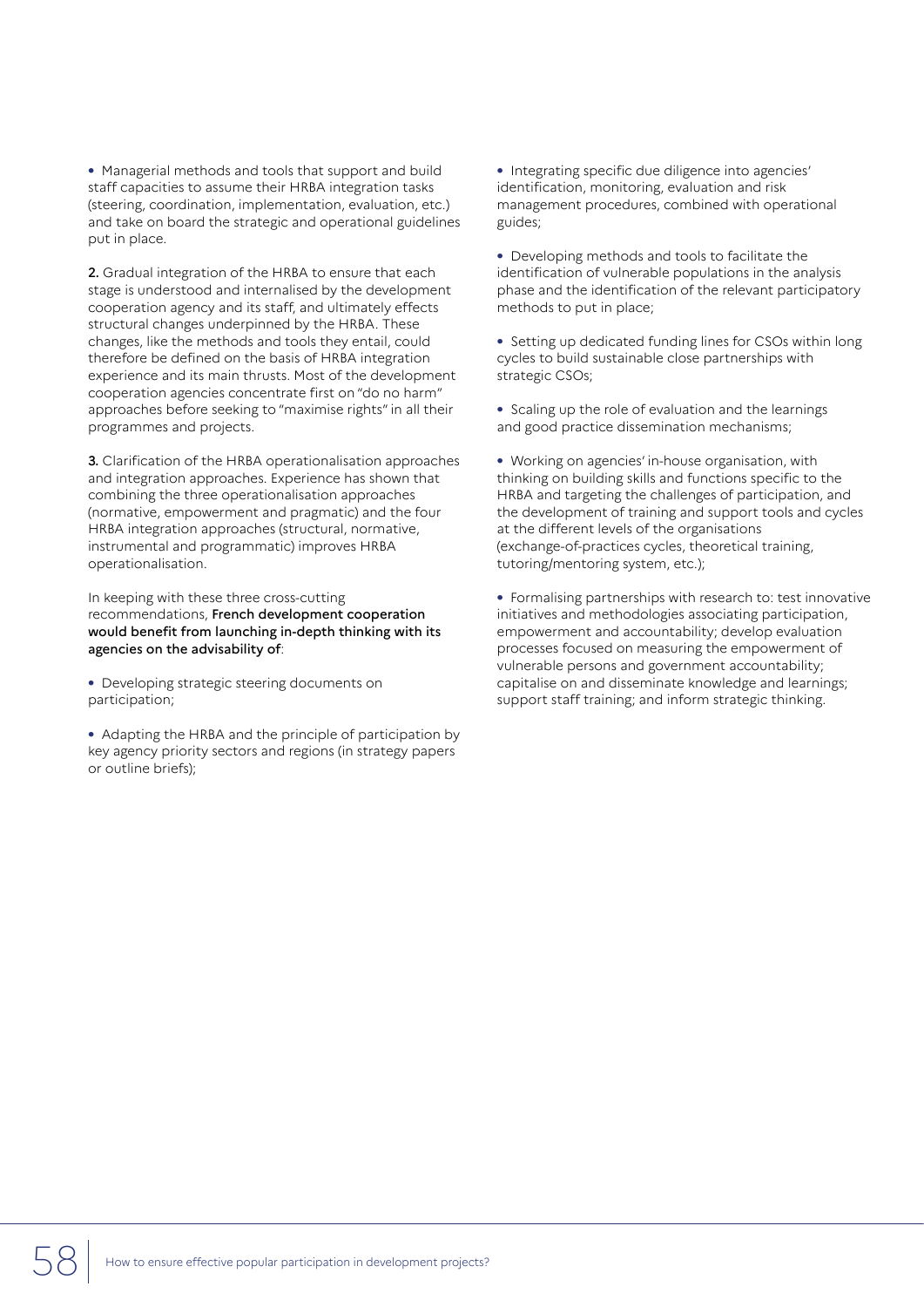**•** Managerial methods and tools that support and build staff capacities to assume their HRBA integration tasks (steering, coordination, implementation, evaluation, etc.) and take on board the strategic and operational guidelines put in place.

2. Gradual integration of the HRBA to ensure that each stage is understood and internalised by the development cooperation agency and its staff, and ultimately effects structural changes underpinned by the HRBA. These changes, like the methods and tools they entail, could therefore be defined on the basis of HRBA integration experience and its main thrusts. Most of the development cooperation agencies concentrate first on "do no harm" approaches before seeking to "maximise rights" in all their programmes and projects.

3. Clarification of the HRBA operationalisation approaches and integration approaches. Experience has shown that combining the three operationalisation approaches (normative, empowerment and pragmatic) and the four HRBA integration approaches (structural, normative, instrumental and programmatic) improves HRBA operationalisation.

In keeping with these three cross-cutting recommendations, French development cooperation would benefit from launching in-depth thinking with its agencies on the advisability of:

**•** Developing strategic steering documents on participation;

**•** Adapting the HRBA and the principle of participation by key agency priority sectors and regions (in strategy papers or outline briefs);

**•** Integrating specific due diligence into agencies' identification, monitoring, evaluation and risk management procedures, combined with operational guides;

**•** Developing methods and tools to facilitate the identification of vulnerable populations in the analysis phase and the identification of the relevant participatory methods to put in place;

**•** Setting up dedicated funding lines for CSOs within long cycles to build sustainable close partnerships with strategic CSOs;

**•** Scaling up the role of evaluation and the learnings and good practice dissemination mechanisms;

**•** Working on agencies' in-house organisation, with thinking on building skills and functions specific to the HRBA and targeting the challenges of participation, and the development of training and support tools and cycles at the different levels of the organisations (exchange-of-practices cycles, theoretical training, tutoring/mentoring system, etc.);

**•** Formalising partnerships with research to: test innovative initiatives and methodologies associating participation, empowerment and accountability; develop evaluation processes focused on measuring the empowerment of vulnerable persons and government accountability; capitalise on and disseminate knowledge and learnings; support staff training; and inform strategic thinking.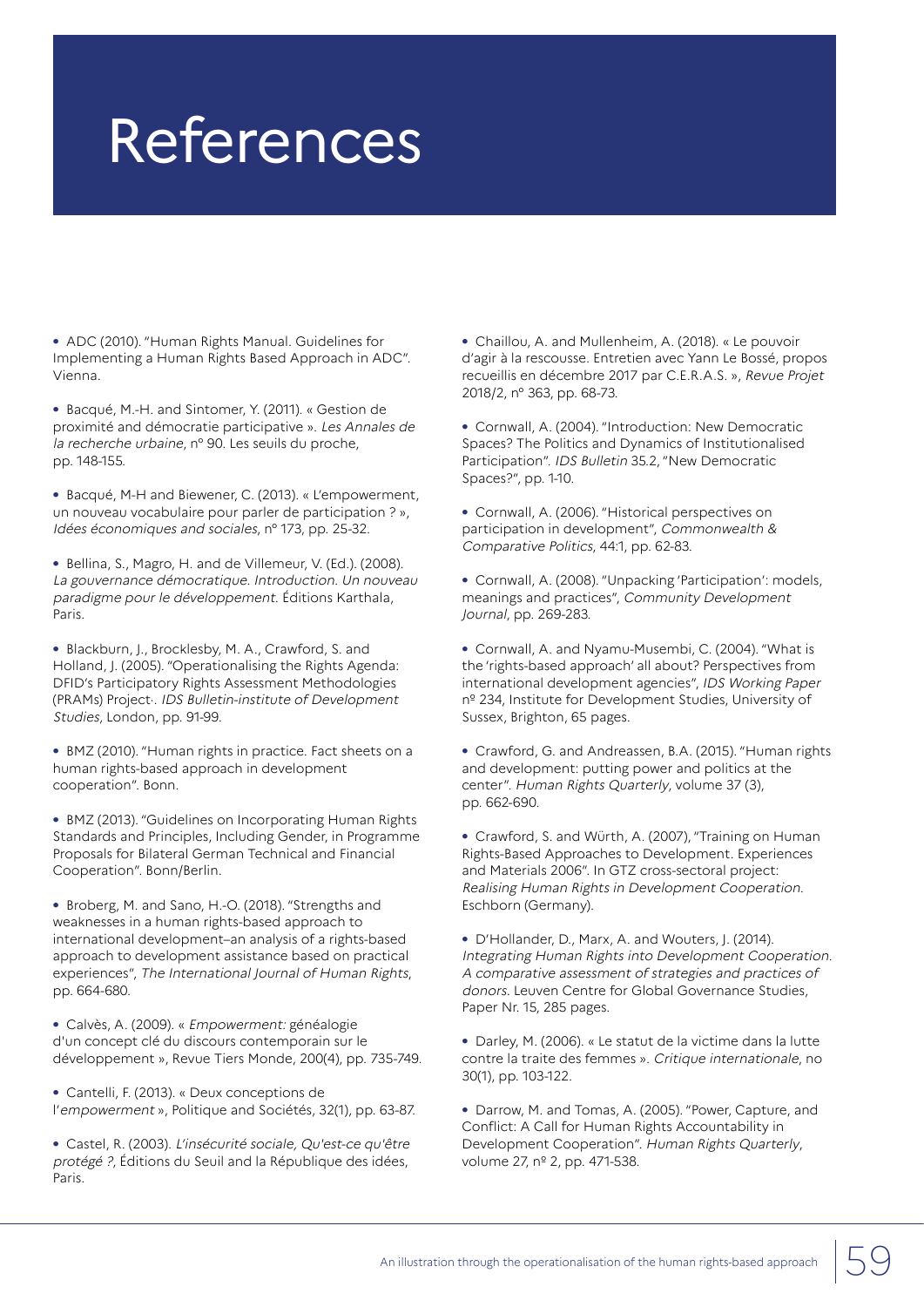## References

**•** ADC (2010). "Human Rights Manual. Guidelines for Implementing a Human Rights Based Approach in ADC". Vienna.

**•** Bacqué, M.-H. and Sintomer, Y. (2011). « Gestion de proximité and démocratie participative ». Les Annales de la recherche urbaine, n° 90. Les seuils du proche, pp. 148-155.

**•** Bacqué, M-H and Biewener, C. (2013). « L'empowerment, un nouveau vocabulaire pour parler de participation ? », Idées économiques and sociales, n° 173, pp. 25-32.

**•** Bellina, S., Magro, H. and de Villemeur, V. (Ed.). (2008). La gouvernance démocratique. Introduction. Un nouveau paradigme pour le développement. Éditions Karthala, Paris.

**•** Blackburn, J., Brocklesby, M. A., Crawford, S. and Holland, J. (2005). "Operationalising the Rights Agenda: DFID's Participatory Rights Assessment Methodologies (PRAMs) Project·. IDS Bulletin-institute of Development Studies, London, pp. 91-99.

**•** BMZ (2010). "Human rights in practice. Fact sheets on a human rights-based approach in development cooperation". Bonn.

**•** BMZ (2013). "Guidelines on Incorporating Human Rights Standards and Principles, Including Gender, in Programme Proposals for Bilateral German Technical and Financial Cooperation". Bonn/Berlin.

**•** Broberg, M. and Sano, H.-O. (2018). "Strengths and weaknesses in a human rights-based approach to international development–an analysis of a rights-based approach to development assistance based on practical experiences", The International Journal of Human Rights, pp. 664-680.

**•** Calvès, A. (2009). « Empowerment: généalogie d'un concept clé du discours contemporain sur le développement », Revue Tiers Monde, 200(4), pp. 735-749.

**•** Cantelli, F. (2013). « Deux conceptions de l'empowermen<sup>t</sup> », Politique and Sociétés, 32(1), pp. 63-87.

**•** Castel, R. (2003). L'insécurité sociale, Qu'est-ce qu'être protégé ?, Éditions du Seuil and la République des idées, Paris.

**•** Chaillou, A. and Mullenheim, A. (2018). « Le pouvoir d'agir à la rescousse. Entretien avec Yann Le Bossé, propos recueillis en décembre 2017 par C.E.R.A.S. », Revue Projet 2018/2, n° 363, pp. 68-73.

**•** Cornwall, A. (2004). "Introduction: New Democratic Spaces? The Politics and Dynamics of Institutionalised Participation". IDS Bulletin 35.2, "New Democratic Spaces?", pp. 1-10.

**•** Cornwall, A. (2006). "Historical perspectives on participation in development", Commonwealth & Comparative Politics, 44:1, pp. 62-83.

**•** Cornwall, A. (2008). "Unpacking 'Participation': models, meanings and practices", Community Development Journal, pp. 269-283.

**•** Cornwall, A. and Nyamu-Musembi, C. (2004). "What is the 'rights-based approach' all about? Perspectives from international development agencies", IDS Working Paper nº 234, Institute for Development Studies, University of Sussex, Brighton, 65 pages.

**•** Crawford, G. and Andreassen, B.A. (2015). "Human rights and development: putting power and politics at the center". Human Rights Quarterly, volume 37 (3), pp. 662-690.

**•** Crawford, S. and Würth, A. (2007), "Training on Human Rights-Based Approaches to Development. Experiences and Materials 2006". In GTZ cross-sectoral project: Realising Human Rights in Development Cooperation. Eschborn (Germany).

**•** D'Hollander, D., Marx, A. and Wouters, J. (2014). Integrating Human Rights into Development Cooperation. A comparative assessment of strategies and practices of donors. Leuven Centre for Global Governance Studies, Paper Nr. 15, 285 pages.

**•** Darley, M. (2006). « Le statut de la victime dans la lutte contre la traite des femmes ». Critique internationale, no 30(1), pp. 103-122.

**•** Darrow, M. and Tomas, A. (2005). "Power, Capture, and Conflict: A Call for Human Rights Accountability in Development Cooperation". Human Rights Quarterly, volume 27, nº 2, pp. 471-538.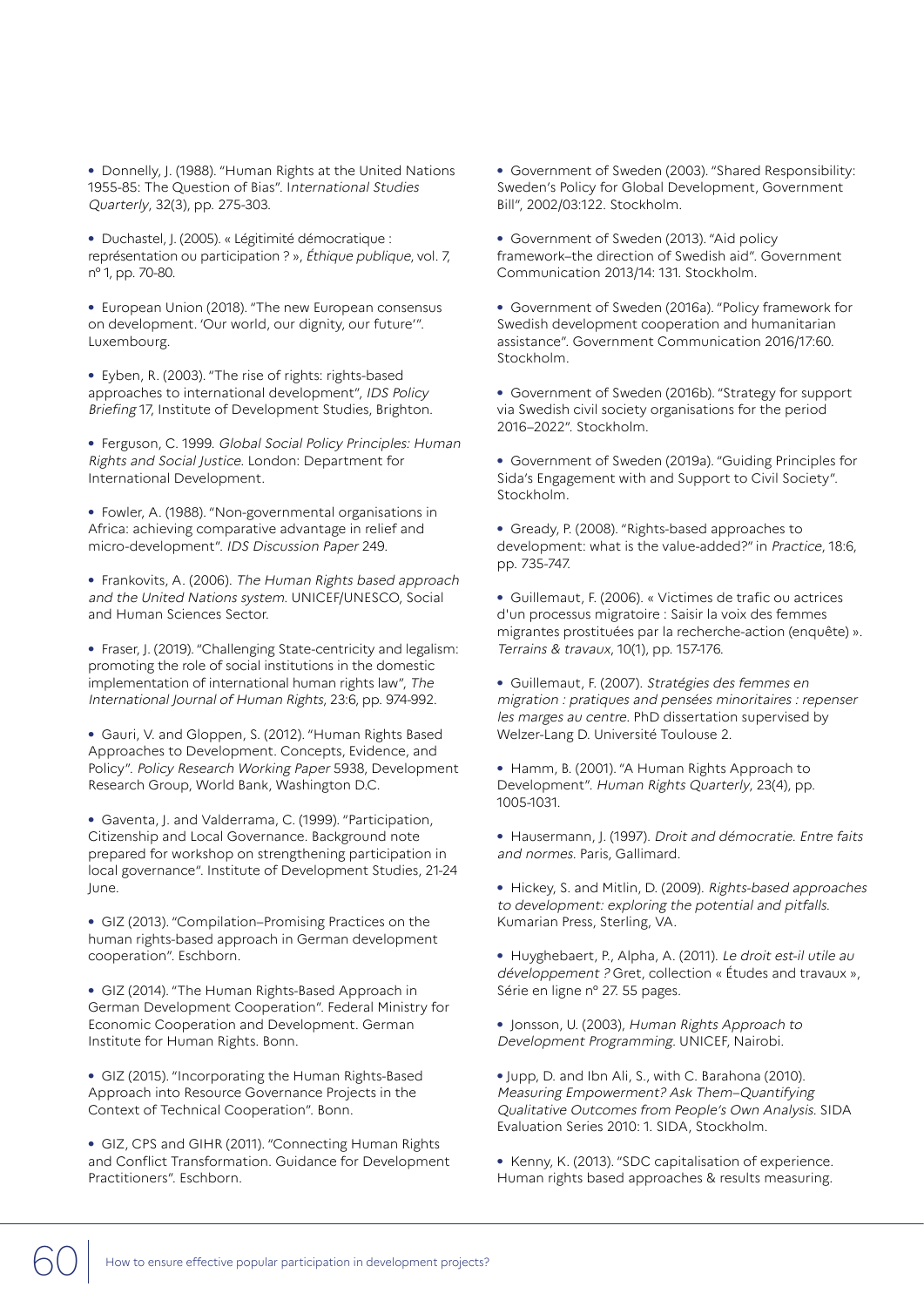**•** Donnelly, J. (1988). "Human Rights at the United Nations 1955-85: The Question of Bias". International Studies Quarterly, 32(3), pp. 275-303.

**•** Duchastel, J. (2005). « Légitimité démocratique : représentation ou participation ? », Éthique publique, vol. 7, n° 1, pp. 70-80.

**•** European Union (2018). "The new European consensus on development. 'Our world, our dignity, our future'". Luxembourg.

**•** Eyben, R. (2003). "The rise of rights: rights-based approaches to international development", IDS Policy Briefing 17, Institute of Development Studies, Brighton.

**•** Ferguson, C. 1999. Global Social Policy Principles: Human Rights and Social Justice. London: Department for International Development.

**•** Fowler, A. (1988). "Non-governmental organisations in Africa: achieving comparative advantage in relief and micro-development". IDS Discussion Paper 249.

**•** Frankovits, A. (2006). The Human Rights based approach and the United Nations system. UNICEF/UNESCO, Social and Human Sciences Sector.

**•** Fraser, J. (2019). "Challenging State-centricity and legalism: promoting the role of social institutions in the domestic implementation of international human rights law", The International Journal of Human Rights, 23:6, pp. 974-992.

**•** Gauri, V. and Gloppen, S. (2012). "Human Rights Based Approaches to Development. Concepts, Evidence, and Policy". Policy Research Working Paper 5938, Development Research Group, World Bank, Washington D.C.

**•** Gaventa, J. and Valderrama, C. (1999). "Participation, Citizenship and Local Governance. Background note prepared for workshop on strengthening participation in local governance". Institute of Development Studies, 21-24 June.

**•** GIZ (2013). "Compilation–Promising Practices on the human rights-based approach in German development cooperation". Eschborn.

**•** GIZ (2014). "The Human Rights-Based Approach in German Development Cooperation". Federal Ministry for Economic Cooperation and Development. German Institute for Human Rights. Bonn.

**•** GIZ (2015). "Incorporating the Human Rights-Based Approach into Resource Governance Projects in the Context of Technical Cooperation". Bonn.

**•** GIZ, CPS and GIHR (2011). "Connecting Human Rights and Conflict Transformation. Guidance for Development Practitioners". Eschborn.

**•** Government of Sweden (2003). "Shared Responsibility: Sweden's Policy for Global Development, Government Bill", 2002/03:122. Stockholm.

**•** Government of Sweden (2013). "Aid policy framework–the direction of Swedish aid". Government Communication 2013/14: 131. Stockholm.

**•** Government of Sweden (2016a). "Policy framework for Swedish development cooperation and humanitarian assistance". Government Communication 2016/17:60. Stockholm.

**•** Government of Sweden (2016b). "Strategy for support via Swedish civil society organisations for the period 2016–2022". Stockholm.

**•** Government of Sweden (2019a). "Guiding Principles for Sida's Engagement with and Support to Civil Society". Stockholm.

**•** Gready, P. (2008). "Rights-based approaches to development: what is the value-added?" in Practice, 18:6, pp. 735-747.

**•** Guillemaut, F. (2006). « Victimes de trafic ou actrices d'un processus migratoire : Saisir la voix des femmes migrantes prostituées par la recherche-action (enquête) ». Terrains & travaux, 10(1), pp. 157-176.

**•** Guillemaut, F. (2007). Stratégies des femmes en migration : pratiques and pensées minoritaires : repenser les marges au centre. PhD dissertation supervised by Welzer-Lang D. Université Toulouse 2.

**•** Hamm, B. (2001). "A Human Rights Approach to Development". Human Rights Quarterly, 23(4), pp. 1005-1031.

**•** Hausermann, J. (1997). Droit and démocratie. Entre faits and normes. Paris, Gallimard.

**•** Hickey, S. and Mitlin, D. (2009). Rights-based approaches to development: exploring the potential and pitfalls. Kumarian Press, Sterling, VA.

**•** Huyghebaert, P., Alpha, A. (2011). Le droit est-il utile au développement ? Gret, collection « Études and travaux », Série en ligne n° 27. 55 pages.

**•** Jonsson, U. (2003), Human Rights Approach to Development Programming. UNICEF, Nairobi.

**•** Jupp, D. and Ibn Ali, S., with C. Barahona (2010). Measuring Empowerment? Ask Them–Quantifying Qualitative Outcomes from People's Own Analysis. SIDA Evaluation Series 2010: 1. SIDA, Stockholm.

**•** Kenny, K. (2013). "SDC capitalisation of experience. Human rights based approaches & results measuring.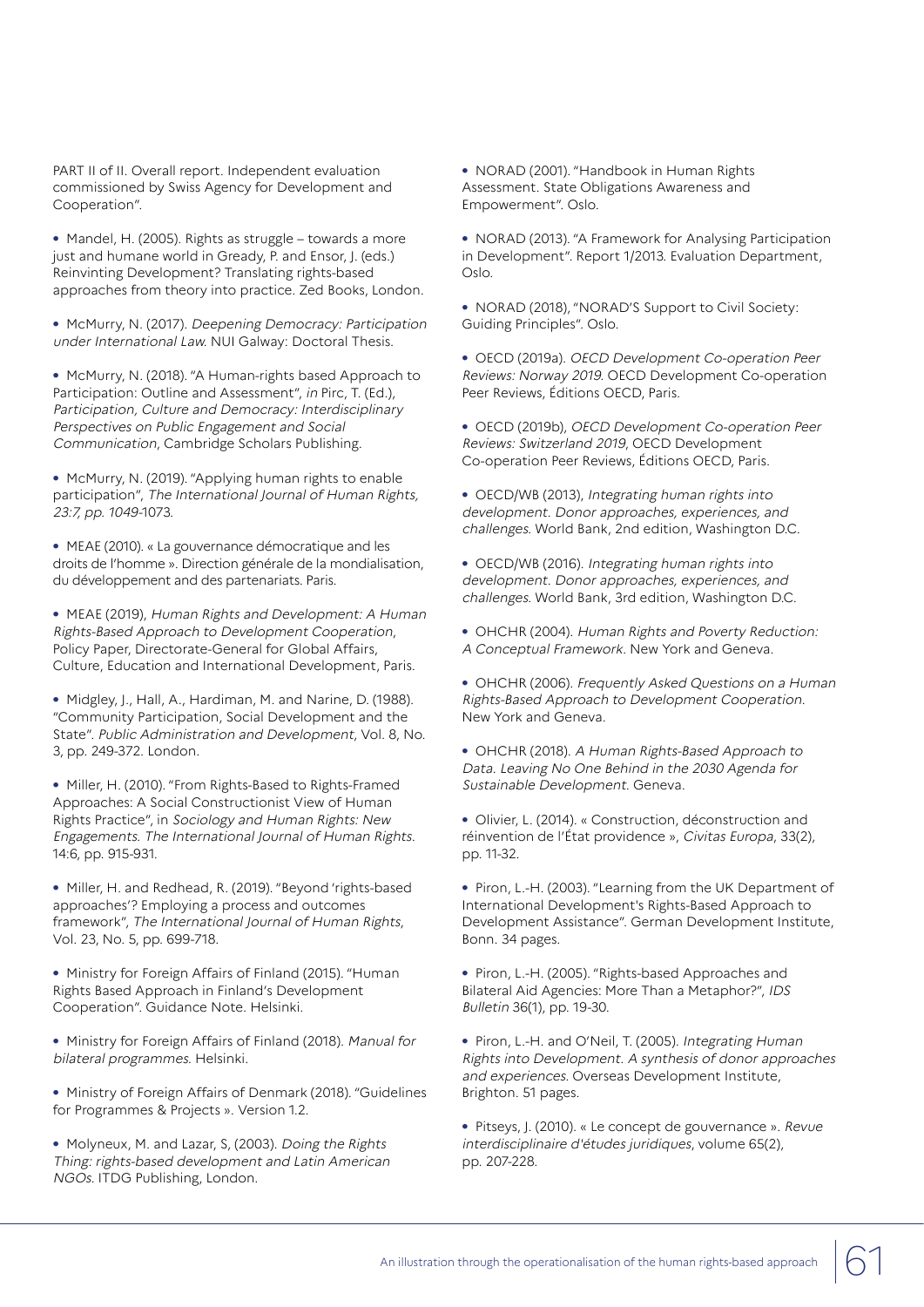PART II of II. Overall report. Independent evaluation commissioned by Swiss Agency for Development and Cooperation".

**•** Mandel, H. (2005). Rights as struggle – towards a more just and humane world in Gready, P. and Ensor, J. (eds.) Reinvinting Development? Translating rights-based approaches from theory into practice. Zed Books, London.

**•** McMurry, N. (2017). Deepening Democracy: Participation under International Law. NUI Galway: Doctoral Thesis.

**•** McMurry, N. (2018). "A Human-rights based Approach to Participation: Outline and Assessment", in Pirc, T. (Ed.), Participation, Culture and Democracy: Interdisciplinary Perspectives on Public Engagement and Social Communication, Cambridge Scholars Publishing.

**•** McMurry, N. (2019). "Applying human rights to enable participation", The International Journal of Human Rights, 23:7, pp. 1049-1073.

**•** MEAE (2010). « La gouvernance démocratique and les droits de l'homme ». Direction générale de la mondialisation, du développement and des partenariats. Paris.

**•** MEAE (2019), Human Rights and Development: A Human Rights-Based Approach to Development Cooperation, Policy Paper, Directorate-General for Global Affairs, Culture, Education and International Development, Paris.

**•** Midgley, J., Hall, A., Hardiman, M. and Narine, D. (1988). "Community Participation, Social Development and the State". Public Administration and Development, Vol. 8, No. 3, pp. 249-372. London.

**•** Miller, H. (2010). "From Rights-Based to Rights-Framed Approaches: A Social Constructionist View of Human Rights Practice", in Sociology and Human Rights: New Engagements. The International Journal of Human Rights. 14:6, pp. 915-931.

**•** Miller, H. and Redhead, R. (2019). "Beyond 'rights-based approaches'? Employing a process and outcomes framework", The International Journal of Human Rights, Vol. 23, No. 5, pp. 699-718.

**•** Ministry for Foreign Affairs of Finland (2015). "Human Rights Based Approach in Finland's Development Cooperation". Guidance Note. Helsinki.

**•** Ministry for Foreign Affairs of Finland (2018). Manual for bilateral programmes. Helsinki.

**•** Ministry of Foreign Affairs of Denmark (2018). "Guidelines for Programmes & Projects ». Version 1.2.

**•** Molyneux, M. and Lazar, S, (2003). Doing the Rights Thing: rights-based development and Latin American NGOs. ITDG Publishing, London.

**•** NORAD (2001). "Handbook in Human Rights Assessment. State Obligations Awareness and Empowerment". Oslo.

**•** NORAD (2013). "A Framework for Analysing Participation in Development". Report 1/2013. Evaluation Department, Oslo.

**•** NORAD (2018), "NORAD'S Support to Civil Society: Guiding Principles". Oslo.

**•** OECD (2019a). OECD Development Co-operation Peer Reviews: Norway 2019. OECD Development Co-operation Peer Reviews, Éditions OECD, Paris.

**•** OECD (2019b), OECD Development Co-operation Peer Reviews: Switzerland 2019, OECD Development Co-operation Peer Reviews, Éditions OECD, Paris.

**•** OECD/WB (2013), Integrating human rights into development. Donor approaches, experiences, and challenges. World Bank, 2nd edition, Washington D.C.

**•** OECD/WB (2016). Integrating human rights into development. Donor approaches, experiences, and challenges. World Bank, 3rd edition, Washington D.C.

**•** OHCHR (2004). Human Rights and Poverty Reduction: A Conceptual Framework. New York and Geneva.

**•** OHCHR (2006). Frequently Asked Questions on a Human Rights-Based Approach to Development Cooperation. New York and Geneva.

**•** OHCHR (2018). A Human Rights-Based Approach to Data. Leaving No One Behind in the 2030 Agenda for Sustainable Development. Geneva.

**•** Olivier, L. (2014). « Construction, déconstruction and réinvention de l'État providence », Civitas Europa, 33(2), pp. 11-32.

**•** Piron, L.-H. (2003). "Learning from the UK Department of International Development's Rights-Based Approach to Development Assistance". German Development Institute, Bonn. 34 pages.

**•** Piron, L.-H. (2005). "Rights-based Approaches and Bilateral Aid Agencies: More Than a Metaphor?", IDS Bulletin 36(1), pp. 19-30.

**•** Piron, L.-H. and O'Neil, T. (2005). Integrating Human Rights into Development. A synthesis of donor approaches and experiences. Overseas Development Institute, Brighton. 51 pages.

**•** Pitseys, J. (2010). « Le concept de gouvernance ». Revue interdisciplinaire d'études juridiques, volume 65(2), pp. 207-228.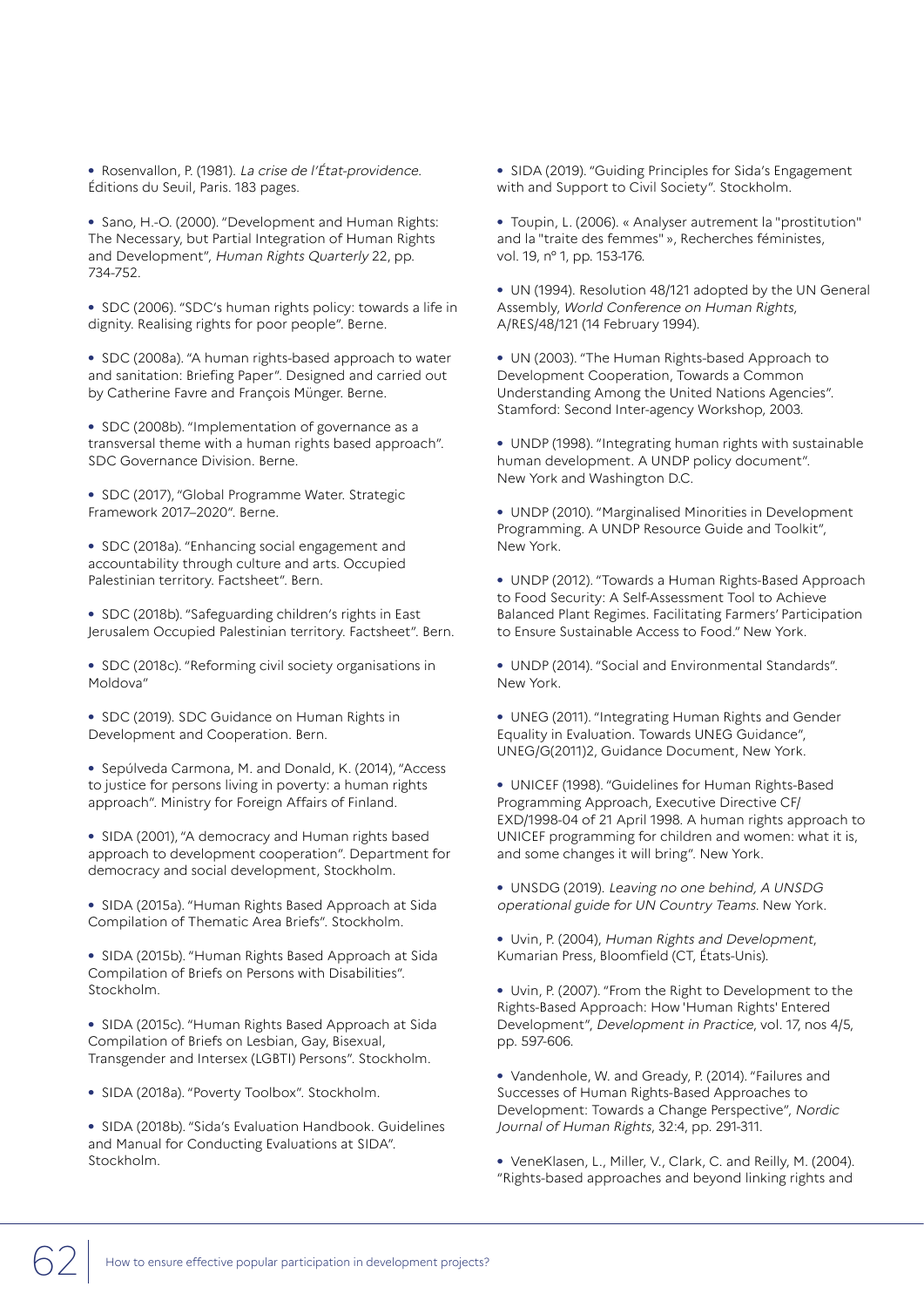**•** Rosenvallon, P. (1981). La crise de l'État-providence. Éditions du Seuil, Paris. 183 pages.

**•** Sano, H.-O. (2000). "Development and Human Rights: The Necessary, but Partial Integration of Human Rights and Development", Human Rights Quarterly 22, pp. 734-752.

**•** SDC (2006). "SDC's human rights policy: towards a life in dignity. Realising rights for poor people". Berne.

**•** SDC (2008a). "A human rights-based approach to water and sanitation: Briefing Paper". Designed and carried out by Catherine Favre and François Münger. Berne.

**•** SDC (2008b). "Implementation of governance as a transversal theme with a human rights based approach". SDC Governance Division. Berne.

**•** SDC (2017), "Global Programme Water. Strategic Framework 2017–2020". Berne.

**•** SDC (2018a). "Enhancing social engagement and accountability through culture and arts. Occupied Palestinian territory. Factsheet". Bern.

**•** SDC (2018b). "Safeguarding children's rights in East Jerusalem Occupied Palestinian territory. Factsheet". Bern.

**•** SDC (2018c). "Reforming civil society organisations in Moldova"

**•** SDC (2019). SDC Guidance on Human Rights in Development and Cooperation. Bern.

**•** Sepúlveda Carmona, M. and Donald, K. (2014), "Access to justice for persons living in poverty: a human rights approach". Ministry for Foreign Affairs of Finland.

**•** SIDA (2001), "A democracy and Human rights based approach to development cooperation". Department for democracy and social development, Stockholm.

**•** SIDA (2015a). "Human Rights Based Approach at Sida Compilation of Thematic Area Briefs". Stockholm.

**•** SIDA (2015b). "Human Rights Based Approach at Sida Compilation of Briefs on Persons with Disabilities". Stockholm.

**•** SIDA (2015c). "Human Rights Based Approach at Sida Compilation of Briefs on Lesbian, Gay, Bisexual, Transgender and Intersex (LGBTI) Persons". Stockholm.

**•** SIDA (2018a). "Poverty Toolbox". Stockholm.

**•** SIDA (2018b). "Sida's Evaluation Handbook. Guidelines and Manual for Conducting Evaluations at SIDA". Stockholm.

**•** SIDA (2019). "Guiding Principles for Sida's Engagement with and Support to Civil Society". Stockholm.

**•** Toupin, L. (2006). « Analyser autrement la "prostitution" and la "traite des femmes" », Recherches féministes, vol. 19, n° 1, pp. 153-176.

**•** UN (1994). Resolution 48/121 adopted by the UN General Assembly, World Conference on Human Rights, A/RES/48/121 (14 February 1994).

**•** UN (2003). "The Human Rights-based Approach to Development Cooperation, Towards a Common Understanding Among the United Nations Agencies". Stamford: Second Inter-agency Workshop, 2003.

**•** UNDP (1998). "Integrating human rights with sustainable human development. A UNDP policy document". New York and Washington D.C.

**•** UNDP (2010). "Marginalised Minorities in Development Programming. A UNDP Resource Guide and Toolkit", New York.

**•** UNDP (2012). "Towards a Human Rights-Based Approach to Food Security: A Self-Assessment Tool to Achieve Balanced Plant Regimes. Facilitating Farmers' Participation to Ensure Sustainable Access to Food." New York.

**•** UNDP (2014). "Social and Environmental Standards". New York.

**•** UNEG (2011). "Integrating Human Rights and Gender Equality in Evaluation. Towards UNEG Guidance", UNEG/G(2011)2, Guidance Document, New York.

**•** UNICEF (1998). "Guidelines for Human Rights-Based Programming Approach, Executive Directive CF/ EXD/1998-04 of 21 April 1998. A human rights approach to UNICEF programming for children and women: what it is, and some changes it will bring". New York.

**•** UNSDG (2019). Leaving no one behind, A UNSDG operational guide for UN Country Teams. New York.

**•** Uvin, P. (2004), Human Rights and Development, Kumarian Press, Bloomfield (CT, États-Unis).

**•** Uvin, P. (2007). "From the Right to Development to the Rights-Based Approach: How 'Human Rights' Entered Development", Development in Practice, vol. 17, nos 4/5, pp. 597-606.

**•** Vandenhole, W. and Gready, P. (2014). "Failures and Successes of Human Rights-Based Approaches to Development: Towards a Change Perspective", Nordic Journal of Human Rights, 32:4, pp. 291-311.

**•** VeneKlasen, L., Miller, V., Clark, C. and Reilly, M. (2004). "Rights-based approaches and beyond linking rights and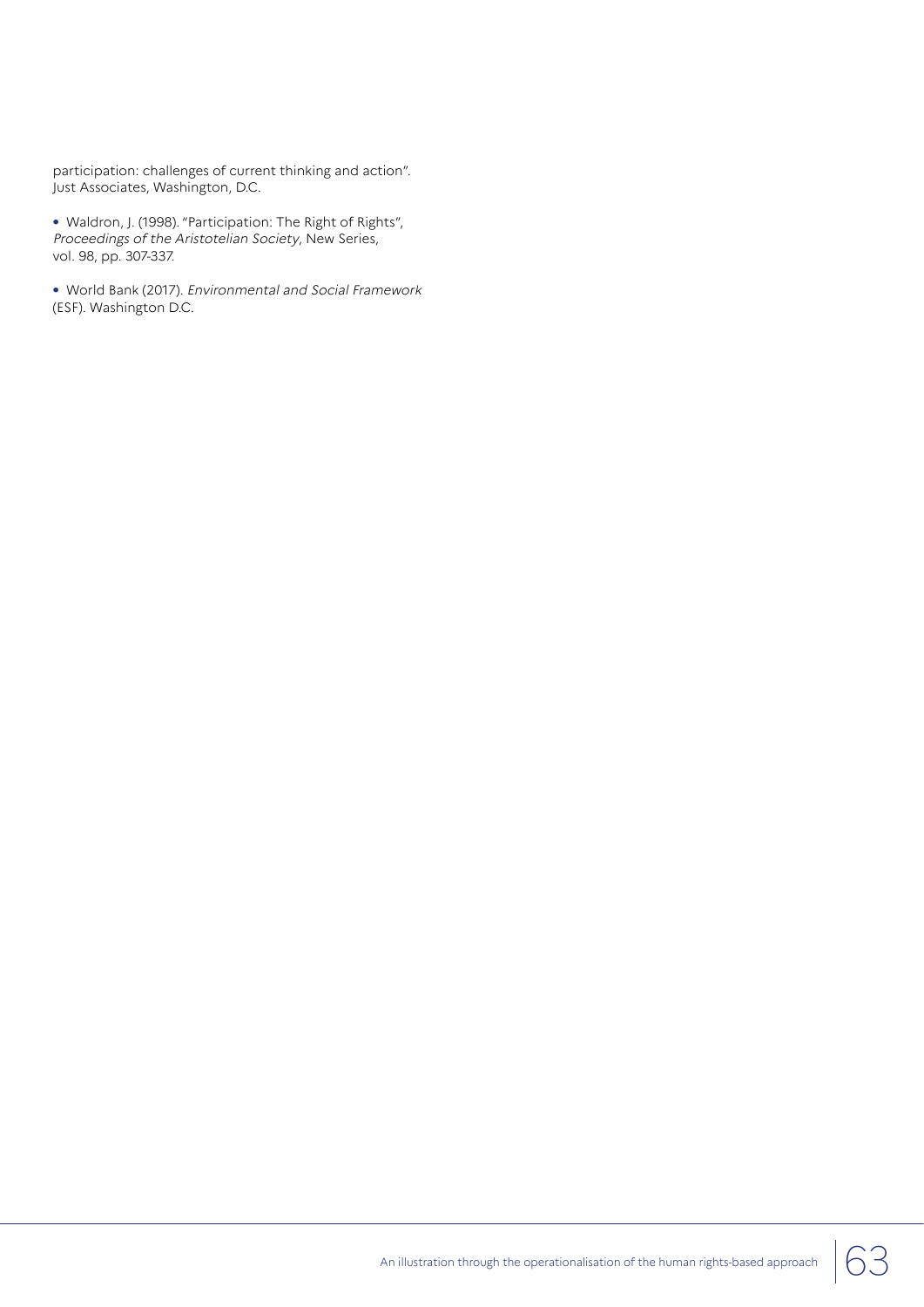participation: challenges of current thinking and action". Just Associates, Washington, D.C.

**•** Waldron, J. (1998). "Participation: The Right of Rights", Proceedings of the Aristotelian Society, New Series, vol. 98, pp. 307-337.

**•** World Bank (2017). Environmental and Social Framework (ESF). Washington D.C.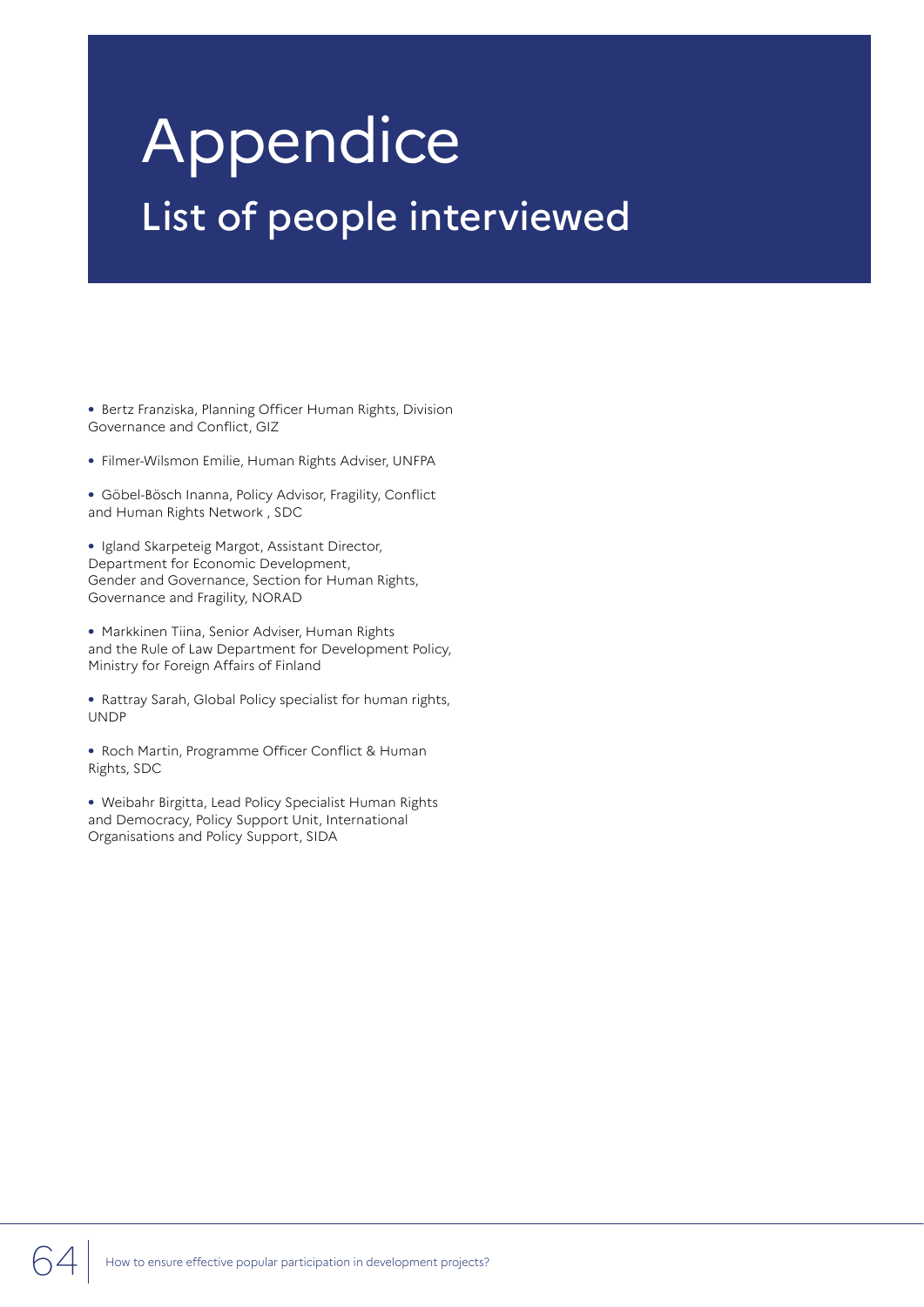# Appendice List of people interviewed

**•** Bertz Franziska, Planning Officer Human Rights, Division Governance and Conflict, GIZ

**•** Filmer-Wilsmon Emilie, Human Rights Adviser, UNFPA

**•** Göbel-Bösch Inanna, Policy Advisor, Fragility, Conflict and Human Rights Network , SDC

**•** Igland Skarpeteig Margot, Assistant Director, Department for Economic Development, Gender and Governance, Section for Human Rights, Governance and Fragility, NORAD

**•** Markkinen Tiina, Senior Adviser, Human Rights and the Rule of Law Department for Development Policy, Ministry for Foreign Affairs of Finland

**•** Rattray Sarah, Global Policy specialist for human rights, UNDP

**•** Roch Martin, Programme Officer Conflict & Human Rights, SDC

**•** Weibahr Birgitta, Lead Policy Specialist Human Rights and Democracy, Policy Support Unit, International Organisations and Policy Support, SIDA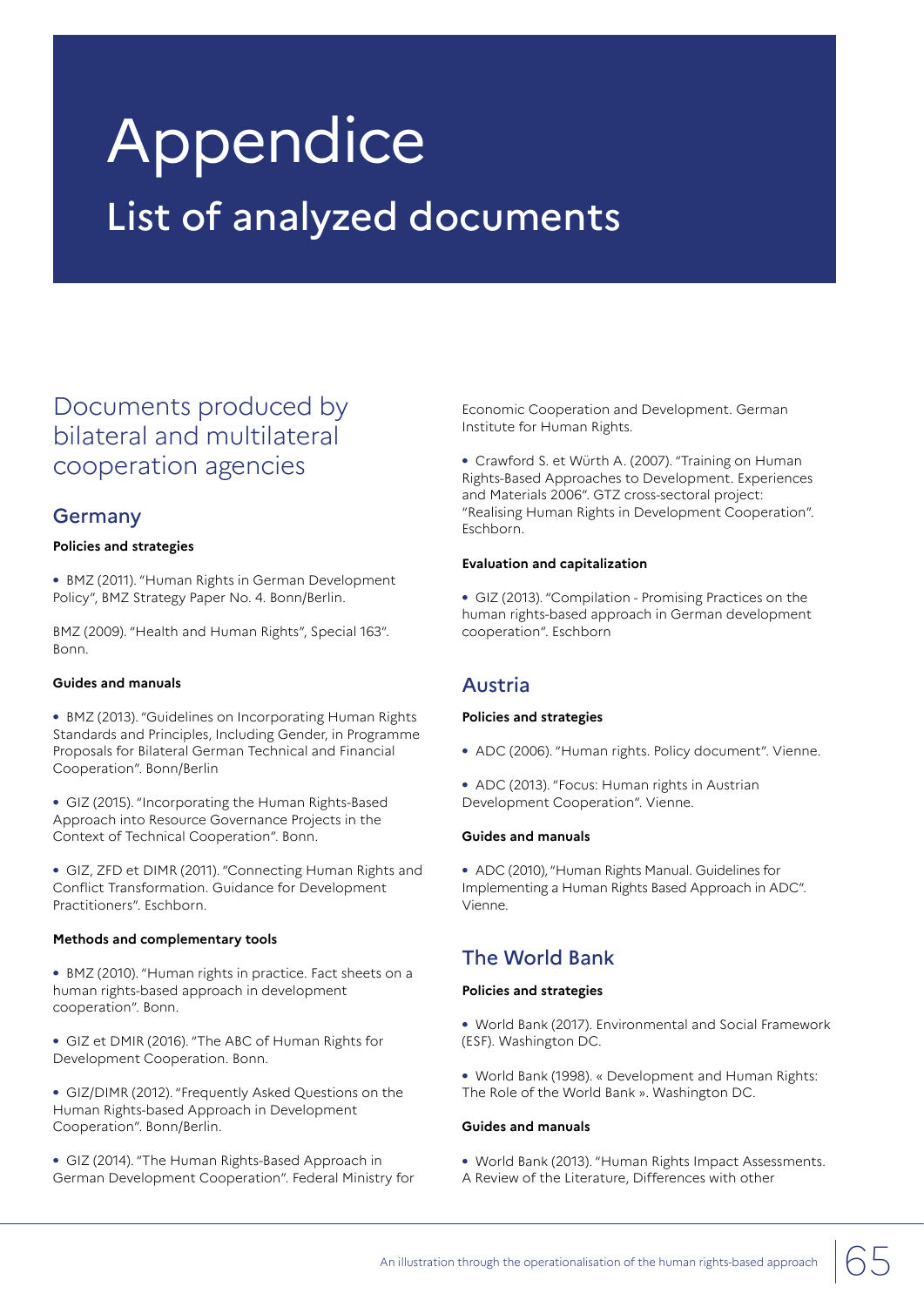# **Appendice** List of analyzed documents

## Documents produced by bilateral and multilateral cooperation agencies

## Germany

#### **Policies and strategies**

**•** BMZ (2011). "Human Rights in German Development Policy", BMZ Strategy Paper No. 4. Bonn/Berlin.

BMZ (2009). "Health and Human Rights", Special 163". Bonn.

#### **Guides and manuals**

**•** BMZ (2013). "Guidelines on Incorporating Human Rights Standards and Principles, Including Gender, in Programme Proposals for Bilateral German Technical and Financial Cooperation". Bonn/Berlin

**•** GIZ (2015). "Incorporating the Human Rights-Based Approach into Resource Governance Projects in the Context of Technical Cooperation". Bonn.

**•** GIZ, ZFD et DIMR (2011). "Connecting Human Rights and Conflict Transformation. Guidance for Development Practitioners". Eschborn.

#### **Methods and complementary tools**

**•** BMZ (2010). "Human rights in practice. Fact sheets on a human rights-based approach in development cooperation". Bonn.

**•** GIZ et DMIR (2016). "The ABC of Human Rights for Development Cooperation. Bonn.

**•** GIZ/DIMR (2012). "Frequently Asked Questions on the Human Rights-based Approach in Development Cooperation". Bonn/Berlin.

**•** GIZ (2014). "The Human Rights-Based Approach in German Development Cooperation". Federal Ministry for

Economic Cooperation and Development. German Institute for Human Rights.

**•** Crawford S. et Würth A. (2007). "Training on Human Rights-Based Approaches to Development. Experiences and Materials 2006". GTZ cross-sectoral project: "Realising Human Rights in Development Cooperation". Eschborn.

#### **Evaluation and capitalization**

**•** GIZ (2013). "Compilation - Promising Practices on the human rights-based approach in German development cooperation". Eschborn

## Austria

#### **Policies and strategies**

- **•** ADC (2006). "Human rights. Policy document". Vienne.
- **•** ADC (2013). "Focus: Human rights in Austrian Development Cooperation". Vienne.

#### **Guides and manuals**

**•** ADC (2010), "Human Rights Manual. Guidelines for Implementing a Human Rights Based Approach in ADC". Vienne.

## The World Bank

#### **Policies and strategies**

- **•** World Bank (2017). Environmental and Social Framework (ESF). Washington DC.
- **•** World Bank (1998). « Development and Human Rights: The Role of the World Bank ». Washington DC.

#### **Guides and manuals**

- **•** World Bank (2013). "Human Rights Impact Assessments.
- A Review of the Literature, Differences with other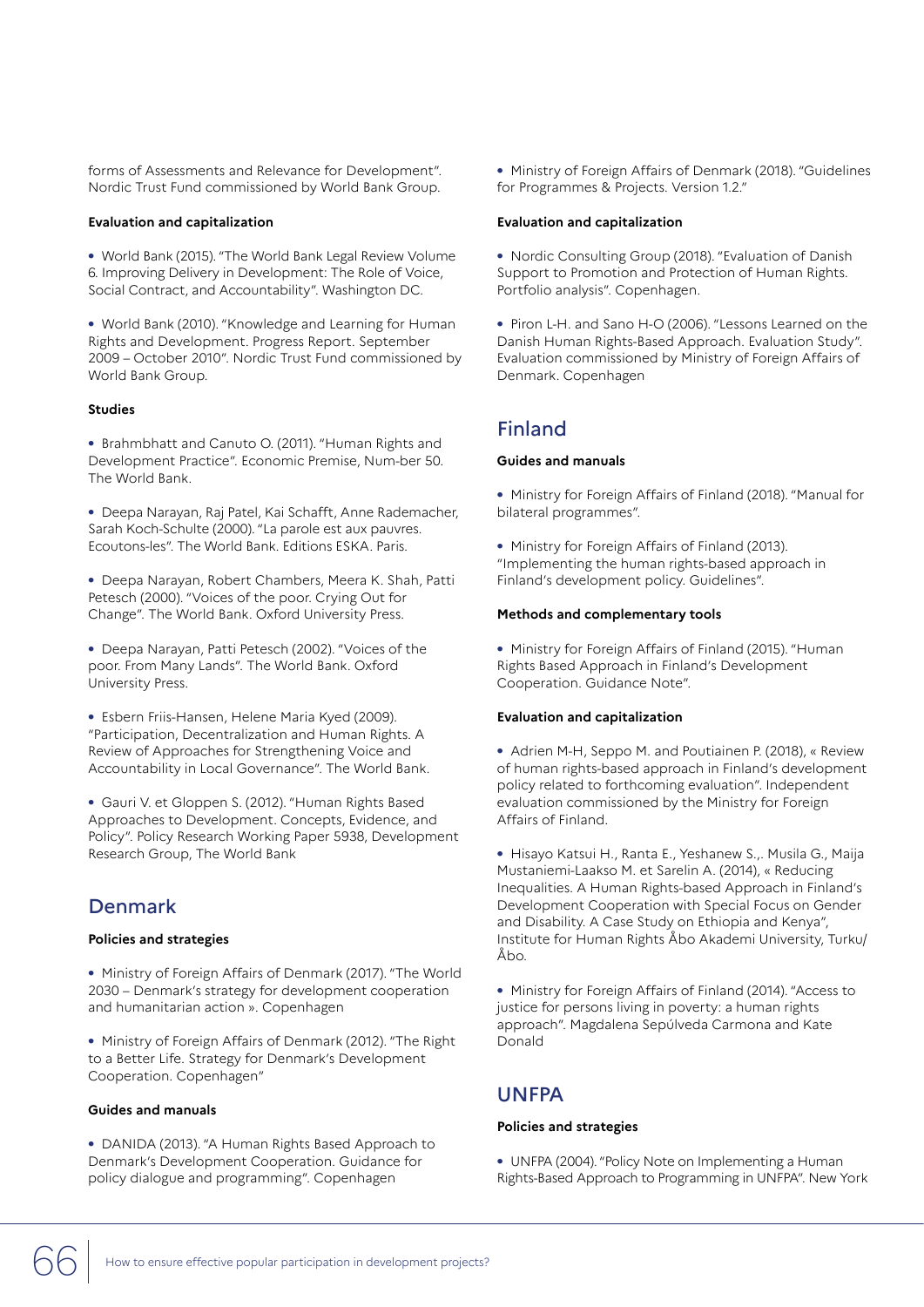forms of Assessments and Relevance for Development". Nordic Trust Fund commissioned by World Bank Group.

#### **Evaluation and capitalization**

**•** World Bank (2015). "The World Bank Legal Review Volume 6. Improving Delivery in Development: The Role of Voice, Social Contract, and Accountability". Washington DC.

**•** World Bank (2010). "Knowledge and Learning for Human Rights and Development. Progress Report. September 2009 – October 2010". Nordic Trust Fund commissioned by World Bank Group.

#### **Studies**

**•** Brahmbhatt and Canuto O. (2011). "Human Rights and Development Practice". Economic Premise, Num-ber 50. The World Bank.

**•** Deepa Narayan, Raj Patel, Kai Schafft, Anne Rademacher, Sarah Koch-Schulte (2000). "La parole est aux pauvres. Ecoutons-les". The World Bank. Editions ESKA. Paris.

**•** Deepa Narayan, Robert Chambers, Meera K. Shah, Patti Petesch (2000). "Voices of the poor. Crying Out for Change". The World Bank. Oxford University Press.

**•** Deepa Narayan, Patti Petesch (2002). "Voices of the poor. From Many Lands". The World Bank. Oxford University Press.

**•** Esbern Friis-Hansen, Helene Maria Kyed (2009). "Participation, Decentralization and Human Rights. A Review of Approaches for Strengthening Voice and Accountability in Local Governance". The World Bank.

**•** Gauri V. et Gloppen S. (2012). "Human Rights Based Approaches to Development. Concepts, Evidence, and Policy". Policy Research Working Paper 5938, Development Research Group, The World Bank

## Denmark

#### **Policies and strategies**

**•** Ministry of Foreign Affairs of Denmark (2017). "The World 2030 – Denmark's strategy for development cooperation and humanitarian action ». Copenhagen

**•** Ministry of Foreign Affairs of Denmark (2012). "The Right to a Better Life. Strategy for Denmark's Development Cooperation. Copenhagen"

#### **Guides and manuals**

**•** DANIDA (2013). "A Human Rights Based Approach to Denmark's Development Cooperation. Guidance for policy dialogue and programming". Copenhagen

**•** Ministry of Foreign Affairs of Denmark (2018). "Guidelines for Programmes & Projects. Version 1.2."

#### **Evaluation and capitalization**

**•** Nordic Consulting Group (2018). "Evaluation of Danish Support to Promotion and Protection of Human Rights. Portfolio analysis". Copenhagen.

**•** Piron L-H. and Sano H-O (2006). "Lessons Learned on the Danish Human Rights-Based Approach. Evaluation Study". Evaluation commissioned by Ministry of Foreign Affairs of Denmark. Copenhagen

## Finland

#### **Guides and manuals**

**•** Ministry for Foreign Affairs of Finland (2018). "Manual for bilateral programmes".

**•** Ministry for Foreign Affairs of Finland (2013). "Implementing the human rights-based approach in Finland's development policy. Guidelines".

#### **Methods and complementary tools**

**•** Ministry for Foreign Affairs of Finland (2015). "Human Rights Based Approach in Finland's Development Cooperation. Guidance Note".

#### **Evaluation and capitalization**

**•** Adrien M-H, Seppo M. and Poutiainen P. (2018), « Review of human rights-based approach in Finland's development policy related to forthcoming evaluation". Independent evaluation commissioned by the Ministry for Foreign Affairs of Finland.

**•** Hisayo Katsui H., Ranta E., Yeshanew S.,. Musila G., Maija Mustaniemi-Laakso M. et Sarelin A. (2014), « Reducing Inequalities. A Human Rights-based Approach in Finland's Development Cooperation with Special Focus on Gender and Disability. A Case Study on Ethiopia and Kenya", Institute for Human Rights Åbo Akademi University, Turku/ Åbo.

**•** Ministry for Foreign Affairs of Finland (2014). "Access to justice for persons living in poverty: a human rights approach". Magdalena Sepúlveda Carmona and Kate Donald

## UNFPA

#### **Policies and strategies**

**•** UNFPA (2004). "Policy Note on Implementing a Human Rights-Based Approach to Programming in UNFPA". New York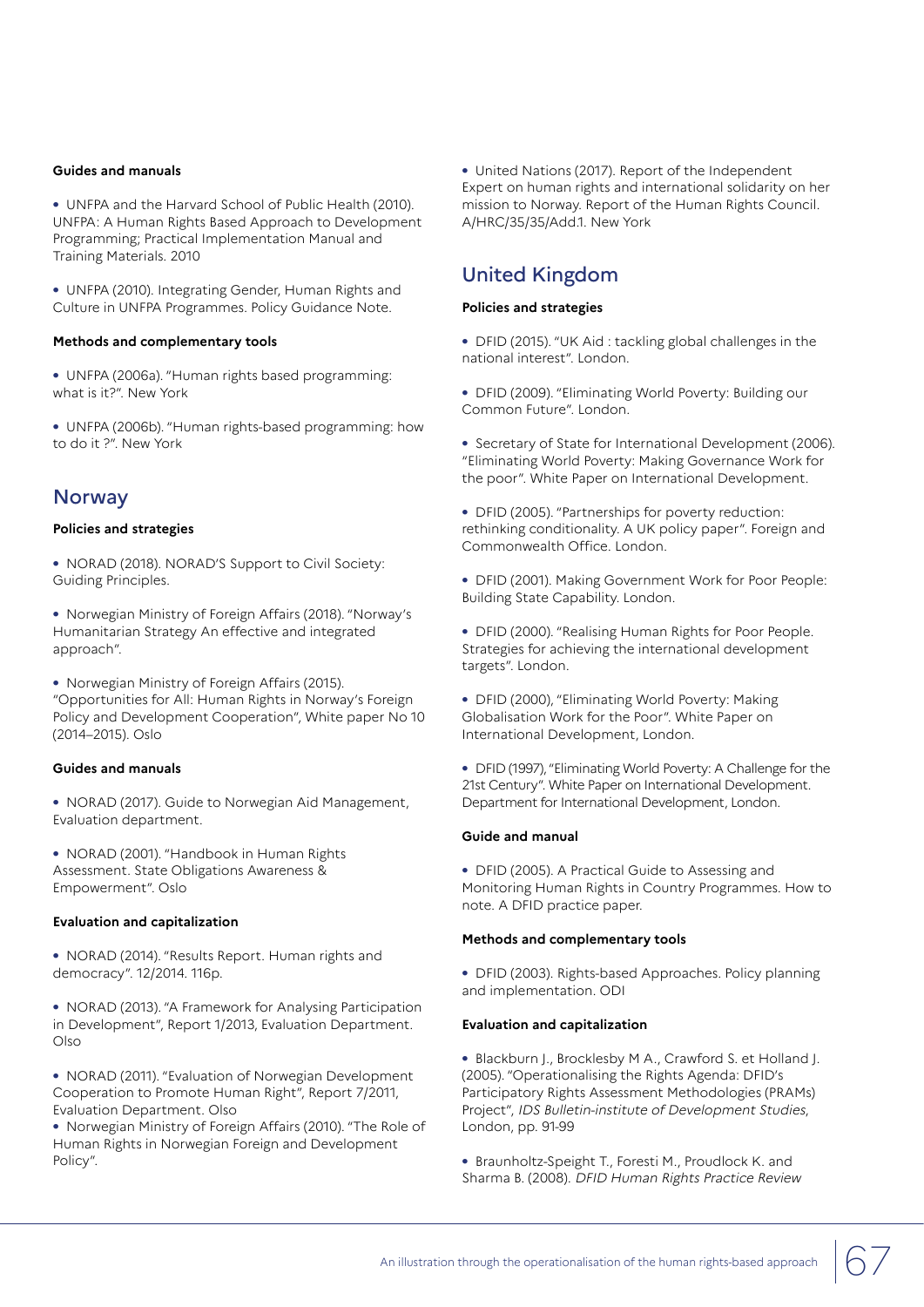#### **Guides and manuals**

**•** UNFPA and the Harvard School of Public Health (2010). UNFPA: A Human Rights Based Approach to Development Programming; Practical Implementation Manual and Training Materials. 2010

**•** UNFPA (2010). Integrating Gender, Human Rights and Culture in UNFPA Programmes. Policy Guidance Note.

#### **Methods and complementary tools**

**•** UNFPA (2006a). "Human rights based programming: what is it?". New York

**•** UNFPA (2006b). "Human rights-based programming: how to do it ?". New York

#### **Norway**

#### **Policies and strategies**

**•** NORAD (2018). NORAD'S Support to Civil Society: Guiding Principles.

**•** Norwegian Ministry of Foreign Affairs (2018). "Norway's Humanitarian Strategy An effective and integrated approach".

**•** Norwegian Ministry of Foreign Affairs (2015). "Opportunities for All: Human Rights in Norway's Foreign Policy and Development Cooperation", White paper No 10 (2014–2015). Oslo

#### **Guides and manuals**

**•** NORAD (2017). Guide to Norwegian Aid Management, Evaluation department.

**•** NORAD (2001). "Handbook in Human Rights Assessment. State Obligations Awareness & Empowerment". Oslo

#### **Evaluation and capitalization**

**•** NORAD (2014). "Results Report. Human rights and democracy". 12/2014. 116p.

**•** NORAD (2013). "A Framework for Analysing Participation in Development", Report 1/2013, Evaluation Department. Olso

**•** NORAD (2011). "Evaluation of Norwegian Development Cooperation to Promote Human Right", Report 7/2011, Evaluation Department. Olso

**•** Norwegian Ministry of Foreign Affairs (2010). "The Role of Human Rights in Norwegian Foreign and Development Policy".

**•** United Nations (2017). Report of the Independent Expert on human rights and international solidarity on her mission to Norway. Report of the Human Rights Council. A/HRC/35/35/Add.1. New York

## United Kingdom

#### **Policies and strategies**

- **•** DFID (2015). "UK Aid : tackling global challenges in the national interest". London.
- **•** DFID (2009). "Eliminating World Poverty: Building our Common Future". London.
- **•** Secretary of State for International Development (2006). "Eliminating World Poverty: Making Governance Work for the poor". White Paper on International Development.
- **•** DFID (2005). "Partnerships for poverty reduction: rethinking conditionality. A UK policy paper". Foreign and Commonwealth Office. London.
- **•** DFID (2001). Making Government Work for Poor People: Building State Capability. London.
- **•** DFID (2000). "Realising Human Rights for Poor People. Strategies for achieving the international development targets". London.
- **•** DFID (2000), "Eliminating World Poverty: Making Globalisation Work for the Poor". White Paper on International Development, London.

**•** DFID (1997), "Eliminating World Poverty: A Challenge for the 21st Century". White Paper on International Development. Department for International Development, London.

#### **Guide and manual**

**•** DFID (2005). A Practical Guide to Assessing and Monitoring Human Rights in Country Programmes. How to note. A DFID practice paper.

#### **Methods and complementary tools**

**•** DFID (2003). Rights-based Approaches. Policy planning and implementation. ODI

#### **Evaluation and capitalization**

**•** Blackburn J., Brocklesby M A., Crawford S. et Holland J. (2005). "Operationalising the Rights Agenda: DFID's Participatory Rights Assessment Methodologies (PRAMs) Project", IDS Bulletin-institute of Development Studies, London, pp. 91-99

**•** Braunholtz-Speight T., Foresti M., Proudlock K. and Sharma B. (2008). DFID Human Rights Practice Review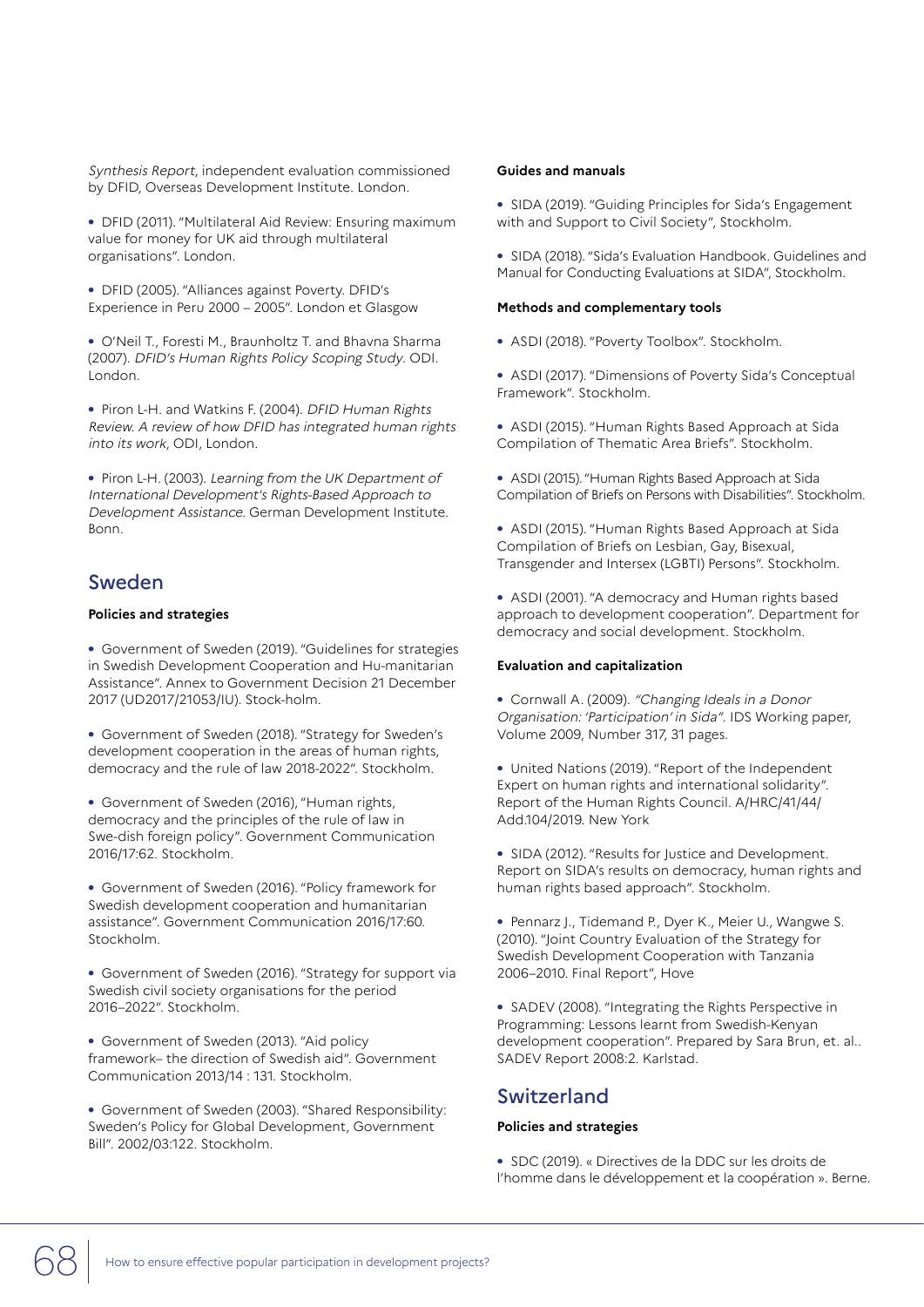Synthesis Report, independent evaluation commissioned by DFID, Overseas Development Institute. London.

**•** DFID (2011). "Multilateral Aid Review: Ensuring maximum value for money for UK aid through multilateral organisations". London.

**•** DFID (2005). "Alliances against Poverty. DFID's Experience in Peru 2000 – 2005". London et Glasgow

**•** O'Neil T., Foresti M., Braunholtz T. and Bhavna Sharma (2007). DFID's Human Rights Policy Scoping Study. ODI. London.

**•** Piron L-H. and Watkins F. (2004). DFID Human Rights Review. A review of how DFID has integrated human rights into its work, ODI, London.

**•** Piron L-H. (2003). Learning from the UK Department of International Development's Rights-Based Approach to Development Assistance. German Development Institute. Bonn.

## Sweden

#### **Policies and strategies**

**•** Government of Sweden (2019). "Guidelines for strategies in Swedish Development Cooperation and Hu-manitarian Assistance". Annex to Government Decision 21 December 2017 (UD2017/21053/IU). Stock-holm.

**•** Government of Sweden (2018). "Strategy for Sweden's development cooperation in the areas of human rights, democracy and the rule of law 2018-2022". Stockholm.

**•** Government of Sweden (2016), "Human rights, democracy and the principles of the rule of law in Swe-dish foreign policy". Government Communication 2016/17:62. Stockholm.

**•** Government of Sweden (2016). "Policy framework for Swedish development cooperation and humanitarian assistance". Government Communication 2016/17:60. Stockholm.

**•** Government of Sweden (2016). "Strategy for support via Swedish civil society organisations for the period 2016–2022". Stockholm.

**•** Government of Sweden (2013). "Aid policy framework– the direction of Swedish aid". Government Communication 2013/14 : 131. Stockholm.

**•** Government of Sweden (2003). "Shared Responsibility: Sweden's Policy for Global Development, Government Bill". 2002/03:122. Stockholm.

#### **Guides and manuals**

**•** SIDA (2019). "Guiding Principles for Sida's Engagement with and Support to Civil Society", Stockholm.

**•** SIDA (2018). "Sida's Evaluation Handbook. Guidelines and Manual for Conducting Evaluations at SIDA", Stockholm.

#### **Methods and complementary tools**

**•** ASDI (2018). "Poverty Toolbox". Stockholm.

**•** ASDI (2017). "Dimensions of Poverty Sida's Conceptual Framework". Stockholm.

- **•** ASDI (2015). "Human Rights Based Approach at Sida Compilation of Thematic Area Briefs". Stockholm.
- **•** ASDI (2015). "Human Rights Based Approach at Sida Compilation of Briefs on Persons with Disabilities". Stockholm.

**•** ASDI (2015). "Human Rights Based Approach at Sida Compilation of Briefs on Lesbian, Gay, Bisexual, Transgender and Intersex (LGBTI) Persons". Stockholm.

**•** ASDI (2001). "A democracy and Human rights based approach to development cooperation". Department for democracy and social development. Stockholm.

#### **Evaluation and capitalization**

**•** Cornwall A. (2009). "Changing Ideals in a Donor Organisation: 'Participation' in Sida". IDS Working paper, Volume 2009, Number 317, 31 pages.

**•** United Nations (2019). "Report of the Independent Expert on human rights and international solidarity". Report of the Human Rights Council. A/HRC/41/44/ Add.104/2019. New York

**•** SIDA (2012). "Results for Justice and Development. Report on SIDA's results on democracy, human rights and human rights based approach". Stockholm.

**•** Pennarz J., Tidemand P., Dyer K., Meier U., Wangwe S. (2010). "Joint Country Evaluation of the Strategy for Swedish Development Cooperation with Tanzania 2006–2010. Final Report", Hove

**•** SADEV (2008). "Integrating the Rights Perspective in Programming: Lessons learnt from Swedish-Kenyan development cooperation". Prepared by Sara Brun, et. al.. SADEV Report 2008:2. Karlstad.

## Switzerland

#### **Policies and strategies**

**•** SDC (2019). « Directives de la DDC sur les droits de l'homme dans le développement et la coopération ». Berne.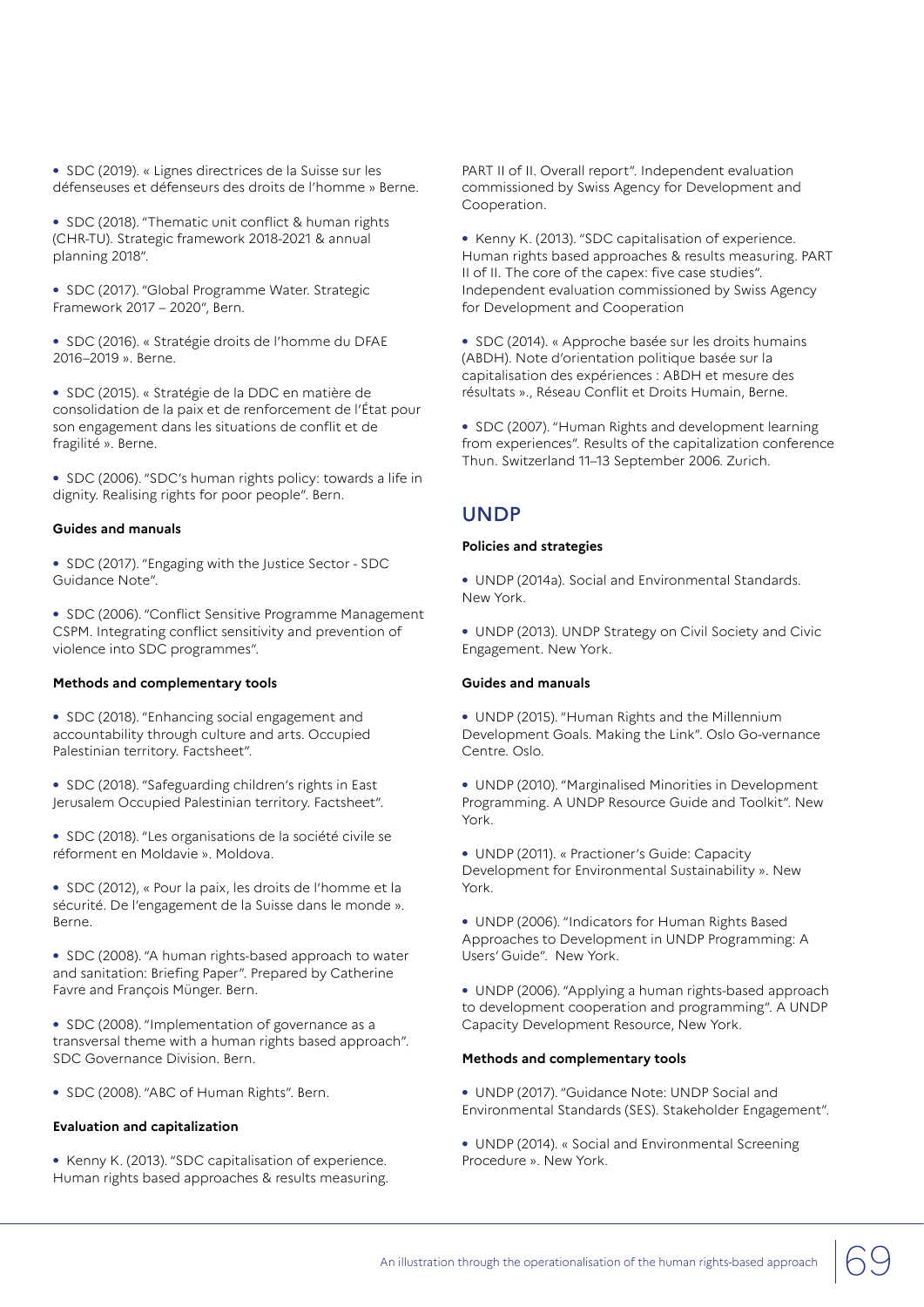**•** SDC (2019). « Lignes directrices de la Suisse sur les défenseuses et défenseurs des droits de l'homme » Berne.

**•** SDC (2018). "Thematic unit conflict & human rights (CHR-TU). Strategic framework 2018-2021 & annual planning 2018".

**•** SDC (2017). "Global Programme Water. Strategic Framework 2017 – 2020", Bern.

**•** SDC (2016). « Stratégie droits de l'homme du DFAE 2016–2019 ». Berne.

**•** SDC (2015). « Stratégie de la DDC en matière de consolidation de la paix et de renforcement de l'État pour son engagement dans les situations de conflit et de fragilité ». Berne.

**•** SDC (2006). "SDC's human rights policy: towards a life in dignity. Realising rights for poor people". Bern.

#### **Guides and manuals**

**•** SDC (2017). "Engaging with the Justice Sector - SDC Guidance Note".

**•** SDC (2006). "Conflict Sensitive Programme Management CSPM. Integrating conflict sensitivity and prevention of violence into SDC programmes".

#### **Methods and complementary tools**

**•** SDC (2018). "Enhancing social engagement and accountability through culture and arts. Occupied Palestinian territory. Factsheet".

**•** SDC (2018). "Safeguarding children's rights in East Jerusalem Occupied Palestinian territory. Factsheet".

**•** SDC (2018). "Les organisations de la société civile se réforment en Moldavie ». Moldova.

**•** SDC (2012), « Pour la paix, les droits de l'homme et la sécurité. De l'engagement de la Suisse dans le monde ». Berne.

**•** SDC (2008). "A human rights-based approach to water and sanitation: Briefing Paper". Prepared by Catherine Favre and François Münger. Bern.

**•** SDC (2008). "Implementation of governance as a transversal theme with a human rights based approach". SDC Governance Division. Bern.

**•** SDC (2008). "ABC of Human Rights". Bern.

#### **Evaluation and capitalization**

**•** Kenny K. (2013). "SDC capitalisation of experience. Human rights based approaches & results measuring.

PART II of II. Overall report". Independent evaluation commissioned by Swiss Agency for Development and Cooperation.

**•** Kenny K. (2013). "SDC capitalisation of experience. Human rights based approaches & results measuring. PART II of II. The core of the capex: five case studies". Independent evaluation commissioned by Swiss Agency for Development and Cooperation

**•** SDC (2014). « Approche basée sur les droits humains (ABDH). Note d'orientation politique basée sur la capitalisation des expériences : ABDH et mesure des résultats »., Réseau Conflit et Droits Humain, Berne.

**•** SDC (2007). "Human Rights and development learning from experiences". Results of the capitalization conference Thun. Switzerland 11–13 September 2006. Zurich.

### UNDP

#### **Policies and strategies**

**•** UNDP (2014a). Social and Environmental Standards. New York.

**•** UNDP (2013). UNDP Strategy on Civil Society and Civic Engagement. New York.

#### **Guides and manuals**

**•** UNDP (2015). "Human Rights and the Millennium Development Goals. Making the Link". Oslo Go-vernance Centre. Oslo.

**•** UNDP (2010). "Marginalised Minorities in Development Programming. A UNDP Resource Guide and Toolkit". New York.

**•** UNDP (2011). « Practioner's Guide: Capacity Development for Environmental Sustainability ». New York.

**•** UNDP (2006). "Indicators for Human Rights Based Approaches to Development in UNDP Programming: A Users' Guide". New York.

**•** UNDP (2006). "Applying a human rights-based approach to development cooperation and programming". A UNDP Capacity Development Resource, New York.

#### **Methods and complementary tools**

- **•** UNDP (2017). "Guidance Note: UNDP Social and Environmental Standards (SES). Stakeholder Engagement".
- **•** UNDP (2014). « Social and Environmental Screening Procedure ». New York.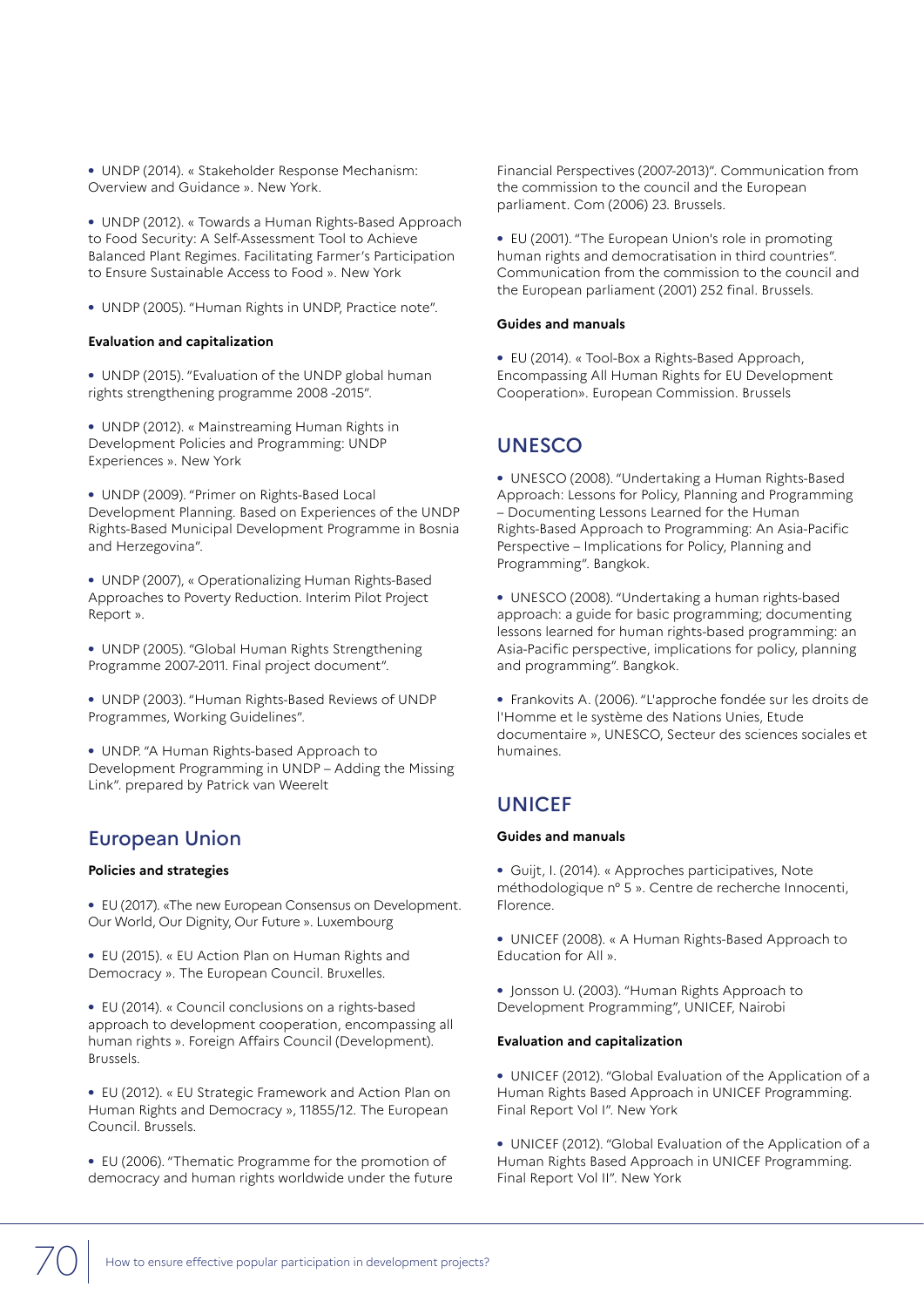**•** UNDP (2014). « Stakeholder Response Mechanism: Overview and Guidance ». New York.

**•** UNDP (2012). « Towards a Human Rights-Based Approach to Food Security: A Self-Assessment Tool to Achieve Balanced Plant Regimes. Facilitating Farmer's Participation to Ensure Sustainable Access to Food ». New York

**•** UNDP (2005). "Human Rights in UNDP, Practice note".

#### **Evaluation and capitalization**

**•** UNDP (2015). "Evaluation of the UNDP global human rights strengthening programme 2008 -2015".

**•** UNDP (2012). « Mainstreaming Human Rights in Development Policies and Programming: UNDP Experiences ». New York

**•** UNDP (2009). "Primer on Rights-Based Local Development Planning. Based on Experiences of the UNDP Rights-Based Municipal Development Programme in Bosnia and Herzegovina".

**•** UNDP (2007), « Operationalizing Human Rights-Based Approaches to Poverty Reduction. Interim Pilot Project Report ».

**•** UNDP (2005). "Global Human Rights Strengthening Programme 2007-2011. Final project document".

**•** UNDP (2003). "Human Rights-Based Reviews of UNDP Programmes, Working Guidelines".

**•** UNDP. "A Human Rights-based Approach to Development Programming in UNDP – Adding the Missing Link". prepared by Patrick van Weerelt

## European Union

#### **Policies and strategies**

**•** EU (2017). «The new European Consensus on Development. Our World, Our Dignity, Our Future ». Luxembourg

**•** EU (2015). « EU Action Plan on Human Rights and Democracy ». The European Council. Bruxelles.

**•** EU (2014). « Council conclusions on a rights-based approach to development cooperation, encompassing all human rights ». Foreign Affairs Council (Development). Brussels.

**•** EU (2012). « EU Strategic Framework and Action Plan on Human Rights and Democracy », 11855/12. The European Council. Brussels.

**•** EU (2006). "Thematic Programme for the promotion of democracy and human rights worldwide under the future Financial Perspectives (2007-2013)". Communication from the commission to the council and the European parliament. Com (2006) 23. Brussels.

**•** EU (2001). "The European Union's role in promoting human rights and democratisation in third countries". Communication from the commission to the council and the European parliament (2001) 252 final. Brussels.

#### **Guides and manuals**

**•** EU (2014). « Tool-Box a Rights-Based Approach, Encompassing All Human Rights for EU Development Cooperation». European Commission. Brussels

## UNESCO

**•** UNESCO (2008). "Undertaking a Human Rights-Based Approach: Lessons for Policy, Planning and Programming – Documenting Lessons Learned for the Human Rights-Based Approach to Programming: An Asia-Pacific Perspective – Implications for Policy, Planning and Programming". Bangkok.

**•** UNESCO (2008). "Undertaking a human rights-based approach: a guide for basic programming; documenting lessons learned for human rights-based programming: an Asia-Pacific perspective, implications for policy, planning and programming". Bangkok.

**•** Frankovits A. (2006). "L'approche fondée sur les droits de l'Homme et le système des Nations Unies, Etude documentaire », UNESCO, Secteur des sciences sociales et humaines.

## **UNICEF**

#### **Guides and manuals**

**•** Guijt, I. (2014). « Approches participatives, Note méthodologique n° 5 ». Centre de recherche Innocenti, Florence.

**•** UNICEF (2008). « A Human Rights-Based Approach to Education for All ».

**•** Jonsson U. (2003). "Human Rights Approach to Development Programming", UNICEF, Nairobi

#### **Evaluation and capitalization**

**•** UNICEF (2012). "Global Evaluation of the Application of a Human Rights Based Approach in UNICEF Programming. Final Report Vol I". New York

**•** UNICEF (2012). "Global Evaluation of the Application of a Human Rights Based Approach in UNICEF Programming. Final Report Vol II". New York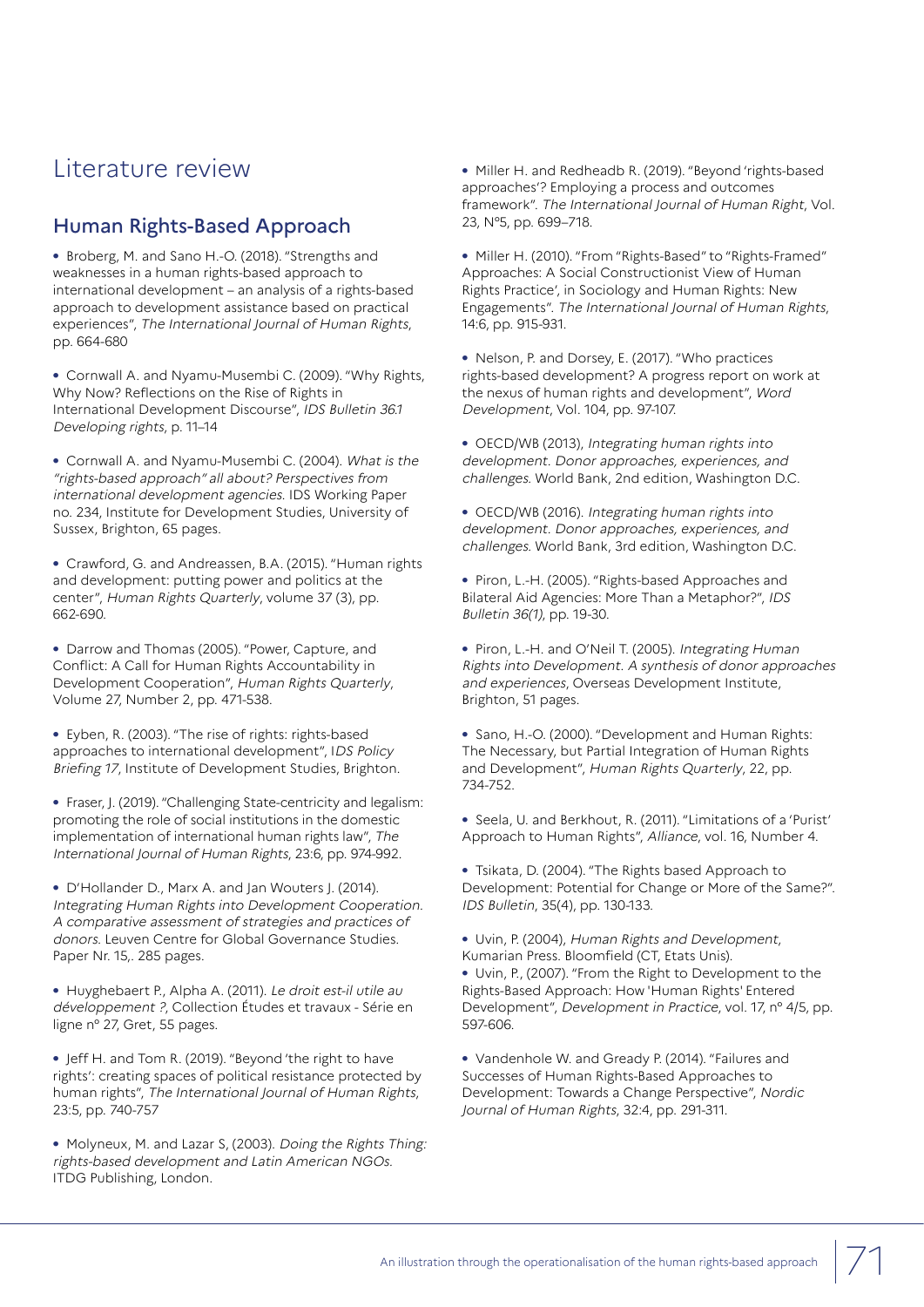## Literature review

## Human Rights-Based Approach

**•** Broberg, M. and Sano H.-O. (2018). "Strengths and weaknesses in a human rights-based approach to international development – an analysis of a rights-based approach to development assistance based on practical experiences", The International Journal of Human Rights, pp. 664-680

**•** Cornwall A. and Nyamu-Musembi C. (2009). "Why Rights, Why Now? Reflections on the Rise of Rights in International Development Discourse", IDS Bulletin 36.1 Developing rights, p. 11–14

**•** Cornwall A. and Nyamu-Musembi C. (2004). What is the "rights-based approach" all about? Perspectives from international development agencies. IDS Working Paper no. 234, Institute for Development Studies, University of Sussex, Brighton, 65 pages.

**•** Crawford, G. and Andreassen, B.A. (2015). "Human rights and development: putting power and politics at the center", Human Rights Quarterly, volume 37 (3), pp. 662-690.

**•** Darrow and Thomas (2005). "Power, Capture, and Conflict: A Call for Human Rights Accountability in Development Cooperation", Human Rights Quarterly, Volume 27, Number 2, pp. 471-538.

**•** Eyben, R. (2003). "The rise of rights: rights-based approaches to international development", IDS Policy Briefing 17, Institute of Development Studies, Brighton.

**•** Fraser, J. (2019). "Challenging State-centricity and legalism: promoting the role of social institutions in the domestic implementation of international human rights law", The International Journal of Human Rights, 23:6, pp. 974-992.

**•** D'Hollander D., Marx A. and Jan Wouters J. (2014). Integrating Human Rights into Development Cooperation. A comparative assessment of strategies and practices of donors. Leuven Centre for Global Governance Studies. Paper Nr. 15,. 285 pages.

**•** Huyghebaert P., Alpha A. (2011). Le droit est-il utile au développement ?, Collection Études et travaux - Série en ligne n° 27, Gret, 55 pages.

**•** Jeff H. and Tom R. (2019). "Beyond 'the right to have rights': creating spaces of political resistance protected by human rights", The International Journal of Human Rights, 23:5, pp. 740-757

**•** Molyneux, M. and Lazar S, (2003). Doing the Rights Thing: rights-based development and Latin American NGOs. ITDG Publishing, London.

**•** Miller H. and Redheadb R. (2019). "Beyond 'rights-based approaches'? Employing a process and outcomes framework". The International Journal of Human Right, Vol. 23, N°5, pp. 699–718.

**•** Miller H. (2010). "From "Rights-Based" to "Rights-Framed" Approaches: A Social Constructionist View of Human Rights Practice', in Sociology and Human Rights: New Engagements". The International Journal of Human Rights, 14:6, pp. 915-931.

**•** Nelson, P. and Dorsey, E. (2017). "Who practices rights-based development? A progress report on work at the nexus of human rights and development", Word Development, Vol. 104, pp. 97-107.

**•** OECD/WB (2013), Integrating human rights into development. Donor approaches, experiences, and challenges. World Bank, 2nd edition, Washington D.C.

**•** OECD/WB (2016). Integrating human rights into development. Donor approaches, experiences, and challenges. World Bank, 3rd edition, Washington D.C.

**•** Piron, L.-H. (2005). "Rights-based Approaches and Bilateral Aid Agencies: More Than a Metaphor?", IDS Bulletin 36(1), pp. 19-30.

**•** Piron, L.-H. and O'Neil T. (2005). Integrating Human Rights into Development. A synthesis of donor approaches and experiences, Overseas Development Institute, Brighton, 51 pages.

**•** Sano, H.-O. (2000). "Development and Human Rights: The Necessary, but Partial Integration of Human Rights and Development", Human Rights Quarterly, 22, pp. 734-752.

**•** Seela, U. and Berkhout, R. (2011). "Limitations of a 'Purist' Approach to Human Rights", Alliance, vol. 16, Number 4.

**•** Tsikata, D. (2004). "The Rights based Approach to Development: Potential for Change or More of the Same?". IDS Bulletin, 35(4), pp. 130-133.

**•** Uvin, P. (2004), Human Rights and Development, Kumarian Press. Bloomfield (CT, Etats Unis).

**•** Uvin, P., (2007). "From the Right to Development to the Rights-Based Approach: How 'Human Rights' Entered Development", Development in Practice, vol. 17, n° 4/5, pp. 597-606.

**•** Vandenhole W. and Gready P. (2014). "Failures and Successes of Human Rights-Based Approaches to Development: Towards a Change Perspective", Nordic Journal of Human Rights, 32:4, pp. 291-311.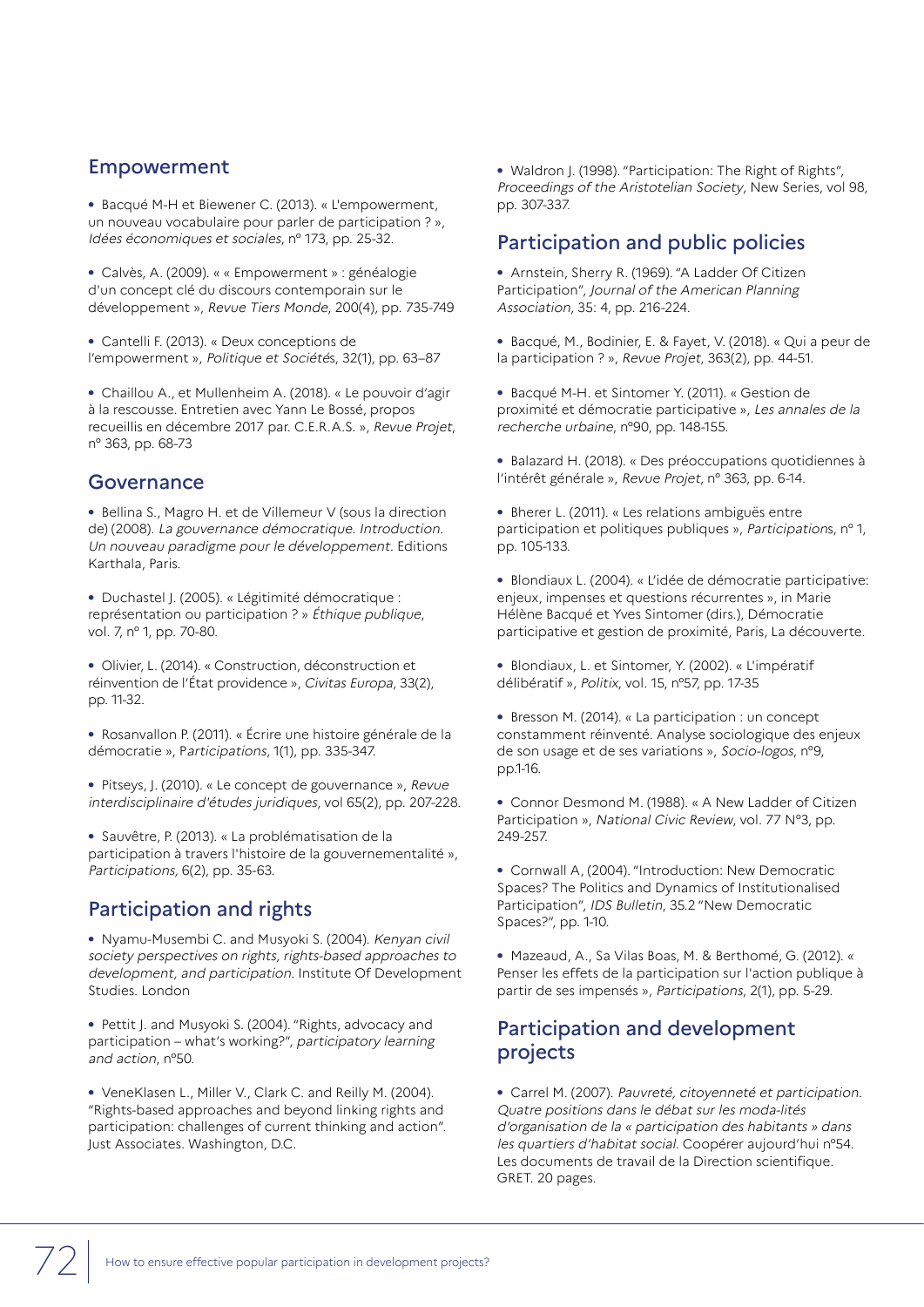## Empowerment

**•** Bacqué M-H et Biewener C. (2013). « L'empowerment, un nouveau vocabulaire pour parler de participation ? », Idées économiques et sociales, n° 173, pp. 25-32.

**•** Calvès, A. (2009). « « Empowerment » : généalogie d'un concept clé du discours contemporain sur le développement », Revue Tiers Monde, 200(4), pp. 735-749

**•** Cantelli F. (2013). « Deux conceptions de l'empowerment », Politique et Sociétés, 32(1), pp. 63–87

**•** Chaillou A., et Mullenheim A. (2018). « Le pouvoir d'agir à la rescousse. Entretien avec Yann Le Bossé, propos recueillis en décembre 2017 par. C.E.R.A.S. », Revue Projet, n° 363, pp. 68-73

## **Governance**

**•** Bellina S., Magro H. et de Villemeur V (sous la direction de) (2008). La gouvernance démocratique. Introduction. Un nouveau paradigme pour le développement. Editions Karthala, Paris.

**•** Duchastel J. (2005). « Légitimité démocratique : représentation ou participation ? » Éthique publique, vol. 7, n° 1, pp. 70-80.

**•** Olivier, L. (2014). « Construction, déconstruction et réinvention de l'État providence », Civitas Europa, 33(2), pp. 11-32.

**•** Rosanvallon P. (2011). « Écrire une histoire générale de la démocratie », Participations, 1(1), pp. 335-347.

**•** Pitseys, J. (2010). « Le concept de gouvernance », Revue interdisciplinaire d'études juridiques, vol 65(2), pp. 207-228.

**•** Sauvêtre, P. (2013). « La problématisation de la participation à travers l'histoire de la gouvernementalité », Participations, 6(2), pp. 35-63.

## Participation and rights

**•** Nyamu-Musembi C. and Musyoki S. (2004). Kenyan civil society perspectives on rights, rights-based approaches to development, and participation. Institute Of Development Studies. London

**•** Pettit J. and Musyoki S. (2004). "Rights, advocacy and participation – what's working?", participatory learning and action, n°50.

**•** VeneKlasen L., Miller V., Clark C. and Reilly M. (2004). "Rights-based approaches and beyond linking rights and participation: challenges of current thinking and action". Just Associates. Washington, D.C.

**•** Waldron J. (1998). "Participation: The Right of Rights", Proceedings of the Aristotelian Society, New Series, vol 98, pp. 307-337.

## Participation and public policies

**•** Arnstein, Sherry R. (1969). "A Ladder Of Citizen Participation", Journal of the American Planning Association, 35: 4, pp. 216-224.

**•** Bacqué, M., Bodinier, E. & Fayet, V. (2018). « Qui a peur de la participation ? », Revue Projet, 363(2), pp. 44-51.

**•** Bacqué M-H. et Sintomer Y. (2011). « Gestion de proximité et démocratie participative », Les annales de la recherche urbaine, n°90, pp. 148-155.

**•** Balazard H. (2018). « Des préoccupations quotidiennes à l'intérêt générale », Revue Projet, n° 363, pp. 6-14.

**•** Bherer L. (2011). « Les relations ambiguës entre participation et politiques publiques », Participations, n° 1, pp. 105-133.

**•** Blondiaux L. (2004). « L'idée de démocratie participative: enjeux, impenses et questions récurrentes », in Marie Hélène Bacqué et Yves Sintomer (dirs.), Démocratie participative et gestion de proximité, Paris, La découverte.

**•** Blondiaux, L. et Sintomer, Y. (2002). « L'impératif délibératif », Politix, vol. 15, n°57, pp. 17-35

**•** Bresson M. (2014). « La participation : un concept constamment réinventé. Analyse sociologique des enjeux de son usage et de ses variations », Socio-logos, n°9, pp.1-16.

**•** Connor Desmond M. (1988). « A New Ladder of Citizen Participation », National Civic Review, vol. 77 N°3, pp. 249-257.

**•** Cornwall A, (2004). "Introduction: New Democratic Spaces? The Politics and Dynamics of Institutionalised Participation", IDS Bulletin, 35.2 "New Democratic Spaces?", pp. 1-10.

**•** Mazeaud, A., Sa Vilas Boas, M. & Berthomé, G. (2012). « Penser les effets de la participation sur l'action publique à partir de ses impensés », Participations, 2(1), pp. 5-29.

## Participation and development projects

**•** Carrel M. (2007). Pauvreté, citoyenneté et participation. Quatre positions dans le débat sur les moda-lités d'organisation de la « participation des habitants » dans les quartiers d'habitat social. Coopérer aujourd'hui n°54. Les documents de travail de la Direction scientifique. GRET. 20 pages.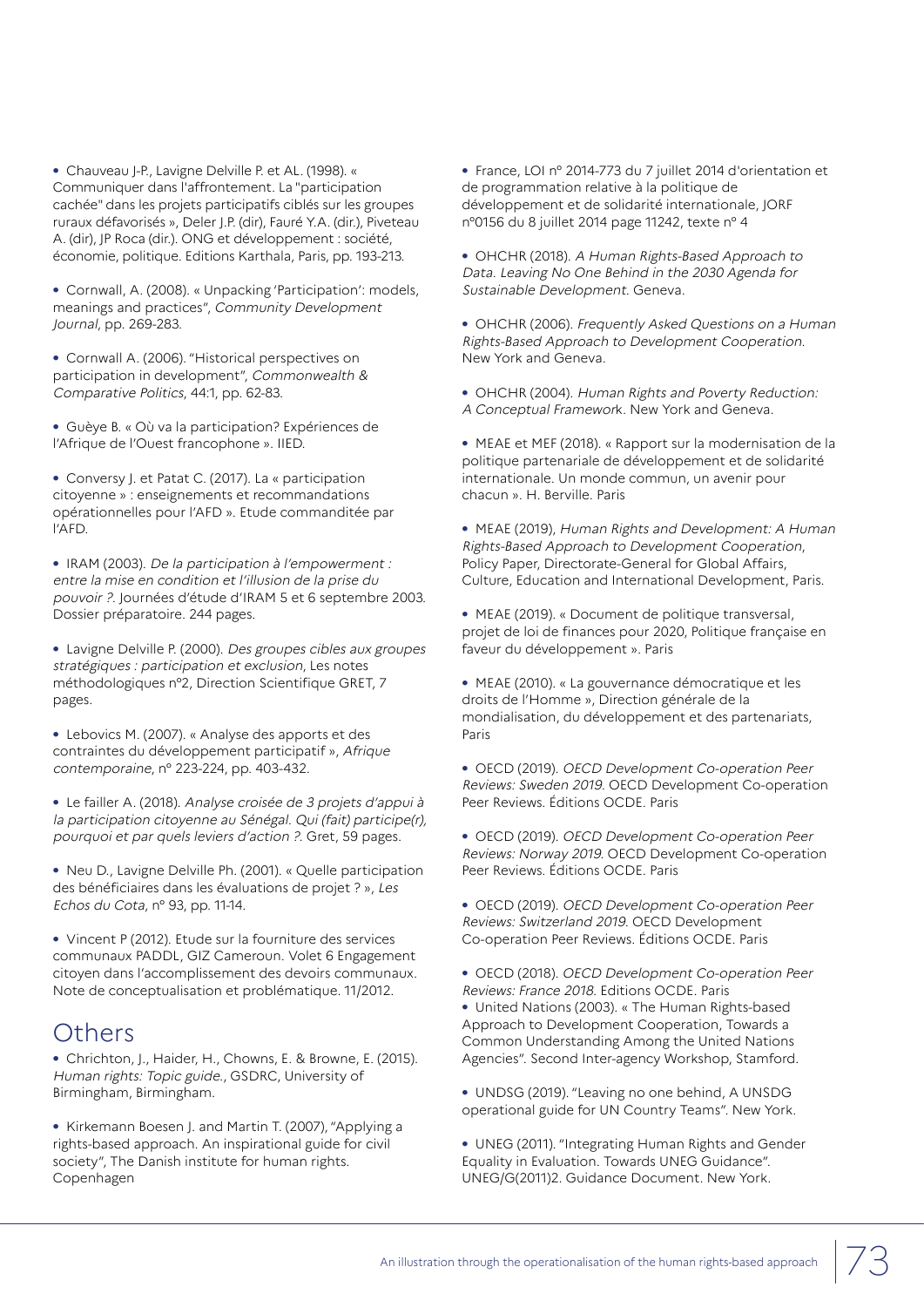**•** Chauveau J-P., Lavigne Delville P. et AL. (1998). « Communiquer dans l'affrontement. La "participation cachée" dans les projets participatifs ciblés sur les groupes ruraux défavorisés », Deler J.P. (dir), Fauré Y.A. (dir.), Piveteau A. (dir), JP Roca (dir.). ONG et développement : société, économie, politique. Editions Karthala, Paris, pp. 193-213.

**•** Cornwall, A. (2008). « Unpacking 'Participation': models, meanings and practices", Community Development Journal, pp. 269-283.

**•** Cornwall A. (2006). "Historical perspectives on participation in development", Commonwealth & Comparative Politics, 44:1, pp. 62-83.

**•** Guèye B. « Où va la participation? Expériences de l'Afrique de l'Ouest francophone ». IIED.

**•** Conversy J. et Patat C. (2017). La « participation citoyenne » : enseignements et recommandations opérationnelles pour l'AFD ». Etude commanditée par l'AFD.

**•** IRAM (2003). De la participation à l'empowerment : entre la mise en condition et l'illusion de la prise du pouvoir ?. Journées d'étude d'IRAM 5 et 6 septembre 2003. Dossier préparatoire. 244 pages.

**•** Lavigne Delville P. (2000). Des groupes cibles aux groupes stratégiques : participation et exclusion, Les notes méthodologiques n°2, Direction Scientifique GRET, 7 pages.

**•** Lebovics M. (2007). « Analyse des apports et des contraintes du développement participatif », Afrique contemporaine, n° 223-224, pp. 403-432.

**•** Le failler A. (2018). Analyse croisée de 3 projets d'appui à la participation citoyenne au Sénégal. Qui (fait) participe(r), pourquoi et par quels leviers d'action ?. Gret, 59 pages.

**•** Neu D., Lavigne Delville Ph. (2001). « Quelle participation des bénéficiaires dans les évaluations de projet ? », Les Echos du Cota, n° 93, pp. 11-14.

**•** Vincent P (2012). Etude sur la fourniture des services communaux PADDL, GIZ Cameroun. Volet 6 Engagement citoyen dans l'accomplissement des devoirs communaux. Note de conceptualisation et problématique. 11/2012.

## Others

**•** Chrichton, J., Haider, H., Chowns, E. & Browne, E. (2015). Human rights: Topic guide., GSDRC, University of Birmingham, Birmingham.

**•** Kirkemann Boesen J. and Martin T. (2007), "Applying a rights-based approach. An inspirational guide for civil society", The Danish institute for human rights. Copenhagen

**•** France, LOI n° 2014-773 du 7 juillet 2014 d'orientation et de programmation relative à la politique de développement et de solidarité internationale, JORF n°0156 du 8 juillet 2014 page 11242, texte n° 4

**•** OHCHR (2018). A Human Rights-Based Approach to Data. Leaving No One Behind in the 2030 Agenda for Sustainable Development. Geneva.

**•** OHCHR (2006). Frequently Asked Questions on a Human Rights-Based Approach to Development Cooperation. New York and Geneva.

**•** OHCHR (2004). Human Rights and Poverty Reduction: A Conceptual Framework. New York and Geneva.

**•** MEAE et MEF (2018). « Rapport sur la modernisation de la politique partenariale de développement et de solidarité internationale. Un monde commun, un avenir pour chacun ». H. Berville. Paris

**•** MEAE (2019), Human Rights and Development: A Human Rights-Based Approach to Development Cooperation, Policy Paper, Directorate-General for Global Affairs, Culture, Education and International Development, Paris.

**•** MEAE (2019). « Document de politique transversal, projet de loi de finances pour 2020, Politique française en faveur du développement ». Paris

**•** MEAE (2010). « La gouvernance démocratique et les droits de l'Homme », Direction générale de la mondialisation, du développement et des partenariats, Paris

**•** OECD (2019). OECD Development Co-operation Peer Reviews: Sweden 2019. OECD Development Co-operation Peer Reviews. Éditions OCDE. Paris

**•** OECD (2019). OECD Development Co-operation Peer Reviews: Norway 2019. OECD Development Co-operation Peer Reviews. Éditions OCDE. Paris

**•** OECD (2019). OECD Development Co-operation Peer Reviews: Switzerland 2019. OECD Development Co-operation Peer Reviews. Éditions OCDE. Paris

**•** OECD (2018). OECD Development Co-operation Peer Reviews: France 2018. Editions OCDE. Paris **•** United Nations (2003). « The Human Rights-based Approach to Development Cooperation, Towards a Common Understanding Among the United Nations Agencies". Second Inter-agency Workshop, Stamford.

**•** UNDSG (2019). "Leaving no one behind, A UNSDG operational guide for UN Country Teams". New York.

**•** UNEG (2011). "Integrating Human Rights and Gender Equality in Evaluation. Towards UNEG Guidance". UNEG/G(2011)2. Guidance Document. New York.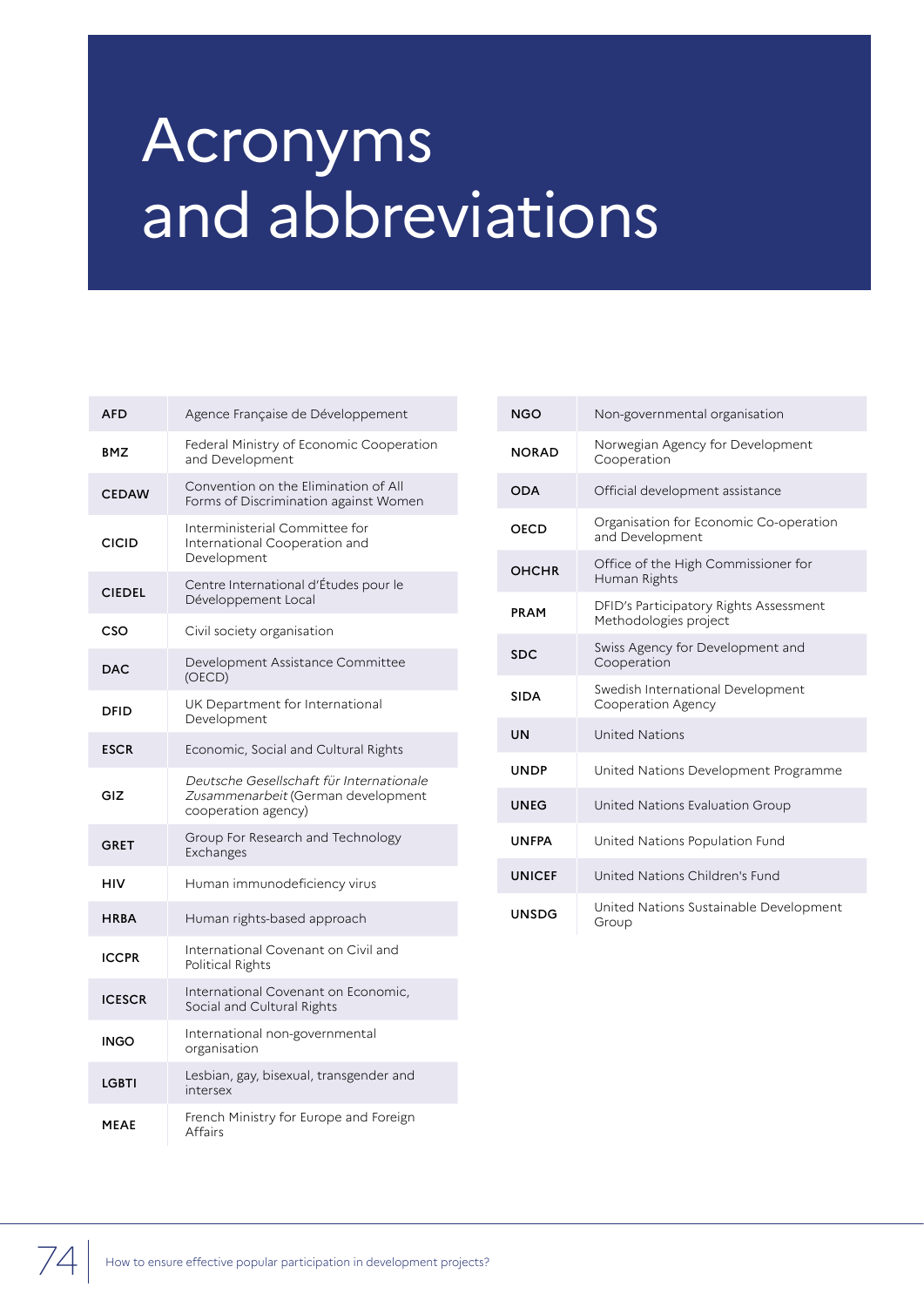## Acronyms and abbreviations

| AFD           | Agence Française de Développement                                                                     |
|---------------|-------------------------------------------------------------------------------------------------------|
| BMZ           | Federal Ministry of Economic Cooperation<br>and Development                                           |
| <b>CEDAW</b>  | Convention on the Elimination of All<br>Forms of Discrimination against Women                         |
| <b>CICID</b>  | Interministerial Committee for<br>International Cooperation and<br>Development                        |
| <b>CIEDEL</b> | Centre International d'Études pour le<br>Développement Local                                          |
| CSO           | Civil society organisation                                                                            |
| DAC           | Development Assistance Committee<br>(OECD)                                                            |
| <b>DFID</b>   | UK Department for International<br>Development                                                        |
| <b>ESCR</b>   | Economic, Social and Cultural Rights                                                                  |
| GIZ           | Deutsche Gesellschaft für Internationale<br>Zusammenarbeit (German development<br>cooperation agency) |
| <b>GRET</b>   | Group For Research and Technology<br>Exchanges                                                        |
| HIV           | Human immunodeficiency virus                                                                          |
| <b>HRBA</b>   | Human rights-based approach                                                                           |
| <b>ICCPR</b>  | International Covenant on Civil and<br>Political Rights                                               |
| <b>ICESCR</b> | International Covenant on Economic,<br>Social and Cultural Rights                                     |
| INGO          | International non-governmental<br>organisation                                                        |
| LGBTI         | Lesbian, gay, bisexual, transgender and<br>intersex                                                   |
| <b>MEAE</b>   | French Ministry for Europe and Foreign<br>Affairs                                                     |

| <b>NGO</b>    | Non-governmental organisation                                   |
|---------------|-----------------------------------------------------------------|
| <b>NORAD</b>  | Norwegian Agency for Development<br>Cooperation                 |
| <b>ODA</b>    | Official development assistance                                 |
| <b>OECD</b>   | Organisation for Economic Co-operation<br>and Development       |
| <b>OHCHR</b>  | Office of the High Commissioner for<br>Human Rights             |
| <b>PRAM</b>   | DFID's Participatory Rights Assessment<br>Methodologies project |
| <b>SDC</b>    | Swiss Agency for Development and<br>Cooperation                 |
| <b>SIDA</b>   | Swedish International Development<br>Cooperation Agency         |
| UN            | <b>United Nations</b>                                           |
| <b>UNDP</b>   | United Nations Development Programme                            |
| <b>UNEG</b>   | United Nations Evaluation Group                                 |
| <b>UNFPA</b>  | United Nations Population Fund                                  |
| <b>UNICEF</b> | United Nations Children's Fund                                  |
| <b>UNSDG</b>  | United Nations Sustainable Development<br>Group                 |